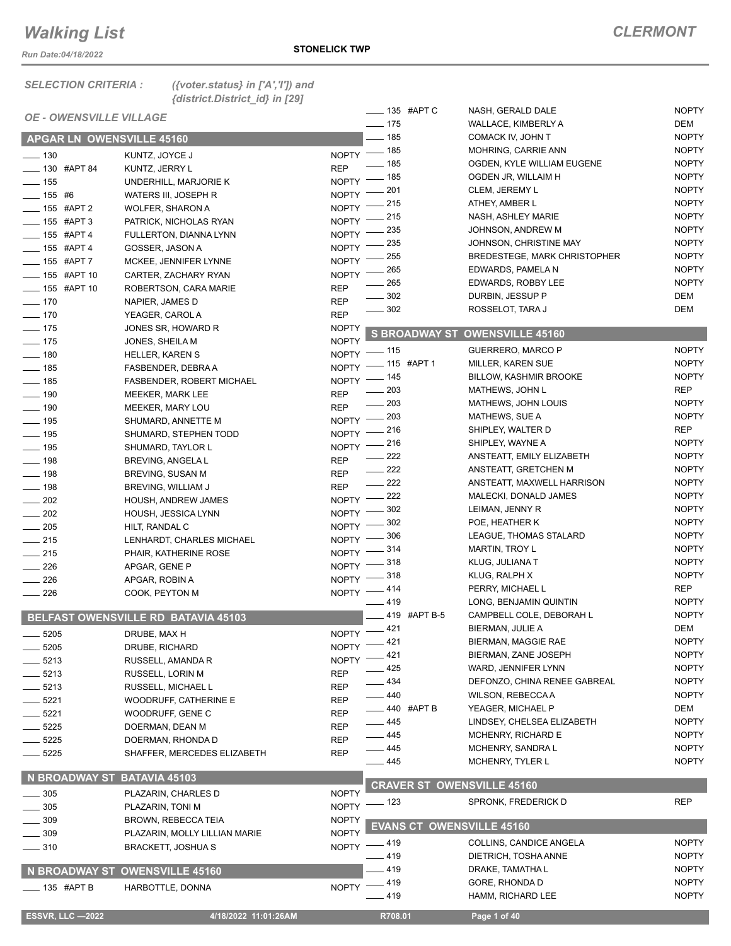*Run Date:04/18/2022*

135 #APT C NASH, GERALD DALE NOPTY

| <b>SELECTION CRITERIA:</b>       | ({voter.status} in $['A',T']$ ) and<br>{district.District_id} in [29] |
|----------------------------------|-----------------------------------------------------------------------|
| <b>OE - OWENSVILLE VILLAGE</b>   |                                                                       |
| <b>APGAR LN OWENSVILLE 45160</b> |                                                                       |

| <b>OE - OWENSVILLE VILLAGE</b> |                                     |              | —— 135 #APIC       |                      | NASH, GERALD DALE                   | <b>NOPIY</b> |
|--------------------------------|-------------------------------------|--------------|--------------------|----------------------|-------------------------------------|--------------|
|                                |                                     |              | $- 175$            |                      | WALLACE, KIMBERLY A                 | DEM          |
| APGAR LN OWENSVILLE 45160      |                                     |              | $-185$             |                      | COMACK IV, JOHN T                   | <b>NOPTY</b> |
| $\frac{1}{2}$ 130              |                                     |              | NOPTY - 185        |                      | <b>MOHRING, CARRIE ANN</b>          | <b>NOPTY</b> |
|                                | KUNTZ, JOYCE J                      | <b>REP</b>   | $-185$             |                      | OGDEN, KYLE WILLIAM EUGENE          | <b>NOPTY</b> |
| <b>LEGGIO #APT 84</b>          | KUNTZ, JERRY L                      |              | _ 185              |                      | OGDEN JR, WILLAIM H                 | <b>NOPTY</b> |
| $\frac{1}{2}$ 155              | UNDERHILL, MARJORIE K               | NOPTY -      | 201                |                      | CLEM, JEREMY L                      | <b>NOPTY</b> |
| $- 155$ #6                     | WATERS III, JOSEPH R                | <b>NOPTY</b> | 215                |                      | ATHEY, AMBER L                      | <b>NOPTY</b> |
| ____ 155 #APT 2                | <b>WOLFER, SHARON A</b>             | <b>NOPTY</b> | 215                |                      | NASH, ASHLEY MARIE                  | <b>NOPTY</b> |
| -65 #APT 3                     | PATRICK, NICHOLAS RYAN              | <b>NOPTY</b> |                    |                      |                                     |              |
| $- 155$ #APT 4                 | FULLERTON, DIANNA LYNN              | <b>NOPTY</b> | 235                |                      | JOHNSON, ANDREW M                   | <b>NOPTY</b> |
| $- 155$ #APT 4                 | GOSSER, JASON A                     | <b>NOPTY</b> | 235                |                      | JOHNSON, CHRISTINE MAY              | <b>NOPTY</b> |
| ___ 155 #APT 7                 | MCKEE, JENNIFER LYNNE               | <b>NOPTY</b> | 255                |                      | <b>BREDESTEGE, MARK CHRISTOPHER</b> | <b>NOPTY</b> |
| __ 155 #APT 10                 | CARTER, ZACHARY RYAN                | <b>NOPTY</b> | 265                |                      | EDWARDS, PAMELA N                   | <b>NOPTY</b> |
| ____ 155 #APT 10               | ROBERTSON, CARA MARIE               | <b>REP</b>   | 265                |                      | EDWARDS, ROBBY LEE                  | <b>NOPTY</b> |
| $- 170$                        | NAPIER, JAMES D                     | <b>REP</b>   | $- 302$            |                      | DURBIN, JESSUP P                    | DEM          |
| $\frac{1}{2}$ 170              | YEAGER, CAROL A                     | <b>REP</b>   | 302                |                      | ROSSELOT, TARA J                    | DEM          |
| $\frac{1}{2}$ 175              | JONES SR, HOWARD R                  | <b>NOPTY</b> |                    |                      |                                     |              |
| $- 175$                        | JONES, SHEILA M                     | <b>NOPTY</b> |                    | <b>S BROADWAY ST</b> | <b>OWENSVILLE 45160</b>             |              |
| $- 180$                        |                                     |              | NOPTY - 115        |                      | <b>GUERRERO, MARCO P</b>            | <b>NOPTY</b> |
|                                | <b>HELLER, KAREN S</b>              |              | NOPTY - 115 #APT 1 |                      | MILLER, KAREN SUE                   | <b>NOPTY</b> |
| $- 185$                        | FASBENDER, DEBRA A                  |              | NOPTY - 145        |                      | <b>BILLOW, KASHMIR BROOKE</b>       | <b>NOPTY</b> |
| $- 185$                        | <b>FASBENDER, ROBERT MICHAEL</b>    |              | $\frac{1}{203}$    |                      | MATHEWS, JOHN L                     | REP          |
| $\frac{1}{2}$ 190              | MEEKER, MARK LEE                    | <b>REP</b>   | _ 203              |                      | MATHEWS, JOHN LOUIS                 | <b>NOPTY</b> |
| $\frac{1}{2}$ 190              | MEEKER, MARY LOU                    | <b>REP</b>   | 203                |                      | MATHEWS, SUE A                      | <b>NOPTY</b> |
| $- 195$                        | SHUMARD, ANNETTE M                  | <b>NOPTY</b> |                    |                      |                                     |              |
| $- 195$                        | SHUMARD, STEPHEN TODD               | NOPTY =      | _ 216              |                      | SHIPLEY, WALTER D                   | REP          |
| $\frac{1}{2}$ 195              | SHUMARD, TAYLOR L                   | $NOPTY =$    | 216                |                      | SHIPLEY, WAYNE A                    | <b>NOPTY</b> |
| $- 198$                        | BREVING, ANGELA L                   | <b>REP</b>   | 222                |                      | ANSTEATT, EMILY ELIZABETH           | <b>NOPTY</b> |
| $\frac{1}{2}$ 198              | BREVING, SUSAN M                    | <b>REP</b>   | $\frac{222}{2}$    |                      | ANSTEATT, GRETCHEN M                | <b>NOPTY</b> |
| $\frac{1}{2}$ 198              | BREVING, WILLIAM J                  | <b>REP</b>   | 222                |                      | ANSTEATT, MAXWELL HARRISON          | <b>NOPTY</b> |
| $-202$                         | HOUSH, ANDREW JAMES                 | NOPTY -      | $-222$             |                      | MALECKI, DONALD JAMES               | <b>NOPTY</b> |
| $\sim$ 202                     | HOUSH, JESSICA LYNN                 | NOPTY -      | _ 302              |                      | LEIMAN, JENNY R                     | <b>NOPTY</b> |
| $\frac{1}{205}$                | HILT, RANDAL C                      | $NOPTY =$    | - 302              |                      | POE, HEATHER K                      | <b>NOPTY</b> |
| $-215$                         | LENHARDT, CHARLES MICHAEL           | NOPTY $-$    | 306                |                      | LEAGUE, THOMAS STALARD              | <b>NOPTY</b> |
| $-215$                         |                                     | $NOPTY$ -    | 314                |                      | <b>MARTIN, TROY L</b>               | <b>NOPTY</b> |
|                                | PHAIR, KATHERINE ROSE               |              | NOPTY -818         |                      | KLUG, JULIANA T                     | <b>NOPTY</b> |
| $\frac{226}{2}$                | APGAR, GENE P                       |              | NOPTY -818         |                      | KLUG, RALPH X                       | <b>NOPTY</b> |
| $\sim$ 226                     | APGAR, ROBIN A                      |              | NOPTY -414         |                      | PERRY, MICHAEL L                    | REP          |
| $\frac{1}{226}$                | COOK, PEYTON M                      |              | $-419$             |                      | LONG, BENJAMIN QUINTIN              | <b>NOPTY</b> |
|                                |                                     |              |                    | __ 419 #APT B-5      | CAMPBELL COLE, DEBORAH L            | <b>NOPTY</b> |
|                                | BELFAST OWENSVILLE RD BATAVIA 45103 |              |                    |                      |                                     |              |
| $- 5205$                       | DRUBE, MAX H                        |              | NOPTY -421         |                      | BIERMAN, JULIE A                    | DEM          |
| $\frac{1}{2}$ 5205             | DRUBE, RICHARD                      | $N$ OPTY $-$ | 421                |                      | BIERMAN, MAGGIE RAE                 | <b>NOPTY</b> |
| $=$ 5213                       | RUSSELL, AMANDA R                   |              | NOPTY -421         |                      | BIERMAN, ZANE JOSEPH                | <b>NOPTY</b> |
| $-5213$                        | RUSSELL, LORIN M                    | <b>REP</b>   | $-425$             |                      | WARD, JENNIFER LYNN                 | <b>NOPTY</b> |
| $=$ 5213                       | RUSSELL, MICHAEL L                  | <b>REP</b>   | $-434$             |                      | DEFONZO, CHINA RENEE GABREAL        | <b>NOPTY</b> |
| $-5221$                        | <b>WOODRUFF, CATHERINE E</b>        | <b>REP</b>   | $-440$             |                      | WILSON, REBECCA A                   | <b>NOPTY</b> |
| $- 5221$                       | WOODRUFF, GENE C                    | REP          | $-440$ #APT B      |                      | YEAGER, MICHAEL P                   | DEM          |
| $-5225$                        | DOERMAN, DEAN M                     | REP          | —— 445             |                      | LINDSEY, CHELSEA ELIZABETH          | <b>NOPTY</b> |
| $-5225$                        | DOERMAN, RHONDA D                   | <b>REP</b>   | $-445$             |                      | MCHENRY, RICHARD E                  | <b>NOPTY</b> |
|                                |                                     |              | —— 445             |                      | MCHENRY, SANDRA L                   | <b>NOPTY</b> |
| $-5225$                        | SHAFFER, MERCEDES ELIZABETH         | <b>REP</b>   | —— 445             |                      | MCHENRY, TYLER L                    | <b>NOPTY</b> |
| N BROADWAY ST BATAVIA 45103    |                                     |              |                    |                      |                                     |              |
|                                |                                     |              |                    |                      | <b>CRAVER ST OWENSVILLE 45160</b>   |              |
| $\frac{1}{2}$ 305              | PLAZARIN, CHARLES D                 | <b>NOPTY</b> |                    |                      | SPRONK, FREDERICK D                 | <b>REP</b>   |
| $\frac{1}{2}$ 305              | PLAZARIN, TONI M                    |              | NOPTY - 123        |                      |                                     |              |
| $\frac{1}{2}$ 309              | <b>BROWN, REBECCA TEIA</b>          | <b>NOPTY</b> | <b>EVANS CT</b>    |                      | <b>OWENSVILLE 45160</b>             |              |
| $\frac{1}{2}$ 309              | PLAZARIN, MOLLY LILLIAN MARIE       | <b>NOPTY</b> |                    |                      |                                     |              |
| $\frac{1}{2}$ 310              | <b>BRACKETT, JOSHUA S</b>           |              | NOPTY -419         |                      | COLLINS, CANDICE ANGELA             | <b>NOPTY</b> |
|                                |                                     |              | $-419$             |                      | DIETRICH, TOSHA ANNE                | <b>NOPTY</b> |
| N BROADWAY ST                  | <b>OWENSVILLE 45160</b>             |              | $-419$             |                      | DRAKE, TAMATHA L                    | <b>NOPTY</b> |
| $\frac{1}{2}$ 135 #APT B       | HARBOTTLE, DONNA                    | <b>NOPTY</b> | $-419$             |                      | GORE, RHONDA D                      | <b>NOPTY</b> |
|                                |                                     |              | $-419$             |                      | HAMM, RICHARD LEE                   | <b>NOPTY</b> |
|                                |                                     |              |                    |                      |                                     |              |
| <b>ESSVR, LLC-2022</b>         | 4/18/2022 11:01:26AM                |              | R708.01            |                      | Page 1 of 40                        |              |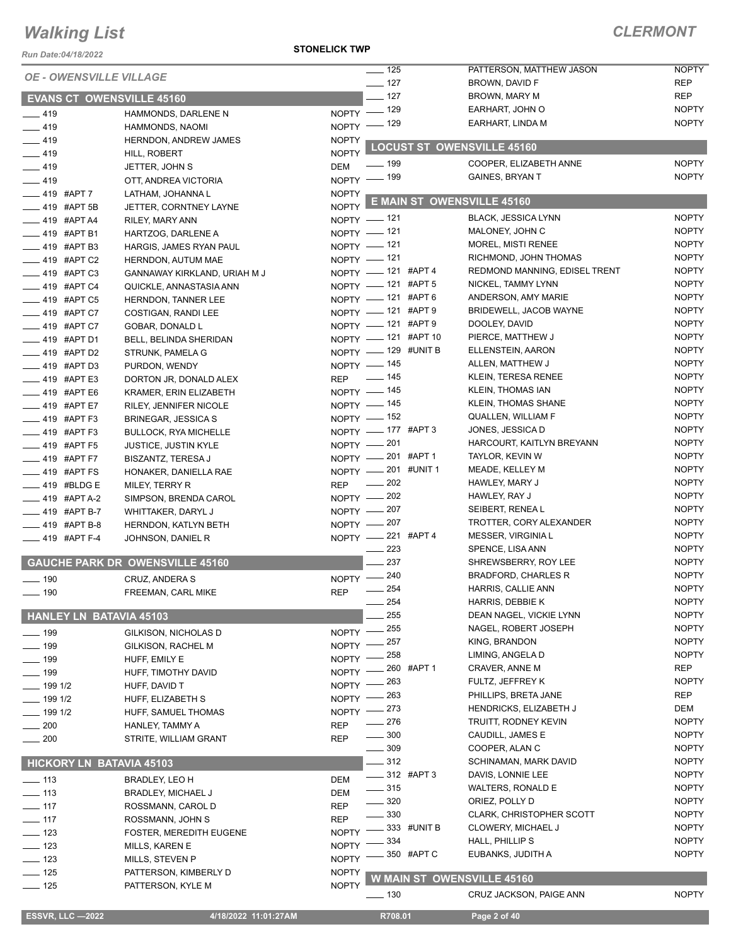*Run Date:04/18/2022*

#### **STONELICK TWP**

| Run Date:04/18/2022<br><b>OE - OWENSVILLE VILLAGE</b> |                                        |              | $- 125$                  | PATTERSON, MATTHEW JASON          | <b>NOPTY</b> |
|-------------------------------------------------------|----------------------------------------|--------------|--------------------------|-----------------------------------|--------------|
|                                                       |                                        |              | $- 127$                  | BROWN, DAVID F                    | <b>REP</b>   |
| <b>EVANS CT OWENSVILLE 45160</b>                      |                                        |              | $-127$                   | BROWN, MARY M                     | <b>REP</b>   |
| $-419$                                                | HAMMONDS, DARLENE N                    |              | NOPTY - 129              | EARHART, JOHN O                   | <b>NOPTY</b> |
| $-419$                                                | HAMMONDS, NAOMI                        |              | NOPTY - 129              | EARHART, LINDA M                  | <b>NOPTY</b> |
| $-419$                                                | HERNDON, ANDREW JAMES                  | <b>NOPTY</b> |                          |                                   |              |
| $-419$                                                | HILL, ROBERT                           | <b>NOPTY</b> |                          | <b>LOCUST ST OWENSVILLE 45160</b> |              |
| $-419$                                                | JETTER, JOHN S                         | DEM          | <u>—</u> 199             | COOPER, ELIZABETH ANNE            | <b>NOPTY</b> |
| $-419$                                                | OTT, ANDREA VICTORIA                   |              | NOPTY - 199              | <b>GAINES, BRYAN T</b>            | <b>NOPTY</b> |
| $-419$ #APT 7                                         | LATHAM, JOHANNA L                      | <b>NOPTY</b> |                          |                                   |              |
| $-419$ #APT 5B                                        | JETTER, CORNTNEY LAYNE                 | <b>NOPTY</b> |                          | <b>E MAIN ST OWENSVILLE 45160</b> |              |
| $-419$ #APT A4                                        | RILEY, MARY ANN                        |              | NOPTY - 121              | <b>BLACK, JESSICA LYNN</b>        | <b>NOPTY</b> |
| $-419$ #APT B1                                        | HARTZOG, DARLENE A                     |              | NOPTY - 121              | MALONEY, JOHN C                   | <b>NOPTY</b> |
| $-419$ #APT B3                                        | HARGIS, JAMES RYAN PAUL                |              | NOPTY - 121              | <b>MOREL, MISTI RENEE</b>         | <b>NOPTY</b> |
| $-419$ #APT C2                                        | HERNDON, AUTUM MAE                     |              | NOPTY - 121              | RICHMOND, JOHN THOMAS             | <b>NOPTY</b> |
| $-419$ #APT C3                                        | GANNAWAY KIRKLAND, URIAH M J           |              | NOPTY - 121 #APT 4       | REDMOND MANNING, EDISEL TRENT     | <b>NOPTY</b> |
| $-419$ #APT C4                                        | QUICKLE, ANNASTASIA ANN                |              | NOPTY - 121 #APT 5       | NICKEL, TAMMY LYNN                | <b>NOPTY</b> |
| $\frac{1}{2}$ 419 #APT C5                             | HERNDON, TANNER LEE                    |              | NOPTY - 121 #APT 6       | ANDERSON, AMY MARIE               | <b>NOPTY</b> |
| 419 #APT C7                                           | COSTIGAN, RANDI LEE                    |              | NOPTY - 121 #APT 9       | BRIDEWELL, JACOB WAYNE            | <b>NOPTY</b> |
| $-419$ #APT C7                                        | GOBAR, DONALD L                        |              | NOPTY - 121 #APT 9       | DOOLEY, DAVID                     | <b>NOPTY</b> |
| <b>___ 419 #APT D1</b>                                | BELL, BELINDA SHERIDAN                 |              | NOPTY - 121 #APT 10      | PIERCE, MATTHEW J                 | <b>NOPTY</b> |
| <b>419 #APT D2</b>                                    | STRUNK, PAMELA G                       |              | NOPTY - 129 #UNIT B      | ELLENSTEIN, AARON                 | <b>NOPTY</b> |
| $\frac{1}{2}$ 419 #APT D3                             | PURDON, WENDY                          |              | NOPTY - 145              | ALLEN, MATTHEW J                  | <b>NOPTY</b> |
| ____ 419 #APT E3                                      | DORTON JR, DONALD ALEX                 |              | REP - 145                | KLEIN, TERESA RENEE               | <b>NOPTY</b> |
| $-419$ #APT E6                                        | KRAMER, ERIN ELIZABETH                 |              | NOPTY - 145              | KLEIN, THOMAS IAN                 | <b>NOPTY</b> |
| $-419$ #APT E7                                        | RILEY, JENNIFER NICOLE                 |              | NOPTY - 145              | KLEIN, THOMAS SHANE               | <b>NOPTY</b> |
| $-419$ #APT F3                                        | <b>BRINEGAR, JESSICA S</b>             |              | NOPTY - 152              | QUALLEN, WILLIAM F                | <b>NOPTY</b> |
| $-419$ #APT F3                                        | <b>BULLOCK, RYA MICHELLE</b>           |              | NOPTY - 177 #APT 3       | JONES, JESSICA D                  | <b>NOPTY</b> |
| ____ 419 #APT F5                                      | <b>JUSTICE, JUSTIN KYLE</b>            |              | NOPTY - 201              | HARCOURT, KAITLYN BREYANN         | <b>NOPTY</b> |
| $-419$ #APT F7                                        | <b>BISZANTZ, TERESA J</b>              |              | NOPTY -201 #APT 1        | TAYLOR, KEVIN W                   | <b>NOPTY</b> |
| $\frac{1}{2}$ 419 #APT FS                             | HONAKER, DANIELLA RAE                  |              | NOPTY -201 #UNIT 1       | MEADE, KELLEY M                   | <b>NOPTY</b> |
| $-419$ #BLDG E                                        | MILEY, TERRY R                         | <b>REP</b>   | $\sim$ 202               | HAWLEY, MARY J                    | <b>NOPTY</b> |
| $-419$ #APT A-2                                       | SIMPSON, BRENDA CAROL                  |              | NOPTY - 202              | HAWLEY, RAY J                     | <b>NOPTY</b> |
| $-419$ #APT B-7                                       | WHITTAKER, DARYL J                     |              | NOPTY - 207              | SEIBERT, RENEA L                  | <b>NOPTY</b> |
| $-419$ #APT B-8                                       | HERNDON, KATLYN BETH                   |              | NOPTY - 207              | TROTTER, CORY ALEXANDER           | <b>NOPTY</b> |
| $-419$ #APT F-4                                       | JOHNSON, DANIEL R                      |              | NOPTY -221 #APT 4        | MESSER, VIRGINIA L                | <b>NOPTY</b> |
|                                                       |                                        |              | 223                      | SPENCE, LISA ANN                  | <b>NOPTY</b> |
|                                                       | <b>GAUCHE PARK DR OWENSVILLE 45160</b> |              | 237                      | SHREWSBERRY, ROY LEE              | <b>NOPTY</b> |
| $\frac{1}{2}$ 190                                     | CRUZ, ANDERA S                         |              | NOPTY - 240              | <b>BRADFORD, CHARLES R</b>        | <b>NOPTY</b> |
| $\frac{1}{2}$ 190                                     | FREEMAN, CARL MIKE                     | <b>REP</b>   | 254                      | HARRIS, CALLIE ANN                | <b>NOPTY</b> |
|                                                       |                                        |              | 254                      | HARRIS, DEBBIE K                  | <b>NOPTY</b> |
| <b>HANLEY LN BATAVIA 45103</b>                        |                                        |              | 255                      | DEAN NAGEL, VICKIE LYNN           | <b>NOPTY</b> |
| $\frac{1}{2}$ 199                                     | GILKISON, NICHOLAS D                   | $NOPTY =$    | 255                      | NAGEL, ROBERT JOSEPH              | <b>NOPTY</b> |
| <u>.</u> 199                                          | GILKISON, RACHEL M                     | NOPTY -      | 257                      | KING, BRANDON                     | <b>NOPTY</b> |
| $- 199$                                               | HUFF, EMILY E                          | <b>NOPTY</b> | 258                      | LIMING, ANGELA D                  | <b>NOPTY</b> |
| $\frac{1}{2}$ 199                                     | HUFF, TIMOTHY DAVID                    | <b>NOPTY</b> | 260 #APT 1               | CRAVER, ANNE M                    | <b>REP</b>   |
| $-$ 199 1/2                                           | HUFF, DAVID T                          | <b>NOPTY</b> | 263                      | FULTZ, JEFFREY K                  | <b>NOPTY</b> |
| $-1991/2$                                             | HUFF, ELIZABETH S                      | <b>NOPTY</b> | 263                      | PHILLIPS, BRETA JANE              | <b>REP</b>   |
| $-1991/2$                                             | HUFF, SAMUEL THOMAS                    | NOPTY -      | 273                      | HENDRICKS, ELIZABETH J            | DEM          |
| $-200$                                                | HANLEY, TAMMY A                        | <b>REP</b>   | 276                      | TRUITT, RODNEY KEVIN              | <b>NOPTY</b> |
| $\sim$ 200                                            | STRITE, WILLIAM GRANT                  | <b>REP</b>   | 300                      | CAUDILL, JAMES E                  | <b>NOPTY</b> |
|                                                       |                                        |              | $-309$                   | COOPER, ALAN C                    | <b>NOPTY</b> |
| <b>HICKORY LN BATAVIA 45103</b>                       |                                        |              | $-312$                   | <b>SCHINAMAN, MARK DAVID</b>      | <b>NOPTY</b> |
| $- 113$                                               | BRADLEY, LEO H                         | DEM          | $\frac{1}{2}$ 312 #APT 3 | DAVIS, LONNIE LEE                 | <b>NOPTY</b> |
| $\equiv$ 113                                          | <b>BRADLEY, MICHAEL J</b>              | <b>DEM</b>   | $\frac{1}{2}$ 315        | <b>WALTERS, RONALD E</b>          | <b>NOPTY</b> |
| $- 117$                                               | ROSSMANN, CAROL D                      | <b>REP</b>   | 320                      | ORIEZ, POLLY D                    | <b>NOPTY</b> |
| $- 117$                                               | ROSSMANN, JOHN S                       | <b>REP</b>   | $-330$                   | <b>CLARK, CHRISTOPHER SCOTT</b>   | <b>NOPTY</b> |
| $\frac{1}{2}$ 123                                     | <b>FOSTER, MEREDITH EUGENE</b>         | <b>NOPTY</b> | 333 #UNIT B              | <b>CLOWERY, MICHAEL J</b>         | <b>NOPTY</b> |
| $\frac{1}{2}$ 123                                     | MILLS, KAREN E                         | <b>NOPTY</b> | 334                      | HALL, PHILLIP S                   | <b>NOPTY</b> |
| $\equiv$ 123                                          | MILLS, STEVEN P                        | <b>NOPTY</b> | 350 #APT C               | EUBANKS, JUDITH A                 | <b>NOPTY</b> |
| $\frac{1}{2}$ 125                                     | PATTERSON, KIMBERLY D                  | <b>NOPTY</b> |                          |                                   |              |
| $- 125$                                               | PATTERSON, KYLE M                      | <b>NOPTY</b> |                          | <b>W MAIN ST OWENSVILLE 45160</b> |              |
|                                                       |                                        |              | — 130                    | CRUZ JACKSON, PAIGE ANN           | <b>NOPTY</b> |
| <b>ESSVR, LLC -2022</b>                               | 4/18/2022 11:01:27AM                   |              | R708.01                  | Page 2 of 40                      |              |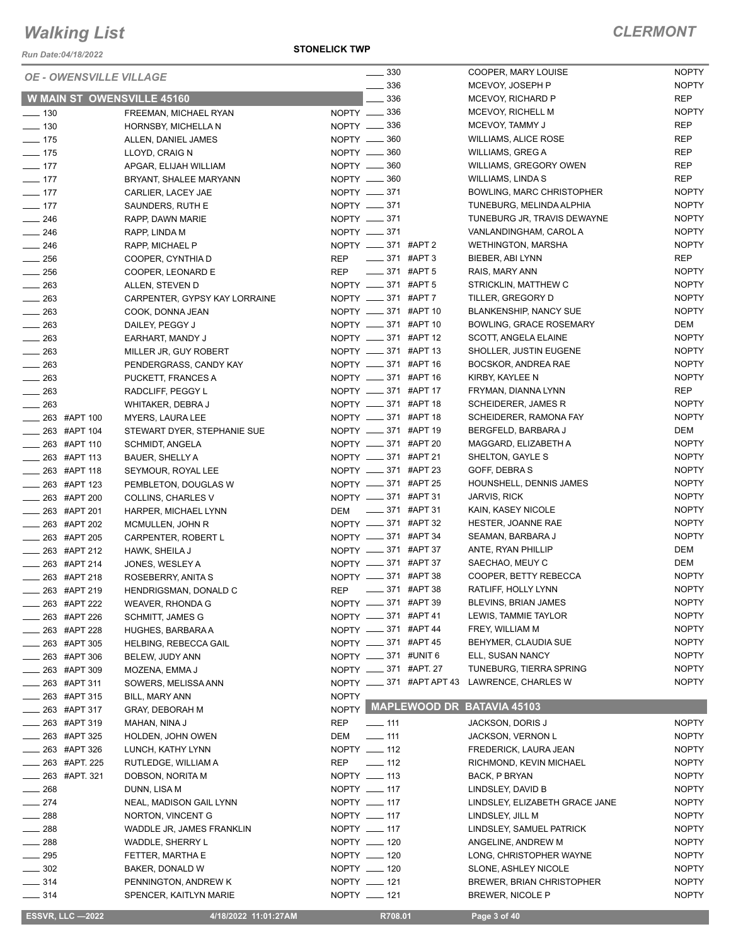*Run Date:04/18/2022*

**STONELICK TWP**

| <b>OE - OWENSVILLE VILLAGE</b> |                                   |              | $\frac{1}{2}$ 330                  |                          | COOPER, MARY LOUISE                   | <b>NOPTY</b>               |
|--------------------------------|-----------------------------------|--------------|------------------------------------|--------------------------|---------------------------------------|----------------------------|
|                                | <b>W MAIN ST OWENSVILLE 45160</b> |              | 336<br>336                         |                          | MCEVOY, JOSEPH P<br>MCEVOY, RICHARD P | <b>NOPTY</b><br><b>REP</b> |
| $\frac{1}{2}$ 130              | FREEMAN, MICHAEL RYAN             |              | NOPTY -836                         |                          | MCEVOY, RICHELL M                     | <b>NOPTY</b>               |
| $\frac{1}{2}$ 130              | HORNSBY, MICHELLA N               |              | NOPTY __ 336                       |                          | MCEVOY, TAMMY J                       | <b>REP</b>                 |
| $- 175$                        | ALLEN, DANIEL JAMES               |              | NOPTY -860                         |                          | <b>WILLIAMS, ALICE ROSE</b>           | <b>REP</b>                 |
| $-175$                         | LLOYD, CRAIG N                    |              | NOPTY __ 360                       |                          | WILLIAMS, GREG A                      | <b>REP</b>                 |
| $- 177$                        |                                   |              | NOPTY __ 360                       |                          | WILLIAMS, GREGORY OWEN                | <b>REP</b>                 |
|                                | APGAR, ELIJAH WILLIAM             |              |                                    |                          | WILLIAMS, LINDA S                     | <b>REP</b>                 |
| $\frac{1}{2}$ 177              | BRYANT, SHALEE MARYANN            |              | NOPTY <u>_</u> 360<br>NOPTY __ 371 |                          | BOWLING, MARC CHRISTOPHER             | <b>NOPTY</b>               |
| $- 177$                        | CARLIER, LACEY JAE                |              | NOPTY -871                         |                          | TUNEBURG, MELINDA ALPHIA              | <b>NOPTY</b>               |
| $- 177$                        | SAUNDERS, RUTH E                  |              | NOPTY __ 371                       |                          |                                       | <b>NOPTY</b>               |
| $\frac{1}{246}$                | RAPP, DAWN MARIE                  |              |                                    |                          | TUNEBURG JR, TRAVIS DEWAYNE           |                            |
| $\frac{1}{246}$                | RAPP, LINDA M                     |              | NOPTY -871                         |                          | VANLANDINGHAM, CAROL A                | <b>NOPTY</b>               |
| $\frac{1}{246}$                | RAPP, MICHAEL P                   |              | NOPTY __ 371 #APT 2                |                          | <b>WETHINGTON, MARSHA</b>             | <b>NOPTY</b>               |
| $\frac{1}{256}$                | COOPER, CYNTHIA D                 | <b>REP</b>   | _____ 371 #APT 3                   |                          | BIEBER, ABI LYNN                      | REP                        |
| $\frac{1}{256}$                | COOPER, LEONARD E                 | REP          | $\frac{1}{2}$ 371 #APT 5           |                          | RAIS, MARY ANN                        | <b>NOPTY</b>               |
| $\frac{1}{263}$                | ALLEN, STEVEN D                   |              | NOPTY __ 371 #APT 5                |                          | STRICKLIN, MATTHEW C                  | <b>NOPTY</b>               |
| $-263$                         | CARPENTER, GYPSY KAY LORRAINE     |              | NOPTY __ 371 #APT 7                |                          | TILLER, GREGORY D                     | <b>NOPTY</b>               |
| $\frac{1}{263}$                | COOK, DONNA JEAN                  |              | NOPTY __ 371 #APT 10               |                          | <b>BLANKENSHIP, NANCY SUE</b>         | <b>NOPTY</b>               |
| $\frac{1}{263}$                | DAILEY, PEGGY J                   |              | NOPTY __ 371 #APT 10               |                          | <b>BOWLING, GRACE ROSEMARY</b>        | DEM                        |
| $\frac{1}{263}$                | EARHART, MANDY J                  |              | NOPTY __ 371 #APT 12               |                          | SCOTT, ANGELA ELAINE                  | <b>NOPTY</b>               |
| 263                            | MILLER JR, GUY ROBERT             |              | NOPTY __ 371 #APT 13               |                          | SHOLLER, JUSTIN EUGENE                | <b>NOPTY</b>               |
| $\frac{1}{263}$                | PENDERGRASS, CANDY KAY            |              | NOPTY __ 371 #APT 16               |                          | BOCSKOR, ANDREA RAE                   | <b>NOPTY</b>               |
| $\frac{1}{263}$                | PUCKETT, FRANCES A                |              | NOPTY __ 371 #APT 16               |                          | KIRBY, KAYLEE N                       | <b>NOPTY</b>               |
| $\frac{1}{263}$                | RADCLIFF, PEGGY L                 |              | NOPTY __ 371 #APT 17               |                          | FRYMAN, DIANNA LYNN                   | <b>REP</b>                 |
| $\frac{1}{263}$                | WHITAKER, DEBRA J                 |              | NOPTY __ 371 #APT 18               |                          | <b>SCHEIDERER, JAMES R</b>            | <b>NOPTY</b>               |
| $\frac{1}{263}$ #APT 100       | MYERS, LAURA LEE                  |              | NOPTY __ 371 #APT 18               |                          | SCHEIDERER, RAMONA FAY                | <b>NOPTY</b>               |
| ____ 263 #APT 104              | STEWART DYER, STEPHANIE SUE       |              | NOPTY __ 371 #APT 19               |                          | BERGFELD, BARBARA J                   | DEM                        |
| $\frac{1}{263}$ #APT 110       | SCHMIDT, ANGELA                   |              | NOPTY __ 371 #APT 20               |                          | MAGGARD, ELIZABETH A                  | <b>NOPTY</b>               |
| $\frac{1}{263}$ #APT 113       | BAUER, SHELLY A                   |              | NOPTY __ 371 #APT 21               |                          | SHELTON, GAYLE S                      | <b>NOPTY</b>               |
| _263 #APT 118                  | SEYMOUR, ROYAL LEE                |              | NOPTY __ 371 #APT 23               |                          | GOFF, DEBRA S                         | <b>NOPTY</b>               |
| $\frac{1}{263}$ #APT 123       | PEMBLETON, DOUGLAS W              |              | NOPTY __ 371 #APT 25               |                          | HOUNSHELL, DENNIS JAMES               | <b>NOPTY</b>               |
| $\frac{1}{263}$ #APT 200       | COLLINS, CHARLES V                |              | NOPTY __ 371 #APT 31               |                          | JARVIS, RICK                          | <b>NOPTY</b>               |
| $\frac{1}{263}$ #APT 201       | HARPER, MICHAEL LYNN              |              | DEM __ 371 #APT 31                 |                          | KAIN, KASEY NICOLE                    | <b>NOPTY</b>               |
| $\frac{1}{263}$ #APT 202       | MCMULLEN, JOHN R                  |              | NOPTY __ 371 #APT 32               |                          | HESTER, JOANNE RAE                    | <b>NOPTY</b>               |
| $\frac{1}{263}$ #APT 205       | CARPENTER, ROBERT L               |              | NOPTY __ 371 #APT 34               |                          | SEAMAN, BARBARA J                     | <b>NOPTY</b>               |
| $\frac{1}{263}$ #APT 212       | HAWK, SHEILA J                    |              | NOPTY __ 371 #APT 37               |                          | ANTE, RYAN PHILLIP                    | DEM                        |
| ____ 263 #APT 214              | JONES, WESLEY A                   |              | NOPTY __ 371 #APT 37               |                          | SAECHAO, MEUY C                       | DEM                        |
| $\frac{1}{263}$ #APT 218       | ROSEBERRY, ANITA S                |              | NOPTY __ 371 #APT 38               |                          | COOPER, BETTY REBECCA                 | <b>NOPTY</b>               |
| ____ 263 #APT 219              | HENDRIGSMAN, DONALD C             | <b>REP</b>   | $\frac{1}{2}$ 371 #APT 38          |                          | RATLIFF, HOLLY LYNN                   | <b>NOPTY</b>               |
| 263 #APT 222                   | WEAVER, RHONDA G                  |              | NOPTY __ 371 #APT 39               |                          | BLEVINS, BRIAN JAMES                  | <b>NOPTY</b>               |
| 263 #APT 226                   | SCHMITT, JAMES G                  |              | NOPTY __ 371 #APT 41               |                          | LEWIS, TAMMIE TAYLOR                  | <b>NOPTY</b>               |
| 263 #APT 228                   | HUGHES, BARBARA A                 |              | NOPTY __ 371 #APT 44               |                          | FREY, WILLIAM M                       | <b>NOPTY</b>               |
| _ 263 #APT 305                 | <b>HELBING, REBECCA GAIL</b>      |              | NOPTY __ 371 #APT 45               |                          | BEHYMER, CLAUDIA SUE                  | <b>NOPTY</b>               |
| 263 #APT 306                   | BELEW, JUDY ANN                   |              | NOPTY __ 371 #UNIT 6               |                          | ELL, SUSAN NANCY                      | <b>NOPTY</b>               |
| _ 263   #APT 309               | MOZENA, EMMA J                    |              | NOPTY __ 371 #APT. 27              |                          | TUNEBURG, TIERRA SPRING               | <b>NOPTY</b>               |
| $-263$ #APT 311                | SOWERS, MELISSA ANN               |              |                                    | NOPTY __ 371 #APT APT 43 | LAWRENCE, CHARLES W                   | <b>NOPTY</b>               |
| 263 #APT 315                   | BILL, MARY ANN                    | <b>NOPTY</b> |                                    |                          |                                       |                            |
| $-263$ #APT 317                | GRAY, DEBORAH M                   |              |                                    |                          | NOPTY MAPLEWOOD DR BATAVIA 45103      |                            |
| 263 #APT 319                   | MAHAN, NINA J                     | <b>REP</b>   | $- 111$                            |                          | JACKSON, DORIS J                      | <b>NOPTY</b>               |
| 263 #APT 325                   | HOLDEN, JOHN OWEN                 | DEM          | $-111$                             |                          | <b>JACKSON, VERNON L</b>              | <b>NOPTY</b>               |
| 263 #APT 326                   | LUNCH, KATHY LYNN                 |              | NOPTY __ 112                       |                          | FREDERICK, LAURA JEAN                 | <b>NOPTY</b>               |
| 263 #APT. 225                  | RUTLEDGE, WILLIAM A               | REP          | $\frac{1}{2}$ 112                  |                          | RICHMOND, KEVIN MICHAEL               | <b>NOPTY</b>               |
| $\frac{1}{263}$ #APT. 321      | DOBSON, NORITA M                  |              | NOPTY __ 113                       |                          | BACK, P BRYAN                         | <b>NOPTY</b>               |
| 268                            | DUNN, LISA M                      |              | NOPTY __ 117                       |                          | LINDSLEY, DAVID B                     | <b>NOPTY</b>               |
| $-274$                         | NEAL, MADISON GAIL LYNN           |              | NOPTY __ 117                       |                          | LINDSLEY, ELIZABETH GRACE JANE        | <b>NOPTY</b>               |
| 288                            | NORTON, VINCENT G                 |              | NOPTY __ 117                       |                          | LINDSLEY, JILL M                      | <b>NOPTY</b>               |
| $=$ 288                        | WADDLE JR, JAMES FRANKLIN         |              | NOPTY __ 117                       |                          | LINDSLEY, SAMUEL PATRICK              | <b>NOPTY</b>               |
| $\frac{1}{288}$                | WADDLE, SHERRY L                  |              | NOPTY __ 120                       |                          | ANGELINE, ANDREW M                    | <b>NOPTY</b>               |
| $\frac{1}{295}$                | FETTER, MARTHA E                  |              | NOPTY __ 120                       |                          | LONG, CHRISTOPHER WAYNE               | <b>NOPTY</b>               |
| $- 302$                        | BAKER, DONALD W                   |              | NOPTY __ 120                       |                          | SLONE, ASHLEY NICOLE                  | <b>NOPTY</b>               |
| $\frac{1}{2}$ 314              | PENNINGTON, ANDREW K              |              | NOPTY __ 121                       |                          | <b>BREWER, BRIAN CHRISTOPHER</b>      | <b>NOPTY</b>               |
| $- 314$                        | SPENCER, KAITLYN MARIE            |              | NOPTY __ 121                       |                          | BREWER, NICOLE P                      | <b>NOPTY</b>               |
|                                |                                   |              |                                    |                          |                                       |                            |
| <b>ESSVR, LLC -2022</b>        | 4/18/2022 11:01:27AM              |              | R708.01                            |                          | Page 3 of 40                          |                            |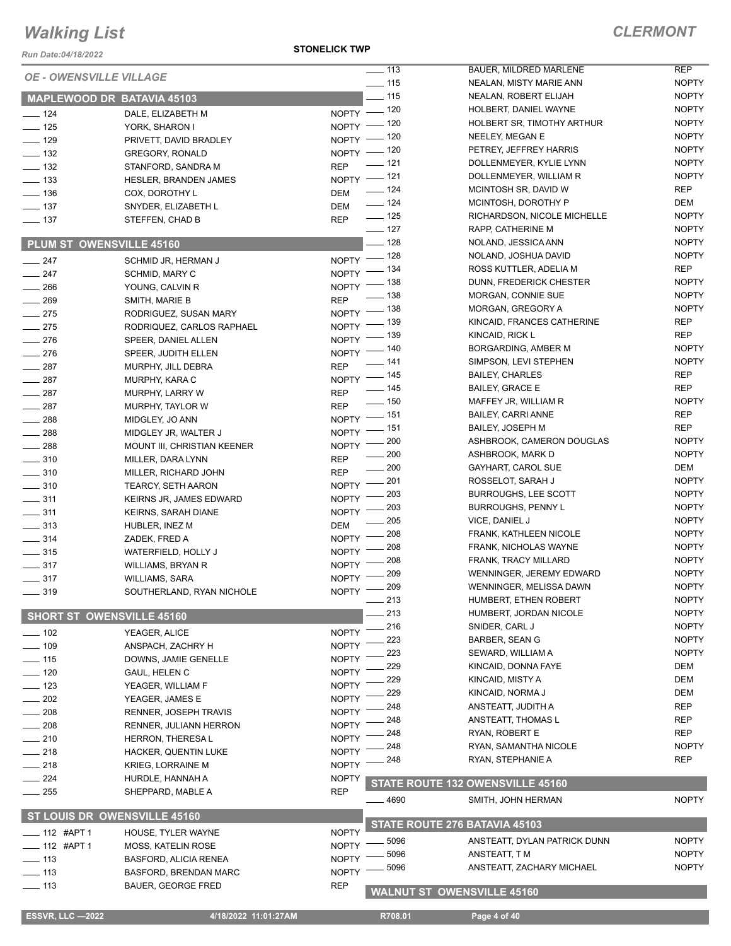*Run Date:04/18/2022*

**STONELICK TWP**

| <b>OE - OWENSVILLE VILLAGE</b>   |                              |                    | $\overline{\phantom{0}}$ 113 | BAUER, MILDRED MARLENE            | <b>REP</b>   |
|----------------------------------|------------------------------|--------------------|------------------------------|-----------------------------------|--------------|
|                                  |                              |                    | $- 115$                      | NEALAN, MISTY MARIE ANN           | <b>NOPTY</b> |
|                                  | MAPLEWOOD DR BATAVIA 45103   |                    | $\frac{1}{2}$ 115            | NEALAN, ROBERT ELIJAH             | <b>NOPTY</b> |
| $\frac{1}{2}$ 124                | DALE, ELIZABETH M            |                    | NOPTY - 120                  | HOLBERT, DANIEL WAYNE             | <b>NOPTY</b> |
| $\frac{1}{2}$ 125                | YORK, SHARON I               |                    | NOPTY $-$ 120                | HOLBERT SR, TIMOTHY ARTHUR        | <b>NOPTY</b> |
| $- 129$                          | PRIVETT, DAVID BRADLEY       | $NOPTY =$          | _ 120                        | NEELEY, MEGAN E                   | <b>NOPTY</b> |
| $\frac{1}{2}$ 132                | <b>GREGORY, RONALD</b>       |                    | NOPTY - 120                  | PETREY, JEFFREY HARRIS            | <b>NOPTY</b> |
| $\frac{1}{2}$ 132                | STANFORD, SANDRA M           | <b>REP</b>         | $- 121$                      | DOLLENMEYER, KYLIE LYNN           | <b>NOPTY</b> |
| $\frac{1}{2}$ 133                | HESLER, BRANDEN JAMES        |                    | NOPTY -121                   | DOLLENMEYER, WILLIAM R            | <b>NOPTY</b> |
| $\frac{1}{2}$ 136                | COX, DOROTHY L               | DEM                | $- 124$                      | MCINTOSH SR, DAVID W              | REP          |
| $\frac{1}{2}$ 137                | SNYDER, ELIZABETH L          | <b>DEM</b>         | $- 124$                      | MCINTOSH, DOROTHY P               | DEM          |
| $\frac{1}{2}$ 137                | STEFFEN, CHAD B              | <b>REP</b>         | $- 125$                      | RICHARDSON, NICOLE MICHELLE       | <b>NOPTY</b> |
|                                  |                              |                    | $\frac{1}{2}$ 127            | RAPP, CATHERINE M                 | <b>NOPTY</b> |
| PLUM ST OWENSVILLE 45160         |                              |                    | $-128$                       | NOLAND, JESSICA ANN               | <b>NOPTY</b> |
| $\frac{1}{247}$                  | SCHMID JR, HERMAN J          |                    | NOPTY - 128                  | NOLAND, JOSHUA DAVID              | <b>NOPTY</b> |
| $\frac{247}{2}$                  | SCHMID, MARY C               |                    | NOPTY - 134                  | ROSS KUTTLER, ADELIA M            | REP          |
| $\frac{1}{266}$                  | YOUNG, CALVIN R              |                    | NOPTY - 138                  | DUNN, FREDERICK CHESTER           | <b>NOPTY</b> |
| $\frac{1}{269}$                  | SMITH, MARIE B               | <b>REP</b>         | $\frac{1}{2}$ 138            | MORGAN, CONNIE SUE                | <b>NOPTY</b> |
| $\frac{1}{275}$                  | RODRIGUEZ, SUSAN MARY        |                    | NOPTY - 138                  | MORGAN, GREGORY A                 | <b>NOPTY</b> |
| $\frac{1}{275}$                  | RODRIQUEZ, CARLOS RAPHAEL    | NOPTY <sup>-</sup> | $-139$                       | KINCAID, FRANCES CATHERINE        | REP          |
| $\frac{1}{276}$                  | SPEER, DANIEL ALLEN          | $NOPTY =$          | _ 139                        | KINCAID, RICK L                   | <b>REP</b>   |
| $\frac{1}{276}$                  | SPEER, JUDITH ELLEN          |                    | NOPTY - 140                  | BORGARDING, AMBER M               | <b>NOPTY</b> |
| $\frac{1}{287}$                  |                              | <b>REP</b>         | $- 141$                      | SIMPSON, LEVI STEPHEN             | <b>NOPTY</b> |
| $\frac{1}{287}$                  | MURPHY, JILL DEBRA           |                    | NOPTY - 145                  | <b>BAILEY, CHARLES</b>            | REP          |
|                                  | MURPHY, KARA C               | <b>REP</b>         | $- 145$                      | <b>BAILEY, GRACE E</b>            | <b>REP</b>   |
| $\frac{1}{287}$                  | MURPHY, LARRY W              | <b>REP</b>         | $\frac{1}{2}$ 150            | MAFFEY JR, WILLIAM R              | <b>NOPTY</b> |
| $-287$                           | MURPHY, TAYLOR W             |                    | NOPTY - 151                  | <b>BAILEY, CARRI ANNE</b>         | REP          |
| $\frac{1}{288}$                  | MIDGLEY, JO ANN              |                    | NOPTY - 151                  | <b>BAILEY, JOSEPH M</b>           | <b>REP</b>   |
| $-288$                           | MIDGLEY JR, WALTER J         |                    | NOPTY - 200                  | ASHBROOK, CAMERON DOUGLAS         | <b>NOPTY</b> |
| $\frac{1}{288}$                  | MOUNT III, CHRISTIAN KEENER  |                    | $\frac{1}{200}$              | ASHBROOK, MARK D                  | <b>NOPTY</b> |
| $\frac{1}{2}$ 310                | MILLER, DARA LYNN            | <b>REP</b>         | $\frac{1}{200}$              | GAYHART, CAROL SUE                | DEM          |
| $\frac{1}{2}$ 310                | MILLER, RICHARD JOHN         | <b>REP</b>         | $=201$                       | ROSSELOT, SARAH J                 | <b>NOPTY</b> |
| $\frac{1}{2}$ 310                | <b>TEARCY, SETH AARON</b>    | NOPTY -            | 203                          | <b>BURROUGHS, LEE SCOTT</b>       | <b>NOPTY</b> |
| $\frac{1}{2}$ 311                | KEIRNS JR, JAMES EDWARD      | NOPTY <sup>-</sup> | $-203$                       | <b>BURROUGHS, PENNY L</b>         | <b>NOPTY</b> |
| $\frac{1}{2}$ 311                | KEIRNS, SARAH DIANE          | NOPTY <sup>-</sup> | $-205$                       | VICE, DANIEL J                    | <b>NOPTY</b> |
| $\frac{1}{2}$ 313                | HUBLER, INEZ M               | <b>DEM</b>         | $-208$                       | FRANK, KATHLEEN NICOLE            | <b>NOPTY</b> |
| $-314$                           | ZADEK, FRED A                | NOPTY -            |                              | FRANK, NICHOLAS WAYNE             | <b>NOPTY</b> |
| $\frac{1}{2}$ 315                | WATERFIELD, HOLLY J          |                    | NOPTY - 208<br>$-208$        | FRANK, TRACY MILLARD              | <b>NOPTY</b> |
| $\frac{1}{2}$ 317                | WILLIAMS, BRYAN R            | NOPTY -            | - 209                        | WENNINGER, JEREMY EDWARD          | <b>NOPTY</b> |
| $\frac{1}{2}$ 317                | <b>WILLIAMS, SARA</b>        | NOPTY <sup>-</sup> | $-209$                       | WENNINGER, MELISSA DAWN           | <b>NOPTY</b> |
| 319                              | SOUTHERLAND, RYAN NICHOLE    | $N$ OPTY $-$       | _ 213                        | HUMBERT, ETHEN ROBERT             | <b>NOPTY</b> |
|                                  |                              |                    | 213                          |                                   | <b>NOPTY</b> |
| <b>SHORT ST OWENSVILLE 45160</b> |                              |                    | 216                          | HUMBERT, JORDAN NICOLE            | <b>NOPTY</b> |
| $- 102$                          | YEAGER, ALICE                | <b>NOPTY</b>       |                              | SNIDER, CARL J                    |              |
| $-109$                           | ANSPACH, ZACHRY H            | <b>NOPTY</b>       | 223                          | BARBER, SEAN G                    | <b>NOPTY</b> |
| $-115$                           | DOWNS, JAMIE GENELLE         | <b>NOPTY</b>       | 223                          | SEWARD, WILLIAM A                 | <b>NOPTY</b> |
| $-120$                           | GAUL, HELEN C                | <b>NOPTY</b>       | 229                          | KINCAID, DONNA FAYE               | DEM          |
| $=$ 123                          | YEAGER, WILLIAM F            | <b>NOPTY</b>       | 229                          | KINCAID, MISTY A                  | DEM          |
| 202                              | YEAGER, JAMES E              | <b>NOPTY</b>       | 229                          | KINCAID, NORMA J                  | DEM          |
| 208                              | <b>RENNER, JOSEPH TRAVIS</b> | <b>NOPTY</b>       | 248                          | ANSTEATT, JUDITH A                | REP          |
| 208                              | RENNER, JULIANN HERRON       | <b>NOPTY</b>       | 248                          | ANSTEATT, THOMAS L                | <b>REP</b>   |
| $-210$                           | HERRON, THERESA L            | <b>NOPTY</b>       | 248                          | RYAN, ROBERT E                    | <b>REP</b>   |
| $-218$                           | HACKER, QUENTIN LUKE         | <b>NOPTY</b>       | 248                          | RYAN, SAMANTHA NICOLE             | <b>NOPTY</b> |
| $-218$                           | <b>KRIEG, LORRAINE M</b>     | <b>NOPTY</b>       | 248                          | RYAN, STEPHANIE A                 | <b>REP</b>   |
| $\sim$ 224                       | HURDLE, HANNAH A             | <b>NOPTY</b>       |                              |                                   |              |
| $- 255$                          | SHEPPARD, MABLE A            | <b>REP</b>         |                              | STATE ROUTE 132 OWENSVILLE 45160  |              |
|                                  |                              |                    | _ 4690                       | SMITH, JOHN HERMAN                | <b>NOPTY</b> |
|                                  | ST LOUIS DR OWENSVILLE 45160 |                    |                              | STATE ROUTE 276 BATAVIA 45103     |              |
| _ 112 #APT 1                     | HOUSE, TYLER WAYNE           | <b>NOPTY</b>       | 5096                         | ANSTEATT, DYLAN PATRICK DUNN      | <b>NOPTY</b> |
| _ 112 #APT 1                     | <b>MOSS, KATELIN ROSE</b>    | <b>NOPTY</b>       | 5096                         | ANSTEATT, T M                     | <b>NOPTY</b> |
| $\frac{1}{2}$ 113                | <b>BASFORD, ALICIA RENEA</b> | <b>NOPTY</b>       | 5096                         | ANSTEATT, ZACHARY MICHAEL         | <b>NOPTY</b> |
| $- 113$                          | BASFORD, BRENDAN MARC        | <b>NOPTY</b>       |                              |                                   |              |
| $- 113$                          | <b>BAUER, GEORGE FRED</b>    | <b>REP</b>         |                              | <b>WALNUT ST OWENSVILLE 45160</b> |              |
|                                  |                              |                    |                              |                                   |              |
| <b>ESSVR, LLC -2022</b>          | 4/18/2022 11:01:27AM         |                    | R708.01                      | Page 4 of 40                      |              |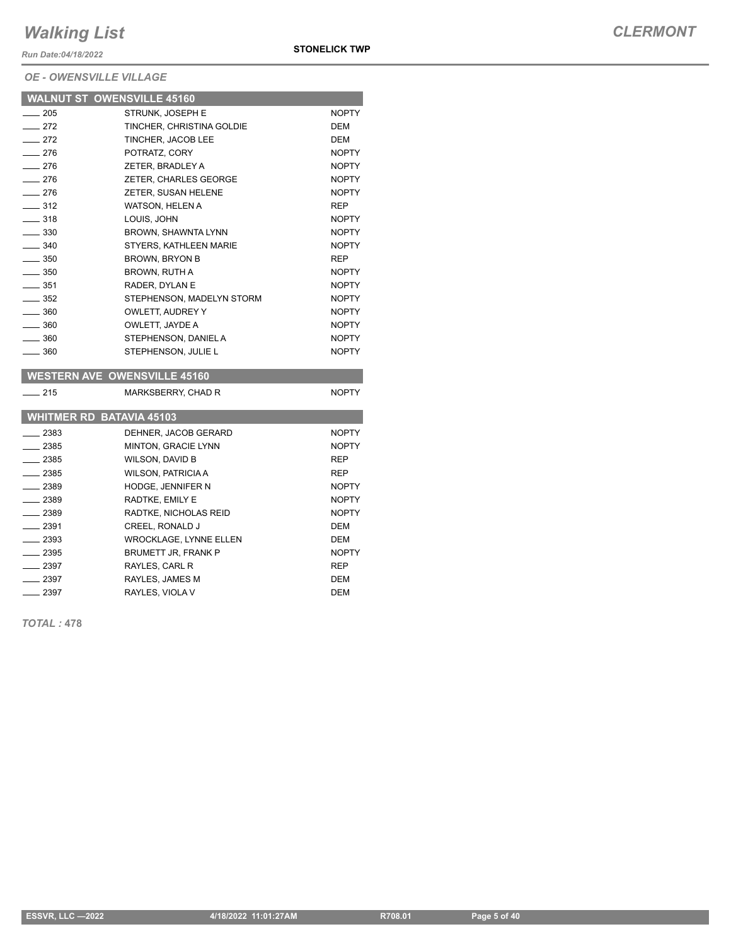*Run Date:04/18/2022*

#### *OE - OWENSVILLE VILLAGE*

|                   | <b>WALNUT ST OWENSVILLE 45160</b> |              |
|-------------------|-----------------------------------|--------------|
| $-205$            | STRUNK. JOSEPH E                  | <b>NOPTY</b> |
| $-272$            | TINCHER, CHRISTINA GOLDIE         | DEM          |
| $\equiv$ 272      | TINCHER, JACOB LEE                | <b>DEM</b>   |
| $-276$            | POTRATZ, CORY                     | <b>NOPTY</b> |
| $-276$            | ZETER, BRADLEY A                  | <b>NOPTY</b> |
| $-276$            | ZETER, CHARLES GEORGE             | <b>NOPTY</b> |
| $-276$            | ZETER, SUSAN HELENE               | <b>NOPTY</b> |
| $-312$            | WATSON, HELEN A                   | <b>REP</b>   |
| $-318$            | LOUIS, JOHN                       | <b>NOPTY</b> |
| $\equiv$ 330      | BROWN, SHAWNTA LYNN               | <b>NOPTY</b> |
| $\frac{1}{2}$ 340 | STYERS, KATHLEEN MARIE            | <b>NOPTY</b> |
| $\sim$ 350        | <b>BROWN, BRYON B</b>             | <b>REP</b>   |
| $\equiv$ 350      | BROWN, RUTH A                     | <b>NOPTY</b> |
| $-351$            | RADER, DYLAN E                    | <b>NOPTY</b> |
| $\equiv$ 352      | STEPHENSON, MADELYN STORM         | <b>NOPTY</b> |
| $\equiv$ 360      | OWLETT, AUDREY Y                  | <b>NOPTY</b> |
| $\equiv$ 360      | OWLETT, JAYDE A                   | <b>NOPTY</b> |
| $\equiv$ 360      | STEPHENSON, DANIEL A              | <b>NOPTY</b> |
| $\equiv$ 360      | STEPHENSON, JULIE L               | <b>NOPTY</b> |
|                   |                                   |              |

#### **WESTERN AVE OWENSVILLE 45160**

| 215      | MARKSBERRY, CHAD R              | <b>NOPTY</b> |
|----------|---------------------------------|--------------|
|          | <b>WHITMER RD BATAVIA 45103</b> |              |
| 2383     | DEHNER, JACOB GERARD            | <b>NOPTY</b> |
| 2385     | <b>MINTON, GRACIE LYNN</b>      | <b>NOPTY</b> |
| $-2385$  | WILSON, DAVID B                 | <b>REP</b>   |
| $= 2385$ | <b>WILSON, PATRICIA A</b>       | <b>REP</b>   |
| $-2389$  | <b>HODGE. JENNIFER N</b>        | <b>NOPTY</b> |
| $-2389$  | RADTKE, EMILY E                 | <b>NOPTY</b> |
| $-2389$  | RADTKE, NICHOLAS REID           | <b>NOPTY</b> |
| $-2391$  | CREEL, RONALD J                 | DEM          |
| $-2393$  | WROCKLAGE, LYNNE ELLEN          | <b>DEM</b>   |
| $-2395$  | BRUMETT JR. FRANK P             | <b>NOPTY</b> |
| . 2397   | RAYLES, CARL R                  | <b>REP</b>   |
| $-2397$  | RAYLES, JAMES M                 | <b>DEM</b>   |
| 2397     | RAYLES, VIOLA V                 | DEM          |

*TOTAL :* **478**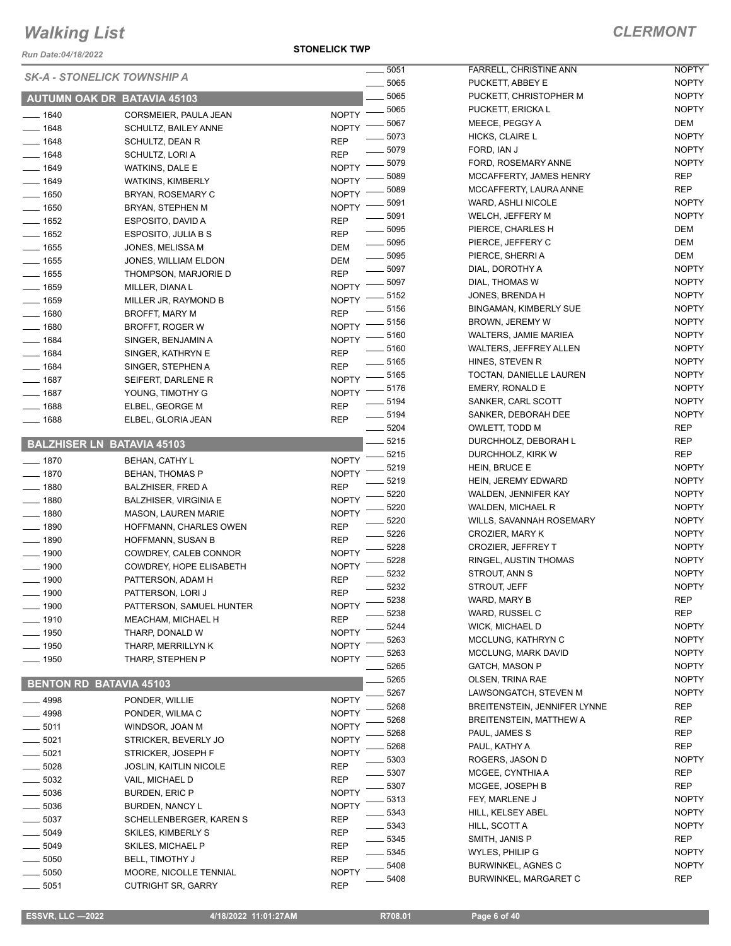*Run Date:04/18/2022*

#### **STONELICK TWP**

| IWII PUGO, UT/IU/LUZ           |                                                  |                                   |
|--------------------------------|--------------------------------------------------|-----------------------------------|
|                                | <b>SK-A - STONELICK TOWNSHIP A</b>               | _ 5051                            |
|                                |                                                  | _ 5065                            |
|                                | <b>AUTUMN OAK DR BATAVIA 45103</b>               | $-5065$                           |
| __ 1640                        | CORSMEIER, PAULA JEAN                            | - 5065<br><b>NOPTY</b><br>$-5067$ |
| $- 1648$                       | SCHULTZ, BAILEY ANNE                             | <b>NOPTY</b><br>$-5073$           |
| $-1648$                        | SCHULTZ, DEAN R                                  | REP<br>_ 5079                     |
| ____ 1648                      | SCHULTZ, LORI A                                  | REP<br>$-5079$                    |
| $-1649$                        | WATKINS, DALE E                                  | <b>NOPTY</b><br>- 5089            |
| $- 1649$                       | <b>WATKINS, KIMBERLY</b>                         | <b>NOPTY</b><br>- 5089            |
| ___ 1650                       | BRYAN, ROSEMARY C                                | <b>NOPTY</b><br>- 5091            |
| — 1650                         | BRYAN, STEPHEN M                                 | <b>NOPTY</b><br>$=$ 5091          |
| $=$ 1652                       | ESPOSITO, DAVID A                                | REP<br>$-5095$                    |
| $-1652$<br>$-1655$             | ESPOSITO, JULIA B S                              | REP<br>_ 5095                     |
| $-1655$                        | JONES, MELISSA M                                 | DEM<br>$-5095$<br>DEM             |
| $-1655$                        | JONES, WILLIAM ELDON<br>THOMPSON, MARJORIE D     | _ 5097<br>REP                     |
| ___ 1659                       | MILLER, DIANA L                                  | $-5097$<br><b>NOPTY</b>           |
| $- 1659$                       | MILLER JR, RAYMOND B                             | 5152<br><b>NOPTY</b>              |
| $- 1680$                       | <b>BROFFT, MARY M</b>                            | $-5156$<br><b>REP</b>             |
| $- 1680$                       | <b>BROFFT, ROGER W</b>                           | _ 5156<br><b>NOPTY</b>            |
| $- 1684$                       | SINGER, BENJAMIN A                               | _ 5160<br><b>NOPTY</b>            |
| $- 1684$                       | SINGER, KATHRYN E                                | $-5160$<br>REP                    |
| $- 1684$                       | SINGER, STEPHEN A                                | _ 5165<br>REP                     |
| — 1687                         | SEIFERT, DARLENE R                               | - 5165<br><b>NOPTY</b>            |
| __ 1687                        | YOUNG, TIMOTHY G                                 | $-5176$<br><b>NOPTY</b>           |
| $-1688$                        | ELBEL, GEORGE M                                  | $-5194$<br>REP                    |
| __ 1688                        | ELBEL, GLORIA JEAN                               | $=$ 5194<br>REP                   |
|                                |                                                  | $=5204$                           |
|                                | <b>BALZHISER LN BATAVIA 45103</b>                | $=$ 5215                          |
| $- 1870$                       | <b>BEHAN, CATHY L</b>                            | - 5215<br><b>NOPTY</b>            |
| $- 1870$                       | <b>BEHAN, THOMAS P</b>                           | 5219<br><b>NOPTY</b>              |
| — 1880                         | <b>BALZHISER, FRED A</b>                         | 5219<br>REP                       |
| __ 1880                        | <b>BALZHISER, VIRGINIA E</b>                     | 5220<br><b>NOPTY</b>              |
| $-1880$                        | <b>MASON, LAUREN MARIE</b>                       | 5220<br><b>NOPTY</b>              |
| $-1890$                        | HOFFMANN, CHARLES OWEN                           | 5220<br>REP                       |
| $-1890$                        | <b>HOFFMANN, SUSAN B</b>                         | $-5226$<br>REP<br>5228            |
| $- 1900$                       | COWDREY, CALEB CONNOR                            | <b>NOPTY</b><br>5228              |
| __ 1900                        | COWDREY, HOPE ELISABETH                          | <b>NOPTY</b><br>5232              |
| _ 1900                         | PATTERSON, ADAM H                                | REP<br>5232                       |
| _ 1900                         | PATTERSON, LORI J                                | <b>REP</b><br>5238                |
| __ 1900                        | PATTERSON, SAMUEL HUNTER                         | <b>NOPTY</b><br>5238              |
| $-1910$                        | <b>MEACHAM, MICHAEL H</b>                        | <b>REP</b><br>5244                |
| __ 1950                        | THARP, DONALD W                                  | <b>NOPTY</b><br>5263              |
| 1950                           | THARP, MERRILLYN K                               | <b>NOPTY</b><br>5263              |
| _ 1950                         | THARP, STEPHEN P                                 | <b>NOPTY</b><br>5265              |
| <b>BENTON RD BATAVIA 45103</b> |                                                  | 5265                              |
|                                |                                                  | 5267                              |
| $-4998$                        | PONDER, WILLIE                                   | NOPTY<br>5268                     |
| __ 4998                        | PONDER, WILMAC                                   | <b>NOPTY</b><br>5268              |
| $-5011$                        | WINDSOR, JOAN M                                  | <b>NOPTY</b><br>5268              |
| $-5021$<br>$-5021$             | STRICKER, BEVERLY JO                             | NOPTY<br>5268                     |
| $-5028$                        | STRICKER, JOSEPH F                               | <b>NOPTY</b><br>5303              |
| _ 5032                         | <b>JOSLIN, KAITLIN NICOLE</b><br>VAIL, MICHAEL D | REP<br>5307<br>REP                |
| $=$ 5036                       | <b>BURDEN, ERIC P</b>                            | 5307<br><b>NOPTY</b>              |
| $=5036$                        | BURDEN, NANCY L                                  | 5313<br><b>NOPTY</b>              |
| 5037                           | SCHELLENBERGER, KAREN S                          | 5343<br>REP                       |
| 5049                           | SKILES, KIMBERLY S                               | 5343<br>REP                       |
| 5049                           | SKILES, MICHAEL P                                | 5345<br>REP                       |
| - 5050                         | <b>BELL, TIMOTHY J</b>                           | 5345<br>REP                       |
| - 5050                         | MOORE, NICOLLE TENNIAL                           | 5408<br><b>NOPTY</b>              |
| 5051                           | <b>CUTRIGHT SR, GARRY</b>                        | 5408<br>REP                       |

| 5051 | <b>FARRELL, CHRISTINE ANN</b>       | NOPTY        |
|------|-------------------------------------|--------------|
| 5065 | PUCKETT, ABBEY E                    | NOPTY        |
| 5065 | PUCKETT, CHRISTOPHER M              | <b>NOPTY</b> |
| 5065 | PUCKETT, ERICKA L                   | NOPTY        |
| 5067 | MEECE, PEGGY A                      | DEM          |
| 5073 | HICKS, CLAIRE L                     | <b>NOPTY</b> |
| 5079 | FORD, IAN J                         | NOPTY        |
| 5079 | FORD, ROSEMARY ANNE                 | <b>NOPTY</b> |
| 5089 | MCCAFFERTY, JAMES HENRY             | REP          |
|      |                                     |              |
| 5089 | MCCAFFERTY, LAURA ANNE              | REP          |
| 5091 | WARD, ASHLI NICOLE                  | NOPTY        |
| 5091 | WELCH, JEFFERY M                    | NOPTY        |
| 5095 | PIERCE, CHARLES H                   | DEM          |
| 5095 | PIERCE, JEFFERY C                   | DEM          |
| 5095 | PIERCE, SHERRI A                    | DEM          |
| 5097 | DIAL, DOROTHY A                     | <b>NOPTY</b> |
| 5097 | DIAL, THOMAS W                      | <b>NOPTY</b> |
| 5152 | JONES, BRENDA H                     | <b>NOPTY</b> |
| 5156 | <b>BINGAMAN, KIMBERLY SUE</b>       | <b>NOPTY</b> |
| 5156 | <b>BROWN, JEREMY W</b>              | <b>NOPTY</b> |
| 5160 | <b>WALTERS, JAMIE MARIEA</b>        | NOPTY        |
| 5160 | <b>WALTERS, JEFFREY ALLEN</b>       | <b>NOPTY</b> |
| 5165 | HINES, STEVEN R                     | <b>NOPTY</b> |
| 5165 | TOCTAN, DANIELLE LAUREN             | NOPTY        |
| 5176 | <b>EMERY, RONALD E</b>              | <b>NOPTY</b> |
| 5194 | SANKER, CARL SCOTT                  | <b>NOPTY</b> |
|      | SANKER, DEBORAH DEE                 | NOPTY        |
| 5194 |                                     |              |
| 5204 | OWLETT, TODD M                      | REP          |
| 5215 | DURCHHOLZ, DEBORAH L                | REP          |
| 5215 | DURCHHOLZ, KIRK W                   | REP          |
| 5219 | HEIN, BRUCE E                       | NOPTY        |
| 5219 | HEIN, JEREMY EDWARD                 | NOPTY        |
| 5220 | WALDEN, JENNIFER KAY                | <b>NOPTY</b> |
| 5220 | WALDEN, MICHAEL R                   | <b>NOPTY</b> |
| 5220 | WILLS, SAVANNAH ROSEMARY            | <b>NOPTY</b> |
| 5226 | CROZIER, MARY K                     | <b>NOPTY</b> |
| 5228 | <b>CROZIER, JEFFREY T</b>           | NOPTY        |
| 5228 | RINGEL, AUSTIN THOMAS               | NOPTY        |
| 5232 | STROUT, ANN S                       | <b>NOPTY</b> |
| 5232 | STROUT, JEFF                        | <b>NOPTY</b> |
| 5238 | WARD, MARY B                        | REP          |
| 5238 | WARD, RUSSEL C                      | REP          |
| 5244 | <b>WICK, MICHAEL D</b>              | NOPTY        |
| 5263 | MCCLUNG, KATHRYN C                  | NOPTY        |
| 5263 | <b>MCCLUNG, MARK DAVID</b>          | <b>NOPTY</b> |
| 5265 | GATCH, MASON P                      | <b>NOPTY</b> |
| 5265 | OLSEN, TRINA RAE                    | NOPTY        |
| 5267 | LAWSONGATCH, STEVEN M               | NOPTY        |
| 5268 | <b>BREITENSTEIN, JENNIFER LYNNE</b> | REP          |
| 5268 | <b>BREITENSTEIN, MATTHEW A</b>      | REP          |
|      |                                     | <b>REP</b>   |
| 5268 | PAUL, JAMES S                       |              |
| 5268 | PAUL, KATHY A                       | REP          |
| 5303 | ROGERS, JASON D                     | <b>NOPTY</b> |
| 5307 | MCGEE, CYNTHIA A                    | REP          |
| 5307 | MCGEE, JOSEPH B                     | REP          |
| 5313 | FEY, MARLENE J                      | NOPTY        |
| 5343 | HILL, KELSEY ABEL                   | NOPTY        |
| 5343 | HILL, SCOTT A                       | <b>NOPTY</b> |
| 5345 | SMITH, JANIS P                      | REP          |
| 5345 | WYLES, PHILIP G                     | NOPTY        |
| 5408 | <b>BURWINKEL, AGNES C</b>           | NOPTY        |
| 5408 | BURWINKEL, MARGARET C               | REP          |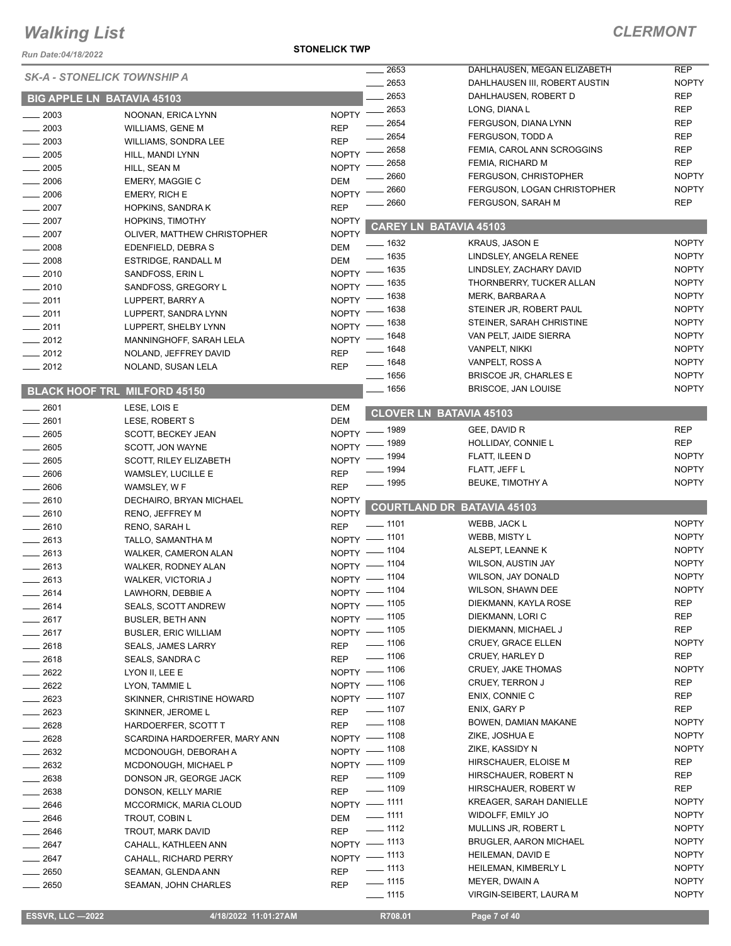*Run Date:04/18/2022*

#### **STONELICK TWP**

|                  | <b>SK-A - STONELICK TOWNSHIP A</b>  |                                  | 2653    | DAHLHAUSEN, MEGAN ELIZABETH       | <b>REP</b>   |
|------------------|-------------------------------------|----------------------------------|---------|-----------------------------------|--------------|
|                  |                                     |                                  | 2653    | DAHLHAUSEN III, ROBERT AUSTIN     | <b>NOPTY</b> |
|                  | <b>BIG APPLE LN BATAVIA 45103</b>   |                                  | 2653    | DAHLHAUSEN, ROBERT D              | <b>REP</b>   |
| $\frac{1}{2003}$ | NOONAN, ERICA LYNN                  | $\frac{1}{2653}$<br><b>NOPTY</b> |         | LONG, DIANA L                     | <b>REP</b>   |
| $-2003$          | <b>WILLIAMS, GENE M</b>             | <b>REP</b>                       | 2654    | FERGUSON, DIANA LYNN              | <b>REP</b>   |
| $-2003$          | WILLIAMS, SONDRA LEE                | <b>REP</b>                       | 2654    | FERGUSON, TODD A                  | <b>REP</b>   |
| 2005             | HILL, MANDI LYNN                    | <b>NOPTY</b>                     | 2658    | FEMIA, CAROL ANN SCROGGINS        | <b>REP</b>   |
| 2005             | HILL, SEAN M                        | <b>NOPTY</b>                     | 2658    | FEMIA, RICHARD M                  | <b>REP</b>   |
| 2006             | <b>EMERY, MAGGIE C</b>              | <b>DEM</b>                       | 2660    | FERGUSON, CHRISTOPHER             | <b>NOPTY</b> |
| 2006             | <b>EMERY, RICH E</b>                | <b>NOPTY</b>                     | 2660    | FERGUSON, LOGAN CHRISTOPHER       | <b>NOPTY</b> |
| $-2007$          | <b>HOPKINS, SANDRAK</b>             | <b>REP</b>                       | 2660    | FERGUSON, SARAH M                 | <b>REP</b>   |
| $-2007$          | <b>HOPKINS, TIMOTHY</b>             | <b>NOPTY</b>                     |         |                                   |              |
| $-2007$          | OLIVER, MATTHEW CHRISTOPHER         | <b>NOPTY</b>                     |         | <b>CAREY LN BATAVIA 45103</b>     |              |
| 2008             | EDENFIELD, DEBRA S                  | $- 1632$<br><b>DEM</b>           |         | <b>KRAUS, JASON E</b>             | <b>NOPTY</b> |
| 2008             | <b>ESTRIDGE, RANDALL M</b>          | $- 1635$<br><b>DEM</b>           |         | LINDSLEY, ANGELA RENEE            | <b>NOPTY</b> |
| $-2010$          | SANDFOSS, ERIN L                    | $-1635$<br>$NOPTY$ -             |         | LINDSLEY, ZACHARY DAVID           | <b>NOPTY</b> |
| $-2010$          | SANDFOSS, GREGORY L                 | __ 1635<br>$NOPTY$ -             |         | THORNBERRY, TUCKER ALLAN          | <b>NOPTY</b> |
| $-2011$          | LUPPERT, BARRY A                    | <b>NOPTY</b>                     | _ 1638  | MERK, BARBARA A                   | <b>NOPTY</b> |
| $-2011$          | LUPPERT, SANDRA LYNN                | <b>NOPTY</b>                     | 1638    | STEINER JR, ROBERT PAUL           | <b>NOPTY</b> |
| $-2011$          | LUPPERT, SHELBY LYNN                | <b>NOPTY</b>                     | 1638    | STEINER, SARAH CHRISTINE          | <b>NOPTY</b> |
|                  |                                     | <b>NOPTY</b>                     | 1648    | VAN PELT, JAIDE SIERRA            | <b>NOPTY</b> |
| $-2012$          | MANNINGHOFF, SARAH LELA             | $- 1648$<br><b>REP</b>           |         | <b>VANPELT, NIKKI</b>             | <b>NOPTY</b> |
| $-2012$          | NOLAND, JEFFREY DAVID               | $- 1648$                         |         | VANPELT, ROSS A                   | <b>NOPTY</b> |
| $= 2012$         | NOLAND, SUSAN LELA                  | <b>REP</b><br>$- 1656$           |         | <b>BRISCOE JR, CHARLES E</b>      | <b>NOPTY</b> |
|                  | <b>BLACK HOOF TRL MILFORD 45150</b> | $- 1656$                         |         | BRISCOE, JAN LOUISE               | <b>NOPTY</b> |
|                  |                                     |                                  |         |                                   |              |
| $-2601$          | LESE, LOIS E                        | <b>DEM</b>                       |         | <b>CLOVER LN BATAVIA 45103</b>    |              |
| $-2601$          | LESE, ROBERT S                      | <b>DEM</b><br>NOPTY - 1989       |         | GEE, DAVID R                      | <b>REP</b>   |
| $-2605$          | SCOTT, BECKEY JEAN                  |                                  | $-1989$ | HOLLIDAY, CONNIE L                | <b>REP</b>   |
| 2605             | SCOTT, JON WAYNE                    | <b>NOPTY</b>                     | _ 1994  | FLATT, ILEEN D                    | <b>NOPTY</b> |
| $\frac{1}{2605}$ | SCOTT, RILEY ELIZABETH              | $NOPTY$ -<br>$- 1994$            |         | FLATT, JEFF L                     | <b>NOPTY</b> |
| $-2606$          | WAMSLEY, LUCILLE E                  | <b>REP</b><br><u>_</u> __ 1995   |         | BEUKE, TIMOTHY A                  | <b>NOPTY</b> |
| $- 2606$         | WAMSLEY, W F                        | <b>REP</b>                       |         |                                   |              |
| $-2610$          | DECHAIRO, BRYAN MICHAEL             | <b>NOPTY</b>                     |         | <b>COURTLAND DR BATAVIA 45103</b> |              |
| $-2610$          | RENO, JEFFREY M                     | <b>NOPTY</b><br>$- 1101$         |         | WEBB, JACK L                      | <b>NOPTY</b> |
| $-2610$          | RENO, SARAH L                       | <b>REP</b><br>$-1101$            |         |                                   | <b>NOPTY</b> |
| $-2613$          | TALLO, SAMANTHA M                   | $NOPTY =$                        |         | WEBB, MISTY L<br>ALSEPT, LEANNE K | <b>NOPTY</b> |
| $-2613$          | WALKER, CAMERON ALAN                | NOPTY - 1104                     |         |                                   | <b>NOPTY</b> |
| $-2613$          | WALKER, RODNEY ALAN                 | NOPTY - 1104                     |         | WILSON, AUSTIN JAY                | <b>NOPTY</b> |
| $-2613$          | <b>WALKER, VICTORIA J</b>           | NOPTY - 1104                     |         | WILSON, JAY DONALD                | <b>NOPTY</b> |
| 2614             | LAWHORN, DEBBIE A                   | NOPTY - 1104                     |         | WILSON, SHAWN DEE                 |              |
| $-2614$          | <b>SEALS, SCOTT ANDREW</b>          | NOPTY - 1105                     |         | DIEKMANN, KAYLA ROSE              | REP          |
| $-2617$          | <b>BUSLER, BETH ANN</b>             | NOPTY - 1105                     |         | DIEKMANN, LORI C                  | <b>REP</b>   |
| $-2617$          | <b>BUSLER, ERIC WILLIAM</b>         | NOPTY - 1105                     |         | DIEKMANN, MICHAEL J               | <b>REP</b>   |
| $-2618$          | <b>SEALS, JAMES LARRY</b>           | REP - 1106                       |         | CRUEY, GRACE ELLEN                | <b>NOPTY</b> |
| $-2618$          | SEALS, SANDRA C                     | $- 1106$<br><b>REP</b>           |         | CRUEY, HARLEY D                   | <b>REP</b>   |
| _ 2622           | LYON II, LEE E                      | NOPTY - 1106                     |         | <b>CRUEY, JAKE THOMAS</b>         | <b>NOPTY</b> |
| $-2622$          | LYON, TAMMIE L                      | NOPTY - 1106                     |         | <b>CRUEY, TERRON J</b>            | <b>REP</b>   |
| $-2623$          | SKINNER, CHRISTINE HOWARD           | NOPTY - 1107                     |         | ENIX, CONNIE C                    | REP          |
| __ 2623          | SKINNER, JEROME L                   | REP - 1107                       |         | ENIX, GARY P                      | <b>REP</b>   |
| $-2628$          | HARDOERFER, SCOTT T                 | REP - 1108                       |         | BOWEN, DAMIAN MAKANE              | <b>NOPTY</b> |
| $-2628$          | SCARDINA HARDOERFER, MARY ANN       | NOPTY - 1108                     |         | ZIKE, JOSHUA E                    | <b>NOPTY</b> |
| $-2632$          | MCDONOUGH, DEBORAH A                | NOPTY - 1108                     |         | ZIKE, KASSIDY N                   | <b>NOPTY</b> |
| $-2632$          | MCDONOUGH, MICHAEL P                | NOPTY - 1109                     |         | HIRSCHAUER, ELOISE M              | REP          |
| __ 2638          | DONSON JR, GEORGE JACK              | REP - 1109                       |         | HIRSCHAUER, ROBERT N              | REP          |
| $-2638$          | DONSON, KELLY MARIE                 | $- 1109$<br><b>REP</b>           |         | HIRSCHAUER, ROBERT W              | <b>REP</b>   |
| _ 2646           | MCCORMICK, MARIA CLOUD              | NOPTY - 1111                     |         | KREAGER, SARAH DANIELLE           | <b>NOPTY</b> |
| $-2646$          | TROUT, COBIN L                      | $- 1111$<br><b>DEM</b>           |         | WIDOLFF, EMILY JO                 | <b>NOPTY</b> |
| $-2646$          | TROUT, MARK DAVID                   | $\frac{1}{2}$ 1112<br><b>REP</b> |         | MULLINS JR, ROBERT L              | <b>NOPTY</b> |
| _ 2647           | CAHALL, KATHLEEN ANN                | NOPTY - 1113                     |         | <b>BRUGLER, AARON MICHAEL</b>     | <b>NOPTY</b> |
| $=$ 2647         | CAHALL, RICHARD PERRY               | NOPTY - 1113                     |         | HEILEMAN, DAVID E                 | <b>NOPTY</b> |
| $= 2650$         | SEAMAN, GLENDA ANN                  | $\frac{1}{113}$<br><b>REP</b>    |         | HEILEMAN, KIMBERLY L              | <b>NOPTY</b> |
| $-2650$          | SEAMAN, JOHN CHARLES                | $\frac{1}{115}$<br><b>REP</b>    |         | MEYER, DWAIN A                    | <b>NOPTY</b> |
|                  |                                     | $\frac{1}{115}$                  |         | VIRGIN-SEIBERT, LAURA M           | <b>NOPTY</b> |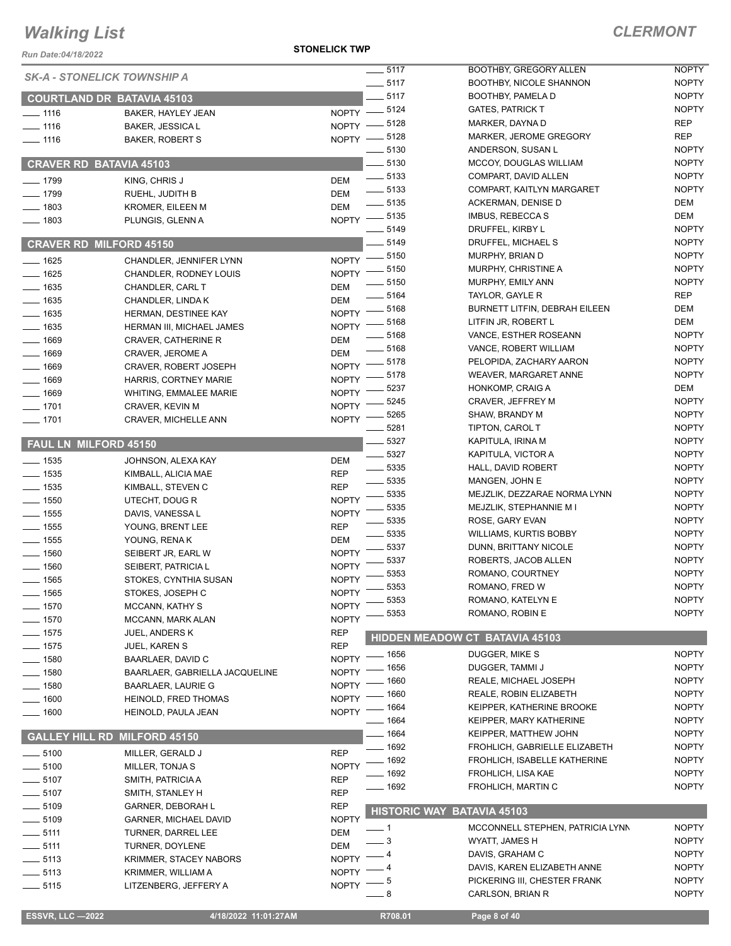*Run Date:04/18/2022*

**STONELICK TWP**

| <b>ESSVR, LLC -2022</b>            | 4/18/2022 11:01:27AM           |              | R708.01                    | Page 8 of 40                                        |              |
|------------------------------------|--------------------------------|--------------|----------------------------|-----------------------------------------------------|--------------|
|                                    |                                |              |                            |                                                     |              |
| $\frac{1}{2}$ 5115                 | LITZENBERG, JEFFERY A          | <b>NOPTY</b> | - 8                        | CARLSON, BRIAN R                                    | <b>NOPTY</b> |
| $\frac{1}{2}$ 5113                 | KRIMMER, WILLIAM A             | <b>NOPTY</b> | $5^{\circ}$                | PICKERING III, CHESTER FRANK                        | <b>NOPTY</b> |
| $-5113$                            | <b>KRIMMER, STACEY NABORS</b>  | <b>NOPTY</b> |                            | DAVIS, KAREN ELIZABETH ANNE                         | <b>NOPTY</b> |
| $-5111$                            | TURNER, DOYLENE                | DEM          |                            | DAVIS, GRAHAM C                                     | <b>NOPTY</b> |
| $-5111$                            | <b>TURNER, DARREL LEE</b>      | DEM          | 3                          | WYATT, JAMES H                                      | <b>NOPTY</b> |
| $\frac{1}{2}$ 5109                 | <b>GARNER, MICHAEL DAVID</b>   | <b>NOPTY</b> | - 1                        | MCCONNELL STEPHEN, PATRICIA LYNN                    | <b>NOPTY</b> |
| $\frac{1}{2}$ 5109                 | <b>GARNER, DEBORAH L</b>       | REP          |                            | <b>HISTORIC WAY BATAVIA 45103</b>                   |              |
| $-5107$                            | SMITH, STANLEY H               | <b>REP</b>   |                            |                                                     |              |
| $\frac{1}{2}$ 5107                 | SMITH, PATRICIA A              | <b>REP</b>   | 1692                       | FROHLICH, MARTIN C                                  | <b>NOPTY</b> |
| $-5100$                            | MILLER, TONJA S                | <b>NOPTY</b> | 1692                       | FROHLICH, LISA KAE                                  | <b>NOPTY</b> |
| $\frac{1}{2}$ 5100                 | MILLER, GERALD J               | <b>REP</b>   | 1692                       | FROHLICH, ISABELLE KATHERINE                        | <b>NOPTY</b> |
| <b>GALLEY HILL RD</b>              | <b>MILFORD 45150</b>           |              | 1692                       | FROHLICH, GABRIELLE ELIZABETH                       | <b>NOPTY</b> |
|                                    |                                |              | 1664                       | KEIPPER, MATTHEW JOHN                               | <b>NOPTY</b> |
| $- 1600$                           | HEINOLD, PAULA JEAN            | <b>NOPTY</b> | - 1664                     | KEIPPER, MARY KATHERINE                             | <b>NOPTY</b> |
| $-1600$                            | <b>HEINOLD, FRED THOMAS</b>    | <b>NOPTY</b> | 1664                       | REALE, ROBIN ELIZABETH<br>KEIPPER, KATHERINE BROOKE | <b>NOPTY</b> |
| $-1580$                            | <b>BAARLAER, LAURIE G</b>      | <b>NOPTY</b> | 1660<br>1660               |                                                     | <b>NOPTY</b> |
| $-1580$                            | BAARLAER, GABRIELLA JACQUELINE | <b>NOPTY</b> | 1656                       | REALE, MICHAEL JOSEPH                               | <b>NOPTY</b> |
| $-1580$                            | <b>BAARLAER, DAVID C</b>       | <b>NOPTY</b> |                            | DUGGER, TAMMI J                                     | <b>NOPTY</b> |
| $- 1575$                           | JUEL, KAREN S                  | <b>REP</b>   | _ 1656                     | DUGGER, MIKE S                                      | <b>NOPTY</b> |
| $- 1575$                           | JUEL, ANDERS K                 | REP          |                            | <b>HIDDEN MEADOW CT BATAVIA 45103</b>               |              |
| $- 1570$                           | <b>MCCANN, MARK ALAN</b>       | <b>NOPTY</b> |                            |                                                     |              |
| $- 1570$                           | <b>MCCANN, KATHY S</b>         | <b>NOPTY</b> | 5353                       | ROMANO, ROBIN E                                     | <b>NOPTY</b> |
| $-1565$                            | STOKES, JOSEPH C               | <b>NOPTY</b> | 5353                       | ROMANO, KATELYN E                                   | <b>NOPTY</b> |
| 1565                               | STOKES, CYNTHIA SUSAN          | <b>NOPTY</b> | 5353                       | ROMANO, FRED W                                      | <b>NOPTY</b> |
| 1560                               | SEIBERT, PATRICIA L            | <b>NOPTY</b> | 5353                       | ROMANO, COURTNEY                                    | <b>NOPTY</b> |
| $=$ 1560                           | SEIBERT JR, EARL W             | <b>NOPTY</b> | 5337                       | ROBERTS, JACOB ALLEN                                | <b>NOPTY</b> |
| $\frac{1}{2}$ 1555                 | YOUNG, RENAK                   | DEM          | 5337                       | DUNN, BRITTANY NICOLE                               | <b>NOPTY</b> |
| $\frac{1}{2}$ 1555                 | YOUNG, BRENT LEE               | <b>REP</b>   | 5335                       | <b>WILLIAMS, KURTIS BOBBY</b>                       | <b>NOPTY</b> |
| $\frac{1}{2}$ 1555                 | DAVIS, VANESSA L               | <b>NOPTY</b> | 5335                       | ROSE, GARY EVAN                                     | <b>NOPTY</b> |
| $\frac{1}{2}$ 1550                 | UTECHT, DOUG R                 | <b>NOPTY</b> | 5335                       | MEJZLIK, STEPHANNIE M I                             | <b>NOPTY</b> |
| $- 1535$                           | KIMBALL, STEVEN C              | <b>REP</b>   | 5335                       | MEJZLIK, DEZZARAE NORMA LYNN                        | <b>NOPTY</b> |
| $\frac{1}{2}$ 1535                 | KIMBALL, ALICIA MAE            | <b>REP</b>   | $- 5335$                   | MANGEN, JOHN E                                      | <b>NOPTY</b> |
| $- 1535$                           | JOHNSON, ALEXA KAY             | DEM          | 5335                       | HALL, DAVID ROBERT                                  | <b>NOPTY</b> |
| <b>FAUL LN MILFORD 45150</b>       |                                |              | 5327                       | KAPITULA, VICTOR A                                  | <b>NOPTY</b> |
|                                    |                                |              | 5327                       | KAPITULA, IRINA M                                   | <b>NOPTY</b> |
| $- 1701$                           | <b>CRAVER, MICHELLE ANN</b>    | <b>NOPTY</b> | 5281                       | TIPTON, CAROL T                                     | <b>NOPTY</b> |
| $- 1701$                           | CRAVER, KEVIN M                | <b>NOPTY</b> | 5265                       | SHAW, BRANDY M                                      | <b>NOPTY</b> |
| 1669                               | <b>WHITING, EMMALEE MARIE</b>  | <b>NOPTY</b> | 5245                       | CRAVER, JEFFREY M                                   | <b>NOPTY</b> |
| 1669                               | HARRIS, CORTNEY MARIE          | <b>NOPTY</b> | 5237                       | HONKOMP, CRAIG A                                    | <b>DEM</b>   |
| 1669                               | <b>CRAVER, ROBERT JOSEPH</b>   | <b>NOPTY</b> | 5178                       | WEAVER, MARGARET ANNE                               | <b>NOPTY</b> |
| $- 1669$                           | CRAVER, JEROME A               | <b>DEM</b>   | 5178                       | PELOPIDA, ZACHARY AARON                             | <b>NOPTY</b> |
| $- 1669$                           | <b>CRAVER, CATHERINE R</b>     | DEM          | $= 5168$                   | VANCE, ROBERT WILLIAM                               | <b>NOPTY</b> |
| $\frac{1}{2}$ 1635                 | HERMAN III, MICHAEL JAMES      | <b>NOPTY</b> | 5168                       | VANCE, ESTHER ROSEANN                               | <b>NOPTY</b> |
| $- 1635$                           | HERMAN, DESTINEE KAY           | <b>NOPTY</b> | - 5168                     | LITFIN JR, ROBERT L                                 | <b>DEM</b>   |
| $- 1635$                           | CHANDLER, LINDA K              | <b>DEM</b>   | _ 5168                     | BURNETT LITFIN, DEBRAH EILEEN                       | <b>DEM</b>   |
| $- 1635$                           | CHANDLER, CARL T               | DEM          | 5164                       | TAYLOR, GAYLE R                                     | <b>REP</b>   |
| $- 1625$                           | CHANDLER, RODNEY LOUIS         | <b>NOPTY</b> | $\frac{1}{2}$ 5150         | MURPHY, EMILY ANN                                   | <b>NOPTY</b> |
| $- 1625$                           | CHANDLER, JENNIFER LYNN        |              | NOPTY -8150<br>5150        | MURPHY, CHRISTINE A                                 | <b>NOPTY</b> |
| <b>CRAVER RD MILFORD 45150</b>     |                                |              |                            | MURPHY, BRIAN D                                     | <b>NOPTY</b> |
|                                    |                                |              | $-5149$                    | DRUFFEL, MICHAEL S                                  | <b>NOPTY</b> |
| $-1803$                            | PLUNGIS, GLENN A               | <b>NOPTY</b> | 5149                       | DRUFFEL, KIRBY L                                    | <b>NOPTY</b> |
| 1803                               | <b>KROMER, EILEEN M</b>        | <b>DEM</b>   | $=$ 5135                   | IMBUS, REBECCA S                                    | <b>DEM</b>   |
| $-1799$                            | RUEHL, JUDITH B                | DEM          | $\frac{1}{2}$ 5135         | ACKERMAN, DENISE D                                  | <b>DEM</b>   |
| $- 1799$                           | KING, CHRIS J                  | <b>DEM</b>   | $\frac{1}{2}$ 5133         | <b>COMPART, KAITLYN MARGARET</b>                    | <b>NOPTY</b> |
|                                    |                                |              | $\frac{1}{2}$ 5133         | COMPART, DAVID ALLEN                                | <b>NOPTY</b> |
| <b>CRAVER RD BATAVIA 45103</b>     |                                |              | $-5130$                    | MCCOY, DOUGLAS WILLIAM                              | <b>NOPTY</b> |
| $- 1116$                           | <b>BAKER, ROBERT S</b>         |              | $= 5130$                   | ANDERSON, SUSAN L                                   | <b>NOPTY</b> |
| $- 1116$                           | <b>BAKER, JESSICA L</b>        |              | NOPTY -8128<br>NOPTY -8128 | MARKER, JEROME GREGORY                              | <b>REP</b>   |
| $- 1116$                           | BAKER, HAYLEY JEAN             |              | NOPTY -8124                | MARKER, DAYNA D                                     | <b>REP</b>   |
| <b>COURTLAND DR BATAVIA 45103</b>  |                                |              |                            | <b>GATES, PATRICK T</b>                             | <b>NOPTY</b> |
|                                    |                                |              | $-5117$                    | BOOTHBY, PAMELA D                                   | <b>NOPTY</b> |
| <b>SK-A - STONELICK TOWNSHIP A</b> |                                |              | $\frac{1}{2}$ 5117         | <b>BOOTHBY, NICOLE SHANNON</b>                      | <b>NOPTY</b> |
|                                    |                                |              | $\frac{1}{2}$ 5117         | BOOTHBY, GREGORY ALLEN                              | <b>NOPTY</b> |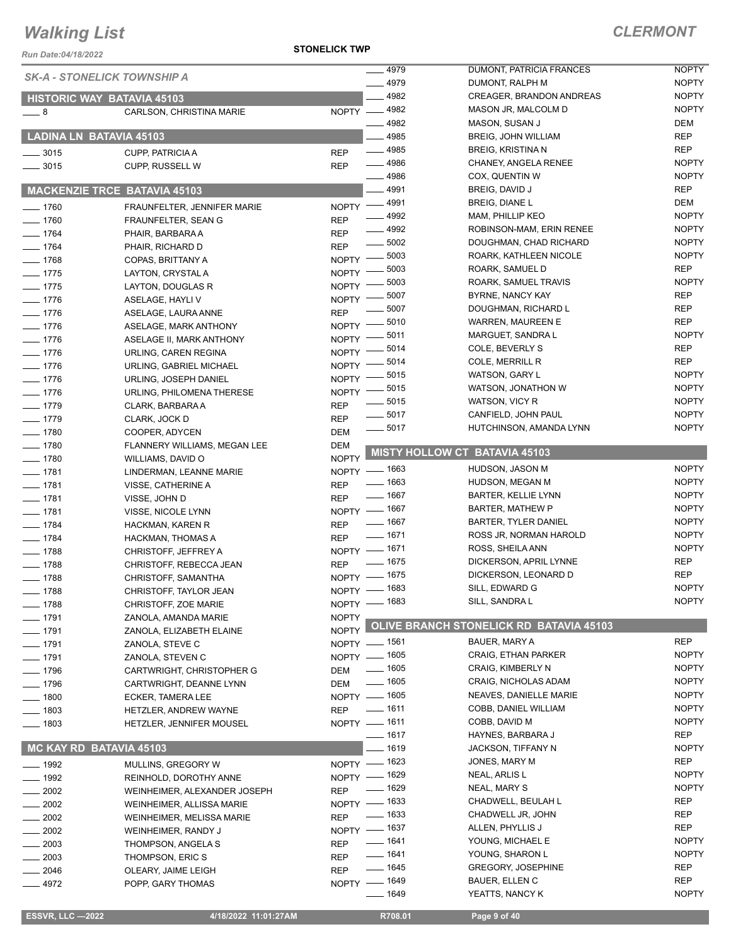*Run Date:04/18/2022*

**STONELICK TWP**

| NUII DAIC.VY 10/2022                |                                                |                          |                          |                                                        |                              |
|-------------------------------------|------------------------------------------------|--------------------------|--------------------------|--------------------------------------------------------|------------------------------|
| <b>SK-A - STONELICK TOWNSHIP A</b>  |                                                |                          | $-4979$                  | DUMONT, PATRICIA FRANCES                               | <b>NOPTY</b>                 |
|                                     |                                                |                          | $-4979$                  | DUMONT, RALPH M                                        | <b>NOPTY</b>                 |
| <b>HISTORIC WAY BATAVIA 45103</b>   |                                                |                          | 4982                     | <b>CREAGER, BRANDON ANDREAS</b>                        | <b>NOPTY</b>                 |
| $-8$                                | CARLSON, CHRISTINA MARIE                       |                          | NOPTY -4982              | MASON JR, MALCOLM D                                    | <b>NOPTY</b>                 |
|                                     |                                                |                          | 4982                     | MASON, SUSAN J                                         | DEM                          |
| LADINA LN BATAVIA 45103             |                                                |                          | $-4985$                  | BREIG, JOHN WILLIAM                                    | REP                          |
| $\frac{1}{2}$ 3015                  | CUPP, PATRICIA A                               | <b>REP</b>               | $-4985$                  | <b>BREIG, KRISTINA N</b>                               | <b>REP</b>                   |
| $\frac{1}{2}$ 3015                  | CUPP, RUSSELL W                                | <b>REP</b>               | $- 4986$                 | CHANEY, ANGELA RENEE                                   | <b>NOPTY</b>                 |
|                                     |                                                |                          | $-4986$<br>4991          | COX, QUENTIN W<br>BREIG, DAVID J                       | <b>NOPTY</b><br><b>REP</b>   |
| <b>MACKENZIE TRCE BATAVIA 45103</b> |                                                |                          |                          | BREIG, DIANE L                                         | DEM                          |
| $- 1760$                            | FRAUNFELTER, JENNIFER MARIE                    |                          | NOPTY -4991<br>$- 4992$  | MAM, PHILLIP KEO                                       | <b>NOPTY</b>                 |
| $-1760$                             | FRAUNFELTER, SEAN G                            | <b>REP</b>               | 4992                     | ROBINSON-MAM, ERIN RENEE                               | <b>NOPTY</b>                 |
| $- 1764$                            | PHAIR, BARBARA A                               | <b>REP</b><br><b>REP</b> | $\frac{1}{2}$ 5002       | DOUGHMAN, CHAD RICHARD                                 | <b>NOPTY</b>                 |
| $- 1764$<br>$- 1768$                | PHAIR, RICHARD D                               | NOPTY -                  | 5003                     | ROARK, KATHLEEN NICOLE                                 | <b>NOPTY</b>                 |
| $- 1775$                            | COPAS, BRITTANY A<br>LAYTON, CRYSTAL A         | NOPTY -                  | 5003                     | ROARK, SAMUEL D                                        | <b>REP</b>                   |
| $- 1775$                            | LAYTON, DOUGLAS R                              | NOPTY -                  | 5003                     | ROARK, SAMUEL TRAVIS                                   | <b>NOPTY</b>                 |
| $- 1776$                            | ASELAGE, HAYLI V                               | NOPTY -                  | 5007                     | BYRNE, NANCY KAY                                       | <b>REP</b>                   |
| $- 1776$                            | ASELAGE, LAURA ANNE                            | <b>REP</b>               | 5007                     | DOUGHMAN, RICHARD L                                    | <b>REP</b>                   |
| $- 1776$                            | ASELAGE, MARK ANTHONY                          | NOPTY -                  | 5010                     | <b>WARREN, MAUREEN E</b>                               | <b>REP</b>                   |
| $- 1776$                            | ASELAGE II, MARK ANTHONY                       | <b>NOPTY</b>             | 5011                     | MARGUET, SANDRA L                                      | <b>NOPTY</b>                 |
| $- 1776$                            | URLING, CAREN REGINA                           | <b>NOPTY</b>             | 5014                     | COLE, BEVERLY S                                        | <b>REP</b>                   |
| $- 1776$                            | URLING, GABRIEL MICHAEL                        | <b>NOPTY</b>             | 5014                     | COLE, MERRILL R                                        | <b>REP</b>                   |
| $- 1776$                            | URLING, JOSEPH DANIEL                          | <b>NOPTY</b>             | 5015                     | WATSON, GARY L                                         | <b>NOPTY</b>                 |
| $- 1776$                            | URLING, PHILOMENA THERESE                      | $NOPTY =$                | 5015                     | WATSON, JONATHON W                                     | <b>NOPTY</b>                 |
| $- 1779$                            | CLARK, BARBARA A                               | <b>REP</b>               | $\frac{1}{2}$ 5015       | WATSON, VICY R                                         | <b>NOPTY</b>                 |
| $- 1779$                            | CLARK, JOCK D                                  | <b>REP</b>               | $- 5017$                 | CANFIELD, JOHN PAUL                                    | <b>NOPTY</b>                 |
| $- 1780$                            | COOPER, ADYCEN                                 | <b>DEM</b>               | 5017                     | HUTCHINSON, AMANDA LYNN                                | <b>NOPTY</b>                 |
| $\frac{1}{2}$ 1780                  | FLANNERY WILLIAMS, MEGAN LEE                   | <b>DEM</b>               |                          | <b>MISTY HOLLOW CT BATAVIA 45103</b>                   |                              |
| $- 1780$                            | WILLIAMS, DAVID O                              | <b>NOPTY</b>             |                          |                                                        |                              |
| $- 1781$                            | LINDERMAN, LEANNE MARIE                        |                          | NOPTY - 1663             | HUDSON, JASON M                                        | <b>NOPTY</b>                 |
| $- 1781$                            | VISSE, CATHERINE A                             | <b>REP</b>               | $- 1663$                 | HUDSON, MEGAN M                                        | <b>NOPTY</b>                 |
| $- 1781$                            | VISSE, JOHN D                                  | <b>REP</b>               | $- 1667$                 | <b>BARTER, KELLIE LYNN</b>                             | <b>NOPTY</b>                 |
| $- 1781$                            | VISSE, NICOLE LYNN                             |                          | NOPTY - 1667<br>$- 1667$ | <b>BARTER, MATHEW P</b><br><b>BARTER, TYLER DANIEL</b> | <b>NOPTY</b><br><b>NOPTY</b> |
| $- 1784$                            | HACKMAN, KAREN R                               | <b>REP</b>               | $- 1671$                 | ROSS JR, NORMAN HAROLD                                 | <b>NOPTY</b>                 |
| $- 1784$                            | HACKMAN, THOMAS A                              | <b>REP</b>               | NOPTY - 1671             | ROSS, SHEILA ANN                                       | <b>NOPTY</b>                 |
| $- 1788$                            | <b>CHRISTOFF, JEFFREY A</b>                    |                          | $- 1675$                 | DICKERSON, APRIL LYNNE                                 | <b>REP</b>                   |
| $- 1788$<br>$- 1788$                | CHRISTOFF, REBECCA JEAN                        | <b>REP</b>               | NOPTY - 1675             | DICKERSON, LEONARD D                                   | <b>REP</b>                   |
| $- 1788$                            | CHRISTOFF, SAMANTHA                            |                          | NOPTY - 1683             | SILL, EDWARD G                                         | <b>NOPTY</b>                 |
| $- 1788$                            | CHRISTOFF, TAYLOR JEAN<br>CHRISTOFF, ZOE MARIE |                          | NOPTY - 1683             | SILL, SANDRA L                                         | <b>NOPTY</b>                 |
| $- 1791$                            | ZANOLA, AMANDA MARIE                           | <b>NOPTY</b>             |                          |                                                        |                              |
| $- 1791$                            | ZANOLA, ELIZABETH ELAINE                       | <b>NOPTY</b>             |                          | OLIVE BRANCH STONELICK RD BATAVIA 45103                |                              |
| $- 1791$                            | ZANOLA, STEVE C                                |                          | NOPTY - 1561             | BAUER, MARY A                                          | <b>REP</b>                   |
| $- 1791$                            | ZANOLA, STEVEN C                               |                          | NOPTY - 1605             | <b>CRAIG, ETHAN PARKER</b>                             | <b>NOPTY</b>                 |
| $- 1796$                            | CARTWRIGHT, CHRISTOPHER G                      | DEM                      | $\frac{1}{2}$ 1605       | CRAIG, KIMBERLY N                                      | <b>NOPTY</b>                 |
| $- 1796$                            | CARTWRIGHT, DEANNE LYNN                        | DEM                      | $- 1605$                 | CRAIG, NICHOLAS ADAM                                   | <b>NOPTY</b>                 |
| $- 1800$                            | ECKER, TAMERA LEE                              |                          | NOPTY - 1605             | NEAVES, DANIELLE MARIE                                 | <b>NOPTY</b>                 |
| $- 1803$                            | HETZLER, ANDREW WAYNE                          | <b>REP</b>               | $- 1611$                 | COBB, DANIEL WILLIAM                                   | <b>NOPTY</b>                 |
| $- 1803$                            | HETZLER, JENNIFER MOUSEL                       |                          | NOPTY - 1611             | COBB, DAVID M                                          | <b>NOPTY</b>                 |
|                                     |                                                |                          | $- 1617$                 | HAYNES, BARBARA J                                      | REP                          |
| MC KAY RD BATAVIA 45103             |                                                |                          | $-1619$                  | JACKSON, TIFFANY N                                     | <b>NOPTY</b>                 |
| $- 1992$                            | MULLINS, GREGORY W                             |                          | NOPTY - 1623             | JONES, MARY M                                          | REP                          |
| $\frac{1}{2}$ 1992                  | REINHOLD, DOROTHY ANNE                         |                          | NOPTY - 1629             | NEAL, ARLIS L                                          | <b>NOPTY</b>                 |
| $\frac{1}{2002}$                    | WEINHEIMER, ALEXANDER JOSEPH                   | <b>REP</b>               | $- 1629$                 | NEAL, MARY S                                           | <b>NOPTY</b>                 |
| $\frac{1}{2002}$                    | WEINHEIMER, ALLISSA MARIE                      |                          | NOPTY - 1633             | CHADWELL, BEULAH L                                     | REP                          |
| 2002                                | WEINHEIMER, MELISSA MARIE                      | <b>REP</b>               | $\frac{1}{2}$ 1633       | CHADWELL JR, JOHN                                      | <b>REP</b>                   |
| 2002                                | WEINHEIMER, RANDY J                            |                          | NOPTY - 1637             | ALLEN, PHYLLIS J                                       | REP                          |
| $= 2003$                            | THOMPSON, ANGELA S                             | <b>REP</b>               | $- 1641$<br>$- 1641$     | YOUNG, MICHAEL E                                       | <b>NOPTY</b>                 |
| 2003                                | THOMPSON, ERIC S                               | REP                      | $\frac{1}{2}$ 1645       | YOUNG, SHARON L<br><b>GREGORY, JOSEPHINE</b>           | <b>NOPTY</b><br>REP          |
| $-2046$                             | OLEARY, JAIME LEIGH                            | <b>REP</b>               |                          | <b>BAUER, ELLEN C</b>                                  | REP                          |
| $-4972$                             | POPP, GARY THOMAS                              |                          | NOPTY - 1649<br>—— 1649  | YEATTS, NANCY K                                        | <b>NOPTY</b>                 |
|                                     |                                                |                          |                          |                                                        |                              |
| <b>ESSVR, LLC -2022</b>             | 4/18/2022 11:01:27AM                           |                          | R708.01                  | Page 9 of 40                                           |                              |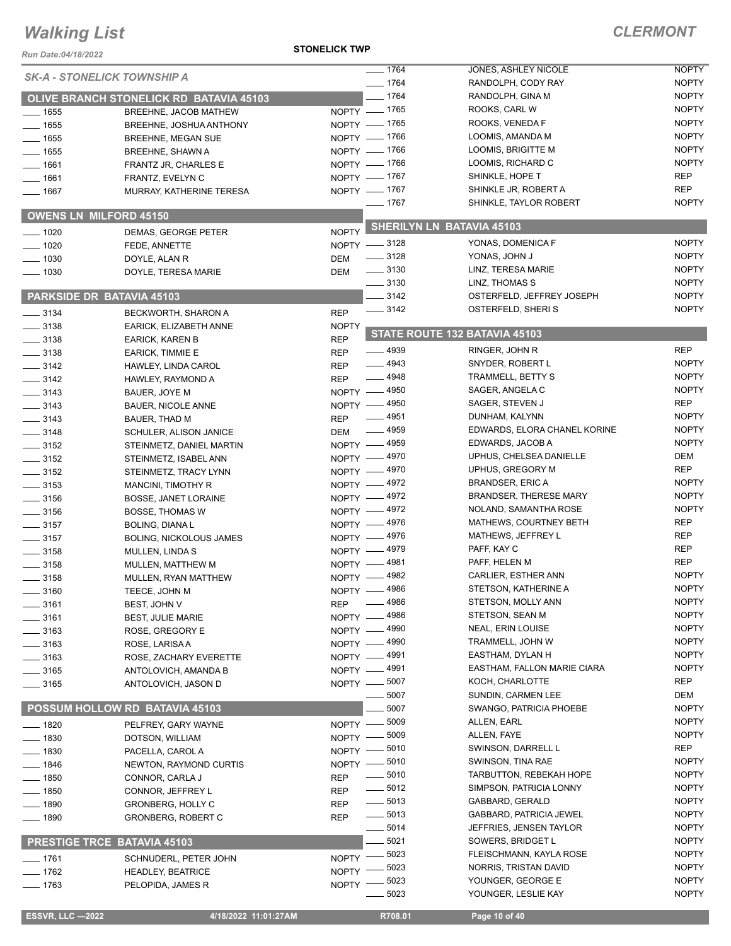#### **STONELICK TWP**

### *CLERMONT*

| Run Date:04/18/2022 |                                                | <b>STONELICK TWP</b>              |                                             |                              |
|---------------------|------------------------------------------------|-----------------------------------|---------------------------------------------|------------------------------|
|                     | <b>SK-A - STONELICK TOWNSHIP A</b>             | $- 1764$                          | JONES, ASHLEY NICOLE                        | <b>NOPTY</b>                 |
|                     |                                                | $- 1764$                          | RANDOLPH, CODY RAY                          | <b>NOPTY</b>                 |
|                     | <b>OLIVE BRANCH STONELICK RD BATAVIA 45103</b> | $- 1764$                          | RANDOLPH, GINA M                            | <b>NOPTY</b>                 |
| $\frac{1}{1655}$    | BREEHNE, JACOB MATHEW                          | NOPTY - 1765                      | ROOKS, CARL W                               | <b>NOPTY</b>                 |
| $- 1655$            | BREEHNE, JOSHUA ANTHONY                        | NOPTY - 1765                      | ROOKS, VENEDA F                             | <b>NOPTY</b>                 |
| $- 1655$            | <b>BREEHNE, MEGAN SUE</b>                      | NOPTY - 1766                      | LOOMIS, AMANDA M                            | <b>NOPTY</b>                 |
| $- 1655$            | BREEHNE, SHAWN A                               | NOPTY - 1766                      | LOOMIS, BRIGITTE M                          | <b>NOPTY</b>                 |
| $- 1661$            | FRANTZ JR, CHARLES E                           | NOPTY - 1766                      | LOOMIS, RICHARD C                           | <b>NOPTY</b>                 |
| $- 1661$            | FRANTZ, EVELYN C                               | NOPTY - 1767                      | SHINKLE, HOPE T                             | <b>REP</b>                   |
| $- 1667$            | MURRAY, KATHERINE TERESA                       | NOPTY - 1767                      | SHINKLE JR, ROBERT A                        | <b>REP</b>                   |
|                     |                                                | $- 1767$                          | SHINKLE, TAYLOR ROBERT                      | <b>NOPTY</b>                 |
|                     | <b>OWENS LN MILFORD 45150</b>                  |                                   | <b>SHERILYN LN BATAVIA 45103</b>            |                              |
| $- 1020$            | DEMAS, GEORGE PETER                            | <b>NOPTY</b>                      |                                             | <b>NOPTY</b>                 |
| $- 1020$            | FEDE, ANNETTE                                  | NOPTY -8128<br>$\frac{1}{2}$ 3128 | YONAS, DOMENICA F<br>YONAS, JOHN J          | <b>NOPTY</b>                 |
| $- 1030$            | DOYLE, ALAN R                                  | DEM<br>$\frac{1}{2}$ 3130         | LINZ, TERESA MARIE                          | <b>NOPTY</b>                 |
| $- 1030$            | DOYLE, TERESA MARIE                            | <b>DEM</b><br>$\frac{1}{2}$ 3130  | LINZ, THOMAS S                              | <b>NOPTY</b>                 |
|                     | <b>PARKSIDE DR BATAVIA 45103</b>               |                                   | OSTERFELD, JEFFREY JOSEPH                   | <b>NOPTY</b>                 |
|                     |                                                | $-3142$<br>$\frac{1}{2}$ 3142     | OSTERFELD, SHERIS                           | <b>NOPTY</b>                 |
| $\frac{1}{2}$ 3134  | BECKWORTH, SHARON A                            | <b>REP</b>                        |                                             |                              |
| $\frac{1}{2}$ 3138  | EARICK, ELIZABETH ANNE                         | <b>NOPTY</b>                      | STATE ROUTE 132 BATAVIA 45103               |                              |
| $\frac{1}{2}$ 3138  | <b>EARICK, KAREN B</b>                         | <b>REP</b>                        |                                             |                              |
| $\frac{1}{2}$ 3138  | EARICK, TIMMIE E                               | $- 4939$<br><b>REP</b>            | RINGER, JOHN R                              | <b>REP</b>                   |
| $\frac{1}{2}$ 3142  | HAWLEY, LINDA CAROL                            | $- 4943$<br><b>REP</b><br>$-4948$ | SNYDER, ROBERT L                            | <b>NOPTY</b><br><b>NOPTY</b> |
| $\frac{1}{2}$ 3142  | HAWLEY, RAYMOND A                              | <b>REP</b>                        | TRAMMELL, BETTY S                           | <b>NOPTY</b>                 |
| $\frac{1}{2}$ 3143  | BAUER, JOYE M                                  | NOPTY -4950                       | SAGER, ANGELA C                             | <b>REP</b>                   |
| $\frac{1}{2}$ 3143  | <b>BAUER, NICOLE ANNE</b>                      | NOPTY - 4950                      | SAGER, STEVEN J                             | <b>NOPTY</b>                 |
| $\frac{1}{2}$ 3143  | BAUER, THAD M                                  | $-4951$<br><b>REP</b>             | DUNHAM, KALYNN                              |                              |
| $- 3148$            | <b>SCHULER, ALISON JANICE</b>                  | $\frac{1}{2}$ 4959<br>DEM         | EDWARDS, ELORA CHANEL KORINE                | <b>NOPTY</b><br><b>NOPTY</b> |
| $\frac{1}{2}$ 3152  | STEINMETZ, DANIEL MARTIN                       | NOPTY -4959                       | EDWARDS, JACOB A<br>UPHUS, CHELSEA DANIELLE | DEM                          |
| $\frac{1}{2}$ 3152  | STEINMETZ, ISABEL ANN                          | NOPTY - 4970                      | UPHUS, GREGORY M                            | REP                          |
| $\frac{1}{2}$ 3152  | STEINMETZ, TRACY LYNN                          | NOPTY - 4970                      | <b>BRANDSER, ERIC A</b>                     | <b>NOPTY</b>                 |
| $\frac{1}{2}$ 3153  | <b>MANCINI, TIMOTHY R</b>                      | NOPTY - 4972<br>NOPTY -4972       | <b>BRANDSER, THERESE MARY</b>               | <b>NOPTY</b>                 |
| $\frac{1}{2}$ 3156  | <b>BOSSE, JANET LORAINE</b>                    | NOPTY -4972                       | NOLAND, SAMANTHA ROSE                       | <b>NOPTY</b>                 |
| $- 3156$            | <b>BOSSE, THOMAS W</b>                         | NOPTY -4976                       | MATHEWS, COURTNEY BETH                      | <b>REP</b>                   |
| $\frac{1}{2}$ 3157  | <b>BOLING, DIANAL</b>                          | NOPTY -4976                       | MATHEWS, JEFFREY L                          | <b>REP</b>                   |
| $\frac{1}{2}$ 3157  | <b>BOLING, NICKOLOUS JAMES</b>                 | NOPTY -4979                       | PAFF, KAY C                                 | <b>REP</b>                   |
| $- 3158$            | MULLEN, LINDA S                                | NOPTY - 4981                      | PAFF, HELEN M                               | <b>REP</b>                   |
| $\frac{1}{2}$ 3158  | MULLEN, MATTHEW M                              | NOPTY - 4982                      | CARLIER, ESTHER ANN                         | <b>NOPTY</b>                 |
| $\frac{1}{2}$ 3158  | MULLEN, RYAN MATTHEW                           | NOPTY -4986                       | STETSON, KATHERINE A                        | <b>NOPTY</b>                 |
| $=$ 3160 $\,$       | TEECE, JOHN M                                  | 4986                              | STETSON, MOLLY ANN                          | <b>NOPTY</b>                 |
| - 3161              | BEST, JOHN V                                   | <b>REP</b><br>NOPTY - 4986        | STETSON, SEAN M                             | <b>NOPTY</b>                 |
| $-3161$             | <b>BEST, JULIE MARIE</b>                       | NOPTY - 4990                      | NEAL, ERIN LOUISE                           | <b>NOPTY</b>                 |
| ____ 3163           | ROSE, GREGORY E                                | NOPTY - 4990                      | TRAMMELL, JOHN W                            | <b>NOPTY</b>                 |
| $\equiv$ 3163       | ROSE, LARISA A                                 | NOPTY - 4991                      | EASTHAM, DYLAN H                            | <b>NOPTY</b>                 |
| $\frac{1}{2}$ 3163  | ROSE, ZACHARY EVERETTE                         | NOPTY - 4991                      | EASTHAM, FALLON MARIE CIARA                 | <b>NOPTY</b>                 |
| $\frac{1}{2}$ 3165  | ANTOLOVICH, AMANDA B                           | NOPTY - 5007                      | KOCH, CHARLOTTE                             | REP                          |
| $\frac{1}{2}$ 3165  | ANTOLOVICH, JASON D                            | 5007                              | SUNDIN, CARMEN LEE                          | DEM                          |
|                     | POSSUM HOLLOW RD BATAVIA 45103                 | 5007                              | SWANGO, PATRICIA PHOEBE                     | <b>NOPTY</b>                 |
|                     |                                                | NOPTY -8009                       | ALLEN, EARL                                 | <b>NOPTY</b>                 |
| $- 1820$            | PELFREY, GARY WAYNE                            | 5009<br>$NOPTY -$                 | ALLEN, FAYE                                 | <b>NOPTY</b>                 |
| $\frac{1}{2}$ 1830  | DOTSON, WILLIAM                                | _ 5010                            | SWINSON, DARRELL L                          | REP                          |
| $- 1830$            | PACELLA, CAROL A                               | $N$ OPTY $-$<br>NOPTY - 5010      | SWINSON, TINA RAE                           | <b>NOPTY</b>                 |
| $- 1846$            | NEWTON, RAYMOND CURTIS                         | $\frac{1}{2}$ 5010                | TARBUTTON, REBEKAH HOPE                     | <b>NOPTY</b>                 |
| $\frac{1}{2}$ 1850  | CONNOR, CARLA J                                | <b>REP</b><br>$\frac{1}{2}$ 5012  | SIMPSON, PATRICIA LONNY                     | <b>NOPTY</b>                 |
| ___ 1850            | CONNOR, JEFFREY L                              | <b>REP</b><br>$\frac{1}{2}$ 5013  | GABBARD, GERALD                             | <b>NOPTY</b>                 |
| __ 1890             | <b>GRONBERG, HOLLY C</b>                       | <b>REP</b><br>$\frac{1}{2}$ 5013  | GABBARD, PATRICIA JEWEL                     | <b>NOPTY</b>                 |
| $- 1890$            | <b>GRONBERG, ROBERT C</b>                      | <b>REP</b><br>$\frac{1}{2}$ 5014  | JEFFRIES, JENSEN TAYLOR                     | <b>NOPTY</b>                 |
|                     | PRESTIGE TRCE BATAVIA 45103                    | 5021                              | SOWERS, BRIDGET L                           | <b>NOPTY</b>                 |
|                     |                                                | $-5023$                           | FLEISCHMANN, KAYLA ROSE                     | <b>NOPTY</b>                 |
| $- 1761$            | SCHNUDERL, PETER JOHN                          | NOPTY -<br>5023                   | NORRIS, TRISTAN DAVID                       | <b>NOPTY</b>                 |
| $- 1762$            | <b>HEADLEY, BEATRICE</b>                       | NOPTY -<br>5023                   | YOUNGER, GEORGE E                           | <b>NOPTY</b>                 |
| —— 1763             | PELOPIDA, JAMES R                              | NOPTY <sup>-</sup><br>5023        | YOUNGER, LESLIE KAY                         | <b>NOPTY</b>                 |
|                     |                                                |                                   |                                             |                              |

 **ESSVR, LLC —2022 4/18/2022 11:01:27AM R708.01 Page 10 of 40**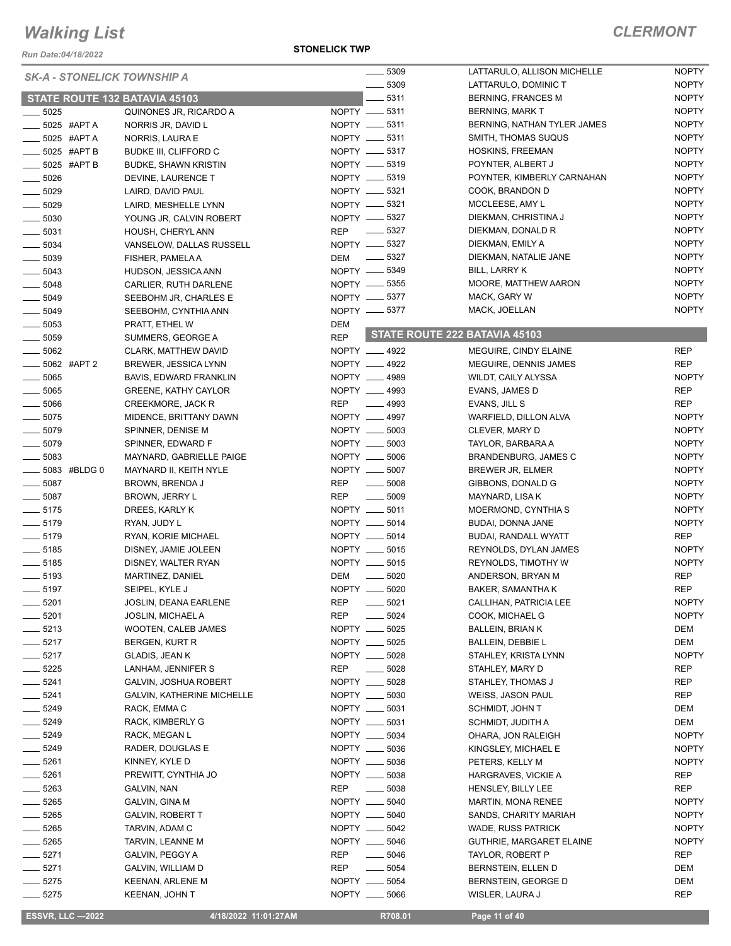*Run Date:04/18/2022*

#### **STONELICK TWP**

#### *CLERMONT*

|                    |                 | <b>SK-A - STONELICK TOWNSHIP A</b> |            | 5309                             | LATTARULO, ALLISON MICHELLE   | <b>NOPTY</b> |
|--------------------|-----------------|------------------------------------|------------|----------------------------------|-------------------------------|--------------|
|                    |                 |                                    |            | 5309<br>$\overline{\phantom{0}}$ | LATTARULO, DOMINIC T          | <b>NOPTY</b> |
|                    |                 | STATE ROUTE 132 BATAVIA 45103      |            | $- 5311$                         | <b>BERNING, FRANCES M</b>     | <b>NOPTY</b> |
| $\frac{1}{2}$ 5025 |                 | QUINONES JR, RICARDO A             |            | NOPTY __ 5311                    | <b>BERNING, MARK T</b>        | <b>NOPTY</b> |
|                    | $=$ 5025 #APT A | NORRIS JR, DAVID L                 |            | NOPTY __ 5311                    | BERNING, NATHAN TYLER JAMES   | <b>NOPTY</b> |
|                    | _5025 #APTA     | NORRIS, LAURA E                    |            | NOPTY -6311                      | SMITH, THOMAS SUQUS           | <b>NOPTY</b> |
|                    | 5025 #APT B     | <b>BUDKE III, CLIFFORD C</b>       |            | NOPTY __ 5317                    | HOSKINS, FREEMAN              | <b>NOPTY</b> |
|                    |                 |                                    |            | NOPTY -6319                      | POYNTER, ALBERT J             | <b>NOPTY</b> |
|                    | __ 5025 #APT B  | <b>BUDKE, SHAWN KRISTIN</b>        |            |                                  |                               |              |
| $\frac{1}{2}$ 5026 |                 | DEVINE, LAURENCE T                 |            | NOPTY __ 5319                    | POYNTER, KIMBERLY CARNAHAN    | <b>NOPTY</b> |
| $\frac{1}{2}$ 5029 |                 | LAIRD, DAVID PAUL                  |            | NOPTY __ 5321                    | COOK, BRANDON D               | <b>NOPTY</b> |
| $\frac{1}{2}$ 5029 |                 | LAIRD, MESHELLE LYNN               |            | NOPTY __ 5321                    | MCCLEESE, AMY L               | <b>NOPTY</b> |
| $\frac{1}{2}$ 5030 |                 | YOUNG JR, CALVIN ROBERT            |            | NOPTY __ 5327                    | DIEKMAN, CHRISTINA J          | <b>NOPTY</b> |
| $- 5031$           |                 | HOUSH, CHERYL ANN                  | REP        | $\sim$ 5327                      | DIEKMAN, DONALD R             | <b>NOPTY</b> |
| $\frac{1}{2}$ 5034 |                 | VANSELOW, DALLAS RUSSELL           |            | NOPTY __ 5327                    | DIEKMAN, EMILY A              | <b>NOPTY</b> |
| $\frac{1}{2}$ 5039 |                 | FISHER, PAMELA A                   |            | DEM __ 5327                      | DIEKMAN, NATALIE JANE         | <b>NOPTY</b> |
| $\frac{1}{2}$ 5043 |                 | HUDSON, JESSICA ANN                |            | NOPTY -6349                      | BILL, LARRY K                 | <b>NOPTY</b> |
|                    |                 |                                    |            |                                  |                               | <b>NOPTY</b> |
| 5048               |                 | CARLIER, RUTH DARLENE              |            | NOPTY __ 5355                    | MOORE, MATTHEW AARON          |              |
| $\frac{1}{2}$ 5049 |                 | SEEBOHM JR, CHARLES E              |            | NOPTY __ 5377                    | MACK, GARY W                  | <b>NOPTY</b> |
| $\frac{1}{2}$ 5049 |                 | SEEBOHM, CYNTHIA ANN               |            | NOPTY __ 5377                    | MACK, JOELLAN                 | <b>NOPTY</b> |
| $\frac{1}{2}$ 5053 |                 | PRATT, ETHEL W                     | DEM        |                                  |                               |              |
| $\frac{1}{2}$ 5059 |                 | SUMMERS, GEORGE A                  | <b>REP</b> |                                  | STATE ROUTE 222 BATAVIA 45103 |              |
| $\frac{1}{2}$ 5062 |                 | CLARK, MATTHEW DAVID               |            | NOPTY __ 4922                    | MEGUIRE, CINDY ELAINE         | <b>REP</b>   |
| $- 5062$ #APT 2    |                 | <b>BREWER, JESSICA LYNN</b>        |            | NOPTY __ 4922                    | MEGUIRE, DENNIS JAMES         | <b>REP</b>   |
| 5065               |                 | BAVIS, EDWARD FRANKLIN             |            | NOPTY __ 4989                    | WILDT, CAILY ALYSSA           | <b>NOPTY</b> |
|                    |                 |                                    |            |                                  |                               |              |
| $\frac{1}{2}$ 5065 |                 | GREENE, KATHY CAYLOR               |            | NOPTY __ 4993                    | EVANS, JAMES D                | <b>REP</b>   |
| $\frac{1}{2}$ 5066 |                 | <b>CREEKMORE, JACK R</b>           | <b>REP</b> | $-4993$                          | EVANS, JILL S                 | <b>REP</b>   |
| $\frac{1}{2}$ 5075 |                 | MIDENCE, BRITTANY DAWN             |            | NOPTY __ 4997                    | WARFIELD, DILLON ALVA         | <b>NOPTY</b> |
| $\frac{1}{2}$ 5079 |                 | SPINNER, DENISE M                  |            | NOPTY __ 5003                    | CLEVER, MARY D                | <b>NOPTY</b> |
| $\frac{1}{2}$ 5079 |                 | SPINNER, EDWARD F                  |            | NOPTY __ 5003                    | TAYLOR, BARBARA A             | <b>NOPTY</b> |
| $\frac{1}{2}$ 5083 |                 | MAYNARD, GABRIELLE PAIGE           |            | NOPTY __ 5006                    | <b>BRANDENBURG, JAMES C</b>   | <b>NOPTY</b> |
| -6083 #BLDG 0      |                 | MAYNARD II, KEITH NYLE             |            | NOPTY __ 5007                    | BREWER JR, ELMER              | <b>NOPTY</b> |
| $\frac{1}{2}$ 5087 |                 | BROWN, BRENDA J                    | <b>REP</b> | $\frac{1}{2}$ 5008               | GIBBONS, DONALD G             | <b>NOPTY</b> |
| $- 5087$           |                 |                                    | <b>REP</b> | $\frac{1}{2}$ 5009               |                               | <b>NOPTY</b> |
|                    |                 | BROWN, JERRY L                     |            |                                  | MAYNARD, LISA K               |              |
| $-5175$            |                 | DREES, KARLY K                     |            | NOPTY __ 5011                    | MOERMOND, CYNTHIA S           | <b>NOPTY</b> |
| $- 5179$           |                 | RYAN, JUDY L                       |            | NOPTY __ 5014                    | BUDAI, DONNA JANE             | <b>NOPTY</b> |
| $- 5179$           |                 | RYAN, KORIE MICHAEL                |            | NOPTY __ 5014                    | BUDAI, RANDALL WYATT          | <b>REP</b>   |
| $\frac{1}{2}$ 5185 |                 | DISNEY, JAMIE JOLEEN               |            | NOPTY __ 5015                    | REYNOLDS, DYLAN JAMES         | <b>NOPTY</b> |
| $\frac{1}{2}$ 5185 |                 | DISNEY, WALTER RYAN                |            | NOPTY __ 5015                    | REYNOLDS, TIMOTHY W           | <b>NOPTY</b> |
| $\frac{1}{2}$ 5193 |                 | MARTINEZ, DANIEL                   | DEM        | $\frac{1}{2}$ 5020               | ANDERSON, BRYAN M             | <b>REP</b>   |
| $-5197$            |                 | SEIPEL, KYLE J                     |            | NOPTY __ 5020                    | BAKER, SAMANTHA K             | <b>REP</b>   |
| $-5201$            |                 | JOSLIN, DEANA EARLENE              | REP        | $\frac{1}{2}$ 5021               | CALLIHAN, PATRICIA LEE        | <b>NOPTY</b> |
| 5201               |                 |                                    | <b>REP</b> | 5024                             |                               | <b>NOPTY</b> |
|                    |                 | <b>JOSLIN, MICHAEL A</b>           |            |                                  | COOK, MICHAEL G               |              |
| $-5213$            |                 | WOOTEN, CALEB JAMES                |            | NOPTY __ 5025                    | BALLEIN, BRIAN K              | DEM          |
| $\frac{1}{2}$ 5217 |                 | BERGEN, KURT R                     |            | NOPTY __ 5025                    | <b>BALLEIN, DEBBIE L</b>      | DEM          |
| $-5217$            |                 | GLADIS, JEAN K                     |            | NOPTY __ 5028                    | STAHLEY, KRISTA LYNN          | <b>NOPTY</b> |
| $-5225$            |                 | LANHAM, JENNIFER S                 | <b>REP</b> | $\frac{1}{2}$ 5028               | STAHLEY, MARY D               | REP          |
| $-5241$            |                 | <b>GALVIN, JOSHUA ROBERT</b>       |            | NOPTY __ 5028                    | STAHLEY, THOMAS J             | REP          |
| _ 5241             |                 | <b>GALVIN, KATHERINE MICHELLE</b>  |            | NOPTY __ 5030                    | WEISS, JASON PAUL             | REP          |
| $-5249$            |                 | RACK, EMMA C                       |            | NOPTY __ 5031                    | SCHMIDT, JOHN T               | DEM          |
| $-5249$            |                 | RACK, KIMBERLY G                   |            | NOPTY __ 5031                    | SCHMIDT, JUDITH A             | DEM          |
|                    |                 |                                    |            |                                  |                               |              |
| $-5249$            |                 | RACK, MEGAN L                      |            | NOPTY __ 5034                    | OHARA, JON RALEIGH            | <b>NOPTY</b> |
| 5249               |                 | RADER, DOUGLAS E                   |            | NOPTY __ 5036                    | KINGSLEY, MICHAEL E           | <b>NOPTY</b> |
| 5261               |                 | KINNEY, KYLE D                     |            | NOPTY __ 5036                    | PETERS, KELLY M               | <b>NOPTY</b> |
| 5261               |                 | PREWITT, CYNTHIA JO                |            | NOPTY __ 5038                    | HARGRAVES, VICKIE A           | <b>REP</b>   |
| 5263               |                 | GALVIN, NAN                        | <b>REP</b> | $\frac{1}{2}$<br>5038            | HENSLEY, BILLY LEE            | <b>REP</b>   |
| 5265               |                 | GALVIN, GINA M                     |            | NOPTY __ 5040                    | <b>MARTIN, MONA RENEE</b>     | <b>NOPTY</b> |
| 5265               |                 | <b>GALVIN, ROBERT T</b>            |            | NOPTY __ 5040                    | SANDS, CHARITY MARIAH         | <b>NOPTY</b> |
| 5265               |                 | TARVIN, ADAM C                     |            | NOPTY __ 5042                    | WADE, RUSS PATRICK            | <b>NOPTY</b> |
|                    |                 |                                    |            |                                  |                               |              |
| $-5265$            |                 | TARVIN, LEANNE M                   |            | NOPTY __ 5046                    | GUTHRIE, MARGARET ELAINE      | <b>NOPTY</b> |
| $-5271$            |                 | GALVIN, PEGGY A                    | REP        | 5046                             | TAYLOR, ROBERT P              | <b>REP</b>   |
| $-5271$            |                 | GALVIN, WILLIAM D                  | <b>REP</b> | $\frac{1}{2}$ 5054               | BERNSTEIN, ELLEN D            | DEM          |
| $-5275$            |                 | KEENAN, ARLENE M                   | NOPTY __   | 5054                             | BERNSTEIN, GEORGE D           | DEM          |
| $=$ 5275           |                 | <b>KEENAN, JOHN T</b>              |            | NOPTY __ 5066                    | WISLER, LAURA J               | <b>REP</b>   |

 **ESSVR, LLC —2022 4/18/2022 11:01:27AM R708.01 Page 11 of 40**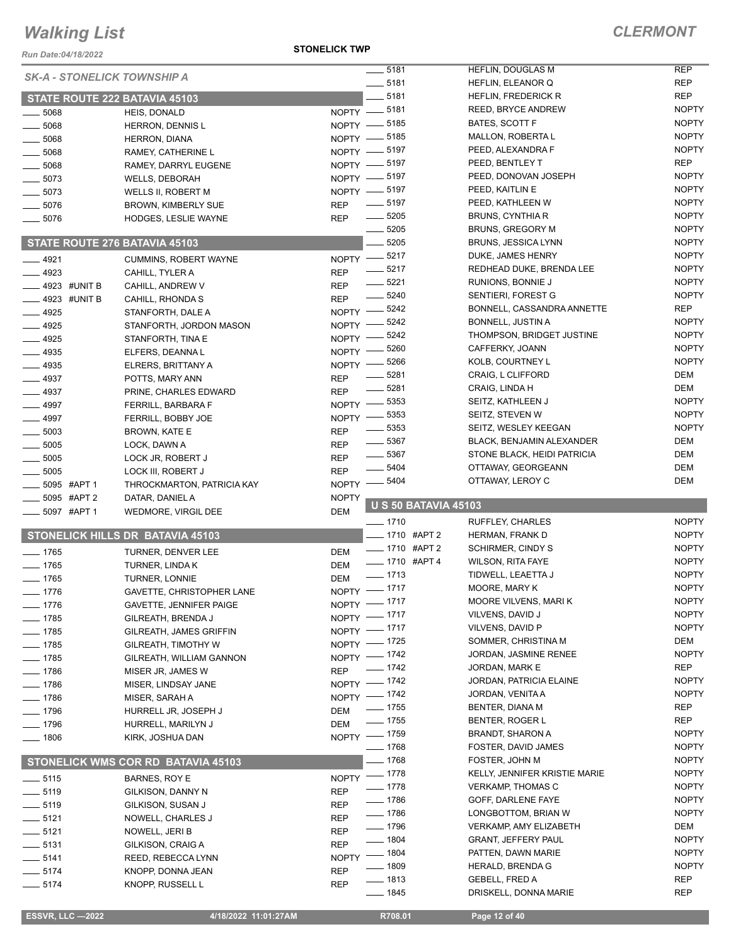*Run Date:04/18/2022*

**STONELICK TWP**

### *CLERMONT*

| <b>SK-A - STONELICK TOWNSHIP A</b> |                                    | $\frac{1}{2}$ 5181               |                             | <b>HEFLIN, DOUGLAS M</b>      | <b>REP</b>   |
|------------------------------------|------------------------------------|----------------------------------|-----------------------------|-------------------------------|--------------|
|                                    |                                    | $\frac{1}{2}$ 5181               |                             | HEFLIN, ELEANOR Q             | <b>REP</b>   |
|                                    | STATE ROUTE 222 BATAVIA 45103      | $-5181$                          |                             | <b>HEFLIN, FREDERICK R</b>    | <b>REP</b>   |
| 5068                               | HEIS, DONALD                       | NOPTY -8181                      |                             | REED, BRYCE ANDREW            | <b>NOPTY</b> |
| $-5068$                            | <b>HERRON, DENNIS L</b>            | NOPTY -8185                      |                             | BATES, SCOTT F                | <b>NOPTY</b> |
| $-5068$                            | <b>HERRON, DIANA</b>               | NOPTY -8185                      |                             | MALLON, ROBERTA L             | <b>NOPTY</b> |
| 5068                               | RAMEY, CATHERINE L                 | NOPTY -8197                      |                             | PEED, ALEXANDRA F             | <b>NOPTY</b> |
| 5068                               | RAMEY, DARRYL EUGENE               | NOPTY -8197                      |                             | PEED, BENTLEY T               | <b>REP</b>   |
| $-5073$                            | <b>WELLS, DEBORAH</b>              | NOPTY -8197                      |                             | PEED, DONOVAN JOSEPH          | <b>NOPTY</b> |
| $-5073$                            | WELLS II, ROBERT M                 | NOPTY -8197                      |                             | PEED, KAITLIN E               | <b>NOPTY</b> |
| $-5076$                            | <b>BROWN, KIMBERLY SUE</b>         | $- 5197$<br><b>REP</b>           |                             | PEED, KATHLEEN W              | <b>NOPTY</b> |
| $-5076$                            | HODGES, LESLIE WAYNE               | $- 5205$<br><b>REP</b>           |                             | <b>BRUNS, CYNTHIA R</b>       | <b>NOPTY</b> |
|                                    |                                    | $\frac{1}{2}$ 5205               |                             | BRUNS, GREGORY M              | <b>NOPTY</b> |
|                                    | STATE ROUTE 276 BATAVIA 45103      | $-5205$                          |                             | <b>BRUNS, JESSICA LYNN</b>    | <b>NOPTY</b> |
| $-4921$                            | <b>CUMMINS, ROBERT WAYNE</b>       | NOPTY -8217                      |                             | DUKE, JAMES HENRY             | <b>NOPTY</b> |
| $-4923$                            | CAHILL, TYLER A                    | $-5217$<br><b>REP</b>            |                             | REDHEAD DUKE, BRENDA LEE      | <b>NOPTY</b> |
|                                    |                                    | $\frac{1}{2}$ 5221<br><b>REP</b> |                             | RUNIONS, BONNIE J             | <b>NOPTY</b> |
| ____ 4923 #UNIT B                  | CAHILL, ANDREW V                   | $- 5240$<br><b>REP</b>           |                             | SENTIERI, FOREST G            | <b>NOPTY</b> |
| $-4923$ #UNIT B                    | CAHILL, RHONDA S                   |                                  | $-5242$                     | BONNELL, CASSANDRA ANNETTE    | REP          |
| $-4925$                            | STANFORTH, DALE A                  | NOPTY $-$                        | - 5242                      | <b>BONNELL, JUSTIN A</b>      | <b>NOPTY</b> |
| $-4925$                            | STANFORTH, JORDON MASON            | <b>NOPTY</b>                     | 5242                        | THOMPSON, BRIDGET JUSTINE     | <b>NOPTY</b> |
| $-4925$                            | STANFORTH, TINA E                  | <b>NOPTY</b>                     | 5260                        | CAFFERKY, JOANN               | <b>NOPTY</b> |
| $-4935$                            | ELFERS, DEANNA L                   | NOPTY -                          | 5266                        | KOLB, COURTNEY L              | <b>NOPTY</b> |
| $-4935$                            | ELRERS, BRITTANY A                 | $NOPTY$ -                        |                             | CRAIG, L CLIFFORD             | DEM          |
| $-4937$                            | POTTS, MARY ANN                    | <b>REP</b>                       | _ 5281                      |                               |              |
| $-4937$                            | PRINE, CHARLES EDWARD              | $- 5281$<br><b>REP</b>           |                             | CRAIG, LINDA H                | <b>DEM</b>   |
| $-4997$                            | FERRILL, BARBARA F                 | $N$ OPTY $-$                     | $-5353$                     | SEITZ, KATHLEEN J             | <b>NOPTY</b> |
| $-4997$                            | FERRILL, BOBBY JOE                 | $N$ OPTY $-$                     | $-5353$                     | SEITZ, STEVEN W               | <b>NOPTY</b> |
| $-5003$                            | BROWN, KATE E                      | <b>REP</b>                       | 5353                        | SEITZ, WESLEY KEEGAN          | <b>NOPTY</b> |
| $-5005$                            | LOCK, DAWN A                       | $\frac{1}{2}$ 5367<br><b>REP</b> |                             | BLACK, BENJAMIN ALEXANDER     | <b>DEM</b>   |
| $-5005$                            | LOCK JR, ROBERT J                  | $\frac{1}{2}$ 5367<br><b>REP</b> |                             | STONE BLACK, HEIDI PATRICIA   | <b>DEM</b>   |
| $\frac{1}{2}$ 5005                 | LOCK III, ROBERT J                 | <b>REP</b>                       | 5404                        | OTTAWAY, GEORGEANN            | <b>DEM</b>   |
| _5095 #APT1                        | THROCKMARTON, PATRICIA KAY         | <b>NOPTY</b>                     | 5404                        | OTTAWAY, LEROY C              | <b>DEM</b>   |
| 5095 #APT 2                        | DATAR, DANIEL A                    | <b>NOPTY</b>                     |                             |                               |              |
| 5097 #APT 1                        | WEDMORE, VIRGIL DEE                | DEM                              | <b>U S 50 BATAVIA 45103</b> |                               |              |
|                                    |                                    |                                  |                             |                               |              |
|                                    |                                    | $- 1710$                         |                             | <b>RUFFLEY, CHARLES</b>       | <b>NOPTY</b> |
|                                    | STONELICK HILLS DR BATAVIA 45103   |                                  | ___ 1710 #APT 2             | HERMAN, FRANK D               | <b>NOPTY</b> |
| $- 1765$                           |                                    | DEM                              | <b>___ 1710 #APT 2</b>      | <b>SCHIRMER, CINDY S</b>      | <b>NOPTY</b> |
| $-1765$                            | TURNER, DENVER LEE                 | DEM                              | -01710 #APT4                | <b>WILSON, RITA FAYE</b>      | <b>NOPTY</b> |
|                                    | TURNER, LINDA K                    | $- 1713$                         |                             | TIDWELL, LEAETTA J            | <b>NOPTY</b> |
| $- 1765$                           | <b>TURNER, LONNIE</b>              | <b>DEM</b>                       |                             | MOORE, MARY K                 | <b>NOPTY</b> |
| 1776                               | GAVETTE, CHRISTOPHER LANE          | NOPTY - 1717                     |                             | MOORE VILVENS, MARIK          | <b>NOPTY</b> |
| $- 1776$                           | <b>GAVETTE, JENNIFER PAIGE</b>     | NOPTY - 1717                     |                             | VILVENS, DAVID J              | <b>NOPTY</b> |
| $- 1785$                           | GILREATH, BRENDA J                 | NOPTY - 1717                     |                             | VILVENS, DAVID P              | <b>NOPTY</b> |
| $\frac{1}{2}$ 1785                 | GILREATH, JAMES GRIFFIN            | NOPTY - 1717                     |                             | SOMMER, CHRISTINA M           | DEM          |
| ___ 1785                           | GILREATH, TIMOTHY W                | NOPTY - 1725                     |                             | JORDAN, JASMINE RENEE         | <b>NOPTY</b> |
| $- 1785$                           | GILREATH, WILLIAM GANNON           | NOPTY - 1742                     |                             |                               | REP          |
| $- 1786$                           | MISER JR, JAMES W                  | $- 1742$<br><b>REP</b>           |                             | JORDAN, MARK E                |              |
| $- 1786$                           | MISER, LINDSAY JANE                | NOPTY - 1742                     |                             | JORDAN, PATRICIA ELAINE       | <b>NOPTY</b> |
| $- 1786$                           | MISER, SARAH A                     | NOPTY - 1742                     |                             | JORDAN, VENITA A              | <b>NOPTY</b> |
| $- 1796$                           | HURRELL JR, JOSEPH J               | $- 1755$<br>DEM                  |                             | BENTER, DIANA M               | REP          |
| $- 1796$                           | HURRELL, MARILYN J                 | $\frac{1}{2}$ 1755<br><b>DEM</b> |                             | BENTER, ROGER L               | REP          |
| $- 1806$                           | KIRK, JOSHUA DAN                   | NOPTY - 1759                     |                             | <b>BRANDT, SHARON A</b>       | <b>NOPTY</b> |
|                                    |                                    | $- 1768$                         |                             | FOSTER, DAVID JAMES           | <b>NOPTY</b> |
|                                    | STONELICK WMS COR RD BATAVIA 45103 | $- 1768$                         |                             | FOSTER, JOHN M                | <b>NOPTY</b> |
| $\frac{1}{2}$ 5115                 | BARNES, ROY E                      | NOPTY - 1778                     |                             | KELLY, JENNIFER KRISTIE MARIE | <b>NOPTY</b> |
| $\frac{1}{2}$ 5119                 | GILKISON, DANNY N                  | $- 1778$<br><b>REP</b>           |                             | <b>VERKAMP, THOMAS C</b>      | <b>NOPTY</b> |
| $\frac{1}{2}$ 5119                 | GILKISON, SUSAN J                  | $- 1786$<br><b>REP</b>           |                             | GOFF, DARLENE FAYE            | <b>NOPTY</b> |
| $- 5121$                           | NOWELL, CHARLES J                  | $- 1786$<br><b>REP</b>           |                             | LONGBOTTOM, BRIAN W           | <b>NOPTY</b> |
| $-5121$                            | NOWELL, JERI B                     | $- 1796$<br><b>REP</b>           |                             | <b>VERKAMP, AMY ELIZABETH</b> | DEM          |
| $- 5131$                           | GILKISON, CRAIG A                  | $- 1804$<br><b>REP</b>           |                             | <b>GRANT, JEFFERY PAUL</b>    | <b>NOPTY</b> |
| $-5141$                            | REED, REBECCA LYNN                 | $- 1804$<br><b>NOPTY</b>         |                             | PATTEN, DAWN MARIE            | <b>NOPTY</b> |
| $\frac{1}{2}$ 5174                 | KNOPP, DONNA JEAN                  | $- 1809$<br><b>REP</b>           |                             | HERALD, BRENDA G              | <b>NOPTY</b> |
| $- 5174$                           | KNOPP, RUSSELL L                   | $- 1813$<br><b>REP</b>           |                             | <b>GEBELL, FRED A</b>         | <b>REP</b>   |
|                                    |                                    | $- 1845$                         |                             | DRISKELL, DONNA MARIE         | <b>REP</b>   |

 **ESSVR, LLC —2022 4/18/2022 11:01:27AM R708.01 Page 12 of 40**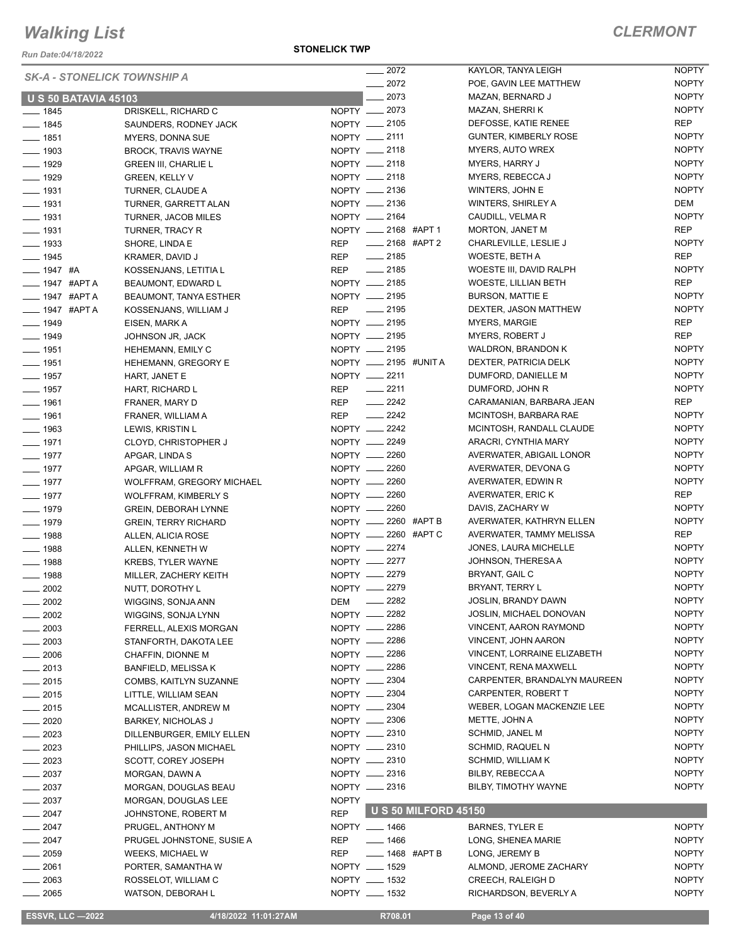*Run Date:04/18/2022*

#### **STONELICK TWP**

|                                    |                             |                       |                  |                             |                                    | <b>NOPTY</b> |
|------------------------------------|-----------------------------|-----------------------|------------------|-----------------------------|------------------------------------|--------------|
| <b>SK-A - STONELICK TOWNSHIP A</b> |                             |                       | $-2072$          |                             | KAYLOR, TANYA LEIGH                |              |
|                                    |                             |                       | $-2072$          |                             | POE, GAVIN LEE MATTHEW             | <b>NOPTY</b> |
| <b>U S 50 BATAVIA 45103</b>        |                             |                       | $-2073$          |                             | MAZAN, BERNARD J                   | <b>NOPTY</b> |
| $- 1845$                           | DRISKELL, RICHARD C         | NOPTY __ 2073         |                  |                             | MAZAN, SHERRI K                    | <b>NOPTY</b> |
| $- 1845$                           | SAUNDERS, RODNEY JACK       | NOPTY - 2105          |                  |                             | DEFOSSE, KATIE RENEE               | REP          |
| $- 1851$                           | <b>MYERS, DONNA SUE</b>     | NOPTY __ 2111         |                  |                             | <b>GUNTER, KIMBERLY ROSE</b>       | <b>NOPTY</b> |
| $\frac{1}{2}$ 1903                 | <b>BROCK, TRAVIS WAYNE</b>  | NOPTY __ 2118         |                  |                             | MYERS, AUTO WREX                   | <b>NOPTY</b> |
| $- 1929$                           | <b>GREEN III, CHARLIE L</b> | NOPTY __ 2118         |                  |                             | <b>MYERS, HARRY J</b>              | <b>NOPTY</b> |
| $\frac{1}{2}$ 1929                 |                             | NOPTY __ 2118         |                  |                             | MYERS, REBECCA J                   | <b>NOPTY</b> |
|                                    | <b>GREEN, KELLY V</b>       |                       |                  |                             |                                    |              |
| $\frac{1}{2}$ 1931                 | TURNER, CLAUDE A            | NOPTY __ 2136         |                  |                             | WINTERS, JOHN E                    | <b>NOPTY</b> |
| $- 1931$                           | TURNER, GARRETT ALAN        | NOPTY __ 2136         |                  |                             | <b>WINTERS, SHIRLEY A</b>          | <b>DEM</b>   |
| $- 1931$                           | <b>TURNER, JACOB MILES</b>  | NOPTY __ 2164         |                  |                             | CAUDILL, VELMA R                   | <b>NOPTY</b> |
| $- 1931$                           | <b>TURNER, TRACY R</b>      | NOPTY __ 2168 #APT 1  |                  |                             | <b>MORTON, JANET M</b>             | <b>REP</b>   |
| $- 1933$                           | SHORE, LINDA E              | REP                   |                  | _____ 2168 #APT 2           | CHARLEVILLE, LESLIE J              | <b>NOPTY</b> |
| $- 1945$                           | KRAMER, DAVID J             | REP __ 2185           |                  |                             | WOESTE, BETH A                     | <b>REP</b>   |
| $- 1947$ #A                        | KOSSENJANS, LETITIA L       | REP __ 2185           |                  |                             | WOESTE III, DAVID RALPH            | <b>NOPTY</b> |
| ____ 1947 #APT A                   | BEAUMONT, EDWARD L          | NOPTY __ 2185         |                  |                             | <b>WOESTE, LILLIAN BETH</b>        | <b>REP</b>   |
|                                    |                             | NOPTY __ 2195         |                  |                             |                                    |              |
| — 1947 #APT A                      | BEAUMONT, TANYA ESTHER      |                       |                  |                             | <b>BURSON, MATTIE E</b>            | <b>NOPTY</b> |
| ___ 1947 #APT A                    | KOSSENJANS, WILLIAM J       | REP __ 2195           |                  |                             | DEXTER, JASON MATTHEW              | <b>NOPTY</b> |
| $- 1949$                           | EISEN, MARK A               | NOPTY - 2195          |                  |                             | <b>MYERS, MARGIE</b>               | REP          |
| $- 1949$                           | JOHNSON JR, JACK            | NOPTY - 2195          |                  |                             | <b>MYERS, ROBERT J</b>             | <b>REP</b>   |
| $- 1951$                           | HEHEMANN, EMILY C           | NOPTY __ 2195         |                  |                             | WALDRON, BRANDON K                 | <b>NOPTY</b> |
| $- 1951$                           | HEHEMANN, GREGORY E         | NOPTY __ 2195 #UNIT A |                  |                             | DEXTER, PATRICIA DELK              | <b>NOPTY</b> |
| $\frac{1}{2}$ 1957                 | HART, JANET E               | NOPTY __ 2211         |                  |                             | DUMFORD, DANIELLE M                | <b>NOPTY</b> |
| $- 1957$                           |                             | REP -2211             |                  |                             | DUMFORD, JOHN R                    | <b>NOPTY</b> |
|                                    | HART, RICHARD L             |                       |                  |                             |                                    |              |
| $- 1961$                           | FRANER, MARY D              | REP -2242             |                  |                             | CARAMANIAN, BARBARA JEAN           | <b>REP</b>   |
| $- 1961$                           | FRANER, WILLIAM A           | REP __ 2242           |                  |                             | MCINTOSH, BARBARA RAE              | <b>NOPTY</b> |
| $\frac{1}{2}$ 1963                 | LEWIS, KRISTIN L            | NOPTY -2242           |                  |                             | MCINTOSH, RANDALL CLAUDE           | <b>NOPTY</b> |
| $- 1971$                           | CLOYD, CHRISTOPHER J        | NOPTY __ 2249         |                  |                             | ARACRI, CYNTHIA MARY               | <b>NOPTY</b> |
| $- 1977$                           | APGAR, LINDA S              | NOPTY __ 2260         |                  |                             | AVERWATER, ABIGAIL LONOR           | <b>NOPTY</b> |
| $- 1977$                           | APGAR, WILLIAM R            | NOPTY -2260           |                  |                             | AVERWATER, DEVONA G                | <b>NOPTY</b> |
| $- 1977$                           | WOLFFRAM, GREGORY MICHAEL   | NOPTY __ 2260         |                  |                             | AVERWATER, EDWIN R                 | <b>NOPTY</b> |
| $- 1977$                           | <b>WOLFFRAM, KIMBERLY S</b> | NOPTY -2260           |                  |                             | AVERWATER, ERIC K                  | <b>REP</b>   |
|                                    |                             | NOPTY __ 2260         |                  |                             | DAVIS, ZACHARY W                   | <b>NOPTY</b> |
| $- 1979$                           | <b>GREIN, DEBORAH LYNNE</b> |                       |                  |                             |                                    |              |
| $- 1979$                           | <b>GREIN, TERRY RICHARD</b> | NOPTY __ 2260 #APT B  |                  |                             | AVERWATER, KATHRYN ELLEN           | <b>NOPTY</b> |
| $- 1988$                           | ALLEN, ALICIA ROSE          | NOPTY __ 2260 #APT C  |                  |                             | AVERWATER, TAMMY MELISSA           | REP          |
| $- 1988$                           | ALLEN, KENNETH W            | NOPTY __ 2274         |                  |                             | JONES, LAURA MICHELLE              | <b>NOPTY</b> |
| $- 1988$                           | <b>KREBS, TYLER WAYNE</b>   | NOPTY -2277           |                  |                             | JOHNSON, THERESA A                 | <b>NOPTY</b> |
| $- 1988$                           | MILLER, ZACHERY KEITH       | NOPTY __ 2279         |                  |                             | BRYANT, GAIL C                     | <b>NOPTY</b> |
| $\frac{1}{2002}$                   | NUTT, DOROTHY L             | NOPTY -2279           |                  |                             | BRYANT, TERRY L                    | <b>NOPTY</b> |
| - 2002                             | WIGGINS, SONJA ANN          | DEM                   | $\frac{1}{2282}$ |                             | JOSLIN, BRANDY DAWN                | <b>NOPTY</b> |
| 2002                               | WIGGINS, SONJA LYNN         | NOPTY __ 2282         |                  |                             | JOSLIN, MICHAEL DONOVAN            | <b>NOPTY</b> |
|                                    |                             |                       |                  |                             | <b>VINCENT, AARON RAYMOND</b>      |              |
| 2003                               | FERRELL, ALEXIS MORGAN      | NOPTY __ 2286         |                  |                             |                                    | <b>NOPTY</b> |
| $-2003$                            | STANFORTH, DAKOTA LEE       | NOPTY __ 2286         |                  |                             | <b>VINCENT, JOHN AARON</b>         | <b>NOPTY</b> |
| $-2006$                            | CHAFFIN, DIONNE M           | NOPTY __ 2286         |                  |                             | <b>VINCENT, LORRAINE ELIZABETH</b> | <b>NOPTY</b> |
| $-2013$                            | <b>BANFIELD, MELISSAK</b>   | NOPTY __ 2286         |                  |                             | VINCENT, RENA MAXWELL              | <b>NOPTY</b> |
| $-2015$                            | COMBS, KAITLYN SUZANNE      | NOPTY -2304           |                  |                             | CARPENTER, BRANDALYN MAUREEN       | <b>NOPTY</b> |
| $-2015$                            | LITTLE, WILLIAM SEAN        | NOPTY -2304           |                  |                             | CARPENTER, ROBERT T                | <b>NOPTY</b> |
| $\equiv$ 2015                      | MCALLISTER, ANDREW M        | NOPTY __ 2304         |                  |                             | WEBER, LOGAN MACKENZIE LEE         | <b>NOPTY</b> |
| 2020                               | <b>BARKEY, NICHOLAS J</b>   | NOPTY -2306           |                  |                             | METTE, JOHN A                      | <b>NOPTY</b> |
|                                    |                             |                       |                  |                             | <b>SCHMID, JANEL M</b>             | <b>NOPTY</b> |
| 2023                               | DILLENBURGER, EMILY ELLEN   | NOPTY -2310           |                  |                             |                                    | <b>NOPTY</b> |
| $-2023$                            | PHILLIPS, JASON MICHAEL     | NOPTY -2310           |                  |                             | SCHMID, RAQUEL N                   |              |
| $- 2023$                           | SCOTT, COREY JOSEPH         | NOPTY -2310           |                  |                             | <b>SCHMID, WILLIAM K</b>           | <b>NOPTY</b> |
| $\sim$ 2037                        | MORGAN, DAWN A              | NOPTY __ 2316         |                  |                             | BILBY, REBECCAA                    | <b>NOPTY</b> |
| $-2037$                            | MORGAN, DOUGLAS BEAU        | NOPTY __ 2316         |                  |                             | BILBY, TIMOTHY WAYNE               | <b>NOPTY</b> |
| $\frac{1}{2037}$                   | MORGAN, DOUGLAS LEE         | <b>NOPTY</b>          |                  |                             |                                    |              |
| $-2047$                            | JOHNSTONE, ROBERT M         | <b>REP</b>            |                  | <b>U S 50 MILFORD 45150</b> |                                    |              |
| $-2047$                            | PRUGEL, ANTHONY M           | NOPTY __ 1466         |                  |                             | <b>BARNES, TYLER E</b>             | <b>NOPTY</b> |
|                                    |                             |                       | $- 1466$         |                             |                                    |              |
| $\frac{1}{2047}$                   | PRUGEL JOHNSTONE, SUSIE A   | REP                   |                  |                             | LONG, SHENEA MARIE                 | <b>NOPTY</b> |
| $- 2059$                           | WEEKS, MICHAEL W            | <b>REP</b>            |                  | <b>____ 1468 #APT B</b>     | LONG, JEREMY B                     | <b>NOPTY</b> |
| $- 2061$                           | PORTER, SAMANTHA W          | NOPTY __ 1529         |                  |                             | ALMOND, JEROME ZACHARY             | <b>NOPTY</b> |
| $-2063$                            | ROSSELOT, WILLIAM C         | NOPTY __ 1532         |                  |                             | CREECH, RALEIGH D                  | <b>NOPTY</b> |
| 2065                               | WATSON, DEBORAH L           | NOPTY __ 1532         |                  |                             | RICHARDSON, BEVERLY A              | <b>NOPTY</b> |
|                                    |                             |                       |                  |                             |                                    |              |

| 2072 |                  | KAYLOR, TANYA LEIGH          | <b>NOPTY</b> |
|------|------------------|------------------------------|--------------|
| 2072 |                  | POE, GAVIN LEE MATTHEW       | <b>NOPTY</b> |
| 2073 |                  | MAZAN, BERNARD J             | <b>NOPTY</b> |
| 2073 |                  | <b>MAZAN, SHERRIK</b>        | <b>NOPTY</b> |
| 2105 |                  | DEFOSSE, KATIE RENEE         | <b>REP</b>   |
| 2111 |                  | <b>GUNTER, KIMBERLY ROSE</b> | <b>NOPTY</b> |
| 2118 |                  | <b>MYERS, AUTO WREX</b>      | <b>NOPTY</b> |
| 2118 |                  | <b>MYERS, HARRY J</b>        | <b>NOPTY</b> |
| 2118 |                  | MYERS, REBECCA J             | <b>NOPTY</b> |
| 2136 |                  | WINTERS, JOHN E              | <b>NOPTY</b> |
| 2136 |                  | <b>WINTERS, SHIRLEY A</b>    | DEM          |
| 2164 |                  | CAUDILL, VELMA R             | <b>NOPTY</b> |
| 2168 | #APT 1           | MORTON, JANET M              | REP          |
| 2168 | #APT 2           | CHARLEVILLE, LESLIE J        | <b>NOPTY</b> |
| 2185 |                  | WOESTE, BETH A               | REP          |
| 2185 |                  | WOESTE III, DAVID RALPH      | <b>NOPTY</b> |
| 2185 |                  | <b>WOESTE, LILLIAN BETH</b>  | REP          |
| 2195 |                  | <b>BURSON, MATTIE E</b>      | <b>NOPTY</b> |
| 2195 |                  | DEXTER, JASON MATTHEW        | <b>NOPTY</b> |
| 2195 |                  | <b>MYERS, MARGIE</b>         | <b>REP</b>   |
| 2195 |                  | <b>MYERS, ROBERT J</b>       | REP          |
| 2195 |                  | <b>WALDRON, BRANDON K</b>    | <b>NOPTY</b> |
| 2195 | #UNIT A          | DEXTER, PATRICIA DELK        | <b>NOPTY</b> |
| 2211 |                  | DUMFORD, DANIELLE M          | <b>NOPTY</b> |
| 2211 |                  | DUMFORD, JOHN R              | <b>NOPTY</b> |
| 2242 |                  | CARAMANIAN, BARBARA JEAN     | REP          |
| 2242 |                  | MCINTOSH, BARBARA RAE        | <b>NOPTY</b> |
| 2242 |                  | MCINTOSH, RANDALL CLAUDE     | <b>NOPTY</b> |
| 2249 |                  | ARACRI, CYNTHIA MARY         | <b>NOPTY</b> |
| 2260 |                  | AVERWATER, ABIGAIL LONOR     | <b>NOPTY</b> |
| 2260 |                  | AVERWATER, DEVONA G          | <b>NOPTY</b> |
| 2260 |                  | AVERWATER, EDWIN R           | <b>NOPTY</b> |
| 2260 |                  | AVERWATER, ERIC K            | REP          |
| 2260 |                  | DAVIS, ZACHARY W             | <b>NOPTY</b> |
| 2260 | #APT B           | AVERWATER, KATHRYN ELLEN     | <b>NOPTY</b> |
| 2260 | #APT C           | AVERWATER, TAMMY MELISSA     | REP          |
| 2274 |                  | JONES, LAURA MICHELLE        | <b>NOPTY</b> |
| 2277 |                  | JOHNSON, THERESA A           | <b>NOPTY</b> |
| 2279 |                  | <b>BRYANT, GAIL C</b>        | <b>NOPTY</b> |
| 2279 |                  | BRYANT, TERRY L              | <b>NOPTY</b> |
| 2282 |                  | <b>JOSLIN, BRANDY DAWN</b>   | NOPTY        |
| 2282 |                  | JOSLIN, MICHAEL DONOVAN      | <b>NOPTY</b> |
| 2286 |                  | VINCENT, AARON RAYMOND       | NOPTY        |
| 2286 |                  | <b>VINCENT, JOHN AARON</b>   | NOPTY        |
| 2286 |                  | VINCENT, LORRAINE ELIZABETH  | <b>NOPTY</b> |
| 2286 |                  | <b>VINCENT, RENA MAXWELL</b> | <b>NOPTY</b> |
| 2304 |                  | CARPENTER, BRANDALYN MAUREEN | <b>NOPTY</b> |
| 2304 |                  | CARPENTER, ROBERT T          | <b>NOPTY</b> |
| 2304 |                  | WEBER, LOGAN MACKENZIE LEE   | <b>NOPTY</b> |
| 2306 |                  | METTE, JOHN A                | <b>NOPTY</b> |
| 2310 |                  | <b>SCHMID, JANEL M</b>       | <b>NOPTY</b> |
| 2310 |                  | <b>SCHMID, RAQUEL N</b>      | <b>NOPTY</b> |
| 2310 |                  | SCHMID, WILLIAM K            | <b>NOPTY</b> |
| 2316 |                  | BILBY, REBECCA A             | NOPTY        |
| 2316 |                  | BILBY, TIMOTHY WAYNE         | NOPTY        |
|      |                  |                              |              |
|      | 50 MILFORD 45150 |                              |              |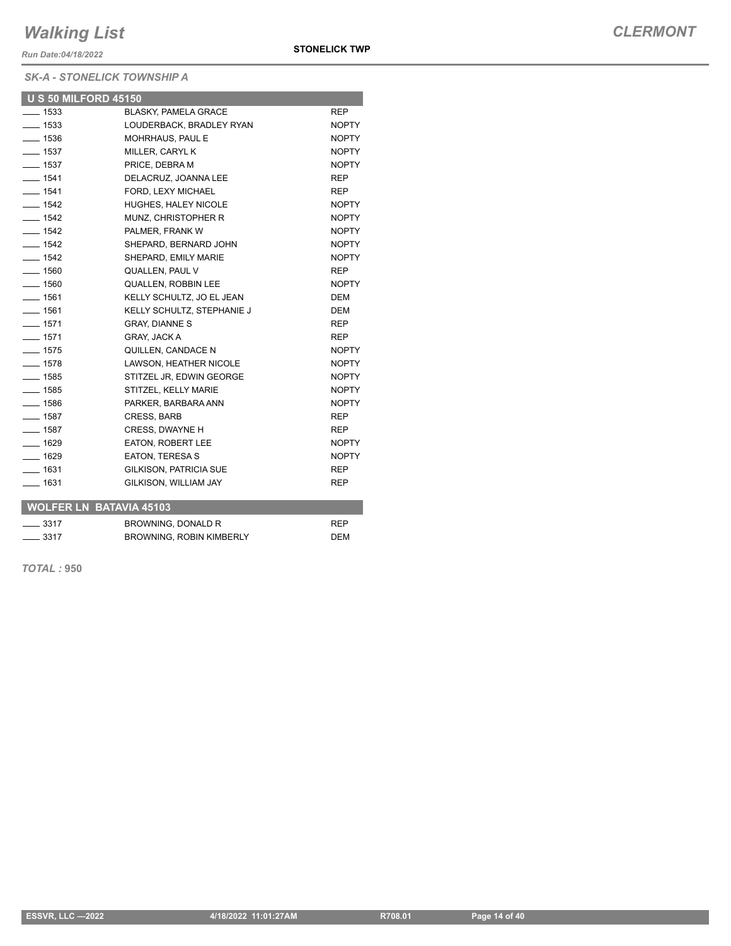*Run Date:04/18/2022*

### *SK-A - STONELICK TOWNSHIP A*

| <b>U S 50 MILFORD 45150</b> |                               |              |
|-----------------------------|-------------------------------|--------------|
| $\frac{1}{2}$ 1533          | BLASKY, PAMELA GRACE          | <b>REP</b>   |
| $- 1533$                    | LOUDERBACK, BRADLEY RYAN      | <b>NOPTY</b> |
| $- 1536$                    | MOHRHAUS, PAUL E              | <b>NOPTY</b> |
| $\frac{1}{2}$ 1537          | MILLER, CARYL K               | <b>NOPTY</b> |
| $- 1537$                    | PRICE, DEBRA M                | <b>NOPTY</b> |
| $- 1541$                    | DELACRUZ, JOANNA LEE          | <b>REP</b>   |
| $- 1541$                    | FORD, LEXY MICHAEL            | <b>REP</b>   |
| $- 1542$                    | <b>HUGHES, HALEY NICOLE</b>   | <b>NOPTY</b> |
| $\frac{1}{2}$ 1542          | MUNZ, CHRISTOPHER R           | <b>NOPTY</b> |
| $- 1542$                    | PALMER, FRANK W               | <b>NOPTY</b> |
| $- 1542$                    | SHEPARD, BERNARD JOHN         | <b>NOPTY</b> |
| $\frac{1}{2}$ 1542          | SHEPARD, EMILY MARIE          | <b>NOPTY</b> |
| $- 1560$                    | QUALLEN, PAUL V               | <b>REP</b>   |
| $\frac{1}{2}$ 1560          | <b>QUALLEN, ROBBIN LEE</b>    | <b>NOPTY</b> |
| $- 1561$                    | KELLY SCHULTZ, JO EL JEAN     | <b>DEM</b>   |
| $- 1561$                    | KELLY SCHULTZ, STEPHANIE J    | <b>DEM</b>   |
| $- 1571$                    | <b>GRAY, DIANNE S</b>         | <b>REP</b>   |
| $-1571$                     | GRAY, JACK A                  | <b>REP</b>   |
| $\frac{1}{2}$ 1575          | QUILLEN, CANDACE N            | <b>NOPTY</b> |
| $- 1578$                    | LAWSON, HEATHER NICOLE        | <b>NOPTY</b> |
| $- 1585$                    | STITZEL JR, EDWIN GEORGE      | <b>NOPTY</b> |
| $- 1585$                    | STITZEL, KELLY MARIE          | <b>NOPTY</b> |
| $- 1586$                    | PARKER, BARBARA ANN           | <b>NOPTY</b> |
| $- 1587$                    | CRESS, BARB                   | <b>REP</b>   |
| $- 1587$                    | CRESS, DWAYNE H               | <b>REP</b>   |
| $- 1629$                    | EATON, ROBERT LEE             | NOPTY        |
| $- 1629$                    | <b>EATON, TERESA S</b>        | <b>NOPTY</b> |
| $- 1631$                    | <b>GILKISON, PATRICIA SUE</b> | <b>REP</b>   |
| $\frac{1}{2}$ 1631          | GILKISON, WILLIAM JAY         | <b>REP</b>   |
|                             |                               |              |

|                  | WOLFER LN BATAVIA 45103         |            |
|------------------|---------------------------------|------------|
| $\sim$ 3317      | BROWNING, DONALD R              | <b>RFP</b> |
| $\frac{3317}{2}$ | <b>BROWNING, ROBIN KIMBERLY</b> | <b>DEM</b> |

*TOTAL :* **950**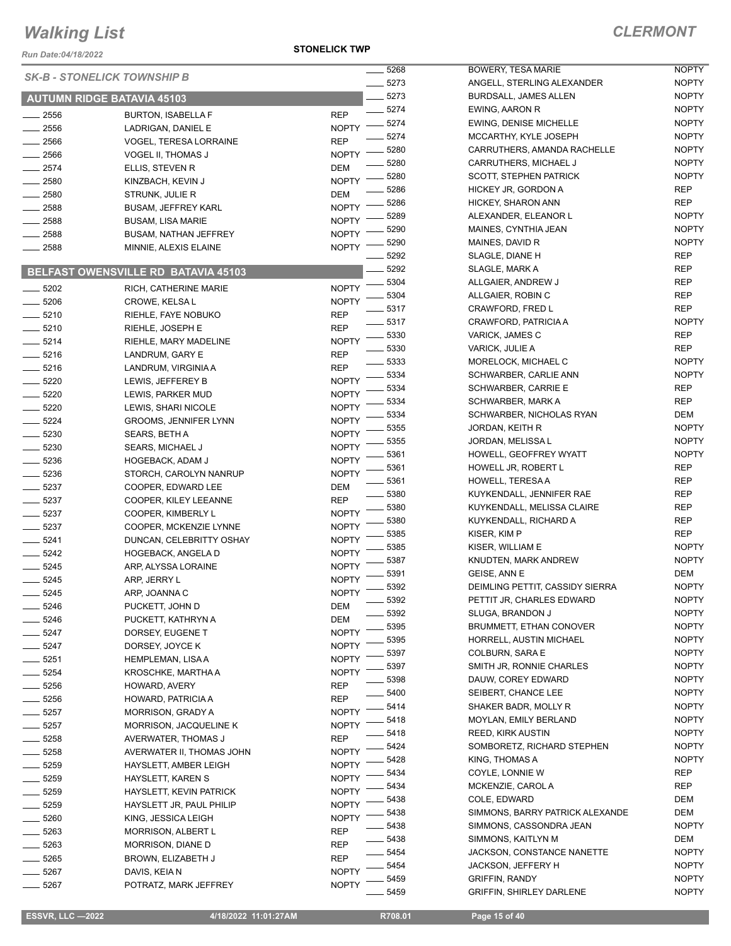*Run Date:04/18/2022*

**STONELICK TWP**

|         |                                     |              | 5268    | <b>BOWERY</b>       |
|---------|-------------------------------------|--------------|---------|---------------------|
|         | <b>SK-B - STONELICK TOWNSHIP B</b>  |              | 5273    | ANGELL,             |
|         | <b>AUTUMN RIDGE BATAVIA 45103</b>   |              | 5273    | <b>BURDSAI</b>      |
| 2556    | <b>BURTON, ISABELLA F</b>           | <b>REP</b>   | 5274    | EWING, A            |
| 2556    | LADRIGAN, DANIEL E                  | <b>NOPTY</b> | 5274    | EWING, D            |
| 2566    | <b>VOGEL, TERESA LORRAINE</b>       | <b>REP</b>   | 5274    | <b>MCCART</b>       |
| 2566    | VOGEL II, THOMAS J                  | <b>NOPTY</b> | 5280    | <b>CARRUTI</b>      |
| 2574    | ELLIS, STEVEN R                     | DEM          | 5280    | CARRUTI             |
| 2580    | KINZBACH, KEVIN J                   | <b>NOPTY</b> | 5280    | SCOTT, S            |
| 2580    | STRUNK, JULIE R                     | DEM          | 5286    | <b>HICKEY J</b>     |
| 2588    | <b>BUSAM, JEFFREY KARL</b>          | <b>NOPTY</b> | 5286    | HICKEY,             |
| 2588    | BUSAM, LISA MARIE                   | <b>NOPTY</b> | 5289    | <b>ALEXAND</b>      |
| 2588    | <b>BUSAM, NATHAN JEFFREY</b>        | <b>NOPTY</b> | 5290    | MAINES,             |
| 2588    | MINNIE, ALEXIS ELAINE               | <b>NOPTY</b> | 5290    | MAINES,             |
|         |                                     |              | 5292    | SLAGLE,             |
|         | BELFAST OWENSVILLE RD BATAVIA 45103 |              | $-5292$ | SLAGLE,             |
| $-5202$ | RICH, CATHERINE MARIE               | <b>NOPTY</b> | 5304    | <b>ALLGAIEI</b>     |
| $-5206$ | CROWE, KELSA L                      | <b>NOPTY</b> | 5304    | <b>ALLGAIEI</b>     |
| 5210    | RIEHLE, FAYE NOBUKO                 | REP          | 5317    | <b>CRAWFO</b>       |
| $-5210$ | RIEHLE, JOSEPH E                    | REP          | 5317    | <b>CRAWFO</b>       |
|         |                                     | <b>NOPTY</b> | 5330    | VARICK,             |
| 5214    | RIEHLE, MARY MADELINE               |              | 5330    | VARICK,             |
| 5216    | LANDRUM, GARY E                     | REP          | 5333    | <b>MORELO</b>       |
| $-5216$ | LANDRUM, VIRGINIA A                 | REP          | 5334    | <b>SCHWAR</b>       |
| 5220    | LEWIS, JEFFEREY B                   | <b>NOPTY</b> | 5334    | <b>SCHWAR</b>       |
| $-5220$ | LEWIS, PARKER MUD                   | <b>NOPTY</b> | 5334    | <b>SCHWAR</b>       |
| - 5220  | LEWIS, SHARI NICOLE                 | <b>NOPTY</b> | 5334    | <b>SCHWAR</b>       |
| 5224    | <b>GROOMS, JENNIFER LYNN</b>        | <b>NOPTY</b> | 5355    | JORDAN,             |
| 5230    | SEARS, BETH A                       | <b>NOPTY</b> | 5355    | JORDAN,             |
| 5230    | SEARS, MICHAEL J                    | <b>NOPTY</b> | 5361    | HOWELL,             |
| 5236    | HOGEBACK, ADAM J                    | NOPTY        | 5361    | <b>HOWELL</b>       |
| - 5236  | STORCH, CAROLYN NANRUP              | <b>NOPTY</b> | 5361    | HOWELL.             |
| - 5237  | COOPER, EDWARD LEE                  | DEM          | 5380    | <b>KUYKENI</b>      |
| 5237    | COOPER, KILEY LEEANNE               | REP          | 5380    | <b>KUYKENI</b>      |
| 5237    | COOPER, KIMBERLY L                  | <b>NOPTY</b> | 5380    | <b>KUYKENI</b>      |
| 5237    | COOPER, MCKENZIE LYNNE              | NOPTY        | 5385    | KISER, KI           |
| 5241    | DUNCAN, CELEBRITTY OSHAY            | NOPTY        | 5385    | KISER, W            |
| - 5242  | <b>HOGEBACK, ANGELA D</b>           | <b>NOPTY</b> | 5387    | <b>KNUDTEI</b>      |
| $-5245$ | ARP, ALYSSA LORAINE                 | <b>NOPTY</b> | 5391    | GEISE, AI           |
| 5245    | ARP, JERRY L                        | <b>NOPTY</b> | 5392    | <b>DEIMLIN</b>      |
| 5245    | ARP, JOANNA C                       | <b>NOPTY</b> | 5392    | PETTIT JI           |
| 5246    | PUCKETT, JOHN D                     | DEM          | 5392    | SLUGA, E            |
| 5246    | PUCKETT, KATHRYN A                  | DEM          | 5395    | <b>BRUMME</b>       |
| 5247    | DORSEY, EUGENE T                    | NOPTY        | 5395    | <b>HORRELI</b>      |
| 5247    | DORSEY, JOYCE K                     | NOPTY        | 5397    | <b>COLBURI</b>      |
| 5251    | HEMPLEMAN, LISA A                   | NOPTY        | 5397    | SMITH JF            |
| 5254    | KROSCHKE, MARTHA A                  | <b>NOPTY</b> | 5398    | DAUW, C             |
| 5256    | HOWARD, AVERY                       | REP          | 5400    | SEIBERT,            |
| 5256    | HOWARD, PATRICIA A                  | REP          | 5414    | SHAKER              |
| 5257    | <b>MORRISON, GRADY A</b>            | NOPTY        | 5418    | <b>MOYLAN</b>       |
| 5257    | MORRISON, JACQUELINE K              | NOPTY        | 5418    | REED, KI            |
| - 5258  | AVERWATER, THOMAS J                 | REP          | 5424    | SOMBOR              |
| 5258    | AVERWATER II, THOMAS JOHN           | NOPTY        | 5428    | KING, TH            |
| 5259    | HAYSLETT, AMBER LEIGH               | NOPTY        |         |                     |
| 5259    | HAYSLETT, KAREN S                   | NOPTY        | 5434    | COYLE, L            |
| 5259    | HAYSLETT, KEVIN PATRICK             | <b>NOPTY</b> | 5434    | <b>MCKENZ</b>       |
| 5259    | HAYSLETT JR, PAUL PHILIP            | NOPTY        | 5438    | COLE, ED            |
| 5260    | KING, JESSICA LEIGH                 | <b>NOPTY</b> | 5438    | <b>SIMMONS</b>      |
| 5263    | MORRISON, ALBERT L                  | REP          | 5438    | <b>SIMMONS</b>      |
| 5263    | MORRISON, DIANE D                   | REP          | 5438    | <b>SIMMONS</b>      |
| 5265    | BROWN, ELIZABETH J                  | REP          | 5454    | <b>JACKSON</b>      |
| 5267    | DAVIS, KEIA N                       | <b>NOPTY</b> | 5454    | <b>JACKSON</b>      |
| 5267    | POTRATZ, MARK JEFFREY               | <b>NOPTY</b> | 5459    | GRIFFIN,<br>CRIEEIN |
|         |                                     |              | 5450    |                     |

| _ 5268  | <b>BOWERY, TESA MARIE</b>       | <b>NOPTY</b> |
|---------|---------------------------------|--------------|
| $-5273$ | ANGELL, STERLING ALEXANDER      | <b>NOPTY</b> |
| $-5273$ | <b>BURDSALL, JAMES ALLEN</b>    | <b>NOPTY</b> |
| $-5274$ | EWING, AARON R                  | <b>NOPTY</b> |
| _ 5274  | EWING, DENISE MICHELLE          | <b>NOPTY</b> |
| $-5274$ | MCCARTHY, KYLE JOSEPH           | <b>NOPTY</b> |
| _ 5280  | CARRUTHERS, AMANDA RACHELLE     | <b>NOPTY</b> |
| $-5280$ | CARRUTHERS, MICHAEL J           | <b>NOPTY</b> |
| $-5280$ | <b>SCOTT, STEPHEN PATRICK</b>   | <b>NOPTY</b> |
| $-5286$ | HICKEY JR. GORDON A             | REP          |
| $-5286$ | HICKEY, SHARON ANN              | <b>REP</b>   |
| _ 5289  | ALEXANDER. ELEANOR L            | <b>NOPTY</b> |
| $-5290$ | MAINES, CYNTHIA JEAN            | <b>NOPTY</b> |
| $-5290$ | MAINES, DAVID R                 | <b>NOPTY</b> |
| $-5292$ | SLAGLE, DIANE H                 | REP          |
| $-5292$ | SLAGLE, MARK A                  | REP          |
| $-5304$ | ALLGAIER, ANDREW J              | REP          |
| $-5304$ |                                 |              |
|         | ALLGAIER, ROBIN C               | <b>REP</b>   |
| _ 5317  | CRAWFORD, FRED L                | REP          |
| $-5317$ | CRAWFORD, PATRICIA A            | <b>NOPTY</b> |
| $-5330$ | VARICK, JAMES C                 | REP          |
| $-5330$ | VARICK, JULIE A                 | <b>REP</b>   |
| $-5333$ | MORELOCK, MICHAEL C             | <b>NOPTY</b> |
| $-5334$ | SCHWARBER, CARLIE ANN           | <b>NOPTY</b> |
| $-5334$ | SCHWARBER, CARRIE E             | <b>REP</b>   |
| $-5334$ | SCHWARBER, MARK A               | REP          |
| _ 5334  | SCHWARBER, NICHOLAS RYAN        | DEM          |
| $-5355$ | JORDAN, KEITH R                 | <b>NOPTY</b> |
| $-5355$ | JORDAN, MELISSA L               | <b>NOPTY</b> |
| $-5361$ | HOWELL, GEOFFREY WYATT          | <b>NOPTY</b> |
| $-5361$ | HOWELL JR, ROBERT L             | <b>REP</b>   |
| _ 5361  | HOWELL, TERESA A                | <b>REP</b>   |
| $-5380$ | KUYKENDALL, JENNIFER RAE        | <b>REP</b>   |
| $-5380$ | KUYKENDALL, MELISSA CLAIRE      | REP          |
| $-5380$ | KUYKENDALL, RICHARD A           | REP          |
| $-5385$ | KISER, KIM P                    | REP          |
| $-5385$ | KISER, WILLIAM E                | <b>NOPTY</b> |
| $-5387$ | KNUDTEN, MARK ANDREW            | <b>NOPTY</b> |
| _ 5391  | GEISE, ANN E                    | DEM          |
| $-5392$ | DEIMLING PETTIT, CASSIDY SIERRA | <b>NOPTY</b> |
| _ 5392  | PETTIT JR, CHARLES EDWARD       | NOPTY        |
| $-5392$ | SLUGA, BRANDON J                | <b>NOPTY</b> |
| $-5395$ | BRUMMETT, ETHAN CONOVER         | <b>NOPTY</b> |
| $-5395$ | HORRELL, AUSTIN MICHAEL         | <b>NOPTY</b> |
| _ 5397  | COLBURN, SARA E                 | <b>NOPTY</b> |
| $-5397$ | SMITH JR, RONNIE CHARLES        | <b>NOPTY</b> |
| _ 5398  | DAUW, COREY EDWARD              | <b>NOPTY</b> |
| $-5400$ | SEIBERT, CHANCE LEE             | <b>NOPTY</b> |
| $-5414$ | SHAKER BADR, MOLLY R            | <b>NOPTY</b> |
| $-5418$ | <b>MOYLAN, EMILY BERLAND</b>    | <b>NOPTY</b> |
| $-5418$ | <b>REED, KIRK AUSTIN</b>        | <b>NOPTY</b> |
| _ 5424  | SOMBORETZ, RICHARD STEPHEN      | <b>NOPTY</b> |
| _ 5428  | KING, THOMAS A                  | <b>NOPTY</b> |
| $-5434$ | COYLE, LONNIE W                 | REP          |
| $-5434$ | MCKENZIE, CAROL A               | REP          |
| $-5438$ | COLE, EDWARD                    | DEM          |
| $-5438$ | SIMMONS, BARRY PATRICK ALEXANDE | DEM          |
| $-5438$ | SIMMONS, CASSONDRA JEAN         | <b>NOPTY</b> |
| _ 5438  | SIMMONS, KAITLYN M              | DEM          |
| $-5454$ | JACKSON, CONSTANCE NANETTE      | <b>NOPTY</b> |
| _ 5454  | <b>JACKSON, JEFFERY H</b>       | <b>NOPTY</b> |
| $-5459$ | <b>GRIFFIN, RANDY</b>           | <b>NOPTY</b> |
| $-5459$ | GRIFFIN, SHIRLEY DARLENE        | <b>NOPTY</b> |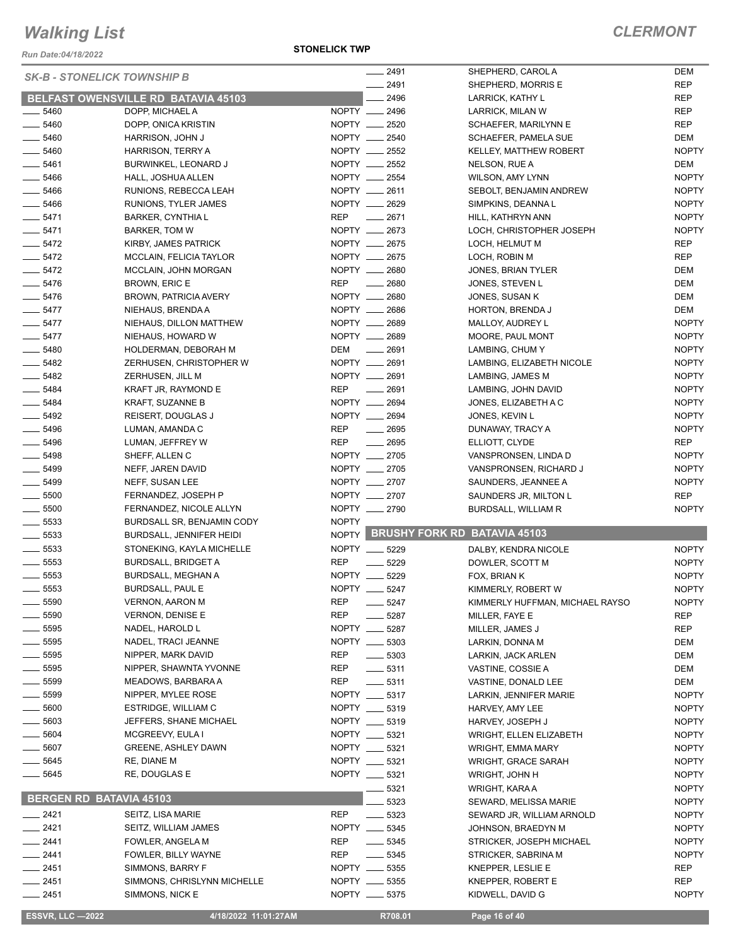*Run Date:04/18/2022*

**STONELICK TWP**

| <b>SK-B - STONELICK TOWNSHIP B</b> |                                            |              | 2491                  | SHEPHERD, CAROL A                  | <b>DEM</b>   |
|------------------------------------|--------------------------------------------|--------------|-----------------------|------------------------------------|--------------|
|                                    |                                            |              | 2491                  | SHEPHERD, MORRIS E                 | <b>REP</b>   |
|                                    | <b>BELFAST OWENSVILLE RD BATAVIA 45103</b> |              | 2496                  | LARRICK, KATHY L                   | <b>REP</b>   |
| 5460                               | DOPP, MICHAEL A                            |              | NOPTY __ 2496         | LARRICK, MILAN W                   | <b>REP</b>   |
| 5460                               | DOPP, ONICA KRISTIN                        |              | NOPTY __ 2520         | SCHAEFER, MARILYNN E               | <b>REP</b>   |
| 5460                               | HARRISON, JOHN J                           |              | NOPTY __ 2540         | <b>SCHAEFER, PAMELA SUE</b>        | <b>DEM</b>   |
| $- 5460$                           | HARRISON, TERRY A                          |              | NOPTY __ 2552         | <b>KELLEY, MATTHEW ROBERT</b>      | <b>NOPTY</b> |
| $- 5461$                           | BURWINKEL, LEONARD J                       |              | NOPTY __ 2552         | NELSON, RUE A                      | <b>DEM</b>   |
| 5466                               | HALL, JOSHUA ALLEN                         |              | NOPTY __ 2554         | WILSON, AMY LYNN                   | <b>NOPTY</b> |
| $\frac{1}{2}$ 5466                 | RUNIONS, REBECCA LEAH                      |              | NOPTY __ 2611         | SEBOLT, BENJAMIN ANDREW            | <b>NOPTY</b> |
| 5466                               | RUNIONS, TYLER JAMES                       |              | NOPTY __ 2629         | SIMPKINS, DEANNAL                  | <b>NOPTY</b> |
| $- 5471$                           | BARKER, CYNTHIA L                          | <b>REP</b>   | $\frac{1}{2671}$      | HILL, KATHRYN ANN                  | <b>NOPTY</b> |
| $- 5471$                           | <b>BARKER, TOM W</b>                       |              | NOPTY __ 2673         | LOCH, CHRISTOPHER JOSEPH           | <b>NOPTY</b> |
| $- 5472$                           | KIRBY, JAMES PATRICK                       |              | NOPTY __ 2675         | LOCH, HELMUT M                     | <b>REP</b>   |
| $- 5472$                           | MCCLAIN, FELICIA TAYLOR                    |              | NOPTY __ 2675         | LOCH, ROBIN M                      | <b>REP</b>   |
| $-5472$                            | MCCLAIN, JOHN MORGAN                       |              | NOPTY __ 2680         | JONES, BRIAN TYLER                 | <b>DEM</b>   |
| $- 5476$                           | BROWN, ERIC E                              | <b>REP</b>   | $\frac{1}{2680}$      | JONES, STEVEN L                    | <b>DEM</b>   |
| $- 5476$                           | <b>BROWN, PATRICIA AVERY</b>               |              | NOPTY __ 2680         | JONES, SUSAN K                     | <b>DEM</b>   |
| $-5477$                            | NIEHAUS, BRENDA A                          |              | NOPTY __ 2686         | <b>HORTON, BRENDA J</b>            | <b>DEM</b>   |
| $\frac{1}{2}$ 5477                 | NIEHAUS, DILLON MATTHEW                    |              | NOPTY __ 2689         | MALLOY, AUDREY L                   | <b>NOPTY</b> |
| $-5477$                            | NIEHAUS, HOWARD W                          |              | NOPTY __ 2689         | MOORE, PAUL MONT                   | <b>NOPTY</b> |
| $\frac{1}{2}$ 5480                 | HOLDERMAN, DEBORAH M                       | DEM          | $\frac{1}{2691}$      | LAMBING, CHUM Y                    | <b>NOPTY</b> |
| $- 5482$                           | ZERHUSEN, CHRISTOPHER W                    |              | NOPTY __ 2691         | LAMBING, ELIZABETH NICOLE          | <b>NOPTY</b> |
| $\frac{1}{2}$ 5482                 | ZERHUSEN, JILL M                           |              | NOPTY __ 2691         | LAMBING, JAMES M                   | <b>NOPTY</b> |
| $- 5484$                           | KRAFT JR, RAYMOND E                        | <b>REP</b>   | $-2691$               | LAMBING, JOHN DAVID                | <b>NOPTY</b> |
| 5484                               | KRAFT, SUZANNE B                           |              | NOPTY __ 2694         | JONES, ELIZABETH A C               | <b>NOPTY</b> |
| 5492                               | REISERT, DOUGLAS J                         |              | NOPTY __ 2694         | JONES, KEVIN L                     | <b>NOPTY</b> |
| $- 5496$                           | LUMAN, AMANDA C                            | <b>REP</b>   | $-2695$               | DUNAWAY, TRACY A                   | <b>NOPTY</b> |
| 5496                               | LUMAN, JEFFREY W                           | <b>REP</b>   | 2695                  | ELLIOTT, CLYDE                     | <b>REP</b>   |
| $- 5498$                           | SHEFF, ALLEN C                             |              | NOPTY __ 2705         | VANSPRONSEN, LINDA D               | <b>NOPTY</b> |
| 5499                               | NEFF, JAREN DAVID                          |              | NOPTY __ 2705         | VANSPRONSEN, RICHARD J             | <b>NOPTY</b> |
| $\frac{1}{2}$ 5499                 | NEFF, SUSAN LEE                            |              | NOPTY __ 2707         | SAUNDERS, JEANNEE A                | <b>NOPTY</b> |
| $\frac{1}{2}$ 5500                 | FERNANDEZ, JOSEPH P                        |              | NOPTY __ 2707         | SAUNDERS JR, MILTON L              | <b>REP</b>   |
| 5500                               | FERNANDEZ, NICOLE ALLYN                    |              | NOPTY __ 2790         | BURDSALL, WILLIAM R                | <b>NOPTY</b> |
| $\frac{1}{2}$ 5533                 | BURDSALL SR, BENJAMIN CODY                 | <b>NOPTY</b> |                       |                                    |              |
| $\frac{1}{2}$ 5533                 | BURDSALL, JENNIFER HEIDI                   |              |                       | NOPTY BRUSHY FORK RD BATAVIA 45103 |              |
| $\frac{1}{2}$ 5533                 | STONEKING, KAYLA MICHELLE                  |              | NOPTY __ 5229         | DALBY, KENDRA NICOLE               | <b>NOPTY</b> |
| $\frac{1}{2}$ 5553                 | <b>BURDSALL, BRIDGET A</b>                 | <b>REP</b>   | 5229                  | DOWLER, SCOTT M                    | <b>NOPTY</b> |
| 5553                               | BURDSALL, MEGHAN A                         | NOPTY __     | 5229                  | FOX, BRIAN K                       | <b>NOPTY</b> |
| 5553                               | <b>BURDSALL, PAUL E</b>                    |              | NOPTY __ 5247         | KIMMERLY, ROBERT W                 | <b>NOPTY</b> |
| $-5590$                            | <b>VERNON, AARON M</b>                     | REP          | —— 5247               | KIMMERLY HUFFMAN, MICHAEL RAYSO    | <b>NOPTY</b> |
| $=5590$                            | <b>VERNON, DENISE E</b>                    | <b>REP</b>   | 5287                  | MILLER, FAYE E                     | <b>REP</b>   |
| $-5595$                            | NADEL, HAROLD L                            | NOPTY ___    | 5287                  | MILLER, JAMES J                    | <b>REP</b>   |
| $-5595$                            | NADEL, TRACI JEANNE                        |              | NOPTY __ 5303         | LARKIN, DONNA M                    | DEM          |
| $-5595$                            | NIPPER, MARK DAVID                         | REP          | $-5303$               | LARKIN, JACK ARLEN                 | DEM          |
| 5595                               | NIPPER, SHAWNTA YVONNE                     | REP          | $-5311$               | VASTINE, COSSIE A                  | DEM          |
| 5599                               | MEADOWS, BARBARA A                         | REP          | $\frac{1}{2}$ 5311    | VASTINE, DONALD LEE                | DEM          |
| 5599                               | NIPPER, MYLEE ROSE                         |              | NOPTY __ 5317         | LARKIN, JENNIFER MARIE             | <b>NOPTY</b> |
| 5600                               | ESTRIDGE, WILLIAM C                        |              | NOPTY __ 5319         | HARVEY, AMY LEE                    | <b>NOPTY</b> |
| 5603                               | JEFFERS, SHANE MICHAEL                     |              | NOPTY __ 5319         | HARVEY, JOSEPH J                   | <b>NOPTY</b> |
| 5604                               | MCGREEVY, EULA I                           |              | NOPTY __ 5321         | <b>WRIGHT, ELLEN ELIZABETH</b>     | <b>NOPTY</b> |
| 5607                               | <b>GREENE, ASHLEY DAWN</b>                 |              | NOPTY __ 5321         | WRIGHT, EMMA MARY                  | <b>NOPTY</b> |
| 5645                               | RE, DIANE M                                |              | NOPTY __ 5321         | <b>WRIGHT, GRACE SARAH</b>         | <b>NOPTY</b> |
| 5645                               | RE, DOUGLAS E                              |              | NOPTY __ 5321         | WRIGHT, JOHN H                     | <b>NOPTY</b> |
| <b>BERGEN RD BATAVIA 45103</b>     |                                            |              | 5321                  | WRIGHT, KARA A                     | <b>NOPTY</b> |
|                                    |                                            |              | 5323                  | SEWARD, MELISSA MARIE              | <b>NOPTY</b> |
| $-2421$                            | SEITZ, LISA MARIE                          | <b>REP</b>   | 5323<br>$\frac{1}{2}$ | SEWARD JR, WILLIAM ARNOLD          | <b>NOPTY</b> |
| _ 2421                             | SEITZ, WILLIAM JAMES                       |              | NOPTY __ 5345         | JOHNSON, BRAEDYN M                 | <b>NOPTY</b> |
| $-2441$                            | FOWLER, ANGELA M                           | REP          | $\frac{1}{2}$ 5345    | STRICKER, JOSEPH MICHAEL           | <b>NOPTY</b> |
| 2441                               | FOWLER, BILLY WAYNE                        | REP          | $\frac{1}{2}$ 5345    | STRICKER, SABRINA M                | <b>NOPTY</b> |
| __ 2451                            | SIMMONS, BARRY F                           |              | NOPTY __ 5355         | KNEPPER, LESLIE E                  | REP          |
| $-2451$                            | SIMMONS, CHRISLYNN MICHELLE                |              | NOPTY __ 5355         | KNEPPER, ROBERT E                  | <b>REP</b>   |
| 2451                               | SIMMONS, NICK E                            |              | NOPTY __ 5375         | KIDWELL, DAVID G                   | <b>NOPTY</b> |
| <b>ESSVR, LLC -2022</b>            | 4/18/2022 11:01:27AM                       |              | R708.01               | Page 16 of 40                      |              |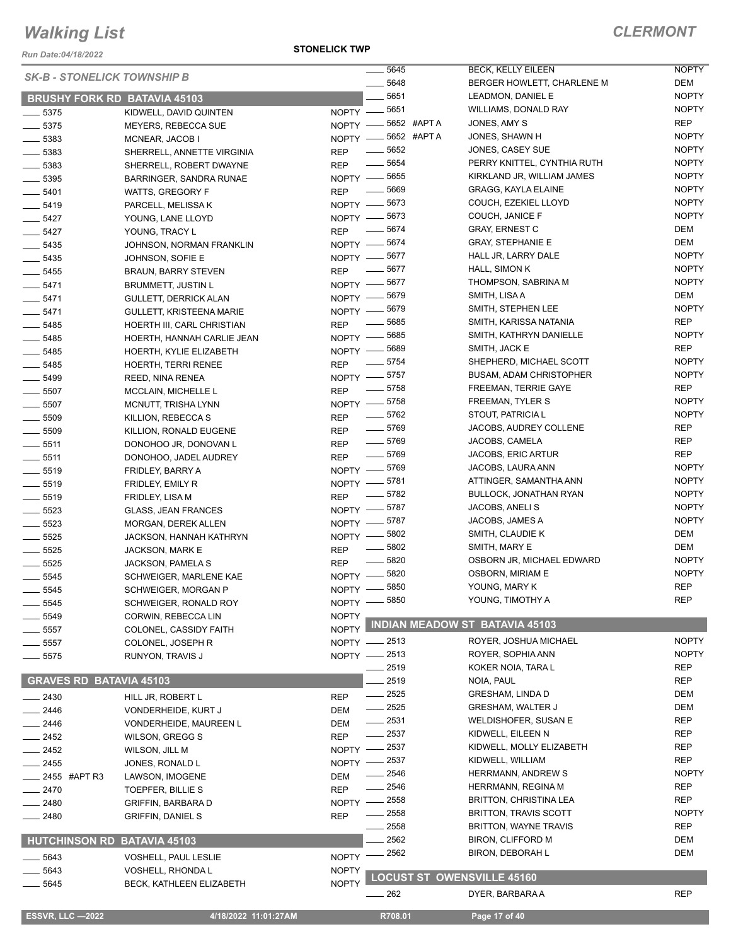*Run Date:04/18/2022*

#### *SK-B - STONELICK TOWNSHIP B*

#### **STONELICK TWP**

#### *CLERMONT*

| <b>SK-B - STONELICK TOWNSHIP B</b>  |                                 |                   | $\frac{1}{2}$ 5645 | <b>BECK, KELLY EILEEN</b>             | <b>NOPTY</b> |
|-------------------------------------|---------------------------------|-------------------|--------------------|---------------------------------------|--------------|
|                                     |                                 |                   | $- 5648$           | BERGER HOWLETT, CHARLENE M            | DEM          |
| <b>BRUSHY FORK RD BATAVIA 45103</b> |                                 |                   | 5651               | LEADMON, DANIEL E                     | <b>NOPTY</b> |
| $- 5375$                            | KIDWELL, DAVID QUINTEN          | NOPTY -8651       |                    | WILLIAMS, DONALD RAY                  | <b>NOPTY</b> |
| $\frac{1}{2}$ 5375                  | MEYERS, REBECCA SUE             | NOPTY -8652 #APTA |                    | JONES, AMY S                          | REP          |
| $- 5383$                            | MCNEAR, JACOB I                 | NOPTY -8652 #APTA |                    | JONES, SHAWN H                        | <b>NOPTY</b> |
| $\frac{1}{2}$ 5383                  | SHERRELL, ANNETTE VIRGINIA      | <b>REP</b>        | $\frac{1}{2}$ 5652 | JONES, CASEY SUE                      | <b>NOPTY</b> |
| $\frac{1}{2}$ 5383                  | SHERRELL, ROBERT DWAYNE         | <b>REP</b>        | $\frac{1}{2}$ 5654 | PERRY KNITTEL, CYNTHIA RUTH           | <b>NOPTY</b> |
| $\frac{1}{2}$ 5395                  | BARRINGER, SANDRA RUNAE         | NOPTY -8655       |                    | KIRKLAND JR, WILLIAM JAMES            | <b>NOPTY</b> |
| $\frac{1}{2}$ 5401                  | <b>WATTS, GREGORY F</b>         | <b>REP</b>        | $- 5669$           | <b>GRAGG, KAYLA ELAINE</b>            | <b>NOPTY</b> |
| $- 5419$                            | PARCELL, MELISSA K              | NOPTY -8673       |                    | COUCH, EZEKIEL LLOYD                  | <b>NOPTY</b> |
| $\frac{1}{2}$ 5427                  | YOUNG, LANE LLOYD               | NOPTY -8673       |                    | COUCH, JANICE F                       | <b>NOPTY</b> |
| $\frac{1}{2}$ 5427                  | YOUNG, TRACY L                  | <b>REP</b>        | $-5674$            | <b>GRAY, ERNEST C</b>                 | DEM          |
| $\frac{1}{2}$ 5435                  | JOHNSON, NORMAN FRANKLIN        | NOPTY - 5674      |                    | <b>GRAY, STEPHANIE E</b>              | DEM          |
| $\frac{1}{2}$ 5435                  | JOHNSON, SOFIE E                | NOPTY - 5677      |                    | HALL JR, LARRY DALE                   | <b>NOPTY</b> |
| $\frac{1}{2}$ 5455                  | <b>BRAUN, BARRY STEVEN</b>      | <b>REP</b>        | $\frac{1}{2}$ 5677 | HALL, SIMON K                         | <b>NOPTY</b> |
| $-5471$                             | <b>BRUMMETT, JUSTIN L</b>       | NOPTY -8677       |                    | THOMPSON, SABRINA M                   | <b>NOPTY</b> |
| $-5471$                             | GULLETT, DERRICK ALAN           | NOPTY -8679       |                    | SMITH, LISA A                         | DEM          |
| $- 5471$                            | <b>GULLETT, KRISTEENA MARIE</b> | NOPTY -8679       |                    | SMITH, STEPHEN LEE                    | <b>NOPTY</b> |
| $\frac{1}{2}$ 5485                  | HOERTH III, CARL CHRISTIAN      | <b>REP</b>        | $\frac{1}{2}$ 5685 | SMITH, KARISSA NATANIA                | REP          |
| $- 5485$                            | HOERTH, HANNAH CARLIE JEAN      | NOPTY -8685       |                    | SMITH, KATHRYN DANIELLE               | <b>NOPTY</b> |
| $\frac{1}{2}$ 5485                  | HOERTH, KYLIE ELIZABETH         | NOPTY -8689       |                    | SMITH, JACK E                         | <b>REP</b>   |
| $\frac{1}{2}$ 5485                  | <b>HOERTH, TERRI RENEE</b>      | <b>REP</b>        | $\frac{1}{2}$ 5754 | SHEPHERD, MICHAEL SCOTT               | <b>NOPTY</b> |
| $- 5499$                            | REED, NINA RENEA                | NOPTY -8757       |                    | <b>BUSAM, ADAM CHRISTOPHER</b>        | <b>NOPTY</b> |
| $\frac{1}{2}$ 5507                  | MCCLAIN, MICHELLE L             | <b>REP</b>        | $\frac{1}{2}$ 5758 | <b>FREEMAN, TERRIE GAYE</b>           | REP          |
| $\frac{1}{2}$ 5507                  | MCNUTT, TRISHA LYNN             | NOPTY -8758       |                    | FREEMAN, TYLER S                      | <b>NOPTY</b> |
| $\frac{1}{2}$ 5509                  | KILLION, REBECCA S              | <b>REP</b>        | $\frac{1}{2}$ 5762 | STOUT, PATRICIA L                     | <b>NOPTY</b> |
| $\frac{1}{2}$ 5509                  | KILLION, RONALD EUGENE          | <b>REP</b>        | $\frac{1}{2}$ 5769 | JACOBS, AUDREY COLLENE                | REP          |
| $\frac{1}{2}$ 5511                  | DONOHOO JR, DONOVAN L           | <b>REP</b>        | $- 5769$           | JACOBS, CAMELA                        | <b>REP</b>   |
| $\frac{1}{2}$ 5511                  | DONOHOO, JADEL AUDREY           | <b>REP</b>        | $\frac{1}{2}$ 5769 | JACOBS, ERIC ARTUR                    | REP          |
| $\frac{1}{2}$ 5519                  | FRIDLEY, BARRY A                | NOPTY -8769       |                    | JACOBS, LAURA ANN                     | <b>NOPTY</b> |
| $\frac{1}{2}$ 5519                  | FRIDLEY, EMILY R                | NOPTY -8781       |                    | ATTINGER, SAMANTHA ANN                | <b>NOPTY</b> |
| $\frac{1}{2}$ 5519                  | FRIDLEY, LISA M                 | <b>REP</b>        | $\frac{1}{2}$ 5782 | BULLOCK, JONATHAN RYAN                | <b>NOPTY</b> |
| $- 5523$                            | <b>GLASS, JEAN FRANCES</b>      | NOPTY -8787       |                    | JACOBS, ANELIS                        | <b>NOPTY</b> |
| $\frac{1}{2}$ 5523                  | MORGAN, DEREK ALLEN             | NOPTY - 5787      |                    | JACOBS, JAMES A                       | <b>NOPTY</b> |
| $\frac{1}{2}$ 5525                  | JACKSON, HANNAH KATHRYN         | NOPTY -8802       |                    | SMITH, CLAUDIE K                      | DEM          |
| $\frac{1}{2}$ 5525                  | JACKSON, MARK E                 | <b>REP</b>        | $\frac{1}{2}$ 5802 | SMITH, MARY E                         | DEM          |
| $\frac{1}{2}$ 5525                  | JACKSON, PAMELA S               | <b>REP</b>        | $\frac{1}{2}$ 5820 | OSBORN JR, MICHAEL EDWARD             | <b>NOPTY</b> |
| $\frac{1}{2}$ 5545                  | SCHWEIGER, MARLENE KAE          | NOPTY -8820       |                    | OSBORN, MIRIAM E                      | <b>NOPTY</b> |
| $\frac{1}{2}$ 5545                  | SCHWEIGER, MORGAN P             | NOPTY -8850       |                    | YOUNG, MARY K                         | <b>REP</b>   |
| - 5545                              | SCHWEIGER, RONALD ROY           | <b>NOPTY</b>      | $\frac{1}{2}$ 5850 | YOUNG, TIMOTHY A                      | <b>REP</b>   |
| 5549                                | CORWIN, REBECCA LIN             | <b>NOPTY</b>      |                    |                                       |              |
| 5557                                | COLONEL, CASSIDY FAITH          | <b>NOPTY</b>      |                    | <b>INDIAN MEADOW ST BATAVIA 45103</b> |              |
| $-5557$                             | COLONEL, JOSEPH R               | NOPTY -2513       |                    | ROYER, JOSHUA MICHAEL                 | <b>NOPTY</b> |
| $-5575$                             | RUNYON, TRAVIS J                | NOPTY -2513       |                    | ROYER, SOPHIA ANN                     | <b>NOPTY</b> |
|                                     |                                 |                   | 2519               | KOKER NOIA, TARA L                    | REP          |
| <b>GRAVES RD BATAVIA 45103</b>      |                                 |                   | 2519               | NOIA, PAUL                            | <b>REP</b>   |
| $-2430$                             | HILL JR, ROBERT L               | <b>REP</b>        | $-2525$            | <b>GRESHAM, LINDA D</b>               | DEM          |
| 2446                                | VONDERHEIDE, KURT J             | <b>DEM</b>        | $-2525$            | <b>GRESHAM, WALTER J</b>              | DEM          |
| - 2446                              | VONDERHEIDE, MAUREEN L          | DEM               | $-2531$            | <b>WELDISHOFER, SUSAN E</b>           | <b>REP</b>   |
| $= 2452$                            | WILSON, GREGG S                 | <b>REP</b>        | $-2537$            | KIDWELL, EILEEN N                     | REP          |
| 2452                                | WILSON, JILL M                  | <b>NOPTY</b>      | $-2537$            | KIDWELL, MOLLY ELIZABETH              | <b>REP</b>   |
| $-2455$                             | JONES, RONALD L                 | <b>NOPTY</b>      | 2537               | KIDWELL, WILLIAM                      | <b>REP</b>   |
| 2455 #APT R3                        | LAWSON, IMOGENE                 | <b>DEM</b>        | . 2546             | HERRMANN, ANDREW S                    | <b>NOPTY</b> |
| 2470                                | TOEPFER, BILLIE S               | <b>REP</b>        | 2546               | HERRMANN, REGINA M                    | <b>REP</b>   |
| 2480                                | GRIFFIN, BARBARA D              | NOPTY -           | 2558               | BRITTON, CHRISTINA LEA                | <b>REP</b>   |
| 2480                                | <b>GRIFFIN, DANIEL S</b>        | <b>REP</b>        | 2558               | <b>BRITTON, TRAVIS SCOTT</b>          | <b>NOPTY</b> |
|                                     |                                 |                   | 2558               | <b>BRITTON, WAYNE TRAVIS</b>          | <b>REP</b>   |
| <b>HUTCHINSON RD</b>                | <b>BATAVIA 45103</b>            |                   | 2562               | BIRON, CLIFFORD M                     | DEM          |
|                                     |                                 | <b>NOPTY</b>      | 2562               | <b>BIRON, DEBORAH L</b>               | DEM          |
| 5643                                | VOSHELL, PAUL LESLIE            |                   |                    |                                       |              |
| 5643                                | VOSHELL, RHONDA L               | <b>NOPTY</b>      |                    | <b>LOCUST ST OWENSVILLE 45160</b>     |              |
| _ 5645                              | BECK, KATHLEEN ELIZABETH        | <b>NOPTY</b>      | - 262              | DYER, BARBARA A                       | <b>REP</b>   |
| <b>ESSVR, LLC-2022</b>              | 4/18/2022 11:01:27AM            |                   | R708.01            |                                       |              |
|                                     |                                 |                   |                    | Page 17 of 40                         |              |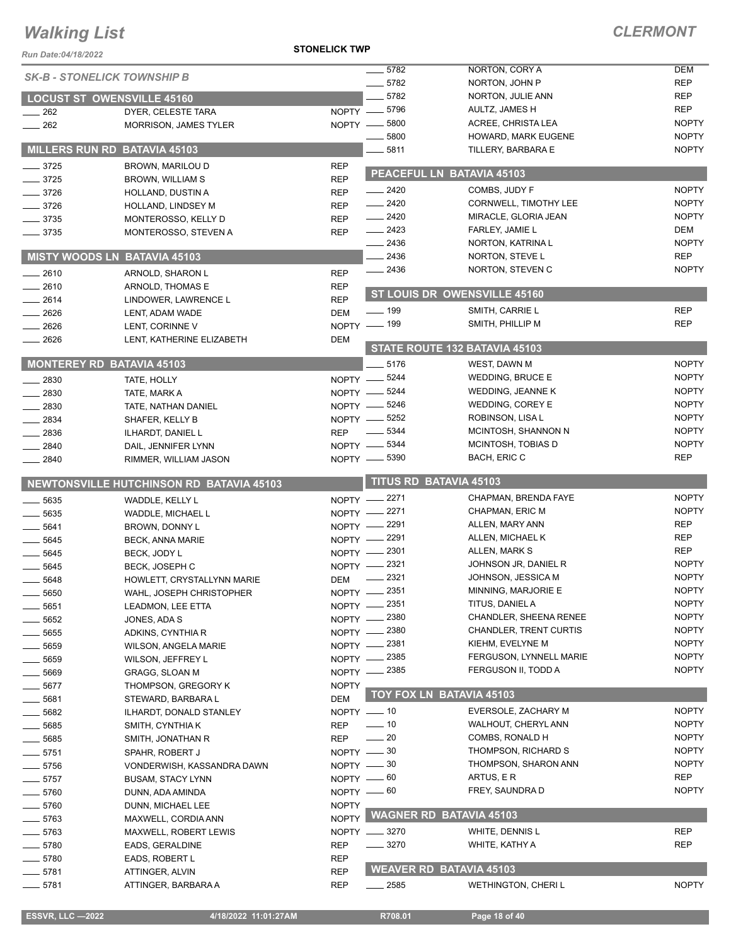**STONELICK TWP**

| Run Date:04/18/2022 |                                               | UNLLIVI\ TWI                                   |                    |                                                         |                              |
|---------------------|-----------------------------------------------|------------------------------------------------|--------------------|---------------------------------------------------------|------------------------------|
|                     | <b>SK-B - STONELICK TOWNSHIP B</b>            |                                                | 5782               | NORTON, CORY A                                          | <b>DEM</b>                   |
|                     |                                               |                                                | $- 5782$           | NORTON, JOHN P                                          | <b>REP</b>                   |
|                     | <b>LOCUST ST OWENSVILLE 45160</b>             |                                                | 5782               | NORTON, JULIE ANN                                       | <b>REP</b>                   |
| 262                 | DYER, CELESTE TARA                            | $NOPTY$ - 5796                                 |                    | AULTZ, JAMES H                                          | <b>REP</b>                   |
| $-262$              | <b>MORRISON, JAMES TYLER</b>                  | NOPTY -8800                                    |                    | ACREE, CHRISTA LEA                                      | <b>NOPTY</b>                 |
|                     |                                               |                                                | 5800               | HOWARD, MARK EUGENE                                     | <b>NOPTY</b>                 |
|                     | MILLERS RUN RD BATAVIA 45103                  |                                                | 5811               | TILLERY, BARBARA E                                      | <b>NOPTY</b>                 |
| $-3725$             | BROWN, MARILOU D                              | <b>REP</b>                                     |                    | PEACEFUL LN BATAVIA 45103                               |                              |
| 3725                | <b>BROWN, WILLIAM S</b>                       | <b>REP</b>                                     | $-2420$            | COMBS, JUDY F                                           | <b>NOPTY</b>                 |
| $-3726$             | HOLLAND, DUSTIN A                             | <b>REP</b>                                     | $-2420$            | <b>CORNWELL, TIMOTHY LEE</b>                            | <b>NOPTY</b>                 |
| $-3726$             | HOLLAND, LINDSEY M                            | <b>REP</b>                                     | $-2420$            | MIRACLE, GLORIA JEAN                                    | <b>NOPTY</b>                 |
| $-3735$             | MONTEROSSO, KELLY D                           | <b>REP</b>                                     | $-2423$            | FARLEY, JAMIE L                                         | DEM                          |
| $\frac{1}{2}$ 3735  | MONTEROSSO, STEVEN A                          | <b>REP</b>                                     | $-2436$            | NORTON, KATRINA L                                       | <b>NOPTY</b>                 |
|                     | <b>MISTY WOODS LN BATAVIA 45103</b>           |                                                | . 2436             | NORTON, STEVE L                                         | <b>REP</b>                   |
|                     |                                               |                                                | $\frac{2436}{5}$   | NORTON, STEVEN C                                        | <b>NOPTY</b>                 |
| $-2610$<br>2610     | ARNOLD, SHARON L                              | <b>REP</b>                                     |                    |                                                         |                              |
| 2614                | ARNOLD, THOMAS E                              | <b>REP</b><br><b>REP</b>                       |                    | ST LOUIS DR OWENSVILLE 45160                            |                              |
| $-2626$             | LINDOWER, LAWRENCE L<br>LENT, ADAM WADE       | <b>DEM</b>                                     | $\frac{1}{2}$ 199  | SMITH, CARRIE L                                         | <b>REP</b>                   |
| 2626                | LENT, CORINNE V                               | NOPTY - 199                                    |                    | SMITH, PHILLIP M                                        | <b>REP</b>                   |
| 2626                | LENT, KATHERINE ELIZABETH                     | DEM                                            |                    |                                                         |                              |
|                     |                                               |                                                |                    | STATE ROUTE 132 BATAVIA 45103                           |                              |
|                     | <b>MONTEREY RD BATAVIA 45103</b>              |                                                | $-5176$            | WEST, DAWN M                                            | <b>NOPTY</b>                 |
| $-2830$             | TATE, HOLLY                                   | NOPTY -8244                                    |                    | <b>WEDDING, BRUCE E</b>                                 | <b>NOPTY</b>                 |
| $-2830$             | TATE, MARK A                                  | NOPTY -8244                                    |                    | WEDDING, JEANNE K                                       | <b>NOPTY</b>                 |
| 2830                | TATE, NATHAN DANIEL                           | NOPTY -8246                                    |                    | WEDDING, COREY E                                        | <b>NOPTY</b>                 |
| 2834                | SHAFER, KELLY B                               | $NOPTY$ —                                      | 5252               | ROBINSON, LISA L                                        | <b>NOPTY</b>                 |
| 2836                | ILHARDT, DANIEL L                             | <b>REP</b>                                     | $\frac{1}{2}$ 5344 | MCINTOSH, SHANNON N                                     | <b>NOPTY</b>                 |
| 2840                | DAIL, JENNIFER LYNN                           | NOPTY -8344                                    |                    | MCINTOSH, TOBIAS D                                      | <b>NOPTY</b>                 |
| 2840                | RIMMER, WILLIAM JASON                         | NOPTY -8390                                    |                    | BACH, ERIC C                                            | <b>REP</b>                   |
|                     |                                               |                                                |                    |                                                         |                              |
|                     |                                               |                                                |                    |                                                         |                              |
|                     | NEWTONSVILLE HUTCHINSON RD BATAVIA 45103      |                                                |                    | <b>TITUS RD BATAVIA 45103</b>                           |                              |
| $-5635$             | WADDLE, KELLY L                               | NOPTY -2271                                    |                    | CHAPMAN, BRENDA FAYE                                    | <b>NOPTY</b>                 |
| $-5635$             | WADDLE, MICHAEL L                             | NOPTY -2271                                    |                    | CHAPMAN, ERIC M                                         | <b>NOPTY</b>                 |
| $-5641$             | BROWN, DONNY L                                | NOPTY -2291                                    |                    | ALLEN, MARY ANN                                         | <b>REP</b>                   |
| 5645                | <b>BECK, ANNA MARIE</b>                       | NOPTY -2291                                    |                    | ALLEN, MICHAEL K                                        | <b>REP</b>                   |
| 5645                | BECK, JODY L                                  | NOPTY - 2301                                   |                    | ALLEN, MARK S                                           | <b>REP</b>                   |
| 5645                | <b>BECK, JOSEPH C</b>                         | NOPTY - 2321                                   |                    | JOHNSON JR, DANIEL R                                    | <b>NOPTY</b>                 |
| $-5648$             | HOWLETT, CRYSTALLYNN MARIE                    | DEM                                            | $-2321$            | JOHNSON, JESSICA M                                      | <b>NOPTY</b>                 |
| 5650                | WAHL, JOSEPH CHRISTOPHER                      | NOPTY -2351                                    |                    | MINNING, MARJORIE E                                     | <b>NOPTY</b>                 |
| 5651                | LEADMON, LEE ETTA                             | NOPTY - 2351                                   |                    | TITUS, DANIEL A                                         | <b>NOPTY</b>                 |
| 5652                | JONES, ADA S                                  | NOPTY -2380                                    |                    | CHANDLER, SHEENA RENEE<br><b>CHANDLER, TRENT CURTIS</b> | <b>NOPTY</b><br><b>NOPTY</b> |
| 5655                | ADKINS, CYNTHIA R                             | NOPTY - 2380                                   |                    | KIEHM, EVELYNE M                                        | <b>NOPTY</b>                 |
| $-5659$             | <b>WILSON, ANGELA MARIE</b>                   | NOPTY - 2381                                   |                    | FERGUSON, LYNNELL MARIE                                 | <b>NOPTY</b>                 |
| - 5659              | WILSON, JEFFREY L                             | NOPTY - 2385                                   |                    | FERGUSON II, TODD A                                     | <b>NOPTY</b>                 |
| $-5669$             | <b>GRAGG, SLOAN M</b>                         | NOPTY - 2385                                   |                    |                                                         |                              |
| 5677                | THOMPSON, GREGORY K                           | <b>NOPTY</b>                                   |                    | TOY FOX LN BATAVIA 45103                                |                              |
| 5681                | STEWARD, BARBARA L                            | <b>DEM</b>                                     |                    | EVERSOLE, ZACHARY M                                     | <b>NOPTY</b>                 |
| 5682                | ILHARDT, DONALD STANLEY                       | $NOPTY = 10$<br>$\frac{1}{2}$ 10<br><b>REP</b> |                    | WALHOUT, CHERYL ANN                                     | <b>NOPTY</b>                 |
| 5685                | SMITH, CYNTHIA K                              | $\sim$ 20<br><b>REP</b>                        |                    | COMBS, RONALD H                                         | <b>NOPTY</b>                 |
| 5685                | SMITH, JONATHAN R                             |                                                |                    | THOMPSON, RICHARD S                                     | <b>NOPTY</b>                 |
| 5751<br>$-5756$     | SPAHR, ROBERT J<br>VONDERWISH, KASSANDRA DAWN | NOPTY - 30<br>NOPTY - 30                       |                    | THOMPSON, SHARON ANN                                    | <b>NOPTY</b>                 |
| $-5757$             | <b>BUSAM, STACY LYNN</b>                      | NOPTY -60                                      |                    | ARTUS, E R                                              | <b>REP</b>                   |
| 5760                | DUNN, ADA AMINDA                              | NOPTY - 60                                     |                    | FREY, SAUNDRA D                                         | <b>NOPTY</b>                 |
| 5760                | DUNN, MICHAEL LEE                             | <b>NOPTY</b>                                   |                    |                                                         |                              |
| 5763                | MAXWELL, CORDIA ANN                           | <b>NOPTY</b>                                   |                    | <b>WAGNER RD BATAVIA 45103</b>                          |                              |
| _ 5763              | MAXWELL, ROBERT LEWIS                         | NOPTY __ 3270                                  |                    | WHITE, DENNIS L                                         | <b>REP</b>                   |
| $-5780$             | EADS, GERALDINE                               | <b>REP</b>                                     | $\frac{1}{2}$ 3270 | WHITE, KATHY A                                          | <b>REP</b>                   |
| _ 5780              | EADS, ROBERT L                                | <b>REP</b>                                     |                    |                                                         |                              |
| $-5781$             | ATTINGER, ALVIN                               | <b>REP</b>                                     |                    | <b>WEAVER RD BATAVIA 45103</b>                          |                              |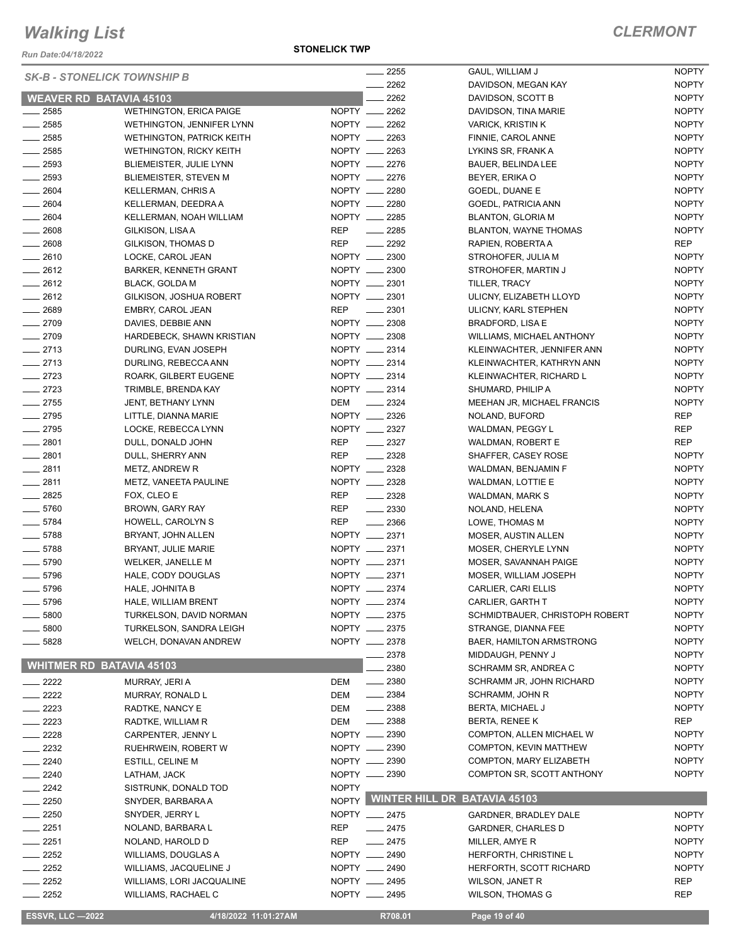*Run Date:04/18/2022*

#### **STONELICK TWP**

| <b>SK-B - STONELICK TOWNSHIP B</b> |                                  |              | 2255                                | GAUL, WILLIAM J                | <b>NOPTY</b> |
|------------------------------------|----------------------------------|--------------|-------------------------------------|--------------------------------|--------------|
|                                    |                                  |              | 2262                                | DAVIDSON, MEGAN KAY            | <b>NOPTY</b> |
| <b>WEAVER RD BATAVIA 45103</b>     |                                  |              | 2262                                | DAVIDSON, SCOTT B              | <b>NOPTY</b> |
| $-2585$                            | WETHINGTON, ERICA PAIGE          |              | NOPTY __ 2262                       | DAVIDSON, TINA MARIE           | <b>NOPTY</b> |
| $-2585$                            | WETHINGTON, JENNIFER LYNN        |              | NOPTY __ 2262                       | <b>VARICK, KRISTIN K</b>       | <b>NOPTY</b> |
| $\frac{1}{2585}$                   | <b>WETHINGTON, PATRICK KEITH</b> |              | NOPTY __ 2263                       | FINNIE, CAROL ANNE             | <b>NOPTY</b> |
| $-2585$                            | <b>WETHINGTON, RICKY KEITH</b>   |              | NOPTY __ 2263                       | LYKINS SR, FRANK A             | <b>NOPTY</b> |
| $\frac{1}{2593}$                   | <b>BLIEMEISTER, JULIE LYNN</b>   |              | NOPTY __ 2276                       | BAUER, BELINDA LEE             | <b>NOPTY</b> |
| $\frac{1}{2593}$                   | <b>BLIEMEISTER, STEVEN M</b>     |              | NOPTY __ 2276                       | BEYER, ERIKA O                 | <b>NOPTY</b> |
| $- 2604$                           | <b>KELLERMAN, CHRIS A</b>        |              | NOPTY __ 2280                       | GOEDL, DUANE E                 | <b>NOPTY</b> |
| $-2604$                            | KELLERMAN, DEEDRA A              |              | NOPTY __ 2280                       | GOEDL, PATRICIA ANN            | <b>NOPTY</b> |
| $-2604$                            | KELLERMAN, NOAH WILLIAM          |              | NOPTY __ 2285                       | <b>BLANTON, GLORIA M</b>       | <b>NOPTY</b> |
| $- 2608$                           | GILKISON, LISAA                  | REP          | $\frac{1}{2285}$                    | <b>BLANTON, WAYNE THOMAS</b>   | <b>NOPTY</b> |
| $- 2608$                           | GILKISON, THOMAS D               | <b>REP</b>   | $\sim$ 2292                         | RAPIEN, ROBERTA A              | REP          |
| $-2610$                            | LOCKE, CAROL JEAN                |              | NOPTY __ 2300                       | STROHOFER, JULIA M             | <b>NOPTY</b> |
| $-2612$                            | BARKER, KENNETH GRANT            |              | NOPTY __ 2300                       | STROHOFER, MARTIN J            | <b>NOPTY</b> |
| $-2612$                            | <b>BLACK, GOLDA M</b>            |              | NOPTY __ 2301                       | TILLER, TRACY                  | <b>NOPTY</b> |
| $-2612$                            | GILKISON, JOSHUA ROBERT          |              | NOPTY __ 2301                       | ULICNY, ELIZABETH LLOYD        | <b>NOPTY</b> |
| $-2689$                            | EMBRY, CAROL JEAN                | <b>REP</b>   | $\frac{1}{2}$ 2301                  | ULICNY, KARL STEPHEN           | <b>NOPTY</b> |
| $-2709$                            | DAVIES, DEBBIE ANN               |              | NOPTY __ 2308                       | BRADFORD, LISA E               | <b>NOPTY</b> |
| $-2709$                            | HARDEBECK, SHAWN KRISTIAN        |              | NOPTY __ 2308                       | WILLIAMS, MICHAEL ANTHONY      | <b>NOPTY</b> |
| $-2713$                            | DURLING, EVAN JOSEPH             |              | NOPTY __ 2314                       | KLEINWACHTER, JENNIFER ANN     | <b>NOPTY</b> |
| $-2713$                            | DURLING, REBECCA ANN             |              | NOPTY __ 2314                       | KLEINWACHTER, KATHRYN ANN      | <b>NOPTY</b> |
| $-2723$                            | ROARK, GILBERT EUGENE            |              | NOPTY __ 2314                       | KLEINWACHTER, RICHARD L        | <b>NOPTY</b> |
| $-2723$                            | TRIMBLE, BRENDA KAY              |              | NOPTY __ 2314                       | SHUMARD, PHILIP A              | <b>NOPTY</b> |
| $\frac{1}{2755}$                   | JENT, BETHANY LYNN               | DEM          | $\frac{2324}{2}$                    | MEEHAN JR, MICHAEL FRANCIS     | <b>NOPTY</b> |
| $-2795$                            | LITTLE, DIANNA MARIE             |              | NOPTY __ 2326                       | NOLAND, BUFORD                 | <b>REP</b>   |
| $-2795$                            | LOCKE, REBECCA LYNN              |              | NOPTY __ 2327                       | WALDMAN, PEGGY L               | <b>REP</b>   |
| $-2801$                            | DULL, DONALD JOHN                | <b>REP</b>   | $\frac{2327}{2}$                    | WALDMAN, ROBERT E              | <b>REP</b>   |
| $-2801$                            | DULL, SHERRY ANN                 | <b>REP</b>   | $-2328$                             | SHAFFER, CASEY ROSE            | <b>NOPTY</b> |
| $-2811$                            | METZ, ANDREW R                   |              | NOPTY __ 2328                       | WALDMAN, BENJAMIN F            | <b>NOPTY</b> |
| $-2811$                            | METZ, VANEETA PAULINE            |              | NOPTY __ 2328                       | WALDMAN, LOTTIE E              | <b>NOPTY</b> |
| $- 2825$                           | FOX, CLEO E                      | <b>REP</b>   | $\frac{2328}{2}$                    | WALDMAN, MARK S                | <b>NOPTY</b> |
| $- 5760$                           | BROWN, GARY RAY                  | <b>REP</b>   | $\frac{2330}{2}$                    | NOLAND, HELENA                 | <b>NOPTY</b> |
| $- 5784$                           | HOWELL, CAROLYN S                | <b>REP</b>   | $\frac{1}{2}$ 2366                  | LOWE, THOMAS M                 | <b>NOPTY</b> |
| $- 5788$                           | BRYANT, JOHN ALLEN               |              | NOPTY __ 2371                       | MOSER, AUSTIN ALLEN            | <b>NOPTY</b> |
| $- 5788$                           | BRYANT, JULIE MARIE              |              | NOPTY __ 2371                       | MOSER, CHERYLE LYNN            | <b>NOPTY</b> |
| $\frac{1}{2}$ 5790                 | <b>WELKER, JANELLE M</b>         |              | NOPTY __ 2371                       | MOSER, SAVANNAH PAIGE          | <b>NOPTY</b> |
| $- 5796$                           | HALE, CODY DOUGLAS               |              | NOPTY __ 2371                       | MOSER, WILLIAM JOSEPH          | <b>NOPTY</b> |
| $- 5796$                           | HALE, JOHNITA B                  |              | NOPTY __ 2374                       | CARLIER, CARI ELLIS            | <b>NOPTY</b> |
| 5796                               | HALE, WILLIAM BRENT              |              | NOPTY __ 2374                       | CARLIER, GARTH T               | <b>NOPTY</b> |
| 5800                               | TURKELSON, DAVID NORMAN          |              | NOPTY __ 2375                       | SCHMIDTBAUER, CHRISTOPH ROBERT | <b>NOPTY</b> |
| $-5800$                            | TURKELSON, SANDRA LEIGH          |              | NOPTY __ 2375                       | STRANGE, DIANNA FEE            | <b>NOPTY</b> |
| 5828                               | WELCH, DONAVAN ANDREW            |              | NOPTY __ 2378                       | BAER, HAMILTON ARMSTRONG       | <b>NOPTY</b> |
|                                    |                                  |              | __ 2378                             | MIDDAUGH, PENNY J              | <b>NOPTY</b> |
| <b>WHITMER RD BATAVIA 45103</b>    |                                  |              | 2380                                | SCHRAMM SR, ANDREA C           | <b>NOPTY</b> |
| $\sim$ 2222                        | MURRAY, JERI A                   | DEM          | $\frac{1}{2}$ 2380                  | SCHRAMM JR, JOHN RICHARD       | <b>NOPTY</b> |
| $-2222$                            | MURRAY, RONALD L                 | DEM          | $\frac{1}{2}$ 2384                  | <b>SCHRAMM, JOHN R</b>         | <b>NOPTY</b> |
| $-2223$                            | RADTKE, NANCY E                  | DEM          | $\frac{1}{2}$ 2388                  | BERTA, MICHAEL J               | <b>NOPTY</b> |
| $-2223$                            | RADTKE, WILLIAM R                | DEM          | $-2388$                             | <b>BERTA, RENEE K</b>          | <b>REP</b>   |
| $-2228$                            | CARPENTER, JENNY L               |              | NOPTY __ 2390                       | COMPTON, ALLEN MICHAEL W       | <b>NOPTY</b> |
| $-2232$                            | RUEHRWEIN, ROBERT W              |              | NOPTY __ 2390                       | COMPTON, KEVIN MATTHEW         | <b>NOPTY</b> |
| $-2240$                            | ESTILL, CELINE M                 |              | NOPTY -2390                         | COMPTON, MARY ELIZABETH        | <b>NOPTY</b> |
| $-2240$                            | LATHAM, JACK                     |              | NOPTY __ 2390                       | COMPTON SR, SCOTT ANTHONY      | <b>NOPTY</b> |
| $-2242$                            | SISTRUNK, DONALD TOD             | <b>NOPTY</b> |                                     |                                |              |
| $-2250$                            | SNYDER, BARBARA A                | <b>NOPTY</b> | <b>WINTER HILL DR BATAVIA 45103</b> |                                |              |
| $-2250$                            | SNYDER, JERRY L                  |              | NOPTY __ 2475                       | GARDNER, BRADLEY DALE          | <b>NOPTY</b> |
| $- 2251$                           | NOLAND, BARBARA L                | REP          | $-2475$                             | <b>GARDNER, CHARLES D</b>      | <b>NOPTY</b> |
| $-2251$                            | NOLAND, HAROLD D                 | REP          | $-2475$                             | MILLER, AMYE R                 | <b>NOPTY</b> |
| $\equiv$ 2252                      | WILLIAMS, DOUGLAS A              |              | NOPTY __ 2490                       | HERFORTH, CHRISTINE L          | <b>NOPTY</b> |
| $-2252$                            | WILLIAMS, JACQUELINE J           |              | NOPTY __ 2490                       | HERFORTH, SCOTT RICHARD        | <b>NOPTY</b> |
| $\frac{2252}{2}$                   | WILLIAMS, LORI JACQUALINE        |              | NOPTY __ 2495                       | <b>WILSON, JANET R</b>         | <b>REP</b>   |
| $= 2252$                           | <b>WILLIAMS, RACHAEL C</b>       |              | NOPTY __ 2495                       | <b>WILSON, THOMAS G</b>        | REP          |
|                                    |                                  |              |                                     |                                |              |
| <b>ESSVR, LLC -2022</b>            | 4/18/2022 11:01:27AM             |              | R708.01                             | Page 19 of 40                  |              |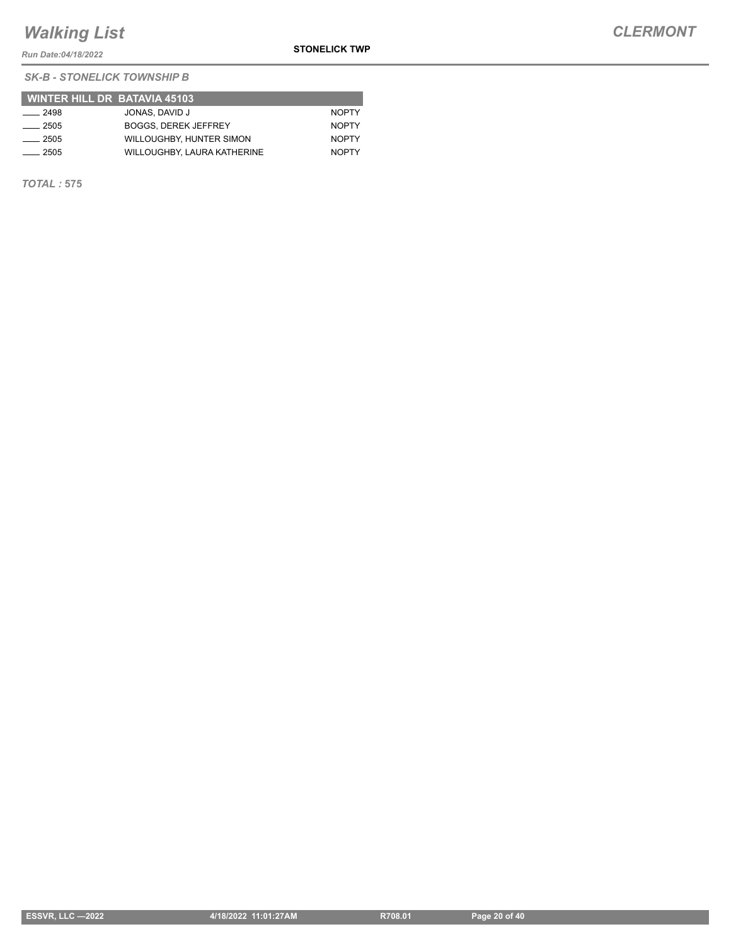*Run Date:04/18/2022*

**STONELICK TWP**

*SK-B - STONELICK TOWNSHIP B*

|               | <b>WINTER HILL DR BATAVIA 45103</b> |              |
|---------------|-------------------------------------|--------------|
| $\equiv$ 2498 | JONAS, DAVID J                      | <b>NOPTY</b> |
| $-2505$       | <b>BOGGS, DEREK JEFFREY</b>         | <b>NOPTY</b> |
| ___ 2505      | WILLOUGHBY, HUNTER SIMON            | <b>NOPTY</b> |
| 2505          | WILLOUGHBY, LAURA KATHERINE         | <b>NOPTY</b> |

*TOTAL :* **575**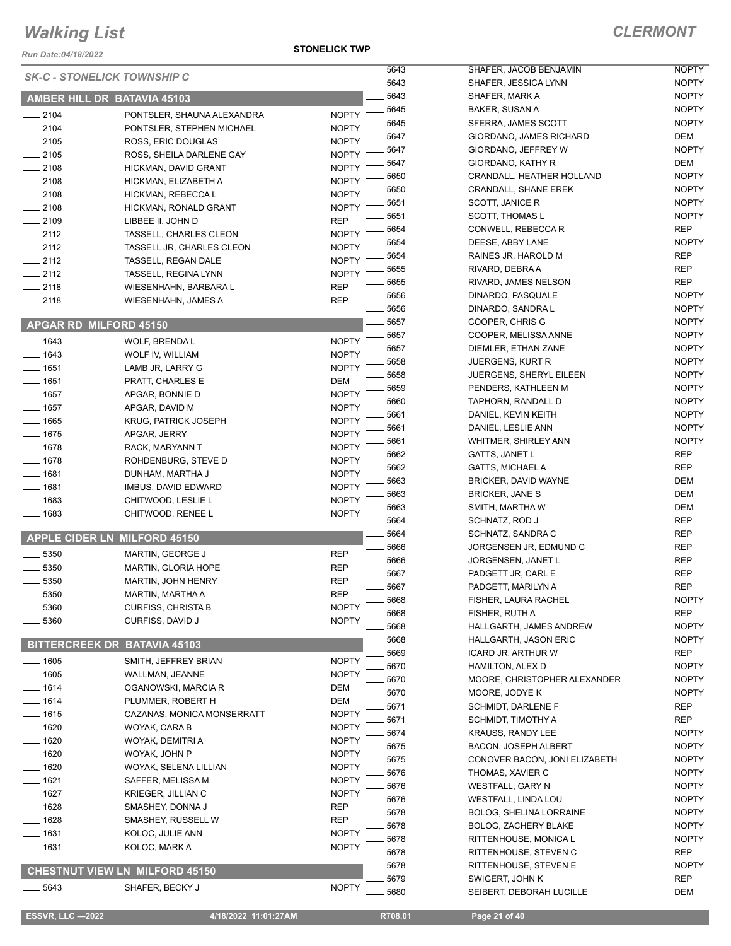*Run Date:04/18/2022*

**STONELICK TWP**

|          |                                       |              | 5643 | <b>SHAFE</b>      |
|----------|---------------------------------------|--------------|------|-------------------|
|          | <b>SK-C - STONELICK TOWNSHIP C</b>    |              | 5643 | <b>SHAFE</b>      |
|          | AMBER HILL DR BATAVIA 45103           |              | 5643 | <b>SHAFE</b>      |
| $-2104$  | PONTSLER, SHAUNA ALEXANDRA            | <b>NOPTY</b> | 5645 | <b>BAKER</b>      |
| $-2104$  | PONTSLER, STEPHEN MICHAEL             | <b>NOPTY</b> | 5645 | <b>SFERR</b>      |
| $-2105$  | ROSS, ERIC DOUGLAS                    | <b>NOPTY</b> | 5647 | <b>GIORD</b>      |
| $-2105$  | ROSS, SHEILA DARLENE GAY              | <b>NOPTY</b> | 5647 | <b>GIORD</b>      |
| $-2108$  | HICKMAN, DAVID GRANT                  | <b>NOPTY</b> | 5647 | <b>GIORD</b>      |
| $-2108$  | HICKMAN, ELIZABETH A                  | <b>NOPTY</b> | 5650 | CRAND             |
| $-2108$  | HICKMAN, REBECCA L                    | <b>NOPTY</b> | 5650 | <b>CRAND</b>      |
| $-2108$  | HICKMAN, RONALD GRANT                 | <b>NOPTY</b> | 5651 | <b>SCOTT</b>      |
| $-2109$  | LIBBEE II, JOHN D                     | <b>REP</b>   | 5651 | <b>SCOTT</b>      |
| $-2112$  | <b>TASSELL, CHARLES CLEON</b>         | <b>NOPTY</b> | 5654 | <b>CONW</b>       |
| $-2112$  | TASSELL JR, CHARLES CLEON             | <b>NOPTY</b> | 5654 | <b>DEESE</b>      |
| $-2112$  | TASSELL, REGAN DALE                   | <b>NOPTY</b> | 5654 | RAINE:            |
| $-2112$  | <b>TASSELL, REGINA LYNN</b>           | <b>NOPTY</b> | 5655 | <b>RIVARI</b>     |
| $-2118$  | WIESENHAHN, BARBARA L                 | <b>REP</b>   | 5655 | <b>RIVARI</b>     |
| $-2118$  | <b>WIESENHAHN, JAMES A</b>            | <b>REP</b>   | 5656 | <b>DINAR</b>      |
|          |                                       |              | 5656 | <b>DINAR</b>      |
|          | <b>APGAR RD MILFORD 45150</b>         |              | 5657 | <b>COOPI</b>      |
|          |                                       |              | 5657 | <b>COOPI</b>      |
| $- 1643$ | <b>WOLF, BRENDA L</b>                 | <b>NOPTY</b> | 5657 | <b>DIEMLI</b>     |
| $- 1643$ | WOLF IV, WILLIAM                      | <b>NOPTY</b> | 5658 | JUERG             |
| $- 1651$ | LAMB JR, LARRY G                      | <b>NOPTY</b> | 5658 | JUERG             |
| $- 1651$ | PRATT, CHARLES E                      | DEM          | 5659 | <b>PENDE</b>      |
| $- 1657$ | APGAR, BONNIE D                       | <b>NOPTY</b> | 5660 | <b>TAPHC</b>      |
| $- 1657$ | APGAR, DAVID M                        | <b>NOPTY</b> | 5661 | <b>DANIEI</b>     |
| $- 1665$ | KRUG, PATRICK JOSEPH                  | <b>NOPTY</b> | 5661 | <b>DANIEI</b>     |
| $- 1675$ | APGAR, JERRY                          | <b>NOPTY</b> | 5661 | WHITN             |
| $-1678$  | RACK, MARYANN T                       | <b>NOPTY</b> | 5662 | GATTS             |
| $- 1678$ | ROHDENBURG, STEVE D                   | <b>NOPTY</b> | 5662 | <b>GATTS</b>      |
| $-1681$  | DUNHAM, MARTHA J                      | <b>NOPTY</b> | 5663 | <b>BRICKI</b>     |
| $- 1681$ | IMBUS, DAVID EDWARD                   | <b>NOPTY</b> | 5663 | <b>BRICKI</b>     |
| $-1683$  | CHITWOOD, LESLIE L                    | <b>NOPTY</b> | 5663 | <b>SMITH</b>      |
| $-1683$  | CHITWOOD, RENEE L                     | <b>NOPTY</b> | 5664 | <b>SCHNA</b>      |
|          |                                       |              | 5664 | <b>SCHNA</b>      |
|          | APPLE CIDER LN MILFORD 45150          |              | 5666 | JORGE             |
| $-5350$  | MARTIN, GEORGE J                      | <b>REP</b>   | 5666 | JORGE             |
| 5350     | MARTIN, GLORIA HOPE                   | <b>REP</b>   | 5667 | <b>PADGE</b>      |
| 5350     | MARTIN, JOHN HENRY                    | <b>REP</b>   | 5667 | <b>PADGE</b>      |
| 5350     | MARTIN, MARTHA A                      | <b>REP</b>   | 5668 | <b>FISHER</b>     |
| _ 5360   | <b>CURFISS, CHRISTA B</b>             | <b>NOPTY</b> | 5668 | <b>FISHER</b>     |
| 5360     | CURFISS, DAVID J                      | <b>NOPTY</b> | 5668 | <b>HALLG</b>      |
|          |                                       |              | 5668 | <b>HALLG</b>      |
|          | <b>BITTERCREEK DR BATAVIA 45103</b>   |              | 5669 | <b>ICARD</b>      |
| $-1605$  | SMITH, JEFFREY BRIAN                  | <b>NOPTY</b> | 5670 | <b>HAMIL</b>      |
| $-1605$  | WALLMAN, JEANNE                       | <b>NOPTY</b> |      | <b>MOOR</b>       |
| $-1614$  | OGANOWSKI, MARCIA R                   | DEM          | 5670 | <b>MOOR</b>       |
| $-1614$  | PLUMMER, ROBERT H                     | <b>DEM</b>   | 5670 |                   |
| $-1615$  | CAZANAS, MONICA MONSERRATT            | <b>NOPTY</b> | 5671 | <b>SCHMI</b>      |
| $-1620$  | WOYAK, CARA B                         | <b>NOPTY</b> | 5671 | <b>SCHMI</b>      |
| __ 1620  | WOYAK, DEMITRI A                      | <b>NOPTY</b> | 5674 | <b>KRAUS</b>      |
| $-1620$  | WOYAK, JOHN P                         | <b>NOPTY</b> | 5675 | <b>BACOM</b>      |
| $- 1620$ | WOYAK, SELENA LILLIAN                 | <b>NOPTY</b> | 5675 | CONO <sup>®</sup> |
| __ 1621  | SAFFER, MELISSA M                     | <b>NOPTY</b> | 5676 | <b>THOM</b>       |
| _ 1627   | <b>KRIEGER, JILLIAN C</b>             | <b>NOPTY</b> | 5676 | <b>WESTF</b>      |
| $-1628$  | SMASHEY, DONNA J                      | REP          | 5676 | <b>WESTF</b>      |
| $=$ 1628 | SMASHEY, RUSSELL W                    | REP          | 5678 | <b>BOLOC</b>      |
| $-1631$  | KOLOC, JULIE ANN                      | <b>NOPTY</b> | 5678 | <b>BOLOC</b>      |
| _ 1631   | KOLOC, MARK A                         | <b>NOPTY</b> | 5678 | RITTEN            |
|          |                                       |              | 5678 | RITTEN            |
|          | <b>CHESTNUT VIEW LN MILFORD 45150</b> |              | 5678 | <b>RITTEN</b>     |
| 5643     | SHAFER, BECKY J                       | <b>NOPTY</b> | 5679 | <b>SWIGE</b>      |
|          |                                       |              | 5680 | <b>SEIRED</b>     |

| _ 5643        | SHAFER, JACOB BENJAMIN         | <b>NOPTY</b> |
|---------------|--------------------------------|--------------|
| $-5643$       | SHAFER, JESSICA LYNN           | <b>NOPTY</b> |
| _ 5643        | SHAFER, MARK A                 | <b>NOPTY</b> |
| $-5645$       | <b>BAKER, SUSAN A</b>          | <b>NOPTY</b> |
| $-5645$       | SFERRA, JAMES SCOTT            | <b>NOPTY</b> |
| $-5647$       | GIORDANO, JAMES RICHARD        | DEM          |
| _ 5647        | GIORDANO, JEFFREY W            | <b>NOPTY</b> |
| $=$ 5647      | GIORDANO, KATHY R              | DEM          |
| _ 5650        | CRANDALL, HEATHER HOLLAND      | <b>NOPTY</b> |
| $-5650$       | <b>CRANDALL, SHANE EREK</b>    | <b>NOPTY</b> |
| $-5651$       | <b>SCOTT, JANICE R</b>         | <b>NOPTY</b> |
| $-5651$       | <b>SCOTT, THOMAS L</b>         | <b>NOPTY</b> |
| $-5654$       | CONWELL, REBECCA R             | <b>REP</b>   |
| $=5654$       | DEESE, ABBY LANE               | <b>NOPTY</b> |
| $-5654$       | RAINES JR, HAROLD M            | REP          |
| _ 5655        | RIVARD, DEBRAA                 | REP          |
| $-5655$       | RIVARD, JAMES NELSON           | REP          |
| $-5656$       | DINARDO, PASQUALE              | <b>NOPTY</b> |
| $-5656$       | DINARDO, SANDRA L              | <b>NOPTY</b> |
| $-5657$       | COOPER, CHRIS G                | <b>NOPTY</b> |
| $=$ 5657 $\,$ | COOPER, MELISSA ANNE           | <b>NOPTY</b> |
| _ 5657        | DIEMLER, ETHAN ZANE            | <b>NOPTY</b> |
| _ 5658        | JUERGENS, KURT R               | <b>NOPTY</b> |
| $-5658$       | JUERGENS, SHERYL EILEEN        | <b>NOPTY</b> |
| $-5659$       | PENDERS, KATHLEEN M            | <b>NOPTY</b> |
| $-5660$       | TAPHORN, RANDALL D             | <b>NOPTY</b> |
| _ 5661        | DANIEL, KEVIN KEITH            | <b>NOPTY</b> |
| _ 5661        | DANIEL, LESLIE ANN             | <b>NOPTY</b> |
| $-5661$       | WHITMER, SHIRLEY ANN           | <b>NOPTY</b> |
| $-5662$       | <b>GATTS, JANET L</b>          | REP          |
| $-5662$       | <b>GATTS, MICHAEL A</b>        | REP          |
| $-5663$       | BRICKER, DAVID WAYNE           | DEM          |
| $-5663$       | <b>BRICKER, JANE S</b>         | DEM          |
| _ 5663        | SMITH, MARTHA W                | DEM          |
| $-5664$       | SCHNATZ, ROD J                 | REP          |
| _ 5664        | SCHNATZ, SANDRA C              | <b>REP</b>   |
| $-5666$       | JORGENSEN JR, EDMUND C         | <b>REP</b>   |
| $-5666$       | JORGENSEN, JANET L             | <b>REP</b>   |
| $-5667$       | PADGETT JR, CARL E             | REP          |
| $-5667$       | PADGETT, MARILYN A             | <b>REP</b>   |
| $-5668$       | FISHER, LAURA RACHEL           | <b>NOPTY</b> |
| $-5668$       | FISHER, RUTH A                 | REP          |
| $=$ 5668      | HALLGARTH, JAMES ANDREW        | <b>NOPTY</b> |
| $-5668$       | HALLGARTH, JASON ERIC          | <b>NOPTY</b> |
| $-5669$       | ICARD JR, ARTHUR W             | REP          |
| $-5670$       | HAMILTON, ALEX D               | <b>NOPTY</b> |
| $-5670$       | MOORE, CHRISTOPHER ALEXANDER   | <b>NOPTY</b> |
| $=$ 5670      | MOORE, JODYE K                 | <b>NOPTY</b> |
| $-5671$       | <b>SCHMIDT, DARLENE F</b>      | REP          |
| $-5671$       | <b>SCHMIDT, TIMOTHY A</b>      | REP          |
| $-5674$       | <b>KRAUSS, RANDY LEE</b>       | <b>NOPTY</b> |
| $-5675$       | <b>BACON, JOSEPH ALBERT</b>    | <b>NOPTY</b> |
| $-5675$       | CONOVER BACON, JONI ELIZABETH  | <b>NOPTY</b> |
| _ 5676        | THOMAS, XAVIER C               | <b>NOPTY</b> |
| $-5676$       | <b>WESTFALL, GARY N</b>        | <b>NOPTY</b> |
| _ 5676        | <b>WESTFALL, LINDA LOU</b>     | <b>NOPTY</b> |
| $-5678$       | <b>BOLOG, SHELINA LORRAINE</b> | <b>NOPTY</b> |
| $-5678$       | <b>BOLOG, ZACHERY BLAKE</b>    | <b>NOPTY</b> |
| $-5678$       | RITTENHOUSE, MONICA L          | <b>NOPTY</b> |
| $-5678$       | RITTENHOUSE, STEVEN C          | REP          |
| _ 5678        | RITTENHOUSE, STEVEN E          | <b>NOPTY</b> |
| $-5679$       | SWIGERT, JOHN K                | REP          |
| _ 5680        | SEIBERT, DEBORAH LUCILLE       | DEM          |

 **ESSVR, LLC —2022 4/18/2022 11:01:27AM R708.01 Page 21 of 40**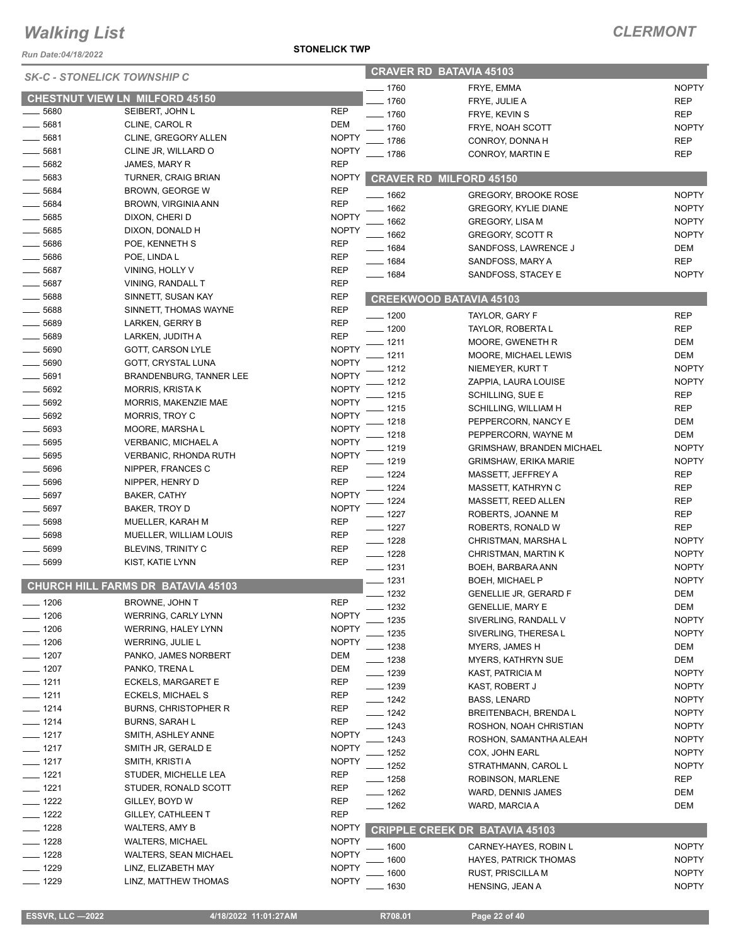*Run Date:04/18/2022*

#### *CLERMONT*

| <b>SK-C - STONELICK TOWNSHIP C</b> |                                       |              | <b>CRAVER RD BATAVIA 45103</b> |                                       |              |
|------------------------------------|---------------------------------------|--------------|--------------------------------|---------------------------------------|--------------|
|                                    |                                       |              | 1760                           | FRYE, EMMA                            | <b>NOPTY</b> |
|                                    | <b>CHESTNUT VIEW LN MILFORD 45150</b> |              | 1760                           | FRYE, JULIE A                         | <b>REP</b>   |
| $=$ 5680                           | SEIBERT, JOHN L                       | <b>REP</b>   | $-1760$                        | FRYE, KEVIN S                         | <b>REP</b>   |
| $-5681$                            | CLINE, CAROL R                        | <b>DEM</b>   | 1760                           | FRYE, NOAH SCOTT                      | <b>NOPTY</b> |
| 5681                               | CLINE, GREGORY ALLEN                  | <b>NOPTY</b> | 1786                           | CONROY, DONNA H                       | <b>REP</b>   |
| 5681                               | CLINE JR, WILLARD O                   | <b>NOPTY</b> | $-1786$                        | CONROY, MARTIN E                      | <b>REP</b>   |
| 5682                               | JAMES, MARY R                         | <b>REP</b>   |                                |                                       |              |
| 5683                               | TURNER, CRAIG BRIAN                   | <b>NOPTY</b> |                                | <b>CRAVER RD MILFORD 45150</b>        |              |
| 5684                               | BROWN, GEORGE W                       | <b>REP</b>   | 1662                           | <b>GREGORY, BROOKE ROSE</b>           | <b>NOPTY</b> |
| 5684                               | BROWN, VIRGINIA ANN                   | <b>REP</b>   | 1662                           | <b>GREGORY, KYLIE DIANE</b>           | <b>NOPTY</b> |
| 5685                               | DIXON, CHERI D                        | <b>NOPTY</b> | 1662                           | <b>GREGORY, LISA M</b>                | <b>NOPTY</b> |
| 5685                               | DIXON, DONALD H                       | <b>NOPTY</b> | 1662                           | GREGORY, SCOTT R                      | <b>NOPTY</b> |
| 5686                               | POE, KENNETH S                        | <b>REP</b>   | $-1684$                        | SANDFOSS, LAWRENCE J                  | <b>DEM</b>   |
| 5686                               | POE, LINDA L                          | <b>REP</b>   | $- 1684$                       | SANDFOSS, MARY A                      | <b>REP</b>   |
| 5687                               | VINING, HOLLY V                       | <b>REP</b>   | $- 1684$                       | SANDFOSS, STACEY E                    | <b>NOPTY</b> |
| 5687                               | VINING, RANDALL T                     | <b>REP</b>   |                                |                                       |              |
| $-5688$                            | SINNETT, SUSAN KAY                    | <b>REP</b>   |                                | <b>CREEKWOOD BATAVIA 45103</b>        |              |
| 5688                               | SINNETT, THOMAS WAYNE                 | <b>REP</b>   | $- 1200$                       | TAYLOR, GARY F                        | <b>REP</b>   |
| 5689                               | LARKEN, GERRY B                       | <b>REP</b>   | $-1200$                        | TAYLOR, ROBERTA L                     | <b>REP</b>   |
| 5689                               | LARKEN, JUDITH A                      | <b>REP</b>   | 1211                           | MOORE, GWENETH R                      | <b>DEM</b>   |
| 5690                               | GOTT, CARSON LYLE                     | <b>NOPTY</b> | 1211                           | MOORE, MICHAEL LEWIS                  | <b>DEM</b>   |
| 5690                               | GOTT, CRYSTAL LUNA                    | <b>NOPTY</b> | 1212                           | NIEMEYER, KURT T                      | <b>NOPTY</b> |
| _ 5691                             | BRANDENBURG, TANNER LEE               | <b>NOPTY</b> | 1212                           | ZAPPIA, LAURA LOUISE                  | <b>NOPTY</b> |
| 5692                               | <b>MORRIS, KRISTAK</b>                | <b>NOPTY</b> | 1215                           | SCHILLING, SUE E                      | <b>REP</b>   |
| 5692                               | MORRIS, MAKENZIE MAE                  | <b>NOPTY</b> | 1215                           | SCHILLING, WILLIAM H                  | <b>REP</b>   |
| 5692                               | <b>MORRIS, TROY C</b>                 | <b>NOPTY</b> | 1218                           | PEPPERCORN, NANCY E                   | <b>DEM</b>   |
| 5693                               | MOORE, MARSHAL                        | <b>NOPTY</b> | 1218                           | PEPPERCORN, WAYNE M                   | <b>DEM</b>   |
| 5695                               | VERBANIC, MICHAEL A                   | <b>NOPTY</b> | 1219                           | <b>GRIMSHAW, BRANDEN MICHAEL</b>      | <b>NOPTY</b> |
| 5695                               | <b>VERBANIC, RHONDA RUTH</b>          | <b>NOPTY</b> | 1219                           | <b>GRIMSHAW, ERIKA MARIE</b>          | <b>NOPTY</b> |
| 5696                               | NIPPER, FRANCES C                     | <b>REP</b>   | 1224                           | MASSETT, JEFFREY A                    | <b>REP</b>   |
| $\frac{1}{2}$ 5696                 | NIPPER, HENRY D                       | <b>REP</b>   | 1224                           | MASSETT, KATHRYN C                    | <b>REP</b>   |
| 5697                               | BAKER, CATHY                          | <b>NOPTY</b> | 1224                           | MASSETT, REED ALLEN                   | <b>REP</b>   |
| 5697                               | BAKER, TROY D                         | <b>NOPTY</b> | $-1227$                        | ROBERTS, JOANNE M                     | <b>REP</b>   |
| 5698                               | MUELLER, KARAH M                      | <b>REP</b>   | $-1227$                        | ROBERTS, RONALD W                     | <b>REP</b>   |
| 5698                               | MUELLER, WILLIAM LOUIS                | <b>REP</b>   | $- 1228$                       | CHRISTMAN, MARSHA L                   | <b>NOPTY</b> |
| 5699                               | <b>BLEVINS, TRINITY C</b>             | <b>REP</b>   | $-1228$                        | CHRISTMAN, MARTIN K                   | <b>NOPTY</b> |
| 5699                               | KIST, KATIE LYNN                      | <b>REP</b>   | $-1231$                        | BOEH, BARBARA ANN                     | <b>NOPTY</b> |
|                                    |                                       |              | __ 1231                        | BOEH, MICHAEL P                       | <b>NOPTY</b> |
|                                    | CHURCH HILL FARMS DR BATAVIA 45103    |              | $-1232$                        | <b>GENELLIE JR, GERARD F</b>          | <b>DEM</b>   |
| 1206                               | BROWNE, JOHN T                        | <b>REP</b>   | - 1232                         | <b>GENELLIE, MARY E</b>               | DEM          |
| $- 1206$                           | <b>WERRING, CARLY LYNN</b>            | <b>NOPTY</b> | 1235                           | SIVERLING, RANDALL V                  | <b>NOPTY</b> |
| $- 1206$                           | <b>WERRING, HALEY LYNN</b>            | <b>NOPTY</b> | 1235                           | SIVERLING, THERESA L                  | <b>NOPTY</b> |
| <u>_____</u> 1206                  | WERRING, JULIE L                      | <b>NOPTY</b> | 1238                           | MYERS, JAMES H                        | DEM          |
| $- 1207$                           | PANKO, JAMES NORBERT                  | DEM          | _ 1238                         | <b>MYERS, KATHRYN SUE</b>             | DEM          |
| $- 1207$                           | PANKO, TRENA L                        | DEM          | _ 1239                         | KAST, PATRICIA M                      | <b>NOPTY</b> |
| $-$ 1211                           | ECKELS, MARGARET E                    | <b>REP</b>   | $- 1239$                       | KAST, ROBERT J                        | <b>NOPTY</b> |
| $- 1211$                           | ECKELS, MICHAEL S                     | <b>REP</b>   | $-1242$                        | BASS, LENARD                          | <b>NOPTY</b> |
| $- 1214$                           | <b>BURNS, CHRISTOPHER R</b>           | REP          | $-1242$                        | <b>BREITENBACH, BRENDAL</b>           | <b>NOPTY</b> |
| $- 1214$                           | <b>BURNS, SARAH L</b>                 | <b>REP</b>   | _ 1243                         | ROSHON, NOAH CHRISTIAN                | <b>NOPTY</b> |
| $- 1217$                           | SMITH, ASHLEY ANNE                    | <b>NOPTY</b> | 1243                           | ROSHON, SAMANTHA ALEAH                | <b>NOPTY</b> |
| $- 1217$                           | SMITH JR, GERALD E                    | <b>NOPTY</b> | 1252                           | COX, JOHN EARL                        | <b>NOPTY</b> |
| — 1217                             | SMITH, KRISTI A                       | <b>NOPTY</b> | 1252                           | STRATHMANN, CAROL L                   | <b>NOPTY</b> |
| $- 1221$                           | STUDER, MICHELLE LEA                  | <b>REP</b>   | $-1258$                        | ROBINSON, MARLENE                     | REP          |
| $- 1221$                           | STUDER, RONALD SCOTT                  | REP          | $-1262$                        | WARD, DENNIS JAMES                    | DEM          |
| $- 1222$                           | GILLEY, BOYD W                        | REP          | __ 1262                        | WARD, MARCIA A                        | DEM          |
| <u>—</u> 1222                      | GILLEY, CATHLEEN T                    | <b>REP</b>   |                                |                                       |              |
| $- 1228$                           | <b>WALTERS, AMY B</b>                 | <b>NOPTY</b> |                                | <b>CRIPPLE CREEK DR BATAVIA 45103</b> |              |
| $-1228$                            | <b>WALTERS, MICHAEL</b>               | <b>NOPTY</b> |                                |                                       |              |
| $- 1228$                           | <b>WALTERS, SEAN MICHAEL</b>          | <b>NOPTY</b> | 1600                           | CARNEY-HAYES, ROBIN L                 | <b>NOPTY</b> |
| $-1229$                            | LINZ, ELIZABETH MAY                   | <b>NOPTY</b> | 1600                           | <b>HAYES, PATRICK THOMAS</b>          | <b>NOPTY</b> |
| <u>—</u> 1229                      | LINZ, MATTHEW THOMAS                  | <b>NOPTY</b> | 1600                           | RUST, PRISCILLA M                     | <b>NOPTY</b> |
|                                    |                                       |              | 1630                           | HENSING, JEAN A                       | <b>NOPTY</b> |

**STONELICK TWP**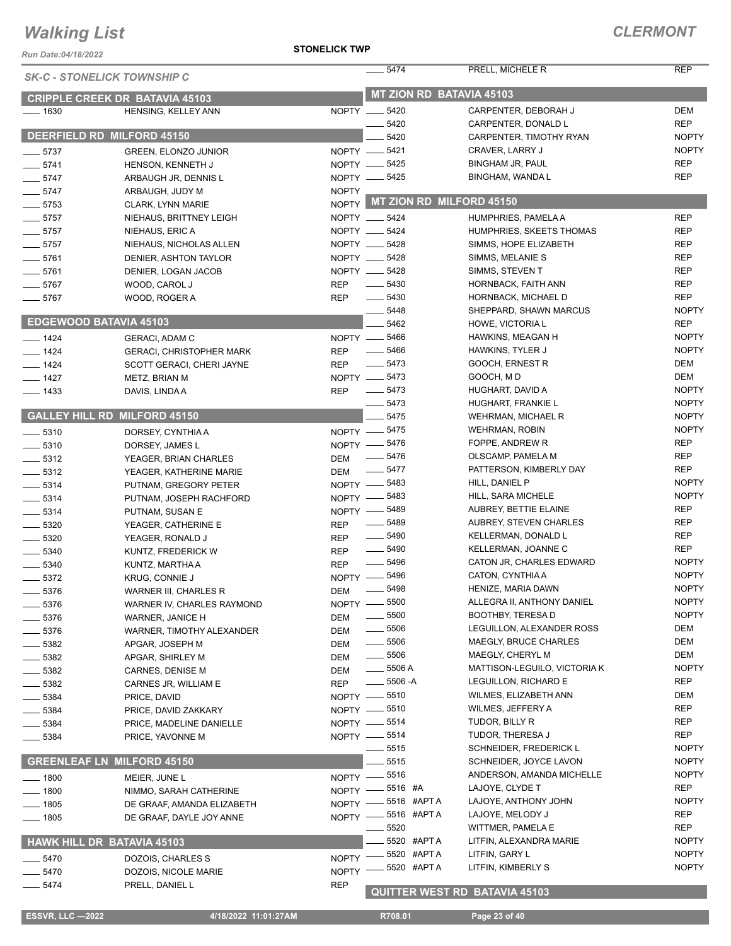#### **STONELICK TWP**

| Run Date:04/18/2022 |                                                | <b>STONELICK TWP</b> |                                   |                                             |                            |
|---------------------|------------------------------------------------|----------------------|-----------------------------------|---------------------------------------------|----------------------------|
|                     | <b>SK-C - STONELICK TOWNSHIP C</b>             |                      | 5474                              | PRELL, MICHELE R                            | <b>REP</b>                 |
|                     | <b>CRIPPLE CREEK DR BATAVIA 45103</b>          |                      | <b>MT ZION RD BATAVIA 45103</b>   |                                             |                            |
| $- 1630$            | HENSING, KELLEY ANN                            |                      | NOPTY __ 5420                     | CARPENTER, DEBORAH J                        | <b>DEM</b>                 |
|                     |                                                |                      | 5420                              | CARPENTER, DONALD L                         | <b>REP</b>                 |
|                     | DEERFIELD RD MILFORD 45150                     |                      | 5420                              | CARPENTER, TIMOTHY RYAN                     | <b>NOPTY</b>               |
| $-5737$             | <b>GREEN, ELONZO JUNIOR</b>                    |                      | NOPTY -6421                       | CRAVER, LARRY J                             | <b>NOPTY</b>               |
| $-5741$             | HENSON, KENNETH J                              |                      | NOPTY -6425                       | BINGHAM JR, PAUL                            | <b>REP</b>                 |
| $-5747$             | ARBAUGH JR, DENNIS L                           |                      | NOPTY -6425                       | BINGHAM, WANDA L                            | <b>REP</b>                 |
| $-5747$             | ARBAUGH, JUDY M                                | <b>NOPTY</b>         |                                   |                                             |                            |
| $- 5753$            | CLARK, LYNN MARIE                              |                      | NOPTY MT ZION RD MILFORD 45150    |                                             |                            |
| $-5757$             | NIEHAUS, BRITTNEY LEIGH                        |                      | NOPTY __ 5424                     | HUMPHRIES, PAMELA A                         | <b>REP</b>                 |
| $-5757$             | NIEHAUS, ERIC A                                |                      | NOPTY __ 5424                     | HUMPHRIES, SKEETS THOMAS                    | <b>REP</b>                 |
| $-5757$             | NIEHAUS, NICHOLAS ALLEN                        |                      | NOPTY __ 5428                     | SIMMS, HOPE ELIZABETH                       | REP                        |
| $-5761$             | DENIER, ASHTON TAYLOR                          |                      | NOPTY __ 5428                     | SIMMS, MELANIE S                            | <b>REP</b>                 |
| $-5761$             | DENIER, LOGAN JACOB                            |                      | NOPTY __ 5428                     | SIMMS, STEVEN T                             | <b>REP</b>                 |
| $- 5767$            | WOOD, CAROL J                                  | <b>REP</b>           | $\frac{1}{2}$ 5430                | HORNBACK, FAITH ANN                         | <b>REP</b>                 |
| $-5767$             | WOOD, ROGER A                                  | REP                  | $\frac{1}{2}$ 5430                | HORNBACK, MICHAEL D                         | <b>REP</b>                 |
|                     |                                                |                      | 5448                              | SHEPPARD, SHAWN MARCUS                      | <b>NOPTY</b>               |
|                     | <b>EDGEWOOD BATAVIA 45103</b>                  |                      | 5462                              | HOWE, VICTORIA L                            | <b>REP</b>                 |
| $- 1424$            | <b>GERACI. ADAM C</b>                          |                      | NOPTY -6466                       | HAWKINS, MEAGAN H                           | <b>NOPTY</b>               |
| $- 1424$            | <b>GERACI, CHRISTOPHER MARK</b>                | <b>REP</b>           | $- 5466$                          | HAWKINS, TYLER J                            | <b>NOPTY</b>               |
| $- 1424$            | SCOTT GERACI, CHERI JAYNE                      | <b>REP</b>           | $- 5473$                          | GOOCH, ERNEST R                             | <b>DEM</b>                 |
| $- 1427$            | METZ, BRIAN M                                  |                      | NOPTY -6473                       | GOOCH, MD                                   | <b>DEM</b>                 |
| $- 1433$            | DAVIS, LINDA A                                 | <b>REP</b>           | $- 5473$                          | HUGHART, DAVID A                            | <b>NOPTY</b>               |
|                     |                                                |                      | 5473                              | HUGHART, FRANKIE L                          | <b>NOPTY</b>               |
|                     | <b>GALLEY HILL RD MILFORD 45150</b>            |                      | 5475                              | <b>WEHRMAN, MICHAEL R</b>                   | <b>NOPTY</b>               |
| $\frac{1}{2}$ 5310  | DORSEY, CYNTHIA A                              |                      | NOPTY -8475                       | <b>WEHRMAN, ROBIN</b>                       | <b>NOPTY</b>               |
| $\frac{1}{2}$ 5310  | DORSEY, JAMES L                                |                      | NOPTY -8476                       | FOPPE, ANDREW R                             | <b>REP</b>                 |
| $\frac{1}{2}$ 5312  | YEAGER, BRIAN CHARLES                          | <b>DEM</b>           | $\frac{1}{2}$ 5476                | OLSCAMP, PAMELA M                           | <b>REP</b>                 |
| $\frac{1}{2}$ 5312  | YEAGER, KATHERINE MARIE                        | <b>DEM</b>           | $\frac{1}{2}$ 5477                | PATTERSON, KIMBERLY DAY                     | <b>REP</b>                 |
| $- 5314$            | PUTNAM, GREGORY PETER                          |                      | NOPTY -8483                       | HILL, DANIEL P                              | <b>NOPTY</b>               |
| $\frac{1}{2}$ 5314  | PUTNAM, JOSEPH RACHFORD                        |                      | NOPTY -8483                       | HILL, SARA MICHELE<br>AUBREY, BETTIE ELAINE | <b>NOPTY</b><br><b>REP</b> |
| $- 5314$            | PUTNAM, SUSAN E                                |                      | NOPTY -8489<br>$\frac{1}{2}$ 5489 | <b>AUBREY, STEVEN CHARLES</b>               | <b>REP</b>                 |
| $-5320$             | YEAGER, CATHERINE E                            | <b>REP</b>           | $\frac{1}{2}$ 5490                | KELLERMAN, DONALD L                         | <b>REP</b>                 |
| $- 5320$            | YEAGER, RONALD J                               | <b>REP</b>           | $\frac{1}{2}$ 5490                | KELLERMAN, JOANNE C                         | <b>REP</b>                 |
| $\frac{1}{2}$ 5340  | KUNTZ, FREDERICK W                             | <b>REP</b>           | $\frac{1}{2}$ 5496                | CATON JR, CHARLES EDWARD                    | <b>NOPTY</b>               |
| $- 5340$            | KUNTZ, MARTHA A                                | <b>REP</b>           | NOPTY -8496                       | CATON, CYNTHIA A                            | <b>NOPTY</b>               |
| 5372                | KRUG, CONNIE J<br><b>WARNER III, CHARLES R</b> | DEM                  | $\frac{1}{2}$ 5498                | HENIZE, MARIA DAWN                          | <b>NOPTY</b>               |
| 5376<br>5376        | WARNER IV, CHARLES RAYMOND                     | $NOPTY -$            | 5500                              | ALLEGRA II, ANTHONY DANIEL                  | <b>NOPTY</b>               |
| 5376                | WARNER, JANICE H                               | <b>DEM</b>           | $\frac{1}{2}$ 5500                | <b>BOOTHBY, TERESA D</b>                    | <b>NOPTY</b>               |
| $-5376$             | WARNER, TIMOTHY ALEXANDER                      | DEM                  | $\frac{1}{2}$ 5506                | LEGUILLON, ALEXANDER ROSS                   | <b>DEM</b>                 |
| $-5382$             | APGAR, JOSEPH M                                | <b>DEM</b>           | $\frac{1}{2}$ 5506                | MAEGLY, BRUCE CHARLES                       | <b>DEM</b>                 |
| 5382                | APGAR, SHIRLEY M                               | <b>DEM</b>           | $\frac{1}{2}$ 5506                | MAEGLY, CHERYL M                            | <b>DEM</b>                 |
| 5382                | CARNES, DENISE M                               | <b>DEM</b>           | $-5506A$                          | MATTISON-LEGUILO, VICTORIA K                | <b>NOPTY</b>               |
| 5382                | CARNES JR, WILLIAM E                           | <b>REP</b>           | $- 5506 - A$                      | LEGUILLON, RICHARD E                        | REP                        |
| $-5384$             | PRICE, DAVID                                   |                      | NOPTY -8510                       | WILMES, ELIZABETH ANN                       | DEM                        |
| $-5384$             | PRICE, DAVID ZAKKARY                           |                      | NOPTY -8510                       | WILMES, JEFFERY A                           | REP                        |
| 5384                | PRICE, MADELINE DANIELLE                       |                      | NOPTY - 5514                      | TUDOR, BILLY R                              | REP                        |
| $-5384$             | PRICE, YAVONNE M                               |                      | NOPTY - 5514                      | TUDOR, THERESA J                            | <b>REP</b>                 |
|                     |                                                |                      | 5515                              | SCHNEIDER, FREDERICK L                      | <b>NOPTY</b>               |
|                     | <b>GREENLEAF LN MILFORD 45150</b>              |                      | 5515                              | SCHNEIDER, JOYCE LAVON                      | <b>NOPTY</b>               |
| $-1800$             | MEIER, JUNE L                                  |                      | NOPTY -8516                       | ANDERSON, AMANDA MICHELLE                   | <b>NOPTY</b>               |
| 1800                | NIMMO, SARAH CATHERINE                         | $NOPTY -$            | 5516 #A                           | LAJOYE, CLYDE T                             | <b>REP</b>                 |
| 1805                | DE GRAAF, AMANDA ELIZABETH                     | NOPTY -              | 5516 #APT A                       | LAJOYE, ANTHONY JOHN                        | <b>NOPTY</b>               |
| $-1805$             | DE GRAAF, DAYLE JOY ANNE                       | NOPTY -              | 5516 #APT A                       | LAJOYE, MELODY J                            | <b>REP</b>                 |
|                     |                                                |                      | 5520                              | WITTMER, PAMELA E                           | <b>REP</b>                 |
|                     | HAWK HILL DR BATAVIA 45103                     |                      | 5520 #APT A                       | LITFIN, ALEXANDRA MARIE                     | <b>NOPTY</b>               |
| 5470                | DOZOIS, CHARLES S                              | <b>NOPTY</b>         | 5520 #APT A                       | LITFIN, GARY L                              | <b>NOPTY</b>               |
| $-5470$             | DOZOIS, NICOLE MARIE                           | <b>NOPTY</b>         | 5520 #APT A                       | LITFIN, KIMBERLY S                          | <b>NOPTY</b>               |
| $-5474$             | PRELL, DANIEL L                                | <b>REP</b>           |                                   |                                             |                            |
|                     |                                                |                      |                                   | <b>QUITTER WEST RD BATAVIA 45103</b>        |                            |

 **ESSVR, LLC —2022 4/18/2022 11:01:27AM R708.01 Page 23 of 40**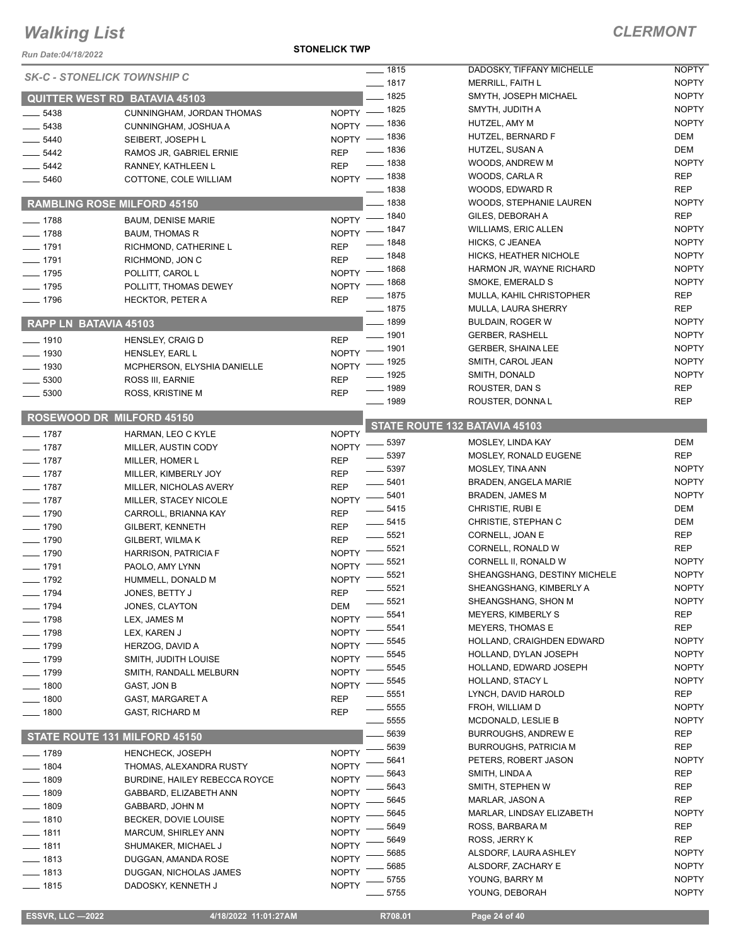#### *Run Date:04/18/2022*

#### **STONELICK TWP**

### *CLERMONT*

|                              | <b>SK-C - STONELICK TOWNSHIP C</b>   |              | $- 1815$           | DADOSKY, TIFFANY MICHELLE        | <b>NOPTY</b>                 |
|------------------------------|--------------------------------------|--------------|--------------------|----------------------------------|------------------------------|
|                              |                                      |              | $- 1817$           | <b>MERRILL, FAITH L</b>          | <b>NOPTY</b>                 |
|                              | <b>QUITTER WEST RD BATAVIA 45103</b> |              | $-1825$            | SMYTH, JOSEPH MICHAEL            | <b>NOPTY</b>                 |
| $-5438$                      | CUNNINGHAM, JORDAN THOMAS            |              | NOPTY - 1825       | SMYTH, JUDITH A                  | <b>NOPTY</b>                 |
| $-5438$                      | CUNNINGHAM, JOSHUA A                 |              | NOPTY - 1836       | HUTZEL, AMY M                    | <b>NOPTY</b>                 |
| $- 5440$                     | SEIBERT, JOSEPH L                    |              | NOPTY - 1836       | HUTZEL, BERNARD F                | <b>DEM</b>                   |
| $-5442$                      | RAMOS JR, GABRIEL ERNIE              | <b>REP</b>   | $- 1836$           | HUTZEL, SUSAN A                  | <b>DEM</b>                   |
| $-5442$                      | RANNEY, KATHLEEN L                   | <b>REP</b>   | $- 1838$           | WOODS, ANDREW M                  | <b>NOPTY</b>                 |
| $- 5460$                     | COTTONE, COLE WILLIAM                |              | NOPTY - 1838       | WOODS, CARLA R                   | <b>REP</b>                   |
|                              |                                      |              | $- 1838$           | WOODS, EDWARD R                  | <b>REP</b>                   |
|                              | <b>RAMBLING ROSE MILFORD 45150</b>   |              | $-1838$            | WOODS, STEPHANIE LAUREN          | <b>NOPTY</b>                 |
| $- 1788$                     | <b>BAUM, DENISE MARIE</b>            |              | NOPTY - 1840       | GILES, DEBORAH A                 | <b>REP</b>                   |
| $-1788$                      | <b>BAUM, THOMAS R</b>                | $N$ OPTY -   | $=$ 1847           | <b>WILLIAMS, ERIC ALLEN</b>      | <b>NOPTY</b>                 |
| $- 1791$                     |                                      | <b>REP</b>   | <u>_</u> __ 1848   | HICKS, C JEANEA                  | <b>NOPTY</b>                 |
|                              | RICHMOND, CATHERINE L                |              | $- 1848$           | HICKS, HEATHER NICHOLE           | <b>NOPTY</b>                 |
| $- 1791$                     | RICHMOND, JON C                      | <b>REP</b>   | NOPTY - 1868       | HARMON JR, WAYNE RICHARD         | <b>NOPTY</b>                 |
| $- 1795$                     | POLLITT, CAROL L                     |              | NOPTY - 1868       | SMOKE, EMERALD S                 | <b>NOPTY</b>                 |
| $- 1795$                     | POLLITT, THOMAS DEWEY                |              | $- 1875$           | MULLA, KAHIL CHRISTOPHER         | <b>REP</b>                   |
| $- 1796$                     | <b>HECKTOR, PETER A</b>              | <b>REP</b>   | $- 1875$           | MULLA, LAURA SHERRY              | <b>REP</b>                   |
|                              |                                      |              | $- 1899$           | <b>BULDAIN, ROGER W</b>          | <b>NOPTY</b>                 |
| <b>RAPP LN BATAVIA 45103</b> |                                      |              | $- 1901$           | <b>GERBER, RASHELL</b>           | <b>NOPTY</b>                 |
| $- 1910$                     | <b>HENSLEY, CRAIG D</b>              | <b>REP</b>   | $-1901$            | <b>GERBER, SHAINA LEE</b>        | <b>NOPTY</b>                 |
| $- 1930$                     | HENSLEY, EARL L                      | <b>NOPTY</b> |                    |                                  | <b>NOPTY</b>                 |
| $\frac{1}{2}$ 1930           | MCPHERSON, ELYSHIA DANIELLE          | <b>NOPTY</b> | _ 1925             | SMITH, CAROL JEAN                |                              |
| $\frac{1}{2}$ 5300           | ROSS III, EARNIE                     | <b>REP</b>   | $-1925$            | SMITH, DONALD                    | <b>NOPTY</b>                 |
| 5300                         | ROSS, KRISTINE M                     | <b>REP</b>   | $- 1989$           | ROUSTER, DAN S                   | <b>REP</b>                   |
|                              |                                      |              | $- 1989$           | ROUSTER, DONNAL                  | <b>REP</b>                   |
|                              | <b>ROSEWOOD DR MILFORD 45150</b>     |              |                    | STATE ROUTE 132 BATAVIA 45103    |                              |
| $- 1787$                     | HARMAN, LEO C KYLE                   | <b>NOPTY</b> | $-5397$            | MOSLEY, LINDA KAY                | <b>DEM</b>                   |
| $- 1787$                     | MILLER, AUSTIN CODY                  | <b>NOPTY</b> |                    |                                  | <b>REP</b>                   |
| $- 1787$                     | MILLER, HOMER L                      | <b>REP</b>   | $- 5397$           | <b>MOSLEY, RONALD EUGENE</b>     | <b>NOPTY</b>                 |
| $- 1787$                     | MILLER, KIMBERLY JOY                 | <b>REP</b>   | $\frac{1}{2}$ 5397 | MOSLEY, TINA ANN                 |                              |
| $- 1787$                     | MILLER, NICHOLAS AVERY               | <b>REP</b>   | $\frac{1}{2}$ 5401 | <b>BRADEN, ANGELA MARIE</b>      | <b>NOPTY</b>                 |
|                              |                                      |              |                    |                                  |                              |
| $- 1787$                     | MILLER, STACEY NICOLE                | <b>NOPTY</b> | $\frac{1}{2}$ 5401 | <b>BRADEN, JAMES M</b>           | <b>NOPTY</b>                 |
| $- 1790$                     | CARROLL, BRIANNA KAY                 | <b>REP</b>   | 5415               | CHRISTIE, RUBI E                 | <b>DEM</b>                   |
| $- 1790$                     | GILBERT, KENNETH                     | <b>REP</b>   | $- 5415$           | CHRISTIE, STEPHAN C              | <b>DEM</b>                   |
| $- 1790$                     | GILBERT, WILMAK                      | <b>REP</b>   | $\frac{1}{2}$ 5521 | CORNELL, JOAN E                  | <b>REP</b>                   |
| $- 1790$                     | <b>HARRISON, PATRICIA F</b>          | <b>NOPTY</b> | $-5521$            | CORNELL, RONALD W                | <b>REP</b>                   |
| $- 1791$                     | PAOLO, AMY LYNN                      | <b>NOPTY</b> | 5521               | CORNELL II, RONALD W             | <b>NOPTY</b>                 |
| $- 1792$                     | HUMMELL, DONALD M                    | <b>NOPTY</b> | 5521               | SHEANGSHANG, DESTINY MICHELE     | <b>NOPTY</b>                 |
|                              |                                      |              | 5521               | SHEANGSHANG, KIMBERLY A          | <b>NOPTY</b>                 |
| $- 1794$                     | JONES, BETTY J                       | <b>REP</b>   | 5521               | SHEANGSHANG, SHON M              | <b>NOPTY</b>                 |
| $- 1794$                     | JONES, CLAYTON                       | DEM          | 5541               | <b>MEYERS, KIMBERLY S</b>        | REP                          |
| $- 1798$                     | LEX, JAMES M                         | <b>NOPTY</b> | 5541               | <b>MEYERS, THOMAS E</b>          | <b>REP</b>                   |
| $- 1798$                     | LEX, KAREN J                         | <b>NOPTY</b> | 5545               | HOLLAND, CRAIGHDEN EDWARD        | <b>NOPTY</b>                 |
| ___ 1799                     | HERZOG, DAVID A                      | <b>NOPTY</b> | 5545               | HOLLAND, DYLAN JOSEPH            | <b>NOPTY</b>                 |
| $- 1799$                     | SMITH, JUDITH LOUISE                 | <b>NOPTY</b> | 5545               | HOLLAND, EDWARD JOSEPH           | <b>NOPTY</b>                 |
| $-1799$                      | SMITH, RANDALL MELBURN               | <b>NOPTY</b> | 5545               | HOLLAND, STACY L                 | <b>NOPTY</b>                 |
| 1800                         | GAST, JON B                          | <b>NOPTY</b> | 5551               | LYNCH, DAVID HAROLD              | REP                          |
| $-1800$                      | GAST, MARGARET A                     | <b>REP</b>   | 5555               | FROH, WILLIAM D                  | <b>NOPTY</b>                 |
| $-1800$                      | GAST, RICHARD M                      | <b>REP</b>   | 5555               | MCDONALD, LESLIE B               | <b>NOPTY</b>                 |
|                              |                                      |              | 5639               | <b>BURROUGHS, ANDREW E</b>       | <b>REP</b>                   |
|                              | STATE ROUTE 131 MILFORD 45150        |              | 5639               | <b>BURROUGHS, PATRICIA M</b>     | REP                          |
| $- 1789$                     | <b>HENCHECK, JOSEPH</b>              | <b>NOPTY</b> | 5641               | PETERS, ROBERT JASON             | <b>NOPTY</b>                 |
| _ 1804                       | THOMAS, ALEXANDRA RUSTY              | <b>NOPTY</b> | 5643               |                                  | REP                          |
| $-1809$                      | BURDINE, HAILEY REBECCA ROYCE        | <b>NOPTY</b> |                    | SMITH, LINDA A                   |                              |
| $- 1809$                     | GABBARD, ELIZABETH ANN               | <b>NOPTY</b> | 5643               | SMITH, STEPHEN W                 | <b>REP</b>                   |
| $- 1809$                     | GABBARD, JOHN M                      | <b>NOPTY</b> | 5645               | MARLAR, JASON A                  | <b>REP</b>                   |
| $- 1810$                     | BECKER, DOVIE LOUISE                 | <b>NOPTY</b> | 5645               | MARLAR, LINDSAY ELIZABETH        | <b>NOPTY</b>                 |
| $- 1811$                     | <b>MARCUM, SHIRLEY ANN</b>           | <b>NOPTY</b> | 5649               | ROSS, BARBARA M                  | <b>REP</b>                   |
| $- 1811$                     | SHUMAKER, MICHAEL J                  | <b>NOPTY</b> | 5649               | ROSS, JERRY K                    | REP                          |
| —— 1813                      | DUGGAN, AMANDA ROSE                  | <b>NOPTY</b> | 5685               | ALSDORF, LAURA ASHLEY            | <b>NOPTY</b>                 |
| $-1813$                      | DUGGAN, NICHOLAS JAMES               | <b>NOPTY</b> | 5685               | ALSDORF, ZACHARY E               | <b>NOPTY</b>                 |
| $- 1815$                     | DADOSKY, KENNETH J                   | <b>NOPTY</b> | 5755<br>. 5755     | YOUNG, BARRY M<br>YOUNG, DEBORAH | <b>NOPTY</b><br><b>NOPTY</b> |

 **ESSVR, LLC —2022 4/18/2022 11:01:27AM R708.01 Page 24 of 40**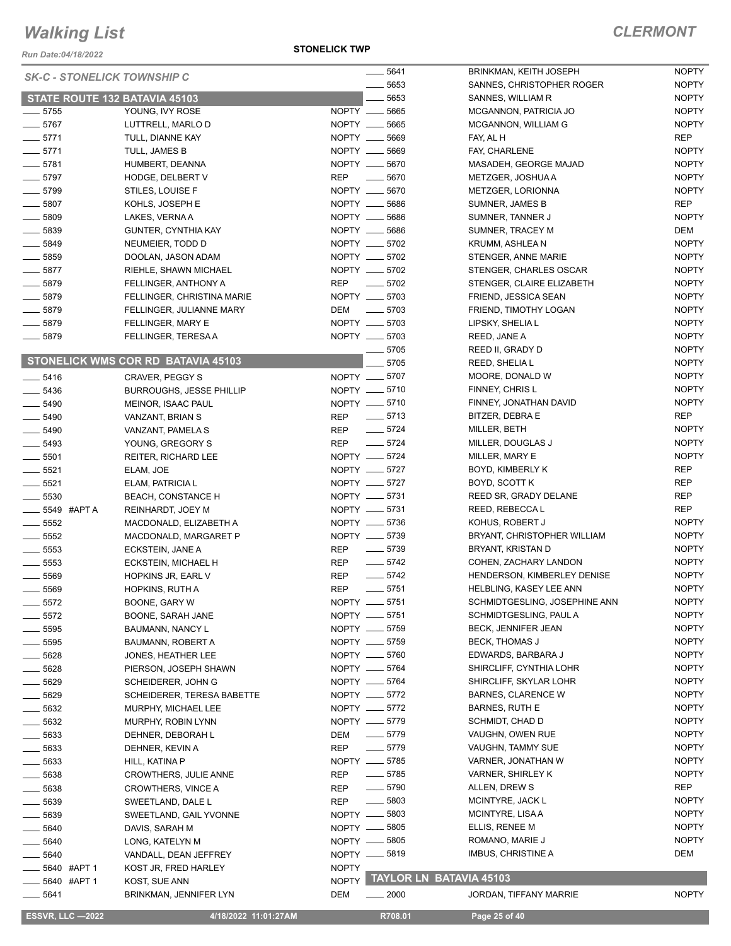*Run Date:04/18/2022*

#### **STONELICK TWP**

| <b>SK-C - STONELICK TOWNSHIP C</b>   |                                    | $- 5641$                         | <b>BRINKMAN, KEITH JOSEPH</b>  | <b>NOPTY</b> |
|--------------------------------------|------------------------------------|----------------------------------|--------------------------------|--------------|
|                                      |                                    | 5653                             | SANNES, CHRISTOPHER ROGER      | <b>NOPTY</b> |
| <b>STATE ROUTE 132 BATAVIA 45103</b> |                                    | 5653                             | SANNES, WILLIAM R              | <b>NOPTY</b> |
| $-5755$                              | YOUNG, IVY ROSE                    | NOPTY __ 5665                    | MCGANNON, PATRICIA JO          | <b>NOPTY</b> |
| $- 5767$                             | LUTTRELL, MARLO D                  | NOPTY __ 5665                    | MCGANNON, WILLIAM G            | <b>NOPTY</b> |
| $-5771$                              | TULL, DIANNE KAY                   | NOPTY __ 5669                    | FAY, AL H                      | <b>REP</b>   |
| $-5771$                              | TULL, JAMES B                      | NOPTY __ 5669                    | FAY, CHARLENE                  | <b>NOPTY</b> |
| $\frac{1}{2}$ 5781                   | HUMBERT, DEANNA                    | NOPTY __ 5670                    | MASADEH, GEORGE MAJAD          | <b>NOPTY</b> |
| $- 5797$                             | HODGE, DELBERT V                   | <b>REP</b><br>5670               | METZGER, JOSHUA A              | <b>NOPTY</b> |
| $- 5799$                             | STILES, LOUISE F                   | NOPTY __ 5670                    | METZGER, LORIONNA              | <b>NOPTY</b> |
| $- 5807$                             | KOHLS, JOSEPH E                    | NOPTY __ 5686                    | <b>SUMNER, JAMES B</b>         | <b>REP</b>   |
| $\frac{1}{2}$ 5809                   | LAKES, VERNA A                     | NOPTY __ 5686                    | SUMNER, TANNER J               | <b>NOPTY</b> |
| $\frac{1}{2}$ 5839                   | <b>GUNTER, CYNTHIA KAY</b>         | NOPTY __ 5686                    | SUMNER, TRACEY M               | DEM          |
| $- 5849$                             | NEUMEIER, TODD D                   | NOPTY __ 5702                    | KRUMM, ASHLEA N                | <b>NOPTY</b> |
| $\frac{1}{2}$ 5859                   | DOOLAN, JASON ADAM                 | NOPTY __ 5702                    | STENGER, ANNE MARIE            | <b>NOPTY</b> |
| $\frac{1}{2}$ 5877                   | RIEHLE, SHAWN MICHAEL              | NOPTY __ 5702                    | STENGER, CHARLES OSCAR         | <b>NOPTY</b> |
| $- 5879$                             | FELLINGER, ANTHONY A               | REP __ 5702                      | STENGER, CLAIRE ELIZABETH      | <b>NOPTY</b> |
| $- 5879$                             | FELLINGER, CHRISTINA MARIE         | NOPTY __ 5703                    | FRIEND, JESSICA SEAN           | <b>NOPTY</b> |
| $- 5879$                             | FELLINGER, JULIANNE MARY           | $\frac{1}{2}$ 5703<br>DEM        | FRIEND, TIMOTHY LOGAN          | <b>NOPTY</b> |
| $- 5879$                             | FELLINGER, MARY E                  | NOPTY __ 5703                    | LIPSKY, SHELIA L               | <b>NOPTY</b> |
| ____ 5879                            | FELLINGER, TERESA A                | NOPTY __ 5703                    | REED, JANE A                   | <b>NOPTY</b> |
|                                      |                                    | 5705                             | REED II, GRADY D               | <b>NOPTY</b> |
|                                      | STONELICK WMS COR RD BATAVIA 45103 | 5705                             |                                | <b>NOPTY</b> |
|                                      |                                    |                                  | REED, SHELIA L                 | <b>NOPTY</b> |
| $- 5416$                             | CRAVER, PEGGY S                    | NOPTY __ 5707                    | MOORE, DONALD W                | <b>NOPTY</b> |
| $\frac{1}{2}$ 5436                   | <b>BURROUGHS, JESSE PHILLIP</b>    | NOPTY -6710                      | FINNEY, CHRIS L                |              |
| $\frac{1}{2}$ 5490                   | MEINOR, ISAAC PAUL                 | NOPTY __ 5710                    | FINNEY, JONATHAN DAVID         | <b>NOPTY</b> |
| $- 5490$                             | VANZANT, BRIAN S                   | REP __ 5713                      | BITZER, DEBRA E                | REP          |
| $\frac{1}{2}$ 5490                   | VANZANT, PAMELA S                  | $- 5724$<br>REP                  | MILLER, BETH                   | <b>NOPTY</b> |
| $\frac{1}{2}$ 5493                   | YOUNG, GREGORY S                   | $-5724$<br><b>REP</b>            | MILLER, DOUGLAS J              | <b>NOPTY</b> |
| $\frac{1}{2}$ 5501                   | <b>REITER, RICHARD LEE</b>         | NOPTY __ 5724                    | MILLER, MARY E                 | <b>NOPTY</b> |
| $-5521$                              | ELAM, JOE                          | NOPTY -6727                      | BOYD, KIMBERLY K               | <b>REP</b>   |
| $\frac{1}{2}$ 5521                   | ELAM, PATRICIA L                   | NOPTY __ 5727                    | BOYD, SCOTT K                  | <b>REP</b>   |
| $\frac{1}{2}$ 5530                   | <b>BEACH, CONSTANCE H</b>          | NOPTY -6731                      | REED SR, GRADY DELANE          | <b>REP</b>   |
| ____ 5549 #APT A                     | REINHARDT, JOEY M                  | NOPTY __ 5731                    | REED, REBECCAL                 | <b>REP</b>   |
| $\frac{1}{2}$ 5552                   | MACDONALD, ELIZABETH A             | NOPTY __ 5736                    | KOHUS, ROBERT J                | <b>NOPTY</b> |
| $\frac{1}{2}$ 5552                   | MACDONALD, MARGARET P              | NOPTY __ 5739                    | BRYANT, CHRISTOPHER WILLIAM    | <b>NOPTY</b> |
| $\frac{1}{2}$ 5553                   | ECKSTEIN, JANE A                   | $\frac{1}{2}$ 5739<br><b>REP</b> | BRYANT, KRISTAN D              | <b>NOPTY</b> |
| $\frac{1}{2}$ 5553                   | ECKSTEIN, MICHAEL H                | $- 5742$<br>REP                  | COHEN, ZACHARY LANDON          | <b>NOPTY</b> |
| $\frac{1}{2}$ 5569                   | HOPKINS JR, EARL V                 | $-5742$<br><b>REP</b>            | HENDERSON, KIMBERLEY DENISE    | <b>NOPTY</b> |
| $\frac{1}{2}$ 5569                   | <b>HOPKINS, RUTH A</b>             | $-5751$<br><b>REP</b>            | HELBLING, KASEY LEE ANN        | <b>NOPTY</b> |
| $-5572$                              | BOONE, GARY W                      | NOPTY -6751                      | SCHMIDTGESLING, JOSEPHINE ANN  | <b>NOPTY</b> |
| 5572                                 | BOONE, SARAH JANE                  | NOPTY __ 5751                    | SCHMIDTGESLING, PAUL A         | <b>NOPTY</b> |
| $\frac{1}{2}$ 5595                   | BAUMANN, NANCY L                   | NOPTY __ 5759                    | BECK, JENNIFER JEAN            | <b>NOPTY</b> |
| $\frac{1}{2}$ 5595                   | BAUMANN, ROBERT A                  | NOPTY __ 5759                    | BECK, THOMAS J                 | <b>NOPTY</b> |
| ____ 5628                            | JONES, HEATHER LEE                 | NOPTY -6760                      | EDWARDS, BARBARA J             | <b>NOPTY</b> |
| $- 5628$                             | PIERSON, JOSEPH SHAWN              | NOPTY -6764                      | SHIRCLIFF, CYNTHIA LOHR        | <b>NOPTY</b> |
| $- 5629$                             | SCHEIDERER, JOHN G                 | NOPTY __ 5764                    | SHIRCLIFF, SKYLAR LOHR         | <b>NOPTY</b> |
| $- 5629$                             | <b>SCHEIDERER, TERESA BABETTE</b>  | NOPTY __ 5772                    | <b>BARNES, CLARENCE W</b>      | <b>NOPTY</b> |
| $\frac{1}{2}$ 5632                   | MURPHY, MICHAEL LEE                | NOPTY __ 5772                    | <b>BARNES, RUTH E</b>          | <b>NOPTY</b> |
| ____ 5632                            | MURPHY, ROBIN LYNN                 | NOPTY __ 5779                    | SCHMIDT, CHAD D                | <b>NOPTY</b> |
| $- 5633$                             | DEHNER, DEBORAH L                  | $\frac{1}{2}$ 5779<br>DEM        | VAUGHN, OWEN RUE               | <b>NOPTY</b> |
| $\frac{1}{2}$ 5633                   | DEHNER, KEVIN A                    | $-5779$<br>REP                   | VAUGHN, TAMMY SUE              | <b>NOPTY</b> |
| —— 5633                              | HILL, KATINA P                     | NOPTY -6785                      | VARNER, JONATHAN W             | <b>NOPTY</b> |
| $\frac{1}{2}$ 5638                   | CROWTHERS, JULIE ANNE              | $\frac{1}{2}$ 5785<br>REP        | VARNER, SHIRLEY K              | <b>NOPTY</b> |
| $\frac{1}{2}$ 5638                   | CROWTHERS, VINCE A                 | $- 5790$<br>REP                  | ALLEN, DREW S                  | REP          |
| —— 5639                              | SWEETLAND, DALE L                  | $\frac{1}{2}$ 5803<br>REP        | MCINTYRE, JACK L               | <b>NOPTY</b> |
| $-5639$                              | SWEETLAND, GAIL YVONNE             | NOPTY __ 5803                    | MCINTYRE, LISA A               | <b>NOPTY</b> |
| —— 5640                              | DAVIS, SARAH M                     | NOPTY -6805                      | ELLIS, RENEE M                 | <b>NOPTY</b> |
| $\frac{1}{2}$ 5640                   | LONG, KATELYN M                    | NOPTY __ 5805                    | ROMANO, MARIE J                | <b>NOPTY</b> |
| $\frac{1}{2}$ 5640                   | VANDALL, DEAN JEFFREY              | NOPTY __ 5819                    | IMBUS, CHRISTINE A             | DEM          |
| 5640 #APT 1                          | KOST JR, FRED HARLEY               | <b>NOPTY</b>                     |                                |              |
| 5640 #APT 1                          | KOST, SUE ANN                      | <b>NOPTY</b>                     | <b>TAYLOR LN BATAVIA 45103</b> |              |
| 5641                                 | BRINKMAN, JENNIFER LYN             | DEM<br>$- 2000$                  | JORDAN, TIFFANY MARRIE         | <b>NOPTY</b> |
|                                      |                                    |                                  |                                |              |

 **ESSVR, LLC —2022 4/18/2022 11:01:27AM R708.01 Page 25 of 40**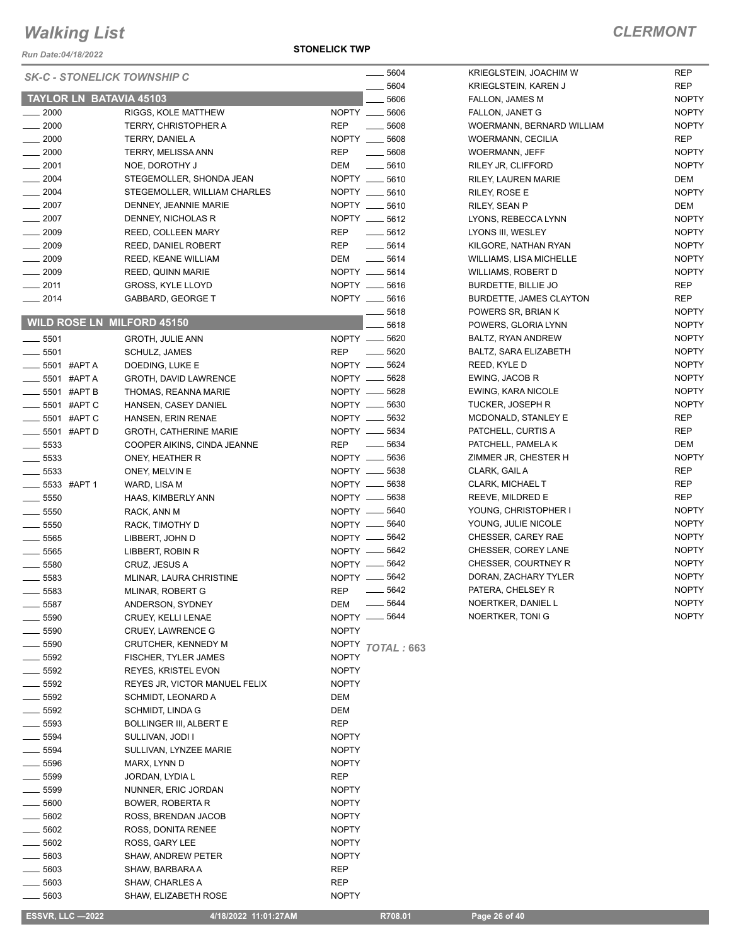*Run Date:04/18/2022*

#### **STONELICK TWP**

NOPTY NOPTY NOPTY

NOPTY

NOPTY

NOPTY

|                                | <b>SK-C - STONELICK TOWNSHIP C</b> | 5604                             | KRIEGLSTEIN, JOACHIM W         | <b>REP</b>   |
|--------------------------------|------------------------------------|----------------------------------|--------------------------------|--------------|
|                                |                                    | 5604                             | <b>KRIEGLSTEIN, KAREN J</b>    | <b>REP</b>   |
| <b>TAYLOR LN BATAVIA 45103</b> |                                    | 5606                             | FALLON, JAMES M                | <b>NOPTY</b> |
| $\frac{1}{2000}$               | RIGGS, KOLE MATTHEW                | NOPTY __ 5606                    | FALLON, JANET G                | <b>NOPTY</b> |
| $\frac{1}{2000}$               | TERRY, CHRISTOPHER A               | <b>REP</b><br>$- 5608$           | WOERMANN, BERNARD WILLIAM      | <b>NOPTY</b> |
| $\frac{1}{2000}$               | TERRY, DANIEL A                    | NOPTY __ 5608                    | <b>WOERMANN, CECILIA</b>       | <b>REP</b>   |
| $\frac{1}{2000}$               | <b>TERRY, MELISSA ANN</b>          | <b>REP</b><br>$\frac{1}{2}$ 5608 | <b>WOERMANN, JEFF</b>          | <b>NOPTY</b> |
| $\frac{1}{2001}$               | NOE, DOROTHY J                     | DEM<br>$\frac{1}{2}$ 5610        | RILEY JR, CLIFFORD             | <b>NOPTY</b> |
| $\frac{1}{2004}$               | STEGEMOLLER, SHONDA JEAN           | NOPTY __ 5610                    | RILEY, LAUREN MARIE            | DEM          |
| $\frac{1}{2004}$               | STEGEMOLLER, WILLIAM CHARLES       | NOPTY __ 5610                    | RILEY, ROSE E                  | <b>NOPTY</b> |
| $-2007$                        | DENNEY, JEANNIE MARIE              | NOPTY __ 5610                    | RILEY, SEAN P                  | DEM          |
| $\frac{1}{2007}$               | DENNEY, NICHOLAS R                 | NOPTY __ 5612                    | LYONS, REBECCA LYNN            | <b>NOPTY</b> |
| $\frac{1}{2009}$               | REED, COLLEEN MARY                 | <b>REP</b><br>$-5612$            | LYONS III, WESLEY              | <b>NOPTY</b> |
| $\frac{1}{2009}$               | REED, DANIEL ROBERT                | <b>REP</b><br>$- 5614$           | KILGORE, NATHAN RYAN           | <b>NOPTY</b> |
| $\frac{1}{2009}$               | REED, KEANE WILLIAM                | DEM<br>$- 5614$                  | <b>WILLIAMS, LISA MICHELLE</b> | <b>NOPTY</b> |
| $\frac{1}{2009}$               | REED, QUINN MARIE                  | NOPTY __ 5614                    | WILLIAMS, ROBERT D             | <b>NOPTY</b> |
| $-2011$                        | GROSS, KYLE LLOYD                  | NOPTY __ 5616                    | BURDETTE, BILLIE JO            | <b>REP</b>   |
| $-2014$                        | <b>GABBARD, GEORGE T</b>           | NOPTY __ 5616                    | <b>BURDETTE, JAMES CLAYTON</b> | <b>REP</b>   |
|                                |                                    | $-5618$                          | POWERS SR, BRIAN K             | <b>NOPTY</b> |
|                                | <b>WILD ROSE LN MILFORD 45150</b>  | 5618                             | POWERS, GLORIA LYNN            | <b>NOPTY</b> |
| $\frac{1}{2}$ 5501             | <b>GROTH, JULIE ANN</b>            | NOPTY __ 5620                    | BALTZ, RYAN ANDREW             | <b>NOPTY</b> |
| $\frac{1}{2}$ 5501             | SCHULZ, JAMES                      | $- 5620$<br><b>REP</b>           | BALTZ, SARA ELIZABETH          | <b>NOPTY</b> |
| $\frac{1}{2}$ 5501 #APTA       | DOEDING, LUKE E                    | NOPTY __ 5624                    | REED, KYLE D                   | <b>NOPTY</b> |
| $\frac{1}{2}$ 5501 #APTA       | <b>GROTH, DAVID LAWRENCE</b>       | NOPTY -6628                      | EWING, JACOB R                 | <b>NOPTY</b> |
| $\frac{1}{2}$ 5501 #APT B      | THOMAS, REANNA MARIE               | NOPTY -6628                      | EWING, KARA NICOLE             | <b>NOPTY</b> |
| <b>_____ 5501 #APT C</b>       | HANSEN, CASEY DANIEL               | NOPTY __ 5630                    | <b>TUCKER, JOSEPH R</b>        | <b>NOPTY</b> |
| <b>______ 5501 #APT C</b>      | HANSEN, ERIN RENAE                 | NOPTY __ 5632                    | MCDONALD, STANLEY E            | REP          |
| <b>LE 5501 #APT D</b>          | <b>GROTH, CATHERINE MARIE</b>      | NOPTY __ 5634                    | PATCHELL, CURTIS A             | REP          |
| $\frac{1}{2}$ 5533             | COOPER AIKINS, CINDA JEANNE        | $\frac{1}{2}$ 5634<br><b>REP</b> | PATCHELL, PAMELA K             | DEM          |
| $\frac{1}{2}$ 5533             | ONEY, HEATHER R                    | NOPTY -6636                      | ZIMMER JR, CHESTER H           | <b>NOPTY</b> |
| $\frac{1}{2}$ 5533             | ONEY, MELVIN E                     | NOPTY __ 5638                    | CLARK, GAIL A                  | <b>REP</b>   |
| $\frac{1}{2}$ 5533 #APT 1      | WARD, LISA M                       | NOPTY __ 5638                    | CLARK, MICHAEL T               | <b>REP</b>   |
| $\frac{1}{2}$ 5550             | HAAS, KIMBERLY ANN                 | NOPTY __ 5638                    | REEVE, MILDRED E               | <b>REP</b>   |
| $\frac{1}{2}$ 5550             | RACK, ANN M                        | NOPTY __ 5640                    | YOUNG, CHRISTOPHER I           | <b>NOPTY</b> |
| $\frac{1}{2}$ 5550             | RACK, TIMOTHY D                    | NOPTY __ 5640                    | YOUNG, JULIE NICOLE            | <b>NOPTY</b> |
| $\frac{1}{2}$ 5565             | LIBBERT, JOHN D                    | NOPTY __ 5642                    | CHESSER, CAREY RAE             | <b>NOPTY</b> |
| $\frac{1}{2}$ 5565             | LIBBERT, ROBIN R                   | NOPTY __ 5642                    | CHESSER, COREY LANE            | <b>NOPTY</b> |
| $\frac{1}{2}$ 5580             | CRUZ, JESUS A                      | NOPTY __ 5642                    | CHESSER, COURTNEY R            | <b>NOPTY</b> |
| $\frac{1}{2}$ 5583             | MLINAR, LAURA CHRISTINE            | NOPTY -6642                      | DORAN, ZACHARY TYLER           | <b>NOPTY</b> |
| $\frac{1}{2}$ 5583             | MLINAR, ROBERT G                   | <b>REP</b><br>$- 5642$           | PATERA, CHELSEY R              | <b>NOPTY</b> |
| $\_\_\_\$ 5587                 | ANDERSON, SYDNEY                   | $\frac{1}{2}$ 5644<br>DEM        | NOERTKER, DANIEL L             | <b>NOPTY</b> |
| $=$ 5590                       | CRUEY, KELLI LENAE                 | NOPTY __ 5644                    | NOERTKER, TONI G               | <b>NOPTY</b> |
| $-5590$                        | CRUEY, LAWRENCE G                  | <b>NOPTY</b>                     |                                |              |
| __ 5590                        | CRUTCHER, KENNEDY M                | NOPTY TOTAL: 663                 |                                |              |
| $\frac{1}{2}$ 5592             | FISCHER, TYLER JAMES               | <b>NOPTY</b>                     |                                |              |
| $\frac{1}{2}$ 5592             | REYES, KRISTEL EVON                | <b>NOPTY</b>                     |                                |              |
| $\frac{1}{2}$ 5592             | REYES JR, VICTOR MANUEL FELIX      | <b>NOPTY</b>                     |                                |              |
| $\frac{1}{2}$ 5592             | SCHMIDT, LEONARD A                 | DEM                              |                                |              |
| $\frac{1}{2}$ 5592             | SCHMIDT, LINDA G                   | DEM                              |                                |              |
| $\frac{1}{2}$ 5593             | <b>BOLLINGER III, ALBERT E</b>     | <b>REP</b>                       |                                |              |
| $-5594$                        | SULLIVAN, JODI I                   | <b>NOPTY</b>                     |                                |              |
| $\frac{1}{2}$ 5594             | SULLIVAN, LYNZEE MARIE             | <b>NOPTY</b>                     |                                |              |
| $\_\_$ 5596                    | MARX, LYNN D                       | <b>NOPTY</b>                     |                                |              |
| ____ 5599                      | JORDAN, LYDIA L                    | REP                              |                                |              |
| $\frac{1}{2}$ 5599             | NUNNER, ERIC JORDAN                | <b>NOPTY</b>                     |                                |              |
| $\equiv$ 5600                  | BOWER, ROBERTA R                   | <b>NOPTY</b>                     |                                |              |
| $-5602$                        | ROSS, BRENDAN JACOB                | <b>NOPTY</b>                     |                                |              |
| $\frac{1}{2}$ 5602             | ROSS, DONITA RENEE                 | <b>NOPTY</b>                     |                                |              |
| $- 5602$                       |                                    | <b>NOPTY</b>                     |                                |              |
|                                | ROSS, GARY LEE                     |                                  |                                |              |
| $\frac{1}{2}$ 5603             | <b>SHAW, ANDREW PETER</b>          | <b>NOPTY</b>                     |                                |              |
| $\frac{1}{2}$ 5603             | SHAW, BARBARA A                    | REP                              |                                |              |
| —— 5603                        | SHAW, CHARLES A                    | REP                              |                                |              |
| $- 5603$                       | SHAW, ELIZABETH ROSE               | <b>NOPTY</b>                     |                                |              |

 **ESSVR, LLC —2022 4/18/2022 11:01:27AM R708.01 Page 26 of 40**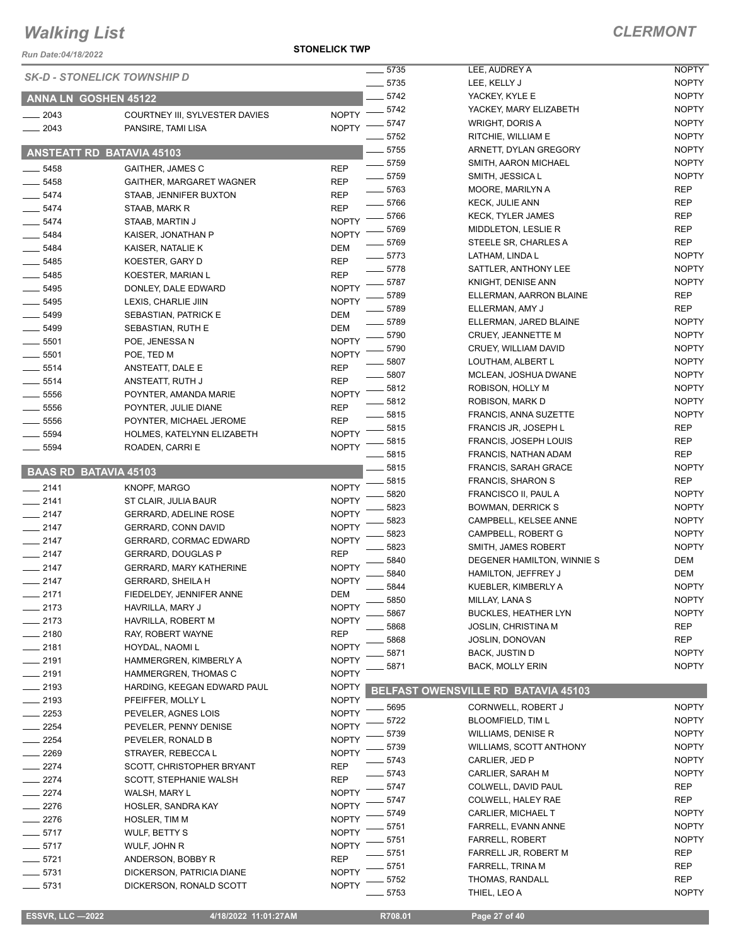*Run Date:04/18/2022*

**STONELICK TWP**

|                              |                                    |              | 5735         | LEE, AUDREY A                       | <b>NOPTY</b>               |
|------------------------------|------------------------------------|--------------|--------------|-------------------------------------|----------------------------|
|                              | <b>SK-D - STONELICK TOWNSHIP D</b> |              | $- 5735$     | LEE, KELLY J                        | <b>NOPTY</b>               |
| <b>ANNA LN GOSHEN 45122</b>  |                                    |              | 5742         | YACKEY, KYLE E                      | <b>NOPTY</b>               |
|                              |                                    |              | $-5742$      | YACKEY, MARY ELIZABETH              | <b>NOPTY</b>               |
| $-2043$                      | COURTNEY III, SYLVESTER DAVIES     | <b>NOPTY</b> | $-5747$      | <b>WRIGHT, DORIS A</b>              | <b>NOPTY</b>               |
| $-2043$                      | PANSIRE, TAMI LISA                 | <b>NOPTY</b> | 5752         | RITCHIE, WILLIAM E                  | <b>NOPTY</b>               |
|                              |                                    |              | . 5755       | ARNETT, DYLAN GREGORY               | <b>NOPTY</b>               |
|                              | <b>ANSTEATT RD BATAVIA 45103</b>   |              | 5759         | SMITH, AARON MICHAEL                | <b>NOPTY</b>               |
| 5458                         | <b>GAITHER, JAMES C</b>            | <b>REP</b>   | $- 5759$     | SMITH, JESSICA L                    | <b>NOPTY</b>               |
| $-5458$                      | GAITHER, MARGARET WAGNER           | <b>REP</b>   | $- 5763$     | MOORE, MARILYN A                    | <b>REP</b>                 |
| 5474                         | STAAB, JENNIFER BUXTON             | <b>REP</b>   | 5766         | <b>KECK, JULIE ANN</b>              | <b>REP</b>                 |
| $-5474$                      | STAAB, MARK R                      | <b>REP</b>   | - 5766       | <b>KECK, TYLER JAMES</b>            | <b>REP</b>                 |
| 5474                         | STAAB, MARTIN J                    | <b>NOPTY</b> | 5769         | MIDDLETON, LESLIE R                 | <b>REP</b>                 |
| 5484                         | KAISER, JONATHAN P                 | <b>NOPTY</b> | 5769         | STEELE SR, CHARLES A                | <b>REP</b>                 |
| 5484                         | KAISER, NATALIE K                  | <b>DEM</b>   | $-5773$      | LATHAM, LINDA L                     | <b>NOPTY</b>               |
| 5485                         | KOESTER, GARY D                    | <b>REP</b>   | $-5778$      | SATTLER, ANTHONY LEE                | <b>NOPTY</b>               |
| 5485                         | KOESTER, MARIAN L                  | <b>REP</b>   | 5787         | KNIGHT, DENISE ANN                  | <b>NOPTY</b>               |
| 5495                         | DONLEY, DALE EDWARD                | <b>NOPTY</b> | 5789         | ELLERMAN, AARRON BLAINE             | <b>REP</b>                 |
| $- 5495$                     | LEXIS, CHARLIE JIIN                | <b>NOPTY</b> | 5789         | ELLERMAN, AMY J                     | <b>REP</b>                 |
| $- 5499$                     | SEBASTIAN, PATRICK E               | <b>DEM</b>   | $-5789$      | ELLERMAN, JARED BLAINE              | <b>NOPTY</b>               |
| 5499                         | SEBASTIAN, RUTH E                  | DEM          | 5790         | CRUEY, JEANNETTE M                  | <b>NOPTY</b>               |
| $- 5501$                     | POE, JENESSA N                     | <b>NOPTY</b> | 5790         | CRUEY, WILLIAM DAVID                | <b>NOPTY</b>               |
| 5501                         | POE, TED M                         | <b>NOPTY</b> | 5807         | LOUTHAM, ALBERT L                   | <b>NOPTY</b>               |
| $-5514$                      | ANSTEATT, DALE E                   | <b>REP</b>   |              | MCLEAN, JOSHUA DWANE                | <b>NOPTY</b>               |
| $-5514$                      | ANSTEATT, RUTH J                   | <b>REP</b>   | 5807         |                                     | <b>NOPTY</b>               |
| 5556                         | POYNTER, AMANDA MARIE              | <b>NOPTY</b> | 5812<br>5812 | ROBISON, HOLLY M<br>ROBISON, MARK D | <b>NOPTY</b>               |
| $\frac{1}{2}$ 5556           | POYNTER, JULIE DIANE               | <b>REP</b>   |              |                                     |                            |
| $- 5556$                     | POYNTER, MICHAEL JEROME            | <b>REP</b>   | 5815         | <b>FRANCIS, ANNA SUZETTE</b>        | <b>NOPTY</b><br><b>REP</b> |
| 5594                         | HOLMES, KATELYNN ELIZABETH         | <b>NOPTY</b> | 5815         | FRANCIS JR, JOSEPH L                |                            |
| 5594                         | ROADEN, CARRI E                    | <b>NOPTY</b> | 5815         | FRANCIS, JOSEPH LOUIS               | REP                        |
|                              |                                    |              | 5815<br>5815 | FRANCIS, NATHAN ADAM                | <b>REP</b>                 |
| <b>BAAS RD BATAVIA 45103</b> |                                    |              |              | <b>FRANCIS, SARAH GRACE</b>         | <b>NOPTY</b>               |
| $-2141$                      | KNOPF, MARGO                       | <b>NOPTY</b> | 5815         | <b>FRANCIS, SHARON S</b>            | <b>REP</b><br><b>NOPTY</b> |
| $-2141$                      | ST CLAIR, JULIA BAUR               | <b>NOPTY</b> | 5820         | FRANCISCO II, PAUL A                |                            |
| $-2147$                      | <b>GERRARD, ADELINE ROSE</b>       | <b>NOPTY</b> | 5823         | <b>BOWMAN, DERRICK S</b>            | <b>NOPTY</b>               |
| $-2147$                      | GERRARD, CONN DAVID                | <b>NOPTY</b> | 5823         | CAMPBELL, KELSEE ANNE               | <b>NOPTY</b>               |
| $-2147$                      | GERRARD, CORMAC EDWARD             | <b>NOPTY</b> | 5823         | CAMPBELL, ROBERT G                  | <b>NOPTY</b>               |
| $-2147$                      | <b>GERRARD, DOUGLAS P</b>          | <b>REP</b>   | 5823<br>5840 | SMITH, JAMES ROBERT                 | <b>NOPTY</b>               |
| $-2147$                      | <b>GERRARD, MARY KATHERINE</b>     | <b>NOPTY</b> |              | DEGENER HAMILTON, WINNIE S          | DEM                        |
| $-2147$                      | <b>GERRARD, SHEILA H</b>           | <b>NOPTY</b> | 5840         | HAMILTON, JEFFREY J                 | DEM                        |
| 2171                         | FIEDELDEY, JENNIFER ANNE           | <b>DEM</b>   | 5844<br>5850 | KUEBLER, KIMBERLY A                 | <b>NOPTY</b>               |
| $-2173$                      | HAVRILLA, MARY J                   | <b>NOPTY</b> |              | MILLAY, LANA S                      | <b>NOPTY</b>               |
| $-2173$                      | HAVRILLA, ROBERT M                 | <b>NOPTY</b> | 5867         | <b>BUCKLES, HEATHER LYN</b>         | <b>NOPTY</b>               |
| $-2180$                      | RAY, ROBERT WAYNE                  | <b>REP</b>   | 5868         | <b>JOSLIN, CHRISTINA M</b>          | <b>REP</b>                 |
| $-2181$                      | HOYDAL, NAOMI L                    | <b>NOPTY</b> | 5868         | <b>JOSLIN, DONOVAN</b>              | REP                        |
| $-2191$                      | HAMMERGREN, KIMBERLY A             | <b>NOPTY</b> | 5871         | <b>BACK, JUSTIN D</b>               | <b>NOPTY</b>               |
| $-2191$                      | HAMMERGREN, THOMAS C               | <b>NOPTY</b> | 5871         | BACK, MOLLY ERIN                    | <b>NOPTY</b>               |
| $-2193$                      | HARDING, KEEGAN EDWARD PAUL        | <b>NOPTY</b> |              | BELFAST OWENSVILLE RD BATAVIA 45103 |                            |
| $-2193$                      | PFEIFFER, MOLLY L                  | <b>NOPTY</b> |              |                                     |                            |
| 2253                         | PEVELER, AGNES LOIS                | <b>NOPTY</b> | 5695         | CORNWELL, ROBERT J                  | <b>NOPTY</b>               |
| $-2254$                      | PEVELER, PENNY DENISE              | <b>NOPTY</b> | 5722         | <b>BLOOMFIELD, TIM L</b>            | <b>NOPTY</b>               |
| 2254                         | PEVELER, RONALD B                  | <b>NOPTY</b> | 5739         | <b>WILLIAMS, DENISE R</b>           | <b>NOPTY</b>               |
| $-2269$                      | STRAYER, REBECCA L                 | <b>NOPTY</b> | 5739         | WILLIAMS, SCOTT ANTHONY             | <b>NOPTY</b>               |
| $-2274$                      | SCOTT, CHRISTOPHER BRYANT          | <b>REP</b>   | 5743         | CARLIER, JED P                      | <b>NOPTY</b>               |
| _ 2274                       | <b>SCOTT, STEPHANIE WALSH</b>      | <b>REP</b>   | 5743         | CARLIER, SARAH M                    | <b>NOPTY</b>               |
| 2274                         | WALSH, MARY L                      | <b>NOPTY</b> | . 5747       | COLWELL, DAVID PAUL                 | <b>REP</b>                 |
| 2276                         | HOSLER, SANDRA KAY                 | <b>NOPTY</b> | 5747         | COLWELL, HALEY RAE                  | REP                        |
| - 2276                       | HOSLER, TIM M                      | <b>NOPTY</b> | 5749         | CARLIER, MICHAEL T                  | <b>NOPTY</b>               |
| $-5717$                      | WULF, BETTY S                      | <b>NOPTY</b> | 5751         | FARRELL, EVANN ANNE                 | <b>NOPTY</b>               |
| $-5717$                      | WULF, JOHN R                       | <b>NOPTY</b> | 5751         | FARRELL, ROBERT                     | <b>NOPTY</b>               |
| $-5721$                      | ANDERSON, BOBBY R                  | <b>REP</b>   | 5751         | FARRELL JR, ROBERT M                | REP                        |
| $-5731$                      | DICKERSON, PATRICIA DIANE          | <b>NOPTY</b> | 5751         | FARRELL, TRINA M                    | <b>REP</b>                 |
| $-5731$                      | DICKERSON, RONALD SCOTT            | <b>NOPTY</b> | 5752         | THOMAS, RANDALL                     | <b>REP</b>                 |
|                              |                                    |              | 5753         | THIEL, LEO A                        | <b>NOPTY</b>               |

 **ESSVR, LLC —2022 4/18/2022 11:01:27AM R708.01 Page 27 of 40**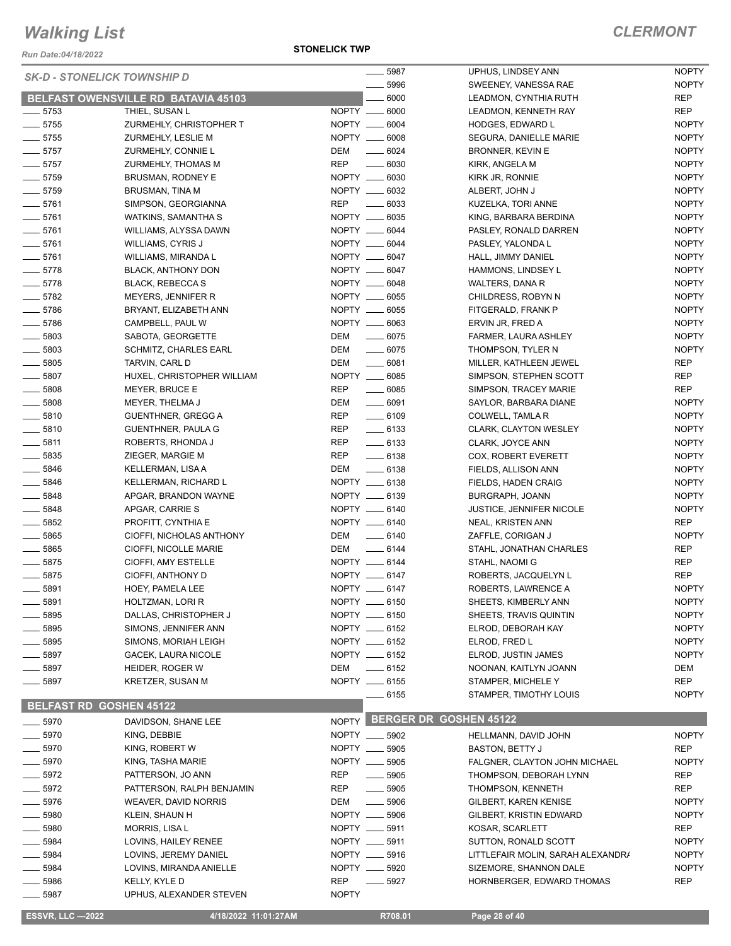*Run Date:04/18/2022*

#### **STONELICK TWP**

| <b>SK-D - STONELICK TOWNSHIP D</b> |                                     |                                  | 5987                          | UPHUS, LINDSEY ANN                | <b>NOPTY</b> |
|------------------------------------|-------------------------------------|----------------------------------|-------------------------------|-----------------------------------|--------------|
|                                    |                                     |                                  | 5996                          | SWEENEY, VANESSA RAE              | <b>NOPTY</b> |
|                                    | BELFAST OWENSVILLE RD BATAVIA 45103 |                                  | 6000                          | LEADMON, CYNTHIA RUTH             | <b>REP</b>   |
| $-5753$                            | THIEL, SUSAN L                      | NOPTY __ 6000                    |                               | LEADMON, KENNETH RAY              | <b>REP</b>   |
| $-5755$                            | ZURMEHLY, CHRISTOPHER T             | NOPTY __ 6004                    |                               | <b>HODGES, EDWARD L</b>           | <b>NOPTY</b> |
| $-5755$                            | ZURMEHLY, LESLIE M                  | NOPTY __ 6008                    |                               | SEGURA, DANIELLE MARIE            | <b>NOPTY</b> |
| $- 5757$                           | ZURMEHLY, CONNIE L                  | DEM<br>$\sim$ 6024               |                               | <b>BRONNER, KEVIN E</b>           | <b>NOPTY</b> |
| $\frac{1}{2}$ 5757                 | ZURMEHLY, THOMAS M                  | <b>REP</b><br>$\frac{1}{2}$ 6030 |                               | KIRK, ANGELA M                    | <b>NOPTY</b> |
| $\frac{1}{2}$ 5759                 | BRUSMAN, RODNEY E                   | NOPTY __ 6030                    |                               | KIRK JR, RONNIE                   | <b>NOPTY</b> |
| $- 5759$                           | <b>BRUSMAN, TINA M</b>              | NOPTY __ 6032                    |                               | ALBERT, JOHN J                    | <b>NOPTY</b> |
| $- 5761$                           | SIMPSON, GEORGIANNA                 | <b>REP</b>                       | $- 6033$                      | KUZELKA, TORI ANNE                | <b>NOPTY</b> |
| $-5761$                            | WATKINS, SAMANTHA S                 | NOPTY __ 6035                    |                               | KING, BARBARA BERDINA             | <b>NOPTY</b> |
| $- 5761$                           | WILLIAMS, ALYSSA DAWN               | NOPTY __ 6044                    |                               | PASLEY, RONALD DARREN             | <b>NOPTY</b> |
| $-5761$                            | WILLIAMS, CYRIS J                   | NOPTY __ 6044                    |                               | PASLEY, YALONDA L                 | <b>NOPTY</b> |
| $- 5761$                           | WILLIAMS, MIRANDA L                 | NOPTY __ 6047                    |                               | HALL, JIMMY DANIEL                | <b>NOPTY</b> |
| $-5778$                            | <b>BLACK, ANTHONY DON</b>           | NOPTY __ 6047                    |                               | HAMMONS, LINDSEY L                | <b>NOPTY</b> |
| $-5778$                            | <b>BLACK, REBECCA S</b>             | NOPTY __ 6048                    |                               | WALTERS, DANA R                   | <b>NOPTY</b> |
| $- 5782$                           | MEYERS, JENNIFER R                  | NOPTY __ 6055                    |                               | CHILDRESS, ROBYN N                | <b>NOPTY</b> |
| $-5786$                            | BRYANT, ELIZABETH ANN               | NOPTY __ 6055                    |                               | FITGERALD, FRANK P                | <b>NOPTY</b> |
| $-5786$                            | CAMPBELL, PAUL W                    | NOPTY __ 6063                    |                               |                                   | <b>NOPTY</b> |
|                                    |                                     |                                  |                               | ERVIN JR, FRED A                  |              |
| $\frac{1}{2}$ 5803                 | SABOTA, GEORGETTE                   | DEM                              | $- 6075$                      | FARMER, LAURA ASHLEY              | <b>NOPTY</b> |
| $\frac{1}{2}$ 5803                 | <b>SCHMITZ, CHARLES EARL</b>        | DEM                              | $- 6075$                      | THOMPSON, TYLER N                 | <b>NOPTY</b> |
| $\frac{1}{2}$ 5805                 | TARVIN, CARL D                      | DEM                              | $- 6081$                      | MILLER, KATHLEEN JEWEL            | <b>REP</b>   |
| $\frac{1}{2}$ 5807                 | HUXEL, CHRISTOPHER WILLIAM          | NOPTY __ 6085                    |                               | SIMPSON, STEPHEN SCOTT            | <b>REP</b>   |
| $\frac{1}{2}$ 5808                 | MEYER, BRUCE E                      | <b>REP</b>                       | $\frac{1}{2}$ 6085            | SIMPSON, TRACEY MARIE             | <b>REP</b>   |
| $- 5808$                           | MEYER, THELMA J                     | DEM                              | $- 6091$                      | SAYLOR, BARBARA DIANE             | <b>NOPTY</b> |
| $- 5810$                           | <b>GUENTHNER, GREGG A</b>           | REP                              | $- 6109$                      | COLWELL, TAMLA R                  | <b>NOPTY</b> |
| $- 5810$                           | GUENTHNER, PAULA G                  | <b>REP</b>                       | $- 6133$                      | <b>CLARK, CLAYTON WESLEY</b>      | <b>NOPTY</b> |
| $\frac{1}{2}$ 5811                 | ROBERTS, RHONDA J                   | <b>REP</b>                       | $- 6133$                      | CLARK, JOYCE ANN                  | <b>NOPTY</b> |
| $\frac{1}{2}$ 5835                 | ZIEGER, MARGIE M                    | <b>REP</b>                       | $-6138$                       | COX, ROBERT EVERETT               | <b>NOPTY</b> |
| $-5846$                            | KELLERMAN, LISA A                   | DEM                              | $- 6138$                      | FIELDS, ALLISON ANN               | <b>NOPTY</b> |
| $- 5846$                           | KELLERMAN, RICHARD L                | NOPTY __ 6138                    |                               | FIELDS, HADEN CRAIG               | <b>NOPTY</b> |
| $- 5848$                           | APGAR, BRANDON WAYNE                | NOPTY __ 6139                    |                               | BURGRAPH, JOANN                   | <b>NOPTY</b> |
| $\frac{1}{2}$ 5848                 | APGAR, CARRIE S                     | NOPTY __ 6140                    |                               | <b>JUSTICE, JENNIFER NICOLE</b>   | <b>NOPTY</b> |
| $\frac{1}{2}$ 5852                 | PROFITT, CYNTHIA E                  | NOPTY __ 6140                    |                               | NEAL, KRISTEN ANN                 | <b>REP</b>   |
| $\frac{1}{2}$ 5865                 | CIOFFI, NICHOLAS ANTHONY            | DEM                              | $-6140$                       | ZAFFLE, CORIGAN J                 | <b>NOPTY</b> |
| $\frac{1}{2}$ 5865                 | CIOFFI, NICOLLE MARIE               | DEM                              | $\frac{1}{2}$ 6144            | STAHL, JONATHAN CHARLES           | <b>REP</b>   |
| $- 5875$                           | CIOFFI, AMY ESTELLE                 | NOPTY __ 6144                    |                               | STAHL, NAOMI G                    | <b>REP</b>   |
| $-5875$                            | CIOFFI, ANTHONY D                   | NOPTY __ 6147                    |                               | ROBERTS, JACQUELYN L              | <b>REP</b>   |
| $\frac{1}{2}$ 5891                 | HOEY, PAMELA LEE                    | NOPTY __ 6147                    |                               | ROBERTS, LAWRENCE A               | <b>NOPTY</b> |
| 5891                               | HOLTZMAN, LORI R                    | NOPTY __ 6150                    |                               | SHEETS, KIMBERLY ANN              | <b>NOPTY</b> |
| 5895                               | DALLAS, CHRISTOPHER J               | NOPTY __ 6150                    |                               | SHEETS, TRAVIS QUINTIN            | <b>NOPTY</b> |
| 5895                               | SIMONS, JENNIFER ANN                | NOPTY __ 6152                    |                               | ELROD, DEBORAH KAY                | <b>NOPTY</b> |
| . 5895                             | SIMONS, MORIAH LEIGH                | NOPTY __ 6152                    |                               | ELROD, FRED L                     | <b>NOPTY</b> |
| $-5897$                            | GACEK, LAURA NICOLE                 | NOPTY __ 6152                    |                               | ELROD, JUSTIN JAMES               | <b>NOPTY</b> |
| - 5897                             | HEIDER, ROGER W                     | DEM                              | $\frac{1}{2}$ 6152            | NOONAN, KAITLYN JOANN             | DEM          |
| _ 5897                             | <b>KRETZER, SUSAN M</b>             | NOPTY __ 6155                    |                               | STAMPER, MICHELE Y                | <b>REP</b>   |
|                                    |                                     |                                  | — 6155                        | STAMPER, TIMOTHY LOUIS            | <b>NOPTY</b> |
| <b>BELFAST RD GOSHEN 45122</b>     |                                     |                                  |                               |                                   |              |
|                                    |                                     |                                  | <b>BERGER DR GOSHEN 45122</b> |                                   |              |
| _ 5970                             | DAVIDSON, SHANE LEE                 | NOPTY                            |                               |                                   |              |
| 5970                               | KING, DEBBIE                        | NOPTY __ 5902                    |                               | HELLMANN, DAVID JOHN              | <b>NOPTY</b> |
| 5970                               | KING, ROBERT W                      | NOPTY __ 5905                    |                               | <b>BASTON, BETTY J</b>            | <b>REP</b>   |
| $-5970$                            | KING, TASHA MARIE                   | NOPTY __ 5905                    |                               | FALGNER, CLAYTON JOHN MICHAEL     | <b>NOPTY</b> |
| _ 5972                             | PATTERSON, JO ANN                   | REP<br>$\frac{1}{2}$             | 5905                          | THOMPSON, DEBORAH LYNN            | <b>REP</b>   |
| __ 5972                            | PATTERSON, RALPH BENJAMIN           | REP                              | $\frac{1}{2}$ 5905            | THOMPSON, KENNETH                 | <b>REP</b>   |
| $-5976$                            | <b>WEAVER, DAVID NORRIS</b>         | DEM                              | $\frac{1}{2}$ 5906            | GILBERT, KAREN KENISE             | <b>NOPTY</b> |
| 5980                               | KLEIN, SHAUN H                      | NOPTY __ 5906                    |                               | GILBERT, KRISTIN EDWARD           | <b>NOPTY</b> |
| - 5980                             | MORRIS, LISA L                      | NOPTY __ 5911                    |                               | KOSAR, SCARLETT                   | <b>REP</b>   |
| $-5984$                            | LOVINS, HAILEY RENEE                | NOPTY __ 5911                    |                               | SUTTON, RONALD SCOTT              | <b>NOPTY</b> |
| _ 5984                             | LOVINS, JEREMY DANIEL               | NOPTY __ 5916                    |                               | LITTLEFAIR MOLIN, SARAH ALEXANDRI | <b>NOPTY</b> |
| $-5984$                            | LOVINS, MIRANDA ANIELLE             | NOPTY __ 5920                    |                               | SIZEMORE, SHANNON DALE            | <b>NOPTY</b> |
| 5986                               | KELLY, KYLE D                       | <b>REP</b>                       | $\frac{1}{2}$ 5927            | HORNBERGER, EDWARD THOMAS         | <b>REP</b>   |
| 5987                               | UPHUS, ALEXANDER STEVEN             | <b>NOPTY</b>                     |                               |                                   |              |
| <b>ESSVR, LLC -2022</b>            | 4/18/2022 11:01:27AM                |                                  | R708.01                       | Page 28 of 40                     |              |
|                                    |                                     |                                  |                               |                                   |              |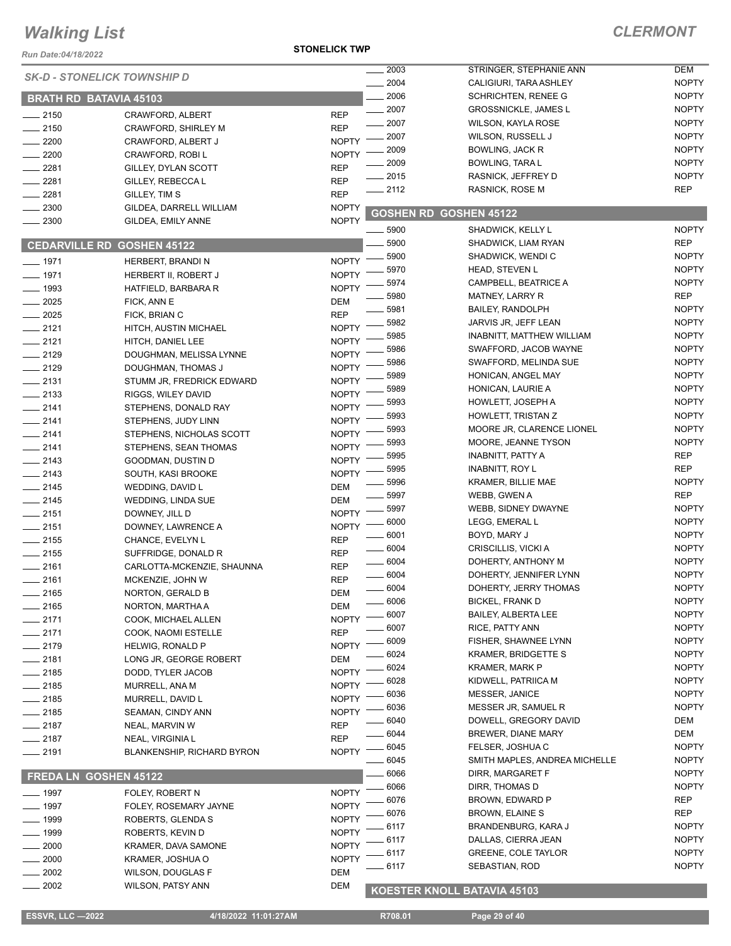*Run Date:04/18/2022*

#### **STONELICK TWP**

### *CLERMONT*

|                               | <b>SK-D - STONELICK TOWNSHIP D</b> |              | $-2003$            | STRINGER, STEPHANIE ANN       | DEM          |
|-------------------------------|------------------------------------|--------------|--------------------|-------------------------------|--------------|
|                               |                                    |              | 2004               | CALIGIURI, TARA ASHLEY        | <b>NOPTY</b> |
| <b>BRATH RD BATAVIA 45103</b> |                                    |              | 2006               | SCHRICHTEN, RENEE G           | <b>NOPTY</b> |
| $-2150$                       | CRAWFORD, ALBERT                   | <b>REP</b>   | $-2007$            | <b>GROSSNICKLE, JAMES L</b>   | <b>NOPTY</b> |
| $-2150$                       | CRAWFORD, SHIRLEY M                | <b>REP</b>   | 2007               | <b>WILSON, KAYLA ROSE</b>     | <b>NOPTY</b> |
| $-2200$                       | CRAWFORD, ALBERT J                 | <b>NOPTY</b> | 2007               | WILSON, RUSSELL J             | <b>NOPTY</b> |
| 2200                          | CRAWFORD, ROBI L                   | <b>NOPTY</b> | 2009               | BOWLING, JACK R               | <b>NOPTY</b> |
| $-2281$                       | GILLEY, DYLAN SCOTT                | <b>REP</b>   | 2009               | BOWLING, TARA L               | <b>NOPTY</b> |
| $-2281$                       | GILLEY, REBECCA L                  | <b>REP</b>   | 2015               | RASNICK, JEFFREY D            | <b>NOPTY</b> |
| 2281                          | GILLEY, TIM S                      | <b>REP</b>   | $-2112$            | <b>RASNICK, ROSE M</b>        | <b>REP</b>   |
| 2300                          | GILDEA, DARRELL WILLIAM            | <b>NOPTY</b> |                    |                               |              |
| 2300                          | GILDEA, EMILY ANNE                 | <b>NOPTY</b> |                    | <b>GOSHEN RD GOSHEN 45122</b> |              |
|                               |                                    |              | $- 5900$           | SHADWICK, KELLY L             | <b>NOPTY</b> |
| <b>CEDARVILLE RD</b>          | <b>GOSHEN 45122</b>                |              | 5900               | SHADWICK, LIAM RYAN           | <b>REP</b>   |
| $- 1971$                      | HERBERT, BRANDI N                  | <b>NOPTY</b> | 5900               | SHADWICK, WENDI C             | <b>NOPTY</b> |
| $-1971$                       | HERBERT II, ROBERT J               | <b>NOPTY</b> | 5970               | <b>HEAD, STEVEN L</b>         | <b>NOPTY</b> |
| $- 1993$                      | HATFIELD, BARBARA R                | <b>NOPTY</b> | 5974               | CAMPBELL, BEATRICE A          | <b>NOPTY</b> |
| 2025                          | FICK, ANN E                        | <b>DEM</b>   | 5980               | <b>MATNEY, LARRY R</b>        | <b>REP</b>   |
| 2025                          | FICK, BRIAN C                      | <b>REP</b>   | 5981               | <b>BAILEY, RANDOLPH</b>       | <b>NOPTY</b> |
| $-2121$                       | HITCH, AUSTIN MICHAEL              | <b>NOPTY</b> | 5982               | JARVIS JR, JEFF LEAN          | <b>NOPTY</b> |
| $-2121$                       | HITCH, DANIEL LEE                  | <b>NOPTY</b> | 5985               | INABNITT, MATTHEW WILLIAM     | <b>NOPTY</b> |
| $-2129$                       | DOUGHMAN, MELISSA LYNNE            | <b>NOPTY</b> | 5986               | SWAFFORD, JACOB WAYNE         | <b>NOPTY</b> |
| $-2129$                       | DOUGHMAN, THOMAS J                 | <b>NOPTY</b> | 5986               | SWAFFORD, MELINDA SUE         | <b>NOPTY</b> |
| $-2131$                       | STUMM JR, FREDRICK EDWARD          | <b>NOPTY</b> | 5989               | HONICAN, ANGEL MAY            | <b>NOPTY</b> |
| $\frac{1}{2133}$              | RIGGS, WILEY DAVID                 | <b>NOPTY</b> | 5989               | HONICAN, LAURIE A             | <b>NOPTY</b> |
| $-2141$                       | STEPHENS, DONALD RAY               | <b>NOPTY</b> | 5993               | HOWLETT, JOSEPH A             | <b>NOPTY</b> |
| $-2141$                       | STEPHENS, JUDY LINN                | <b>NOPTY</b> | 5993               | HOWLETT, TRISTAN Z            | <b>NOPTY</b> |
| $-2141$                       | STEPHENS, NICHOLAS SCOTT           | <b>NOPTY</b> | 5993               | MOORE JR, CLARENCE LIONEL     | <b>NOPTY</b> |
| $-2141$                       | STEPHENS, SEAN THOMAS              | <b>NOPTY</b> | 5993               | MOORE, JEANNE TYSON           | <b>NOPTY</b> |
| $-2143$                       | GOODMAN, DUSTIN D                  | <b>NOPTY</b> | 5995               | INABNITT, PATTY A             | <b>REP</b>   |
| $-2143$                       | SOUTH, KASI BROOKE                 | <b>NOPTY</b> | 5995               | <b>INABNITT, ROY L</b>        | <b>REP</b>   |
| $-2145$                       |                                    | DEM          | 5996               | <b>KRAMER, BILLIE MAE</b>     | <b>NOPTY</b> |
| $-2145$                       | WEDDING, DAVID L                   | DEM          | 5997               | WEBB, GWEN A                  | <b>REP</b>   |
| $-2151$                       | <b>WEDDING, LINDA SUE</b>          | <b>NOPTY</b> | 5997               | WEBB, SIDNEY DWAYNE           | <b>NOPTY</b> |
| $-2151$                       | DOWNEY, JILL D                     | <b>NOPTY</b> | 6000               | LEGG, EMERAL L                | <b>NOPTY</b> |
| $-2155$                       | DOWNEY, LAWRENCE A                 | <b>REP</b>   | 6001               | BOYD, MARY J                  | <b>NOPTY</b> |
| $-2155$                       | CHANCE, EVELYN L                   | <b>REP</b>   | $\frac{1}{2}$ 6004 | CRISCILLIS, VICKI A           | <b>NOPTY</b> |
| $-2161$                       | SUFFRIDGE, DONALD R                |              | $- 6004$           | DOHERTY, ANTHONY M            | <b>NOPTY</b> |
|                               | CARLOTTA-MCKENZIE, SHAUNNA         | <b>REP</b>   | $- 6004$           | DOHERTY, JENNIFER LYNN        | <b>NOPTY</b> |
| $-2161$                       | MCKENZIE, JOHN W                   | <b>REP</b>   | $- 6004$           | DOHERTY, JERRY THOMAS         | <b>NOPTY</b> |
| $-2165$                       | NORTON, GERALD B                   | <b>DEM</b>   | 6006               | BICKEL, FRANK D               | <b>NOPTY</b> |
| 2165                          | NORTON, MARTHA A                   | DEM          | 6007               | <b>BAILEY, ALBERTA LEE</b>    | <b>NOPTY</b> |
| 2171                          | COOK, MICHAEL ALLEN                | <b>NOPTY</b> | 6007               | RICE, PATTY ANN               | <b>NOPTY</b> |
| $-2171$                       | COOK, NAOMI ESTELLE                | <b>REP</b>   | 6009               | FISHER, SHAWNEE LYNN          | <b>NOPTY</b> |
| 2179                          | <b>HELWIG, RONALD P</b>            | <b>NOPTY</b> | 6024               | <b>KRAMER, BRIDGETTE S</b>    | <b>NOPTY</b> |
| 2181                          | LONG JR, GEORGE ROBERT             | <b>DEM</b>   | 6024               | <b>KRAMER, MARK P</b>         | <b>NOPTY</b> |
| 2185                          | DODD, TYLER JACOB                  | <b>NOPTY</b> | 6028               | KIDWELL, PATRIICA M           | <b>NOPTY</b> |
| $-2185$                       | MURRELL, ANA M                     | <b>NOPTY</b> | 6036               | MESSER, JANICE                | <b>NOPTY</b> |
| $-2185$                       | MURRELL, DAVID L                   | <b>NOPTY</b> | 6036               | MESSER JR, SAMUEL R           | <b>NOPTY</b> |
| _ 2185                        | SEAMAN, CINDY ANN                  | <b>NOPTY</b> | 6040               | DOWELL, GREGORY DAVID         | DEM          |
| $-2187$                       | NEAL, MARVIN W                     | <b>REP</b>   | 6044               | <b>BREWER, DIANE MARY</b>     | DEM          |
| $-2187$                       | NEAL, VIRGINIA L                   | <b>REP</b>   | 6045               | FELSER, JOSHUA C              | <b>NOPTY</b> |
| $-2191$                       | <b>BLANKENSHIP, RICHARD BYRON</b>  | <b>NOPTY</b> | 6045               | SMITH MAPLES, ANDREA MICHELLE | <b>NOPTY</b> |
|                               |                                    |              | 6066               | DIRR, MARGARET F              | <b>NOPTY</b> |
| <b>FREDALN</b>                | <b>GOSHEN 45122</b>                |              | 6066               | DIRR, THOMAS D                | <b>NOPTY</b> |
| 1997                          | FOLEY, ROBERT N                    | <b>NOPTY</b> | 6076               | BROWN, EDWARD P               | <b>REP</b>   |
| 1997                          | FOLEY, ROSEMARY JAYNE              | <b>NOPTY</b> |                    |                               | <b>REP</b>   |
| 1999                          | ROBERTS, GLENDA S                  | <b>NOPTY</b> | 6076               | <b>BROWN, ELAINE S</b>        |              |
| 1999                          | ROBERTS, KEVIN D                   | <b>NOPTY</b> | 6117               | BRANDENBURG, KARA J           | <b>NOPTY</b> |
| 2000                          | KRAMER, DAVA SAMONE                | <b>NOPTY</b> | 6117               | DALLAS, CIERRA JEAN           | <b>NOPTY</b> |
| 2000                          | KRAMER, JOSHUA O                   | <b>NOPTY</b> | 6117               | <b>GREENE, COLE TAYLOR</b>    | <b>NOPTY</b> |
| 2002                          | WILSON, DOUGLAS F                  | <b>DEM</b>   | 6117               | SEBASTIAN, ROD                | <b>NOPTY</b> |
| 2002                          | WILSON, PATSY ANN                  | <b>DEM</b>   |                    | KOESTER KNOLL BATAVIA 45103   |              |
|                               |                                    |              |                    |                               |              |

 **ESSVR, LLC —2022 4/18/2022 11:01:27AM R708.01 Page 29 of 40**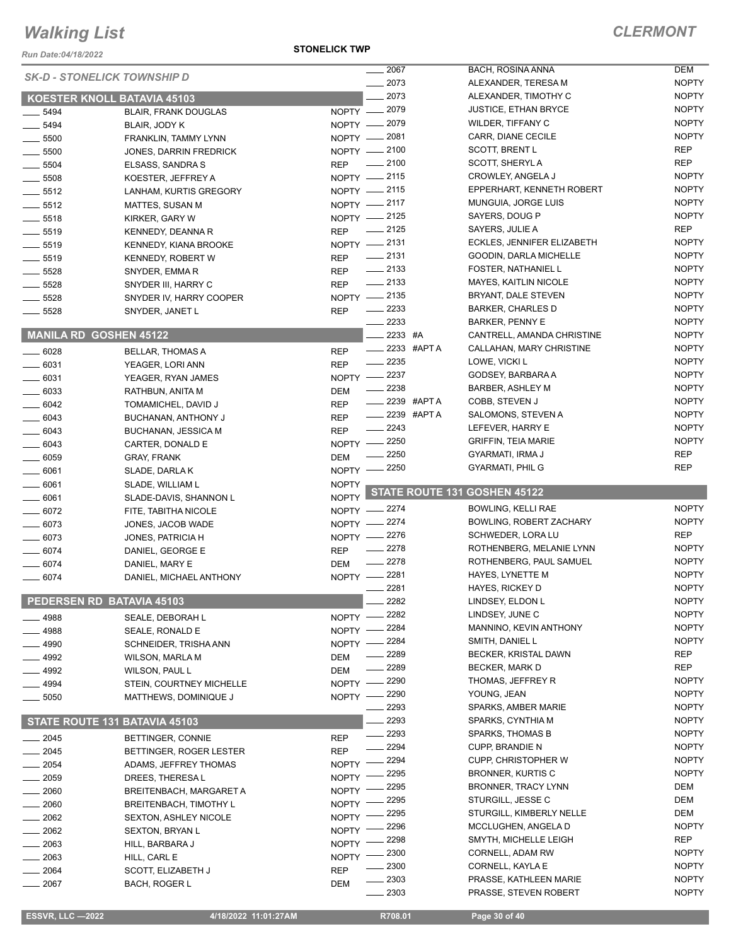*Run Date:04/18/2022*

**STONELICK TWP**

|                       |                                    |                   | 2067                                                                                                                                                                                                                                                                                                                                                                                                                                                                                      | BACH, ROSINA ANNA              | <b>DEM</b>                   |
|-----------------------|------------------------------------|-------------------|-------------------------------------------------------------------------------------------------------------------------------------------------------------------------------------------------------------------------------------------------------------------------------------------------------------------------------------------------------------------------------------------------------------------------------------------------------------------------------------------|--------------------------------|------------------------------|
|                       | <b>SK-D - STONELICK TOWNSHIP D</b> |                   | 2073                                                                                                                                                                                                                                                                                                                                                                                                                                                                                      | ALEXANDER, TERESA M            | <b>NOPTY</b>                 |
|                       |                                    |                   | 2073                                                                                                                                                                                                                                                                                                                                                                                                                                                                                      |                                | <b>NOPTY</b>                 |
|                       | KOESTER KNOLL BATAVIA 45103        |                   |                                                                                                                                                                                                                                                                                                                                                                                                                                                                                           | ALEXANDER, TIMOTHY C           |                              |
| 5494<br>$\frac{1}{1}$ | <b>BLAIR, FRANK DOUGLAS</b>        |                   | NOPTY - 2079                                                                                                                                                                                                                                                                                                                                                                                                                                                                              | <b>JUSTICE, ETHAN BRYCE</b>    | <b>NOPTY</b>                 |
| 5494                  | BLAIR, JODY K                      |                   | NOPTY - 2079                                                                                                                                                                                                                                                                                                                                                                                                                                                                              | <b>WILDER, TIFFANY C</b>       | <b>NOPTY</b>                 |
| $\frac{1}{2}$ 5500    | FRANKLIN, TAMMY LYNN               | $N$ OPTY $-$      | 2081                                                                                                                                                                                                                                                                                                                                                                                                                                                                                      | CARR, DIANE CECILE             | <b>NOPTY</b>                 |
|                       |                                    |                   |                                                                                                                                                                                                                                                                                                                                                                                                                                                                                           |                                | <b>REP</b>                   |
| $\frac{1}{2}$ 5500    | <b>JONES, DARRIN FREDRICK</b>      |                   | NOPTY - 2100                                                                                                                                                                                                                                                                                                                                                                                                                                                                              | <b>SCOTT, BRENT L</b>          |                              |
| $\frac{1}{2}$ 5504    | ELSASS, SANDRA S                   | <b>REP</b>        | $\frac{1}{2100}$                                                                                                                                                                                                                                                                                                                                                                                                                                                                          | SCOTT, SHERYLA                 | <b>REP</b>                   |
| $\frac{1}{2}$ 5508    | KOESTER, JEFFREY A                 |                   | NOPTY - 2115                                                                                                                                                                                                                                                                                                                                                                                                                                                                              | CROWLEY, ANGELA J              | <b>NOPTY</b>                 |
|                       |                                    |                   | NOPTY -2115                                                                                                                                                                                                                                                                                                                                                                                                                                                                               | EPPERHART, KENNETH ROBERT      | <b>NOPTY</b>                 |
| $\frac{1}{2}$ 5512    | LANHAM, KURTIS GREGORY             |                   |                                                                                                                                                                                                                                                                                                                                                                                                                                                                                           |                                |                              |
| $\frac{1}{2}$ 5512    | MATTES, SUSAN M                    |                   | NOPTY -2117                                                                                                                                                                                                                                                                                                                                                                                                                                                                               | MUNGUIA, JORGE LUIS            | <b>NOPTY</b>                 |
| $\frac{1}{2}$ 5518    | KIRKER, GARY W                     |                   | NOPTY -2125                                                                                                                                                                                                                                                                                                                                                                                                                                                                               | SAYERS, DOUG P                 | <b>NOPTY</b>                 |
| $- 5519$              | KENNEDY, DEANNA R                  | <b>REP</b>        | $\frac{1}{2125}$                                                                                                                                                                                                                                                                                                                                                                                                                                                                          | SAYERS, JULIE A                | <b>REP</b>                   |
|                       |                                    |                   | NOPTY -2131                                                                                                                                                                                                                                                                                                                                                                                                                                                                               | ECKLES, JENNIFER ELIZABETH     | <b>NOPTY</b>                 |
| $\frac{1}{2}$ 5519    | KENNEDY, KIANA BROOKE              |                   |                                                                                                                                                                                                                                                                                                                                                                                                                                                                                           |                                |                              |
| $\frac{1}{2}$ 5519    | <b>KENNEDY, ROBERT W</b>           | <b>REP</b>        | $\frac{1}{2131}$                                                                                                                                                                                                                                                                                                                                                                                                                                                                          | GOODIN, DARLA MICHELLE         | <b>NOPTY</b>                 |
| $- 5528$              | SNYDER, EMMA R                     | <b>REP</b>        | $\frac{1}{2133}$                                                                                                                                                                                                                                                                                                                                                                                                                                                                          | FOSTER, NATHANIEL L            | <b>NOPTY</b>                 |
|                       |                                    | <b>REP</b>        | $\frac{1}{2133}$                                                                                                                                                                                                                                                                                                                                                                                                                                                                          | <b>MAYES, KAITLIN NICOLE</b>   | <b>NOPTY</b>                 |
| 5528                  | SNYDER III, HARRY C                |                   |                                                                                                                                                                                                                                                                                                                                                                                                                                                                                           |                                |                              |
| 5528                  | SNYDER IV, HARRY COOPER            |                   | NOPTY -2135                                                                                                                                                                                                                                                                                                                                                                                                                                                                               | BRYANT, DALE STEVEN            | <b>NOPTY</b>                 |
| 5528                  | SNYDER, JANET L                    | <b>REP</b>        | $\frac{2233}{2}$                                                                                                                                                                                                                                                                                                                                                                                                                                                                          | <b>BARKER, CHARLES D</b>       | <b>NOPTY</b>                 |
|                       |                                    |                   | $-2233$                                                                                                                                                                                                                                                                                                                                                                                                                                                                                   | <b>BARKER, PENNY E</b>         | <b>NOPTY</b>                 |
|                       | MANILA RD GOSHEN 45122             |                   | 2233 #A                                                                                                                                                                                                                                                                                                                                                                                                                                                                                   | CANTRELL, AMANDA CHRISTINE     | <b>NOPTY</b>                 |
|                       |                                    |                   |                                                                                                                                                                                                                                                                                                                                                                                                                                                                                           |                                |                              |
| $- 6028$              | <b>BELLAR, THOMAS A</b>            | <b>REP</b>        | 2233 #APT A<br>$\frac{1}{2} \left( \frac{1}{2} \right) \left( \frac{1}{2} \right) \left( \frac{1}{2} \right) \left( \frac{1}{2} \right) \left( \frac{1}{2} \right) \left( \frac{1}{2} \right) \left( \frac{1}{2} \right) \left( \frac{1}{2} \right) \left( \frac{1}{2} \right) \left( \frac{1}{2} \right) \left( \frac{1}{2} \right) \left( \frac{1}{2} \right) \left( \frac{1}{2} \right) \left( \frac{1}{2} \right) \left( \frac{1}{2} \right) \left( \frac{1}{2} \right) \left( \frac$ | CALLAHAN, MARY CHRISTINE       | <b>NOPTY</b>                 |
| $- 6031$              | YEAGER, LORI ANN                   | <b>REP</b>        | $-2235$                                                                                                                                                                                                                                                                                                                                                                                                                                                                                   | LOWE, VICKI L                  | <b>NOPTY</b>                 |
|                       |                                    |                   | NOPTY -2237                                                                                                                                                                                                                                                                                                                                                                                                                                                                               | GODSEY, BARBARA A              | <b>NOPTY</b>                 |
| $- 6031$              | YEAGER, RYAN JAMES                 |                   | $-2238$                                                                                                                                                                                                                                                                                                                                                                                                                                                                                   | <b>BARBER, ASHLEY M</b>        | <b>NOPTY</b>                 |
| $\frac{1}{2}$ 6033    | RATHBUN, ANITA M                   | DEM               |                                                                                                                                                                                                                                                                                                                                                                                                                                                                                           |                                |                              |
| $- 6042$              | TOMAMICHEL, DAVID J                | <b>REP</b>        | $\frac{1}{2239}$ #APTA                                                                                                                                                                                                                                                                                                                                                                                                                                                                    | COBB, STEVEN J                 | <b>NOPTY</b>                 |
| $- 6043$              | <b>BUCHANAN, ANTHONY J</b>         | <b>REP</b>        | $\frac{1}{2239}$ #APTA                                                                                                                                                                                                                                                                                                                                                                                                                                                                    | SALOMONS, STEVEN A             | <b>NOPTY</b>                 |
|                       |                                    |                   | 2243<br>$\frac{1}{2}$                                                                                                                                                                                                                                                                                                                                                                                                                                                                     | LEFEVER, HARRY E               | <b>NOPTY</b>                 |
| $- 6043$              | <b>BUCHANAN, JESSICA M</b>         | <b>REP</b>        |                                                                                                                                                                                                                                                                                                                                                                                                                                                                                           |                                |                              |
| $- 6043$              | CARTER, DONALD E                   | $N$ OPTY $\qquad$ | 2250                                                                                                                                                                                                                                                                                                                                                                                                                                                                                      | <b>GRIFFIN, TEIA MARIE</b>     | <b>NOPTY</b>                 |
| $\frac{1}{2}$ 6059    | <b>GRAY, FRANK</b>                 | <b>DEM</b>        | 2250                                                                                                                                                                                                                                                                                                                                                                                                                                                                                      | GYARMATI, IRMA J               | <b>REP</b>                   |
|                       |                                    | <b>NOPTY</b>      | 2250                                                                                                                                                                                                                                                                                                                                                                                                                                                                                      | <b>GYARMATI, PHIL G</b>        | <b>REP</b>                   |
| $- 6061$              | SLADE, DARLA K                     |                   |                                                                                                                                                                                                                                                                                                                                                                                                                                                                                           |                                |                              |
|                       |                                    |                   |                                                                                                                                                                                                                                                                                                                                                                                                                                                                                           |                                |                              |
| $\frac{1}{2}$ 6061    | SLADE, WILLIAM L                   | <b>NOPTY</b>      |                                                                                                                                                                                                                                                                                                                                                                                                                                                                                           |                                |                              |
| $- 6061$              | SLADE-DAVIS, SHANNON L             | <b>NOPTY</b>      |                                                                                                                                                                                                                                                                                                                                                                                                                                                                                           | STATE ROUTE 131 GOSHEN 45122   |                              |
|                       |                                    |                   |                                                                                                                                                                                                                                                                                                                                                                                                                                                                                           | <b>BOWLING, KELLI RAE</b>      | <b>NOPTY</b>                 |
| $-6072$               | FITE, TABITHA NICOLE               |                   | NOPTY -2274                                                                                                                                                                                                                                                                                                                                                                                                                                                                               |                                |                              |
| $- 6073$              | JONES, JACOB WADE                  |                   | NOPTY -2274                                                                                                                                                                                                                                                                                                                                                                                                                                                                               | <b>BOWLING, ROBERT ZACHARY</b> | <b>NOPTY</b>                 |
| $- 6073$              | JONES, PATRICIA H                  | NOPTY -           | 2276                                                                                                                                                                                                                                                                                                                                                                                                                                                                                      | SCHWEDER, LORA LU              | <b>REP</b>                   |
| $- 6074$              | DANIEL, GEORGE E                   | <b>REP</b>        | 2278                                                                                                                                                                                                                                                                                                                                                                                                                                                                                      | ROTHENBERG, MELANIE LYNN       | <b>NOPTY</b>                 |
|                       |                                    |                   |                                                                                                                                                                                                                                                                                                                                                                                                                                                                                           | ROTHENBERG, PAUL SAMUEL        |                              |
| $- 6074$              | DANIEL, MARY E                     | <b>DEM</b>        | 2278                                                                                                                                                                                                                                                                                                                                                                                                                                                                                      |                                | <b>NOPTY</b>                 |
| $- 6074$              | DANIEL, MICHAEL ANTHONY            |                   | NOPTY -2281                                                                                                                                                                                                                                                                                                                                                                                                                                                                               | HAYES, LYNETTE M               | <b>NOPTY</b>                 |
|                       |                                    |                   | 2281                                                                                                                                                                                                                                                                                                                                                                                                                                                                                      | HAYES, RICKEY D                | <b>NOPTY</b>                 |
|                       |                                    |                   | 2282                                                                                                                                                                                                                                                                                                                                                                                                                                                                                      | LINDSEY, ELDON L               | <b>NOPTY</b>                 |
|                       | PEDERSEN RD BATAVIA 45103          |                   |                                                                                                                                                                                                                                                                                                                                                                                                                                                                                           |                                |                              |
| 4988                  | SEALE, DEBORAH L                   | <b>NOPTY</b>      | 2282                                                                                                                                                                                                                                                                                                                                                                                                                                                                                      | LINDSEY, JUNE C                | <b>NOPTY</b>                 |
| 4988                  | SEALE, RONALD E                    | <b>NOPTY</b>      | 2284                                                                                                                                                                                                                                                                                                                                                                                                                                                                                      | MANNINO, KEVIN ANTHONY         | <b>NOPTY</b>                 |
| 4990                  | SCHNEIDER, TRISHA ANN              | <b>NOPTY</b>      | 2284                                                                                                                                                                                                                                                                                                                                                                                                                                                                                      | SMITH, DANIEL L                | <b>NOPTY</b>                 |
|                       |                                    |                   | 2289                                                                                                                                                                                                                                                                                                                                                                                                                                                                                      | BECKER, KRISTAL DAWN           | REP                          |
| 4992                  | <b>WILSON, MARLA M</b>             | DEM               |                                                                                                                                                                                                                                                                                                                                                                                                                                                                                           |                                |                              |
| 4992                  | WILSON, PAUL L                     | DEM               | 2289                                                                                                                                                                                                                                                                                                                                                                                                                                                                                      | BECKER, MARK D                 | <b>REP</b>                   |
| 4994                  | <b>STEIN, COURTNEY MICHELLE</b>    | <b>NOPTY</b>      | 2290                                                                                                                                                                                                                                                                                                                                                                                                                                                                                      | THOMAS, JEFFREY R              | <b>NOPTY</b>                 |
|                       |                                    |                   | 2290                                                                                                                                                                                                                                                                                                                                                                                                                                                                                      | YOUNG, JEAN                    | <b>NOPTY</b>                 |
| 5050                  | MATTHEWS, DOMINIQUE J              | NOPTY -           |                                                                                                                                                                                                                                                                                                                                                                                                                                                                                           |                                |                              |
|                       |                                    |                   | 2293                                                                                                                                                                                                                                                                                                                                                                                                                                                                                      | SPARKS, AMBER MARIE            | <b>NOPTY</b>                 |
|                       | STATE ROUTE 131 BATAVIA 45103      |                   | 2293                                                                                                                                                                                                                                                                                                                                                                                                                                                                                      | SPARKS, CYNTHIA M              | <b>NOPTY</b>                 |
|                       |                                    | <b>REP</b>        | 2293                                                                                                                                                                                                                                                                                                                                                                                                                                                                                      | SPARKS, THOMAS B               | <b>NOPTY</b>                 |
| 2045                  | BETTINGER, CONNIE                  |                   | 2294                                                                                                                                                                                                                                                                                                                                                                                                                                                                                      | CUPP, BRANDIE N                | <b>NOPTY</b>                 |
| 2045                  | BETTINGER, ROGER LESTER            | <b>REP</b>        |                                                                                                                                                                                                                                                                                                                                                                                                                                                                                           |                                |                              |
| 2054                  | ADAMS, JEFFREY THOMAS              | <b>NOPTY</b>      | 2294                                                                                                                                                                                                                                                                                                                                                                                                                                                                                      | <b>CUPP, CHRISTOPHER W</b>     | <b>NOPTY</b>                 |
| 2059                  | DREES, THERESA L                   | <b>NOPTY</b>      | 2295                                                                                                                                                                                                                                                                                                                                                                                                                                                                                      | BRONNER, KURTIS C              | <b>NOPTY</b>                 |
|                       |                                    |                   | 2295                                                                                                                                                                                                                                                                                                                                                                                                                                                                                      | BRONNER, TRACY LYNN            | DEM                          |
| 2060                  | BREITENBACH, MARGARET A            | <b>NOPTY</b>      | 2295                                                                                                                                                                                                                                                                                                                                                                                                                                                                                      | STURGILL, JESSE C              | DEM                          |
| 2060                  | <b>BREITENBACH, TIMOTHY L</b>      | <b>NOPTY</b>      |                                                                                                                                                                                                                                                                                                                                                                                                                                                                                           |                                |                              |
| 2062                  | <b>SEXTON, ASHLEY NICOLE</b>       | <b>NOPTY</b>      | 2295                                                                                                                                                                                                                                                                                                                                                                                                                                                                                      | STURGILL, KIMBERLY NELLE       | DEM                          |
| 2062                  | <b>SEXTON, BRYAN L</b>             | <b>NOPTY</b>      | 2296                                                                                                                                                                                                                                                                                                                                                                                                                                                                                      | MCCLUGHEN, ANGELA D            | <b>NOPTY</b>                 |
|                       |                                    |                   | 2298                                                                                                                                                                                                                                                                                                                                                                                                                                                                                      | SMYTH, MICHELLE LEIGH          | <b>REP</b>                   |
| 2063                  | HILL, BARBARA J                    | <b>NOPTY</b>      |                                                                                                                                                                                                                                                                                                                                                                                                                                                                                           |                                |                              |
| 2063                  | HILL, CARL E                       | <b>NOPTY</b>      | 2300                                                                                                                                                                                                                                                                                                                                                                                                                                                                                      | CORNELL, ADAM RW               | <b>NOPTY</b>                 |
| 2064                  | SCOTT, ELIZABETH J                 | <b>REP</b>        | 2300                                                                                                                                                                                                                                                                                                                                                                                                                                                                                      | CORNELL, KAYLA E               | <b>NOPTY</b>                 |
| 2067                  | <b>BACH, ROGER L</b>               | DEM               | 2303<br>2303                                                                                                                                                                                                                                                                                                                                                                                                                                                                              | PRASSE, KATHLEEN MARIE         | <b>NOPTY</b><br><b>NOPTY</b> |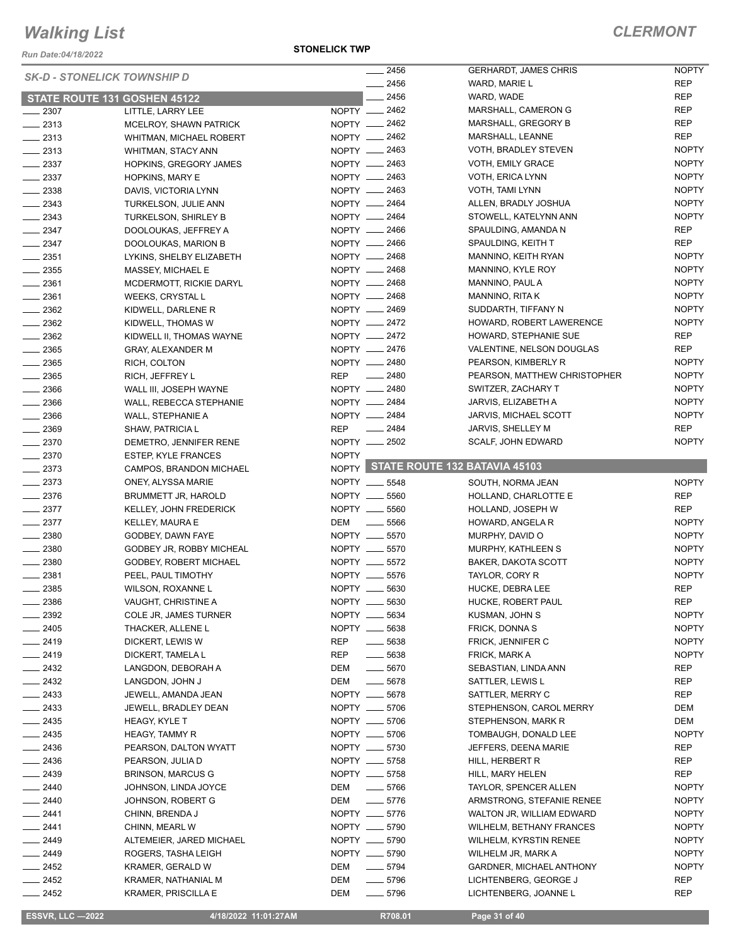*Run Date:04/18/2022*

#### **STONELICK TWP**

| <b>SK-D - STONELICK TOWNSHIP D</b> |                                | $-2456$                   | <b>GERHARDT, JAMES CHRIS</b>        | <b>NOPTY</b> |
|------------------------------------|--------------------------------|---------------------------|-------------------------------------|--------------|
|                                    |                                | $-2456$                   | WARD, MARIE L                       | <b>REP</b>   |
|                                    | STATE ROUTE 131 GOSHEN 45122   | $-2456$                   | WARD, WADE                          | <b>REP</b>   |
| $\_\_2$ 2307                       | LITTLE, LARRY LEE              | NOPTY __ 2462             | MARSHALL, CAMERON G                 | <b>REP</b>   |
| $-2313$                            | MCELROY, SHAWN PATRICK         | NOPTY <u>_</u> 2462       | MARSHALL, GREGORY B                 | <b>REP</b>   |
| $-2313$                            | <b>WHITMAN, MICHAEL ROBERT</b> | NOPTY -2462               | MARSHALL, LEANNE                    | <b>REP</b>   |
| $-2313$                            | WHITMAN, STACY ANN             | NOPTY __ 2463             | VOTH, BRADLEY STEVEN                | <b>NOPTY</b> |
| $\frac{1}{2}$ 2337                 | HOPKINS, GREGORY JAMES         | NOPTY -2463               | VOTH, EMILY GRACE                   | <b>NOPTY</b> |
| $\frac{2337}{2}$                   | HOPKINS, MARY E                | NOPTY __ 2463             | VOTH, ERICA LYNN                    | <b>NOPTY</b> |
| $\frac{1}{2338}$                   | DAVIS, VICTORIA LYNN           | NOPTY 2463                | VOTH, TAMI LYNN                     | <b>NOPTY</b> |
| $-2343$                            | TURKELSON, JULIE ANN           | NOPTY - 2464              | ALLEN, BRADLY JOSHUA                | <b>NOPTY</b> |
| $-2343$                            | TURKELSON, SHIRLEY B           | NOPTY __ 2464             | STOWELL, KATELYNN ANN               | <b>NOPTY</b> |
| $-2347$                            | DOOLOUKAS, JEFFREY A           | NOPTY - 2466              | SPAULDING, AMANDA N                 | <b>REP</b>   |
| $-2347$                            | DOOLOUKAS, MARION B            | NOPTY __ 2466             | SPAULDING, KEITH T                  | <b>REP</b>   |
| $-2351$                            | LYKINS, SHELBY ELIZABETH       | NOPTY -2468               | MANNINO, KEITH RYAN                 | <b>NOPTY</b> |
| $\frac{1}{2}$ 2355                 | MASSEY, MICHAEL E              | NOPTY -2468               | MANNINO, KYLE ROY                   | <b>NOPTY</b> |
| $-2361$                            | MCDERMOTT, RICKIE DARYL        | NOPTY 2468                | MANNINO, PAUL A                     | <b>NOPTY</b> |
| $-2361$                            | WEEKS, CRYSTAL L               | NOPTY <u>__</u> 2468      | MANNINO, RITA K                     | <b>NOPTY</b> |
| $-2362$                            | KIDWELL, DARLENE R             | NOPTY __ 2469             | SUDDARTH, TIFFANY N                 | <b>NOPTY</b> |
| $-2362$                            | KIDWELL, THOMAS W              | NOPTY <u>_</u> 2472       | HOWARD, ROBERT LAWERENCE            | <b>NOPTY</b> |
| $-2362$                            | KIDWELL II, THOMAS WAYNE       | NOPTY -2472               | HOWARD, STEPHANIE SUE               | REP          |
| $\frac{1}{2}$ 2365                 | <b>GRAY, ALEXANDER M</b>       | NOPTY __ 2476             | VALENTINE, NELSON DOUGLAS           | REP          |
| $-2365$                            | RICH, COLTON                   | NOPTY __ 2480             | PEARSON, KIMBERLY R                 | <b>NOPTY</b> |
| $\frac{1}{2}$ 2365                 | RICH, JEFFREY L                | REP __ 2480               | PEARSON, MATTHEW CHRISTOPHER        | <b>NOPTY</b> |
| $-2366$                            | WALL III, JOSEPH WAYNE         | NOPTY __ 2480             | SWITZER, ZACHARY T                  | <b>NOPTY</b> |
| $\frac{1}{2}$ 2366                 | WALL, REBECCA STEPHANIE        | NOPTY __ 2484             | JARVIS, ELIZABETH A                 | <b>NOPTY</b> |
| $-2366$                            | WALL, STEPHANIE A              | NOPTY __ 2484             | JARVIS, MICHAEL SCOTT               | <b>NOPTY</b> |
| $- 2369$                           | <b>SHAW, PATRICIA L</b>        | $\frac{1}{2484}$<br>REP   | JARVIS, SHELLEY M                   | <b>REP</b>   |
| $\frac{2370}{2}$                   | DEMETRO, JENNIFER RENE         | NOPTY 2502                | SCALF, JOHN EDWARD                  | <b>NOPTY</b> |
| $-2370$                            | <b>ESTEP, KYLE FRANCES</b>     | <b>NOPTY</b>              |                                     |              |
| $-2373$                            | CAMPOS, BRANDON MICHAEL        |                           | NOPTY STATE ROUTE 132 BATAVIA 45103 |              |
| $-2373$                            | ONEY, ALYSSA MARIE             | NOPTY __ 5548             | SOUTH, NORMA JEAN                   | <b>NOPTY</b> |
|                                    |                                |                           |                                     |              |
| $-2376$                            | <b>BRUMMETT JR, HAROLD</b>     | NOPTY __ 5560             | HOLLAND, CHARLOTTE E                | REP          |
| $-2377$                            | KELLEY, JOHN FREDERICK         | NOPTY __ 5560             | HOLLAND, JOSEPH W                   | <b>REP</b>   |
| $-2377$                            | KELLEY, MAURA E                | DEM _______ 5566          | HOWARD, ANGELA R                    | <b>NOPTY</b> |
| $-2380$                            | GODBEY, DAWN FAYE              | NOPTY __ 5570             | MURPHY, DAVID O                     | <b>NOPTY</b> |
| $\frac{1}{2}$ 2380                 | GODBEY JR, ROBBY MICHEAL       | NOPTY __ 5570             | MURPHY, KATHLEEN S                  | <b>NOPTY</b> |
| $-2380$                            | GODBEY, ROBERT MICHAEL         | NOPTY __ 5572             | BAKER, DAKOTA SCOTT                 | <b>NOPTY</b> |
| $\frac{1}{2}$ 2381                 | PEEL, PAUL TIMOTHY             | NOPTY __ 5576             | TAYLOR, CORY R                      | <b>NOPTY</b> |
| 2385                               | WILSON, ROXANNE L              | NOPTY __ 5630             | HUCKE, DEBRA LEE                    | <b>REP</b>   |
| $\frac{1}{2386}$                   | VAUGHT, CHRISTINE A            | NOPTY __ 5630             | HUCKE, ROBERT PAUL                  | REP          |
| $\frac{1}{2392}$                   | COLE JR, JAMES TURNER          | NOPTY __ 5634             | KUSMAN, JOHN S                      | <b>NOPTY</b> |
| $-2405$                            | THACKER, ALLENE L              | NOPTY __ 5638             | FRICK, DONNA S                      | <b>NOPTY</b> |
| $-2419$                            | DICKERT, LEWIS W               | REP<br>$\frac{1}{2}$ 5638 | FRICK, JENNIFER C                   | <b>NOPTY</b> |
|                                    | DICKERT, TAMELA L              | REP<br>$\frac{1}{2}$ 5638 | FRICK, MARK A                       | <b>NOPTY</b> |
| $-2419$<br>$-2432$                 | LANGDON, DEBORAH A             | $- 5670$<br>DEM           | SEBASTIAN, LINDA ANN                | <b>REP</b>   |
|                                    | LANGDON, JOHN J                | DEM<br>$- 5678$           | SATTLER, LEWIS L                    | REP          |
| $-2432$<br>$-2433$                 | JEWELL, AMANDA JEAN            | NOPTY __ 5678             | SATTLER, MERRY C                    | REP          |
| $\frac{2433}{2}$                   | JEWELL, BRADLEY DEAN           | NOPTY __ 5706             | STEPHENSON, CAROL MERRY             | DEM          |
| $-2435$                            | HEAGY, KYLE T                  | NOPTY __ 5706             | STEPHENSON, MARK R                  | DEM          |
| $\frac{1}{2435}$                   | <b>HEAGY, TAMMY R</b>          | NOPTY __ 5706             | TOMBAUGH, DONALD LEE                | <b>NOPTY</b> |
| $-2436$                            | PEARSON, DALTON WYATT          | NOPTY __ 5730             | JEFFERS, DEENA MARIE                | REP          |
| $-2436$                            | PEARSON, JULIA D               | NOPTY __ 5758             | HILL, HERBERT R                     | REP          |
| $-2439$                            | <b>BRINSON, MARCUS G</b>       | NOPTY __ 5758             | HILL, MARY HELEN                    | REP          |
| $-2440$                            | JOHNSON, LINDA JOYCE           | $\frac{1}{2}$ 5766<br>DEM | TAYLOR, SPENCER ALLEN               | <b>NOPTY</b> |
| $-2440$                            | JOHNSON, ROBERT G              | $- 5776$<br>DEM           | ARMSTRONG, STEFANIE RENEE           | <b>NOPTY</b> |
| $-2441$                            | CHINN, BRENDA J                | NOPTY __ 5776             | WALTON JR, WILLIAM EDWARD           | <b>NOPTY</b> |
| $-2441$                            | CHINN, MEARL W                 | NOPTY __ 5790             | <b>WILHELM, BETHANY FRANCES</b>     | <b>NOPTY</b> |
| $-2449$                            | ALTEMEIER, JARED MICHAEL       | NOPTY __ 5790             | WILHELM, KYRSTIN RENEE              | <b>NOPTY</b> |
| $-2449$                            | ROGERS, TASHA LEIGH            | NOPTY __ 5790             | WILHELM JR, MARK A                  | <b>NOPTY</b> |
| $-2452$                            | KRAMER, GERALD W               | $\frac{1}{2}$ 5794<br>DEM | GARDNER, MICHAEL ANTHONY            | <b>NOPTY</b> |
| $-2452$                            | KRAMER, NATHANIAL M            | DEM<br>$\frac{1}{2}$ 5796 | LICHTENBERG, GEORGE J               | <b>REP</b>   |
| $-2452$                            | <b>KRAMER, PRISCILLA E</b>     | $- 5796$<br>DEM           | LICHTENBERG, JOANNE L               | REP          |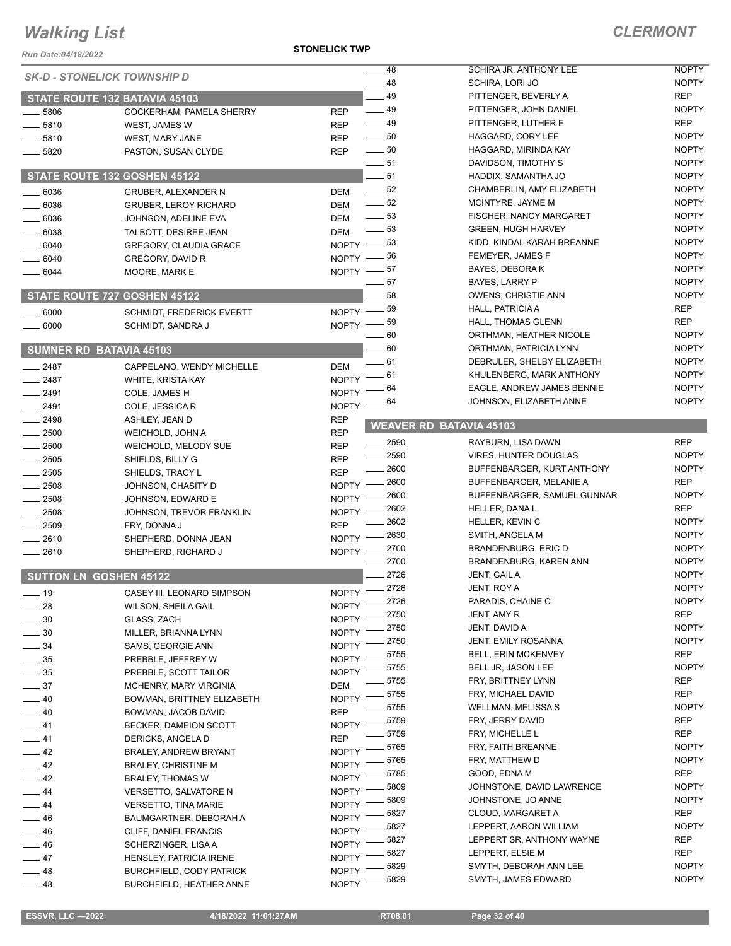*Run Date:04/18/2022*

**STONELICK TWP**

| Run Date:04/18/2022 |                                    |                                |                                |              |
|---------------------|------------------------------------|--------------------------------|--------------------------------|--------------|
|                     | <b>SK-D - STONELICK TOWNSHIP D</b> | $-48$                          | SCHIRA JR, ANTHONY LEE         | <b>NOPTY</b> |
|                     |                                    | $-48$                          | SCHIRA, LORI JO                | <b>NOPTY</b> |
|                     | STATE ROUTE 132 BATAVIA 45103      | 49                             | PITTENGER, BEVERLY A           | <b>REP</b>   |
| $-5806$             | COCKERHAM, PAMELA SHERRY           | $\frac{1}{2}$ 49<br><b>REP</b> | PITTENGER, JOHN DANIEL         | <b>NOPTY</b> |
| $-5810$             | WEST, JAMES W                      | $\frac{1}{2}$ 49<br><b>REP</b> | PITTENGER, LUTHER E            | <b>REP</b>   |
| $- 5810$            | WEST, MARY JANE                    | $\frac{1}{2}$ 50<br><b>REP</b> | HAGGARD, CORY LEE              | <b>NOPTY</b> |
| $- 5820$            | PASTON, SUSAN CLYDE                | $\frac{1}{2}$ 50<br><b>REP</b> | HAGGARD, MIRINDA KAY           | <b>NOPTY</b> |
|                     |                                    | $-51$                          | DAVIDSON, TIMOTHY S            | <b>NOPTY</b> |
|                     | STATE ROUTE 132 GOSHEN 45122       | $-51$                          | HADDIX, SAMANTHA JO            | <b>NOPTY</b> |
| $-6036$             | <b>GRUBER, ALEXANDER N</b>         | $\frac{1}{2}$ 52<br><b>DEM</b> | CHAMBERLIN, AMY ELIZABETH      | <b>NOPTY</b> |
| $-6036$             | <b>GRUBER, LEROY RICHARD</b>       | $\frac{1}{2}$ 52<br><b>DEM</b> | MCINTYRE, JAYME M              | <b>NOPTY</b> |
| $-6036$             | JOHNSON, ADELINE EVA               | $\frac{1}{2}$ 53<br><b>DEM</b> | FISCHER, NANCY MARGARET        | <b>NOPTY</b> |
| $-6038$             | TALBOTT, DESIREE JEAN              | $\frac{1}{2}$ 53<br><b>DEM</b> | <b>GREEN, HUGH HARVEY</b>      | <b>NOPTY</b> |
| $-6040$             | GREGORY, CLAUDIA GRACE             | NOPTY $-$ 53                   | KIDD, KINDAL KARAH BREANNE     | <b>NOPTY</b> |
| $- 6040$            | GREGORY, DAVID R                   | NOPTY -86                      | FEMEYER, JAMES F               | <b>NOPTY</b> |
| $- 6044$            | MOORE, MARK E                      | NOPTY $-$ 57                   | BAYES, DEBORA K                | <b>NOPTY</b> |
|                     |                                    | - 57                           | BAYES, LARRY P                 | <b>NOPTY</b> |
|                     | STATE ROUTE 727 GOSHEN 45122       | 58                             | <b>OWENS, CHRISTIE ANN</b>     | <b>NOPTY</b> |
| $\frac{1}{2}6000$   | <b>SCHMIDT, FREDERICK EVERTT</b>   | NOPTY $-$ 59                   | HALL, PATRICIA A               | REP          |
| $- 6000$            | SCHMIDT, SANDRA J                  | $NOPTY$ -- 59                  | HALL, THOMAS GLENN             | <b>REP</b>   |
|                     |                                    | $\_\_60$                       | ORTHMAN, HEATHER NICOLE        | <b>NOPTY</b> |
|                     | <b>SUMNER RD BATAVIA 45103</b>     | $-60$                          | ORTHMAN, PATRICIA LYNN         | <b>NOPTY</b> |
| $-2487$             | CAPPELANO, WENDY MICHELLE          | $-61$<br><b>DEM</b>            | DEBRULER, SHELBY ELIZABETH     | <b>NOPTY</b> |
| $-2487$             | WHITE, KRISTA KAY                  | _ 61<br><b>NOPTY</b>           | KHULENBERG, MARK ANTHONY       | <b>NOPTY</b> |
| $-2491$             | COLE, JAMES H                      | 64<br><b>NOPTY</b>             | EAGLE, ANDREW JAMES BENNIE     | <b>NOPTY</b> |
| $-2491$             | COLE, JESSICA R                    | - 64<br>NOPTY -                | JOHNSON, ELIZABETH ANNE        | <b>NOPTY</b> |
| $-2498$             | ASHLEY, JEAN D                     | <b>REP</b>                     |                                |              |
| $-2500$             | WEICHOLD, JOHN A                   | <b>REP</b>                     | <b>WEAVER RD BATAVIA 45103</b> |              |
| $-2500$             | WEICHOLD, MELODY SUE               | $\frac{1}{2590}$<br><b>REP</b> | RAYBURN, LISA DAWN             | <b>REP</b>   |
| $-2505$             | SHIELDS, BILLY G                   | $- 2590$<br><b>REP</b>         | <b>VIRES, HUNTER DOUGLAS</b>   | <b>NOPTY</b> |
| $-2505$             | SHIELDS, TRACY L                   | 2600<br><b>REP</b>             | BUFFENBARGER, KURT ANTHONY     | <b>NOPTY</b> |
| $-2508$             | JOHNSON, CHASITY D                 | $-2600$<br>NOPTY -             | BUFFENBARGER, MELANIE A        | <b>REP</b>   |
| $-2508$             | JOHNSON, EDWARD E                  | $-2600$<br>NOPTY -             | BUFFENBARGER, SAMUEL GUNNAR    | <b>NOPTY</b> |
| $-2508$             | JOHNSON, TREVOR FRANKLIN           | 2602<br>NOPTY -                | HELLER, DANA L                 | <b>REP</b>   |
| $\frac{1}{2509}$    | FRY, DONNA J                       | 2602<br><b>REP</b>             | HELLER, KEVIN C                | <b>NOPTY</b> |
| $-2610$             | SHEPHERD, DONNA JEAN               | 2630<br>NOPTY -                | SMITH, ANGELA M                | <b>NOPTY</b> |
| $-2610$             | SHEPHERD, RICHARD J                | _ 2700<br>NOPTY -              | <b>BRANDENBURG, ERIC D</b>     | <b>NOPTY</b> |
|                     |                                    | 2700                           | BRANDENBURG, KAREN ANN         | <b>NOPTY</b> |
|                     | <b>SUTTON LN GOSHEN 45122</b>      | 2726                           | JENT, GAIL A                   | <b>NOPTY</b> |
| ___ 19              | CASEY III, LEONARD SIMPSON         | 2726<br><b>NOPTY</b>           | JENT, ROY A                    | <b>NOPTY</b> |
| $\_\_$ 28           | <b>WILSON, SHEILA GAIL</b>         | NOPTY -2726                    | PARADIS, CHAINE C              | <b>NOPTY</b> |
| $\frac{1}{2}$ 30    | GLASS, ZACH                        | 2750<br><b>NOPTY</b>           | JENT, AMY R                    | REP          |
| $\frac{1}{2}$ 30    | MILLER, BRIANNA LYNN               | 2750<br><b>NOPTY</b>           | JENT, DAVID A                  | <b>NOPTY</b> |
| $\frac{1}{2}$ 34    | SAMS, GEORGIE ANN                  | 2750<br><b>NOPTY</b>           | JENT, EMILY ROSANNA            | <b>NOPTY</b> |
| $\frac{1}{2}$ 35    | PREBBLE, JEFFREY W                 | 5755<br><b>NOPTY</b>           | <b>BELL, ERIN MCKENVEY</b>     | REP          |
| $\frac{1}{2}$ 35    | PREBBLE, SCOTT TAILOR              | 5755<br><b>NOPTY</b>           | BELL JR, JASON LEE             | <b>NOPTY</b> |
| $\equiv$ 37         | <b>MCHENRY, MARY VIRGINIA</b>      | 5755<br>DEM                    | FRY, BRITTNEY LYNN             | REP          |
| $-40$               | BOWMAN, BRITTNEY ELIZABETH         | 5755<br>NOPTY <sup>-</sup>     | FRY, MICHAEL DAVID             | <b>REP</b>   |
| $-40$               | BOWMAN, JACOB DAVID                | 5755<br><b>REP</b>             | WELLMAN, MELISSA S             | <b>NOPTY</b> |
| $-41$               | BECKER, DAMEION SCOTT              | _ 5759<br><b>NOPTY</b>         | FRY, JERRY DAVID               | REP          |
| $-41$               | DERICKS, ANGELA D                  | 5759<br><b>REP</b>             | FRY, MICHELLE L                | REP          |
| $-42$               | BRALEY, ANDREW BRYANT              | $-5765$<br><b>NOPTY</b>        | FRY, FAITH BREANNE             | <b>NOPTY</b> |
| $\frac{1}{2}$ 42    | <b>BRALEY, CHRISTINE M</b>         | 5765<br><b>NOPTY</b>           | FRY, MATTHEW D                 | <b>NOPTY</b> |
| $-42$               | BRALEY, THOMAS W                   | 5785<br><b>NOPTY</b>           | GOOD, EDNA M                   | REP          |
| $-44$               | VERSETTO, SALVATORE N              | 5809<br><b>NOPTY</b>           | JOHNSTONE, DAVID LAWRENCE      | <b>NOPTY</b> |
| $-44$               | <b>VERSETTO, TINA MARIE</b>        | 5809<br><b>NOPTY</b>           | JOHNSTONE, JO ANNE             | <b>NOPTY</b> |
| $\equiv$ 46         | BAUMGARTNER, DEBORAH A             | 5827<br><b>NOPTY</b>           | CLOUD, MARGARET A              | REP          |
| $-46$               | CLIFF, DANIEL FRANCIS              | 5827<br><b>NOPTY</b>           | LEPPERT, AARON WILLIAM         | <b>NOPTY</b> |
| $\frac{1}{2}$ 46    | SCHERZINGER, LISA A                | 5827<br><b>NOPTY</b>           | LEPPERT SR, ANTHONY WAYNE      | REP          |
| $-47$               | HENSLEY, PATRICIA IRENE            | 5827<br><b>NOPTY</b>           | LEPPERT, ELSIE M               | REP          |
| $-48$               | <b>BURCHFIELD, CODY PATRICK</b>    | 5829<br><b>NOPTY</b>           | SMYTH, DEBORAH ANN LEE         | <b>NOPTY</b> |
| $-48$               | BURCHFIELD, HEATHER ANNE           | 5829<br><b>NOPTY</b>           | SMYTH, JAMES EDWARD            | <b>NOPTY</b> |
|                     |                                    |                                |                                |              |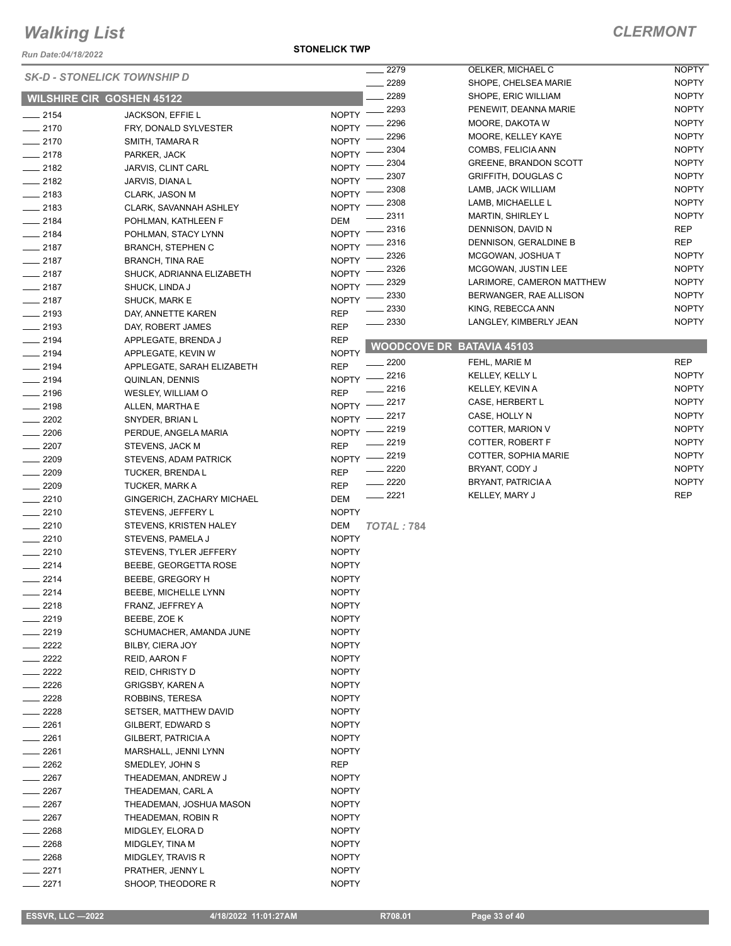*Run Date:04/18/2022*

#### **STONELICK TWP**

|                  |                                    |              | 2279              | OELKER, MICHAEL C                | <b>NOPTY</b> |
|------------------|------------------------------------|--------------|-------------------|----------------------------------|--------------|
|                  | <b>SK-D - STONELICK TOWNSHIP D</b> |              | 2289              | SHOPE, CHELSEA MARIE             | <b>NOPTY</b> |
|                  | <b>WILSHIRE CIR GOSHEN 45122</b>   |              | 2289              | SHOPE, ERIC WILLIAM              | <b>NOPTY</b> |
| $-2154$          |                                    | <b>NOPTY</b> | 2293              | PENEWIT, DEANNA MARIE            | <b>NOPTY</b> |
| $-2170$          | <b>JACKSON, EFFIE L</b>            | <b>NOPTY</b> | 2296              | MOORE, DAKOTA W                  | <b>NOPTY</b> |
|                  | FRY, DONALD SYLVESTER              |              | 2296              | MOORE, KELLEY KAYE               | <b>NOPTY</b> |
| $-2170$          | SMITH, TAMARA R                    | <b>NOPTY</b> | 2304              | COMBS, FELICIA ANN               | <b>NOPTY</b> |
| $-2178$          | PARKER, JACK                       | <b>NOPTY</b> | 2304              | <b>GREENE, BRANDON SCOTT</b>     | <b>NOPTY</b> |
| $\frac{1}{2182}$ | JARVIS, CLINT CARL                 | <b>NOPTY</b> | 2307              | <b>GRIFFITH, DOUGLAS C</b>       | <b>NOPTY</b> |
| $-2182$          | JARVIS, DIANA L                    | <b>NOPTY</b> | 2308              | LAMB, JACK WILLIAM               | <b>NOPTY</b> |
| $-2183$          | CLARK, JASON M                     | <b>NOPTY</b> | 2308              | LAMB, MICHAELLE L                | <b>NOPTY</b> |
| $-2183$          | CLARK, SAVANNAH ASHLEY             | <b>NOPTY</b> | 2311              | <b>MARTIN, SHIRLEY L</b>         | <b>NOPTY</b> |
| $-2184$          | POHLMAN, KATHLEEN F                | <b>DEM</b>   | 2316              |                                  | <b>REP</b>   |
| $-2184$          | POHLMAN, STACY LYNN                | <b>NOPTY</b> |                   | DENNISON, DAVID N                |              |
| $-2187$          | <b>BRANCH, STEPHEN C</b>           | <b>NOPTY</b> | 2316              | DENNISON, GERALDINE B            | <b>REP</b>   |
| $-2187$          | <b>BRANCH, TINA RAE</b>            | <b>NOPTY</b> | 2326              | MCGOWAN, JOSHUA T                | <b>NOPTY</b> |
| $-2187$          | SHUCK, ADRIANNA ELIZABETH          | <b>NOPTY</b> | 2326              | MCGOWAN, JUSTIN LEE              | <b>NOPTY</b> |
| $-2187$          | SHUCK, LINDA J                     | <b>NOPTY</b> | 2329              | LARIMORE, CAMERON MATTHEW        | <b>NOPTY</b> |
| $-2187$          | SHUCK, MARK E                      | <b>NOPTY</b> | 2330              | BERWANGER, RAE ALLISON           | <b>NOPTY</b> |
| $-2193$          | DAY, ANNETTE KAREN                 | <b>REP</b>   | 2330              | KING, REBECCA ANN                | <b>NOPTY</b> |
| $-2193$          | DAY, ROBERT JAMES                  | <b>REP</b>   | - 2330            | LANGLEY, KIMBERLY JEAN           | <b>NOPTY</b> |
| $-2194$          | APPLEGATE, BRENDA J                | <b>REP</b>   |                   |                                  |              |
| $-2194$          | APPLEGATE, KEVIN W                 | <b>NOPTY</b> |                   | <b>WOODCOVE DR BATAVIA 45103</b> |              |
| $-2194$          | APPLEGATE, SARAH ELIZABETH         | <b>REP</b>   | $-2200$           | FEHL, MARIE M                    | <b>REP</b>   |
| $-2194$          | QUINLAN, DENNIS                    | <b>NOPTY</b> | $-2216$           | KELLEY, KELLY L                  | <b>NOPTY</b> |
| $-2196$          | WESLEY, WILLIAM O                  | <b>REP</b>   | - 2216            | KELLEY, KEVIN A                  | <b>NOPTY</b> |
|                  |                                    | <b>NOPTY</b> | 2217              | CASE, HERBERT L                  | <b>NOPTY</b> |
| $-2198$          | ALLEN, MARTHA E                    |              | 2217              | CASE, HOLLY N                    | <b>NOPTY</b> |
| $\frac{2202}{2}$ | SNYDER, BRIAN L                    | <b>NOPTY</b> | 2219              | COTTER, MARION V                 | <b>NOPTY</b> |
| $-2206$          | PERDUE, ANGELA MARIA               | NOPTY -      | 2219              | COTTER, ROBERT F                 | <b>NOPTY</b> |
| $-2207$          | STEVENS, JACK M                    | <b>REP</b>   | 2219              | COTTER, SOPHIA MARIE             | <b>NOPTY</b> |
| $-2209$          | STEVENS, ADAM PATRICK              | <b>NOPTY</b> | 2220              | BRYANT, CODY J                   | <b>NOPTY</b> |
| $- 2209$         | <b>TUCKER, BRENDA L</b>            | <b>REP</b>   | 2220              | <b>BRYANT, PATRICIA A</b>        | <b>NOPTY</b> |
| $-2209$          | TUCKER, MARK A                     | <b>REP</b>   | $-2221$           |                                  | <b>REP</b>   |
| $-2210$          | GINGERICH, ZACHARY MICHAEL         | <b>DEM</b>   |                   | KELLEY, MARY J                   |              |
| $-2210$          | STEVENS, JEFFERY L                 | <b>NOPTY</b> |                   |                                  |              |
| $-2210$          | STEVENS, KRISTEN HALEY             | <b>DEM</b>   | <b>TOTAL: 784</b> |                                  |              |
| $-2210$          | STEVENS, PAMELA J                  | <b>NOPTY</b> |                   |                                  |              |
| $-2210$          | STEVENS, TYLER JEFFERY             | <b>NOPTY</b> |                   |                                  |              |
| $-2214$          | BEEBE, GEORGETTA ROSE              | <b>NOPTY</b> |                   |                                  |              |
| $-2214$          | BEEBE, GREGORY H                   | <b>NOPTY</b> |                   |                                  |              |
| 2214             | BEEBE, MICHELLE LYNN               | <b>NOPTY</b> |                   |                                  |              |
| $= 2218$         | FRANZ, JEFFREY A                   | <b>NOPTY</b> |                   |                                  |              |
| $-2219$          | BEEBE, ZOE K                       | <b>NOPTY</b> |                   |                                  |              |
| $-2219$          | SCHUMACHER, AMANDA JUNE            | <b>NOPTY</b> |                   |                                  |              |
| $= 2222$         | BILBY, CIERA JOY                   | <b>NOPTY</b> |                   |                                  |              |
| $-2222$          | <b>REID, AARON F</b>               | <b>NOPTY</b> |                   |                                  |              |
| $= 2222$         | REID, CHRISTY D                    | <b>NOPTY</b> |                   |                                  |              |
| $-2226$          | GRIGSBY, KAREN A                   | <b>NOPTY</b> |                   |                                  |              |
| $= 2228$         | ROBBINS, TERESA                    | <b>NOPTY</b> |                   |                                  |              |
| $-2228$          | SETSER, MATTHEW DAVID              | <b>NOPTY</b> |                   |                                  |              |
| $-2261$          | GILBERT, EDWARD S                  | <b>NOPTY</b> |                   |                                  |              |
| $-2261$          | GILBERT, PATRICIA A                |              |                   |                                  |              |
|                  |                                    | <b>NOPTY</b> |                   |                                  |              |
| $-2261$          | MARSHALL, JENNI LYNN               | <b>NOPTY</b> |                   |                                  |              |
| $\frac{1}{2262}$ | SMEDLEY, JOHN S                    | REP          |                   |                                  |              |
| $-2267$          | THEADEMAN, ANDREW J                | <b>NOPTY</b> |                   |                                  |              |
| $-2267$          | THEADEMAN, CARL A                  | <b>NOPTY</b> |                   |                                  |              |
| $-2267$          | THEADEMAN, JOSHUA MASON            | <b>NOPTY</b> |                   |                                  |              |
| $\_\_2$ 2267     | THEADEMAN, ROBIN R                 | <b>NOPTY</b> |                   |                                  |              |
| $= 2268$         | MIDGLEY, ELORA D                   | <b>NOPTY</b> |                   |                                  |              |
| $-2268$          | MIDGLEY, TINA M                    | <b>NOPTY</b> |                   |                                  |              |
| $= 2268$         | MIDGLEY, TRAVIS R                  | <b>NOPTY</b> |                   |                                  |              |
| _ 2271           | PRATHER, JENNY L                   | <b>NOPTY</b> |                   |                                  |              |
| 2271             | SHOOP, THEODORE R                  | <b>NOPTY</b> |                   |                                  |              |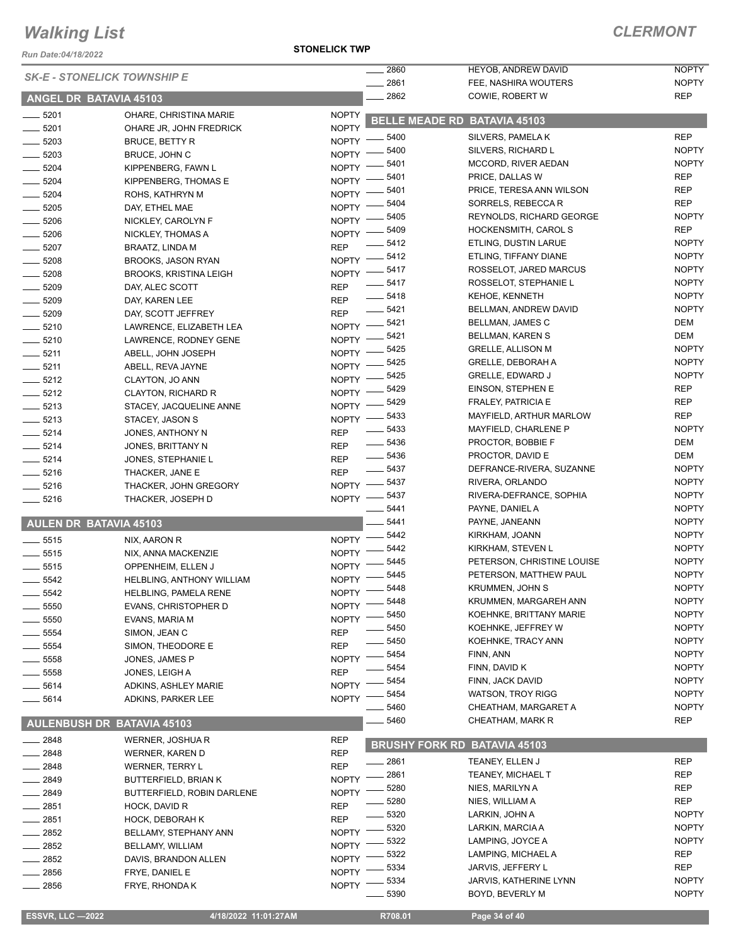*Run Date:04/18/2022*

**STONELICK TWP**

#### *CLERMONT*

| KUII Dale.∪4⁄ 10⁄∠∪∠∠ | <b>SK-E - STONELICK TOWNSHIP E</b>           |                              | . 2860                | <b>HEYOB, ANDREW DAVID</b>          | <b>NOPTY</b>                 |
|-----------------------|----------------------------------------------|------------------------------|-----------------------|-------------------------------------|------------------------------|
|                       |                                              |                              | 2861                  | FEE, NASHIRA WOUTERS                | <b>NOPTY</b>                 |
|                       | ANGEL DR BATAVIA 45103                       |                              | 2862                  | COWIE, ROBERT W                     | <b>REP</b>                   |
| $- 5201$              | OHARE, CHRISTINA MARIE                       | <b>NOPTY</b>                 | <b>BELLE MEADE RD</b> | <b>BATAVIA 45103</b>                |                              |
| $-5201$               | OHARE JR, JOHN FREDRICK                      | <b>NOPTY</b>                 | 5400                  | SILVERS, PAMELAK                    | <b>REP</b>                   |
| $-5203$               | <b>BRUCE, BETTY R</b>                        | NOPTY -                      | 5400                  | SILVERS, RICHARD L                  | <b>NOPTY</b>                 |
| $-5203$               | BRUCE, JOHN C                                | NOPTY -                      | 5401                  | MCCORD, RIVER AEDAN                 | <b>NOPTY</b>                 |
| $\frac{1}{2}$ 5204    | KIPPENBERG, FAWN L                           | <b>NOPTY</b>                 | 5401                  | PRICE, DALLAS W                     | <b>REP</b>                   |
| $- 5204$              | KIPPENBERG, THOMAS E                         | <b>NOPTY</b><br><b>NOPTY</b> | 5401                  | PRICE, TERESA ANN WILSON            | <b>REP</b>                   |
| $-5204$               | ROHS, KATHRYN M                              |                              | 5404                  | SORRELS, REBECCAR                   | <b>REP</b>                   |
| $-5205$               | DAY, ETHEL MAE                               | <b>NOPTY</b><br><b>NOPTY</b> | 5405                  | REYNOLDS, RICHARD GEORGE            | <b>NOPTY</b>                 |
| $-5206$               | NICKLEY, CAROLYN F                           | NOPTY -                      | 5409                  | HOCKENSMITH, CAROL S                | <b>REP</b>                   |
| $-5206$<br>$-5207$    | NICKLEY, THOMAS A                            | <b>REP</b>                   | 5412                  | ETLING, DUSTIN LARUE                | <b>NOPTY</b>                 |
| $-5208$               | BRAATZ, LINDA M<br><b>BROOKS, JASON RYAN</b> | $NOPTY =$                    | $-5412$               | ETLING, TIFFANY DIANE               | <b>NOPTY</b>                 |
| $-5208$               | <b>BROOKS, KRISTINA LEIGH</b>                | NOPTY -                      | _ 5417                | ROSSELOT, JARED MARCUS              | <b>NOPTY</b>                 |
| $-5209$               | DAY, ALEC SCOTT                              | <b>REP</b>                   | $- 5417$              | ROSSELOT, STEPHANIE L               | <b>NOPTY</b>                 |
| $- 5209$              | DAY, KAREN LEE                               | <b>REP</b>                   | $- 5418$              | <b>KEHOE, KENNETH</b>               | <b>NOPTY</b>                 |
| $- 5209$              | DAY, SCOTT JEFFREY                           | <b>REP</b>                   | $- 5421$              | BELLMAN, ANDREW DAVID               | <b>NOPTY</b>                 |
| $-5210$               | LAWRENCE, ELIZABETH LEA                      | $N$ OPTY $-$                 | 5421                  | <b>BELLMAN, JAMES C</b>             | DEM                          |
| $- 5210$              | LAWRENCE, RODNEY GENE                        | <b>NOPTY</b>                 | 5421                  | BELLMAN, KAREN S                    | DEM                          |
| $- 5211$              | ABELL, JOHN JOSEPH                           | <b>NOPTY</b>                 | 5425                  | <b>GRELLE, ALLISON M</b>            | <b>NOPTY</b>                 |
| $-5211$               | ABELL, REVA JAYNE                            | <b>NOPTY</b>                 | 5425                  | GRELLE, DEBORAH A                   | <b>NOPTY</b>                 |
| $-5212$               | CLAYTON, JO ANN                              | <b>NOPTY</b>                 | 5425                  | <b>GRELLE, EDWARD J</b>             | <b>NOPTY</b>                 |
| $-5212$               | <b>CLAYTON, RICHARD R</b>                    | <b>NOPTY</b>                 | 5429                  | EINSON, STEPHEN E                   | <b>REP</b>                   |
| $-5213$               | STACEY, JACQUELINE ANNE                      | NOPTY -                      | 5429                  | <b>FRALEY, PATRICIA E</b>           | <b>REP</b>                   |
| $-5213$               | STACEY, JASON S                              | $NOPTY$ –                    | 5433                  | MAYFIELD, ARTHUR MARLOW             | <b>REP</b>                   |
| $-5214$               | JONES, ANTHONY N                             | <b>REP</b>                   | 5433                  | MAYFIELD, CHARLENE P                | <b>NOPTY</b>                 |
| $- 5214$              | JONES, BRITTANY N                            | <b>REP</b>                   | $\frac{1}{2}$ 5436    | PROCTOR, BOBBIE F                   | DEM                          |
| $-5214$               | JONES, STEPHANIE L                           | <b>REP</b>                   | $\frac{1}{2}$ 5436    | PROCTOR, DAVID E                    | DEM                          |
| $- 5216$              | THACKER, JANE E                              | <b>REP</b>                   | $\frac{1}{2}$ 5437    | DEFRANCE-RIVERA, SUZANNE            | <b>NOPTY</b>                 |
| $-5216$               | THACKER, JOHN GREGORY                        |                              | NOPTY -8437           | RIVERA, ORLANDO                     | <b>NOPTY</b>                 |
| $-5216$               | THACKER, JOSEPH D                            | NOPTY -                      | 5437                  | RIVERA-DEFRANCE, SOPHIA             | <b>NOPTY</b>                 |
|                       |                                              |                              | 5441                  | PAYNE, DANIEL A                     | <b>NOPTY</b>                 |
|                       | <b>AULEN DR BATAVIA 45103</b>                |                              | 5441                  | PAYNE, JANEANN                      | <b>NOPTY</b>                 |
| $- 5515$              | NIX, AARON R                                 | <b>NOPTY</b>                 | 5442                  | KIRKHAM, JOANN                      | <b>NOPTY</b>                 |
| $-5515$               | NIX, ANNA MACKENZIE                          | <b>NOPTY</b>                 | 5442                  | KIRKHAM, STEVEN L                   | <b>NOPTY</b>                 |
| $\frac{1}{2}$ 5515    | OPPENHEIM, ELLEN J                           | <b>NOPTY</b>                 | 5445                  | PETERSON, CHRISTINE LOUISE          | <b>NOPTY</b>                 |
| 5542                  | HELBLING, ANTHONY WILLIAM                    | <b>NOPTY</b>                 | 5445                  | PETERSON, MATTHEW PAUL              | <b>NOPTY</b>                 |
| $-5542$               | HELBLING, PAMELA RENE                        | NOPTY -                      | 5448                  | KRUMMEN, JOHN S                     | <b>NOPTY</b>                 |
| 5550                  | <b>EVANS, CHRISTOPHER D</b>                  | <b>NOPTY</b>                 | 5448                  | KRUMMEN, MARGAREH ANN               | <b>NOPTY</b>                 |
| $-5550$               | EVANS, MARIA M                               | <b>NOPTY</b>                 | 5450                  | KOEHNKE, BRITTANY MARIE             | <b>NOPTY</b>                 |
| 5554                  | SIMON, JEAN C                                | <b>REP</b>                   | 5450<br>5450          | KOEHNKE, JEFFREY W                  | <b>NOPTY</b><br><b>NOPTY</b> |
| 5554                  | SIMON, THEODORE E                            | <b>REP</b>                   | 5454                  | KOEHNKE, TRACY ANN<br>FINN, ANN     | <b>NOPTY</b>                 |
| 5558                  | JONES, JAMES P                               | <b>NOPTY</b>                 | 5454                  | FINN, DAVID K                       | <b>NOPTY</b>                 |
| 5558                  | JONES, LEIGH A                               | <b>REP</b>                   | 5454                  | FINN, JACK DAVID                    | <b>NOPTY</b>                 |
| 5614                  | ADKINS, ASHLEY MARIE                         | <b>NOPTY</b>                 | 5454                  | <b>WATSON, TROY RIGG</b>            | <b>NOPTY</b>                 |
| 5614                  | ADKINS, PARKER LEE                           | <b>NOPTY</b>                 | 5460                  | CHEATHAM, MARGARET A                | <b>NOPTY</b>                 |
|                       |                                              |                              | 5460                  | CHEATHAM, MARK R                    | <b>REP</b>                   |
|                       | <b>AULENBUSH DR BATAVIA 45103</b>            |                              |                       |                                     |                              |
| 2848                  | WERNER, JOSHUAR                              | <b>REP</b>                   |                       | <b>BRUSHY FORK RD BATAVIA 45103</b> |                              |
| 2848                  | <b>WERNER, KAREN D</b>                       | <b>REP</b>                   | _ 2861                | TEANEY, ELLEN J                     | <b>REP</b>                   |
| 2848                  | WERNER, TERRY L                              | <b>REP</b>                   | 2861                  | TEANEY, MICHAEL T                   | <b>REP</b>                   |
| 2849                  | <b>BUTTERFIELD, BRIAN K</b>                  | <b>NOPTY</b>                 | 5280                  | NIES, MARILYN A                     | REP                          |
| 2849                  | BUTTERFIELD, ROBIN DARLENE                   | <b>NOPTY</b>                 | 5280                  | NIES, WILLIAM A                     | <b>REP</b>                   |
| $-2851$               | HOCK, DAVID R                                | <b>REP</b>                   | 5320                  | LARKIN, JOHN A                      | <b>NOPTY</b>                 |
| 2851                  | <b>HOCK, DEBORAH K</b>                       | <b>REP</b>                   | 5320                  | LARKIN, MARCIA A                    | <b>NOPTY</b>                 |
| 2852                  | BELLAMY, STEPHANY ANN                        | <b>NOPTY</b>                 | 5322                  | LAMPING, JOYCE A                    | <b>NOPTY</b>                 |
| 2852                  | BELLAMY, WILLIAM                             | <b>NOPTY</b>                 | 5322                  | LAMPING, MICHAEL A                  | <b>REP</b>                   |
| 2852                  | DAVIS, BRANDON ALLEN                         | <b>NOPTY</b>                 | 5334                  | JARVIS, JEFFERY L                   | <b>REP</b>                   |
| 2856                  | FRYE, DANIEL E                               | <b>NOPTY</b>                 | 5334                  | JARVIS, KATHERINE LYNN              | <b>NOPTY</b>                 |
| 2856                  | FRYE, RHONDA K                               | <b>NOPTY</b>                 | 5390                  | BOYD, BEVERLY M                     | <b>NOPTY</b>                 |
|                       |                                              |                              |                       |                                     |                              |

 **ESSVR, LLC —2022 4/18/2022 11:01:27AM R708.01 Page 34 of 40**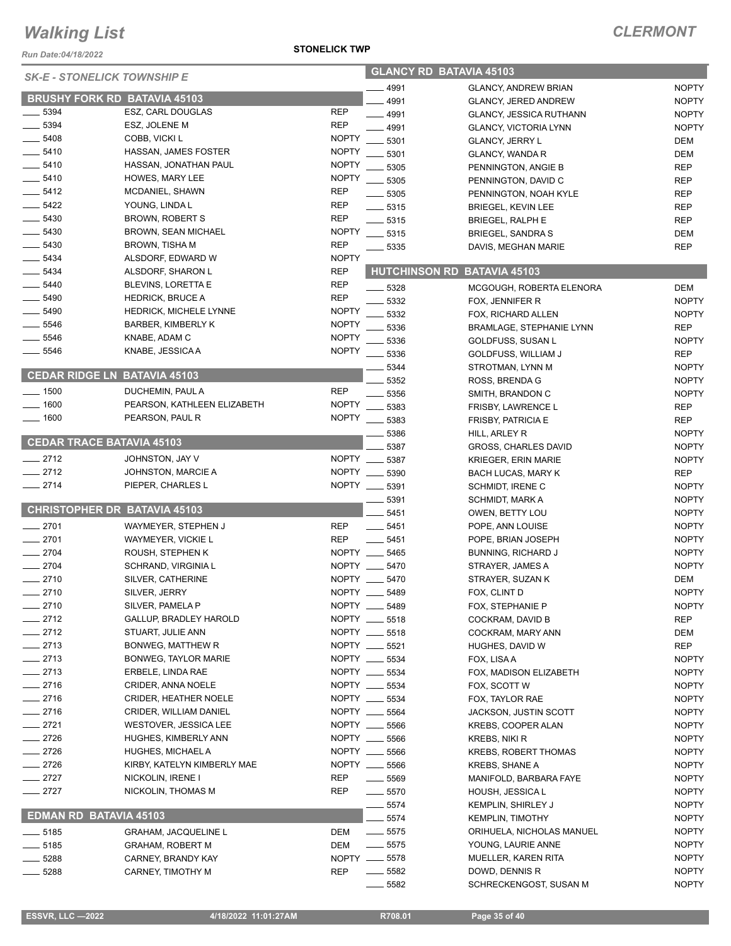*Run Date:04/18/2022*

#### **STONELICK TWP**

| <b>SK-E - STONELICK TOWNSHIP E</b>  |                               | <b>GLANCY RD BATAVIA 45103</b> |                                |                                 |              |
|-------------------------------------|-------------------------------|--------------------------------|--------------------------------|---------------------------------|--------------|
|                                     |                               |                                | 4991                           | <b>GLANCY, ANDREW BRIAN</b>     | <b>NOPTY</b> |
| <b>BRUSHY FORK RD BATAVIA 45103</b> |                               |                                | 4991                           | <b>GLANCY, JERED ANDREW</b>     | <b>NOPTY</b> |
| 5394                                | ESZ, CARL DOUGLAS             | <b>REP</b>                     | $-4991$                        | GLANCY, JESSICA RUTHANN         | <b>NOPTY</b> |
| 5394                                | ESZ, JOLENE M                 | <b>REP</b>                     | 4991                           | <b>GLANCY, VICTORIA LYNN</b>    | <b>NOPTY</b> |
| 5408                                | COBB, VICKI L                 | <b>NOPTY</b>                   | 5301                           | <b>GLANCY, JERRY L</b>          | DEM          |
| $-5410$                             | HASSAN, JAMES FOSTER          | <b>NOPTY</b>                   | 5301                           | <b>GLANCY, WANDA R</b>          | DEM          |
| $- 5410$                            | HASSAN, JONATHAN PAUL         | <b>NOPTY</b>                   | 5305                           | PENNINGTON, ANGIE B             | <b>REP</b>   |
| $-5410$                             | <b>HOWES, MARY LEE</b>        | <b>NOPTY</b>                   | 5305                           | PENNINGTON, DAVID C             | <b>REP</b>   |
| $-5412$                             | MCDANIEL, SHAWN               | <b>REP</b>                     | 5305                           | PENNINGTON, NOAH KYLE           | <b>REP</b>   |
| $-5422$                             | YOUNG, LINDA L                | <b>REP</b>                     | $\frac{1}{2}$ 5315             | <b>BRIEGEL, KEVIN LEE</b>       | <b>REP</b>   |
| $-5430$                             | <b>BROWN, ROBERT S</b>        | <b>REP</b>                     | $-5315$                        | <b>BRIEGEL, RALPH E</b>         | <b>REP</b>   |
| $- 5430$                            | <b>BROWN, SEAN MICHAEL</b>    | <b>NOPTY</b>                   | 5315                           | <b>BRIEGEL, SANDRA S</b>        | DEM          |
| $-5430$                             | <b>BROWN, TISHA M</b>         | <b>REP</b>                     | 5335                           | DAVIS, MEGHAN MARIE             | <b>REP</b>   |
| $\frac{1}{2}$ 5434                  | ALSDORF, EDWARD W             | <b>NOPTY</b>                   |                                |                                 |              |
| 5434                                | ALSDORF, SHARON L             | <b>REP</b>                     | <b>HUTCHINSON RD</b>           | <b>BATAVIA 45103</b>            |              |
| 5440                                | <b>BLEVINS, LORETTA E</b>     | <b>REP</b>                     |                                |                                 |              |
| 5490                                | <b>HEDRICK, BRUCE A</b>       | <b>REP</b>                     | 5328                           | MCGOUGH, ROBERTA ELENORA        | DEM          |
| 5490                                | <b>HEDRICK, MICHELE LYNNE</b> | <b>NOPTY</b>                   | 5332                           | FOX, JENNIFER R                 | <b>NOPTY</b> |
|                                     |                               |                                | 5332                           | FOX, RICHARD ALLEN              | <b>NOPTY</b> |
| $-5546$                             | <b>BARBER, KIMBERLY K</b>     | <b>NOPTY</b>                   | 5336                           | <b>BRAMLAGE, STEPHANIE LYNN</b> | <b>REP</b>   |
| 5546                                | KNABE, ADAM C                 | <b>NOPTY</b>                   | 5336                           | GOLDFUSS, SUSAN L               | <b>NOPTY</b> |
| $-5546$                             | KNABE, JESSICA A              | <b>NOPTY</b>                   | 5336                           | <b>GOLDFUSS, WILLIAM J</b>      | <b>REP</b>   |
|                                     |                               |                                | 5344                           | STROTMAN, LYNN M                | <b>NOPTY</b> |
| <b>CEDAR RIDGE LN BATAVIA 45103</b> |                               |                                | 5352                           | ROSS, BRENDA G                  | <b>NOPTY</b> |
| $-1500$                             | DUCHEMIN, PAUL A              | <b>REP</b>                     | 5356                           | SMITH, BRANDON C                | <b>NOPTY</b> |
| 1600                                | PEARSON, KATHLEEN ELIZABETH   | <b>NOPTY</b>                   | 5383                           | FRISBY, LAWRENCE L              | <b>REP</b>   |
| 1600                                | PEARSON, PAUL R               | <b>NOPTY</b>                   | 5383                           | <b>FRISBY, PATRICIA E</b>       | <b>REP</b>   |
|                                     |                               |                                | 5386                           | HILL, ARLEY R                   | <b>NOPTY</b> |
| <b>CEDAR TRACE BATAVIA 45103</b>    |                               |                                | 5387                           | <b>GROSS, CHARLES DAVID</b>     | <b>NOPTY</b> |
| $-2712$                             | JOHNSTON, JAY V               | <b>NOPTY</b>                   | 5387                           | <b>KRIEGER, ERIN MARIE</b>      | <b>NOPTY</b> |
| $-2712$                             | JOHNSTON, MARCIE A            | <b>NOPTY</b>                   | 5390                           | <b>BACH LUCAS, MARY K</b>       | REP          |
| $-2714$                             | PIEPER, CHARLES L             |                                | NOPTY __ 5391                  | <b>SCHMIDT, IRENE C</b>         | <b>NOPTY</b> |
|                                     |                               |                                | 5391                           | SCHMIDT, MARK A                 | <b>NOPTY</b> |
| <b>CHRISTOPHER DR BATAVIA 45103</b> |                               |                                | 5451                           | OWEN, BETTY LOU                 | <b>NOPTY</b> |
| 2701                                | WAYMEYER, STEPHEN J           | <b>REP</b>                     | 5451                           | POPE, ANN LOUISE                | <b>NOPTY</b> |
| $-2701$                             | WAYMEYER, VICKIE L            | <b>REP</b>                     | 5451                           | POPE, BRIAN JOSEPH              | <b>NOPTY</b> |
| $-2704$                             | ROUSH, STEPHEN K              |                                | NOPTY __ 5465                  | <b>BUNNING, RICHARD J</b>       | <b>NOPTY</b> |
| $-2704$                             | SCHRAND, VIRGINIA L           |                                | NOPTY __ 5470                  | STRAYER, JAMES A                | <b>NOPTY</b> |
| 2710                                | SILVER, CATHERINE             | NOPTY __                       | 5470                           | STRAYER, SUZAN K                | DEM          |
| 2710                                | SILVER, JERRY                 | <b>NOPTY</b>                   | 5489                           |                                 | <b>NOPTY</b> |
| $-2710$                             | SILVER, PAMELA P              |                                | NOPTY __ 5489                  | FOX, CLINT D                    |              |
| 2712                                |                               |                                |                                | FOX, STEPHANIE P                | <b>NOPTY</b> |
|                                     | <b>GALLUP, BRADLEY HAROLD</b> |                                | NOPTY __ 5518<br>NOPTY __ 5518 | COCKRAM, DAVID B                | <b>REP</b>   |
| $-2712$                             | STUART, JULIE ANN             |                                |                                | COCKRAM, MARY ANN               | DEM          |
| $-2713$                             | BONWEG, MATTHEW R             |                                | NOPTY __ 5521                  | HUGHES, DAVID W                 | <b>REP</b>   |
| 2713                                | BONWEG, TAYLOR MARIE          |                                | NOPTY __ 5534                  | FOX, LISAA                      | <b>NOPTY</b> |
| $-2713$                             | ERBELE, LINDA RAE             |                                | NOPTY __ 5534                  | FOX, MADISON ELIZABETH          | <b>NOPTY</b> |
| $-2716$                             | <b>CRIDER, ANNA NOELE</b>     | NOPTY __                       | 5534                           | FOX, SCOTT W                    | <b>NOPTY</b> |
| $-2716$                             | <b>CRIDER, HEATHER NOELE</b>  |                                | NOPTY __ 5534                  | FOX, TAYLOR RAE                 | <b>NOPTY</b> |
| $-2716$                             | CRIDER, WILLIAM DANIEL        |                                | NOPTY __ 5564                  | <b>JACKSON, JUSTIN SCOTT</b>    | <b>NOPTY</b> |
| $-2721$                             | WESTOVER, JESSICA LEE         |                                | NOPTY __ 5566                  | KREBS, COOPER ALAN              | <b>NOPTY</b> |
| $-2726$                             | HUGHES, KIMBERLY ANN          |                                | NOPTY __ 5566                  | KREBS, NIKI R                   | <b>NOPTY</b> |
| $-2726$                             | HUGHES, MICHAEL A             |                                | NOPTY __ 5566                  | <b>KREBS, ROBERT THOMAS</b>     | <b>NOPTY</b> |
| $=$ 2726                            | KIRBY, KATELYN KIMBERLY MAE   |                                | NOPTY __ 5566                  | <b>KREBS, SHANE A</b>           | <b>NOPTY</b> |
| $-2727$                             | NICKOLIN, IRENE I             | <b>REP</b>                     | 5569                           | MANIFOLD, BARBARA FAYE          | <b>NOPTY</b> |
| 2727                                | NICKOLIN, THOMAS M            | <b>REP</b>                     | $-5570$                        | HOUSH, JESSICA L                | <b>NOPTY</b> |
|                                     |                               |                                | 5574                           | KEMPLIN, SHIRLEY J              | <b>NOPTY</b> |
| <b>EDMAN RD BATAVIA 45103</b>       |                               |                                | 5574                           | <b>KEMPLIN, TIMOTHY</b>         | <b>NOPTY</b> |
| $-5185$                             | GRAHAM, JACQUELINE L          | <b>DEM</b>                     | $\frac{1}{2}$ 5575             | ORIHUELA, NICHOLAS MANUEL       | <b>NOPTY</b> |
| $-5185$                             | <b>GRAHAM, ROBERT M</b>       | DEM                            | $- 5575$                       | YOUNG, LAURIE ANNE              | <b>NOPTY</b> |
| 5288                                | CARNEY, BRANDY KAY            |                                | NOPTY __ 5578                  | MUELLER, KAREN RITA             | <b>NOPTY</b> |
| 5288                                | CARNEY, TIMOTHY M             | <b>REP</b>                     | $\frac{1}{2}$ 5582             | DOWD, DENNIS R                  | <b>NOPTY</b> |
|                                     |                               |                                | 5582                           | SCHRECKENGOST, SUSAN M          | <b>NOPTY</b> |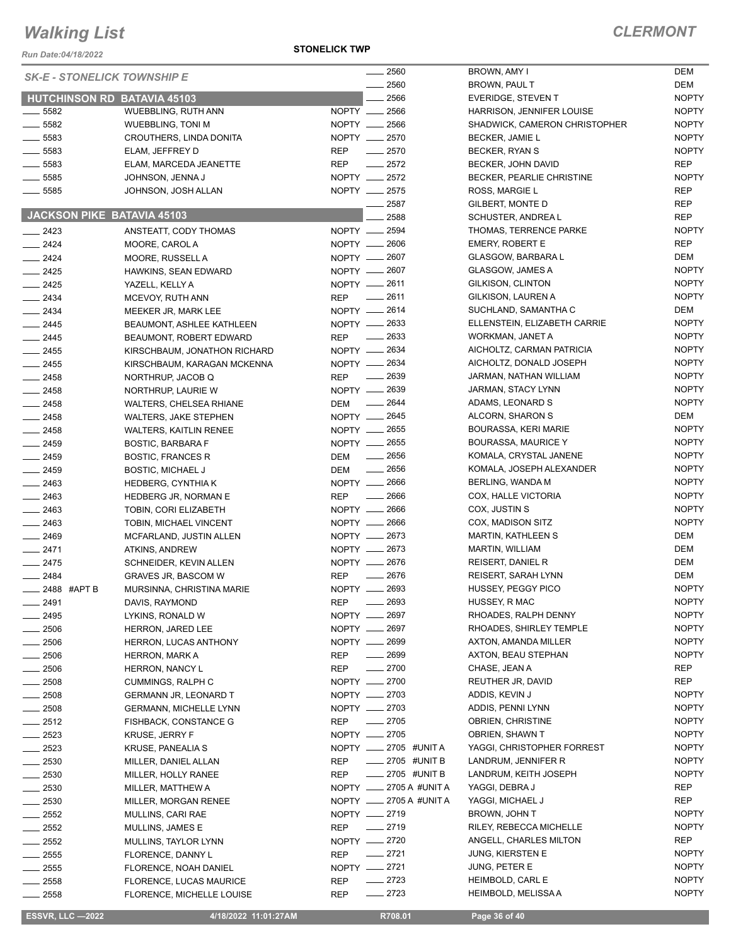*Run Date:04/18/2022*

**STONELICK TWP**

#### *CLERMONT*

|                    | <b>SK-E - STONELICK TOWNSHIP E</b> | $- 2560$                          | BROWN, AMY I                     | DEM          |
|--------------------|------------------------------------|-----------------------------------|----------------------------------|--------------|
|                    |                                    | $-2560$                           | BROWN, PAUL T                    | DEM          |
|                    | <b>HUTCHINSON RD BATAVIA 45103</b> | 2566                              | EVERIDGE, STEVEN T               | <b>NOPTY</b> |
| $-5582$            | WUEBBLING, RUTH ANN                | NOPTY __ 2566                     | <b>HARRISON, JENNIFER LOUISE</b> | <b>NOPTY</b> |
| $\frac{1}{2}$ 5582 | <b>WUEBBLING, TONI M</b>           | NOPTY __ 2566                     | SHADWICK, CAMERON CHRISTOPHER    | <b>NOPTY</b> |
| $-5583$            | CROUTHERS, LINDA DONITA            | NOPTY __ 2570                     | BECKER, JAMIE L                  | <b>NOPTY</b> |
| $-5583$            | ELAM, JEFFREY D                    | <b>REP</b><br>$-2570$             | BECKER, RYAN S                   | <b>NOPTY</b> |
| $-5583$            | ELAM, MARCEDA JEANETTE             | <b>REP</b><br>$\sim$ 2572         | BECKER, JOHN DAVID               | <b>REP</b>   |
| $-5585$            | JOHNSON, JENNA J                   | NOPTY __ 2572                     | BECKER, PEARLIE CHRISTINE        | <b>NOPTY</b> |
| $\frac{1}{2}$ 5585 | JOHNSON, JOSH ALLAN                | NOPTY __ 2575                     | ROSS, MARGIE L                   | <b>REP</b>   |
|                    |                                    | $-2587$                           | GILBERT, MONTE D                 | <b>REP</b>   |
|                    | JACKSON PIKE BATAVIA 45103         | 2588                              | SCHUSTER, ANDREA L               | <b>REP</b>   |
| $\frac{1}{2423}$   | ANSTEATT, CODY THOMAS              | NOPTY -2594                       | THOMAS, TERRENCE PARKE           | <b>NOPTY</b> |
| $\frac{2424}{5}$   | MOORE, CAROL A                     | NOPTY __ 2606                     | <b>EMERY, ROBERT E</b>           | <b>REP</b>   |
| $-2424$            | MOORE, RUSSELL A                   | NOPTY - 2607                      | GLASGOW, BARBARA L               | DEM          |
| $\frac{2425}{5}$   | HAWKINS, SEAN EDWARD               | NOPTY - 2607                      | GLASGOW, JAMES A                 | <b>NOPTY</b> |
| $-2425$            | YAZELL, KELLY A                    | NOPTY __ 2611                     | GILKISON, CLINTON                | <b>NOPTY</b> |
| $\frac{2434}{2}$   | MCEVOY, RUTH ANN                   | REP __ 2611                       | GILKISON, LAUREN A               | <b>NOPTY</b> |
| $\frac{2434}{5}$   | MEEKER JR, MARK LEE                | NOPTY __ 2614                     | SUCHLAND, SAMANTHA C             | DEM          |
| $-2445$            | BEAUMONT, ASHLEE KATHLEEN          | NOPTY -2633                       | ELLENSTEIN, ELIZABETH CARRIE     | <b>NOPTY</b> |
| $-2445$            | BEAUMONT, ROBERT EDWARD            | $-2633$<br><b>REP</b>             | WORKMAN, JANET A                 | <b>NOPTY</b> |
| $-2455$            | KIRSCHBAUM, JONATHON RICHARD       | NOPTY __ 2634                     | AICHOLTZ, CARMAN PATRICIA        | <b>NOPTY</b> |
| $\frac{1}{2455}$   | KIRSCHBAUM, KARAGAN MCKENNA        | NOPTY __ 2634                     | AICHOLTZ, DONALD JOSEPH          | <b>NOPTY</b> |
| $-2458$            | NORTHRUP, JACOB Q                  | $\frac{1}{2639}$<br>REP           | JARMAN, NATHAN WILLIAM           | <b>NOPTY</b> |
| $-2458$            | NORTHRUP, LAURIE W                 | NOPTY -2639                       | JARMAN, STACY LYNN               | <b>NOPTY</b> |
| $-2458$            | WALTERS, CHELSEA RHIANE            | $\frac{1}{2644}$<br>DEM           | ADAMS, LEONARD S                 | <b>NOPTY</b> |
| $-2458$            | <b>WALTERS, JAKE STEPHEN</b>       | NOPTY __ 2645                     | ALCORN, SHARON S                 | DEM          |
| $\sim$ 2458        | <b>WALTERS, KAITLIN RENEE</b>      | NOPTY __ 2655                     | <b>BOURASSA, KERI MARIE</b>      | <b>NOPTY</b> |
| $\frac{1}{2459}$   | <b>BOSTIC, BARBARA F</b>           | NOPTY __ 2655                     | <b>BOURASSA, MAURICE Y</b>       | <b>NOPTY</b> |
| $-2459$            | <b>BOSTIC, FRANCES R</b>           | $\frac{1}{2656}$<br>DEM           | KOMALA, CRYSTAL JANENE           | <b>NOPTY</b> |
| $-2459$            | <b>BOSTIC, MICHAEL J</b>           | $\frac{1}{2656}$<br>DEM           | KOMALA, JOSEPH ALEXANDER         | <b>NOPTY</b> |
| $\equiv$ 2463      | <b>HEDBERG, CYNTHIAK</b>           | NOPTY __ 2666                     | BERLING, WANDA M                 | <b>NOPTY</b> |
| $\frac{1}{2463}$   | HEDBERG JR, NORMAN E               | $\frac{1}{2666}$<br>REP           | COX, HALLE VICTORIA              | <b>NOPTY</b> |
| $-2463$            | TOBIN, CORI ELIZABETH              | NOPTY __ 2666                     | COX, JUSTIN S                    | <b>NOPTY</b> |
| $-2463$            | TOBIN, MICHAEL VINCENT             | NOPTY __ 2666                     | COX, MADISON SITZ                | <b>NOPTY</b> |
| $\frac{1}{2469}$   | MCFARLAND, JUSTIN ALLEN            | NOPTY __ 2673                     | <b>MARTIN, KATHLEEN S</b>        | DEM          |
| $-2471$            | ATKINS, ANDREW                     | NOPTY __ 2673                     | <b>MARTIN, WILLIAM</b>           | DEM          |
| $-2475$            | SCHNEIDER, KEVIN ALLEN             | NOPTY __ 2676                     | <b>REISERT, DANIEL R</b>         | DEM          |
| $\frac{1}{2484}$   | <b>GRAVES JR, BASCOM W</b>         | $-2676$<br><b>REP</b>             | REISERT, SARAH LYNN              | DEM          |
| 2488 #APT B        | MURSINNA, CHRISTINA MARIE          | NOPTY - 2693                      | HUSSEY, PEGGY PICO               | <b>NOPTY</b> |
| _ 2491             | DAVIS, RAYMOND                     | $-2693$<br><b>REP</b>             | HUSSEY, R MAC                    | <b>NOPTY</b> |
| 2495               | LYKINS, RONALD W                   | NOPTY __ 2697                     | RHOADES, RALPH DENNY             | <b>NOPTY</b> |
| $-2506$            | <b>HERRON, JARED LEE</b>           | NOPTY __ 2697                     | RHOADES, SHIRLEY TEMPLE          | <b>NOPTY</b> |
| $-2506$            | HERRON, LUCAS ANTHONY              | NOPTY __ 2699                     | AXTON, AMANDA MILLER             | <b>NOPTY</b> |
| __ 2506            | <b>HERRON, MARK A</b>              | $- 2699$<br><b>REP</b>            | AXTON, BEAU STEPHAN              | <b>NOPTY</b> |
| $-2506$            | <b>HERRON, NANCY L</b>             | $- 2700$<br>REP                   | CHASE, JEAN A                    | REP          |
| $= 2508$           | CUMMINGS, RALPH C                  | NOPTY __ 2700                     | REUTHER JR, DAVID                | <b>REP</b>   |
| $-2508$            | <b>GERMANN JR, LEONARD T</b>       | NOPTY -2703                       | ADDIS, KEVIN J                   | <b>NOPTY</b> |
| $-2508$            | <b>GERMANN, MICHELLE LYNN</b>      | NOPTY 2703                        | ADDIS, PENNI LYNN                | <b>NOPTY</b> |
| $-2512$            | FISHBACK, CONSTANCE G              | $-2705$<br>REP                    | <b>OBRIEN, CHRISTINE</b>         | <b>NOPTY</b> |
| $-2523$            | KRUSE, JERRY F                     | NOPTY -2705                       | OBRIEN, SHAWN T                  | <b>NOPTY</b> |
| 2523               | KRUSE, PANEALIA S                  | NOPTY __ 2705 #UNIT A             | YAGGI, CHRISTOPHER FORREST       | <b>NOPTY</b> |
| _ 2530             | MILLER, DANIEL ALLAN               | <b>______ 2705 #UNIT B</b><br>REP | LANDRUM, JENNIFER R              | <b>NOPTY</b> |
| 2530               | MILLER, HOLLY RANEE                | $\frac{1}{2705}$ #UNIT B<br>REP   | LANDRUM, KEITH JOSEPH            | <b>NOPTY</b> |
| 2530               | MILLER, MATTHEW A                  | NOPTY __ 2705 A #UNIT A           | YAGGI, DEBRA J                   | <b>REP</b>   |
| $-2530$            | MILLER, MORGAN RENEE               | NOPTY __ 2705 A #UNIT A           | YAGGI, MICHAEL J                 | <b>REP</b>   |
| $= 2552$           | MULLINS, CARI RAE                  | NOPTY __ 2719                     | BROWN, JOHN T                    | <b>NOPTY</b> |
| $-2552$            | MULLINS, JAMES E                   | $-2719$<br><b>REP</b>             | RILEY, REBECCA MICHELLE          | <b>NOPTY</b> |
| $\sim$ 2552        | MULLINS, TAYLOR LYNN               | NOPTY __ 2720                     | ANGELL, CHARLES MILTON           | REP          |
| $\equiv$ 2555      | FLORENCE, DANNY L                  | $-2721$<br><b>REP</b>             | JUNG, KIERSTEN E                 | <b>NOPTY</b> |
| $-2555$            | FLORENCE, NOAH DANIEL              | NOPTY -2721                       | <b>JUNG, PETER E</b>             | <b>NOPTY</b> |
| $-2558$            | FLORENCE, LUCAS MAURICE            | $-2723$<br><b>REP</b>             | HEIMBOLD, CARL E                 | <b>NOPTY</b> |
| 2558               | FLORENCE, MICHELLE LOUISE          | $-2723$<br><b>REP</b>             | HEIMBOLD, MELISSA A              | <b>NOPTY</b> |

 **ESSVR, LLC —2022 4/18/2022 11:01:27AM R708.01 Page 36 of 40**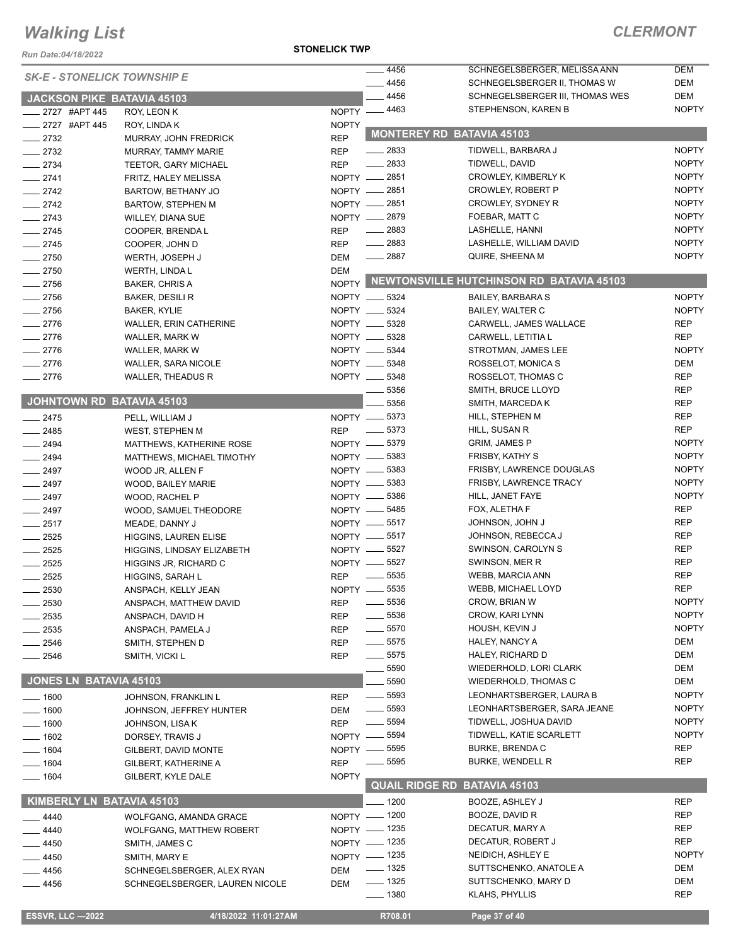*Run Date:04/18/2022*

#### **STONELICK TWP**

| <b>SK-E - STONELICK TOWNSHIP E</b><br>$-4456$<br>DEM<br>SCHNEGELSBERGER II, THOMAS W<br>$-4456$<br>DEM<br>SCHNEGELSBERGER III, THOMAS WES<br>JACKSON PIKE BATAVIA 45103<br><b>NOPTY</b><br>NOPTY -4463<br>STEPHENSON, KAREN B<br>____ 2727 #APT 445<br>ROY, LEON K<br>_____ 2727 #APT 445<br><b>NOPTY</b><br>ROY, LINDA K<br><b>MONTEREY RD BATAVIA 45103</b><br>$\frac{1}{2732}$<br><b>REP</b><br>MURRAY, JOHN FREDRICK<br><b>NOPTY</b><br>$-2833$<br>TIDWELL, BARBARA J<br>$\frac{2732}{2}$<br><b>REP</b><br>MURRAY, TAMMY MARIE<br>$-2833$<br>TIDWELL, DAVID<br><b>NOPTY</b><br>$-2734$<br><b>REP</b><br>TEETOR, GARY MICHAEL<br>NOPTY - 2851<br><b>NOPTY</b><br>CROWLEY, KIMBERLY K<br>$-2741$<br>FRITZ, HALEY MELISSA<br>NOPTY __ 2851<br><b>NOPTY</b><br>$-2742$<br>CROWLEY, ROBERT P<br>BARTOW, BETHANY JO<br>NOPTY - 2851<br><b>NOPTY</b><br>CROWLEY, SYDNEY R<br>$\frac{1}{2742}$<br><b>BARTOW, STEPHEN M</b><br><b>NOPTY</b><br>NOPTY - 2879<br>FOEBAR, MATT C<br>$-2743$<br>WILLEY, DIANA SUE<br>$-2883$<br><b>NOPTY</b><br>$-2745$<br><b>REP</b><br>LASHELLE, HANNI<br>COOPER, BRENDA L<br>$\frac{2883}{2}$<br><b>NOPTY</b><br>LASHELLE, WILLIAM DAVID<br><b>REP</b><br>$-2745$<br>COOPER, JOHN D<br>$- 2887$<br><b>NOPTY</b><br><b>DEM</b><br>QUIRE, SHEENA M<br>$-2750$<br>WERTH, JOSEPH J<br><b>DEM</b><br>$-2750$<br>WERTH, LINDA L<br>NOPTY NEWTONSVILLE HUTCHINSON RD BATAVIA 45103<br>$-2756$<br><b>BAKER, CHRIS A</b><br><b>NOPTY</b><br>$-2756$<br>NOPTY __ 5324<br>BAKER, DESILI R<br><b>BAILEY, BARBARA S</b><br>$-2756$<br>NOPTY __ 5324<br><b>NOPTY</b><br><b>BAILEY, WALTER C</b><br>BAKER, KYLIE<br>$-2776$<br>NOPTY __ 5328<br><b>REP</b><br>WALLER, ERIN CATHERINE<br>CARWELL, JAMES WALLACE<br>NOPTY __ 5328<br><b>REP</b><br>$-2776$<br>CARWELL, LETITIA L<br>WALLER, MARK W<br>$-2776$<br>NOPTY __ 5344<br><b>NOPTY</b><br>WALLER, MARK W<br>STROTMAN, JAMES LEE<br>$-2776$<br>NOPTY __ 5348<br>DEM<br><b>WALLER, SARA NICOLE</b><br>ROSSELOT, MONICA S<br><b>REP</b><br>NOPTY __ 5348<br>$-2776$<br>ROSSELOT, THOMAS C<br>WALLER, THEADUS R<br>5356<br><b>REP</b><br>SMITH, BRUCE LLOYD<br>JOHNTOWN RD BATAVIA 45103<br>5356<br><b>REP</b><br>SMITH, MARCEDA K<br>NOPTY __ 5373<br><b>REP</b><br>HILL, STEPHEN M<br>$-2475$<br>PELL, WILLIAM J<br><b>REP</b><br>$\frac{1}{2}$ 5373<br>HILL, SUSAN R<br>$-2485$<br><b>REP</b><br>WEST, STEPHEN M<br><b>NOPTY</b><br>NOPTY -6379<br><b>GRIM, JAMES P</b><br>$\frac{2494}{5}$<br>MATTHEWS, KATHERINE ROSE<br>NOPTY -6383<br><b>NOPTY</b><br><b>FRISBY, KATHY S</b><br>$-2494$<br>MATTHEWS, MICHAEL TIMOTHY<br><b>NOPTY</b><br>NOPTY __ 5383<br>FRISBY, LAWRENCE DOUGLAS<br>$-2497$<br>WOOD JR, ALLEN F<br>NOPTY -6383<br><b>NOPTY</b><br>FRISBY, LAWRENCE TRACY<br>$-2497$<br>WOOD, BAILEY MARIE<br>NOPTY -6386<br><b>NOPTY</b><br>HILL, JANET FAYE<br>$-2497$<br>WOOD, RACHEL P<br><b>REP</b><br>NOPTY -6485<br>FOX, ALETHA F<br>$-2497$<br>WOOD, SAMUEL THEODORE<br><b>REP</b><br>NOPTY __ 5517<br><b>JOHNSON, JOHN J</b><br>$-2517$<br>MEADE, DANNY J<br><b>REP</b><br>NOPTY __ 5517<br>JOHNSON, REBECCA J<br>$-2525$<br><b>HIGGINS, LAUREN ELISE</b><br><b>REP</b><br>$-2525$<br>NOPTY __ 5527<br>SWINSON, CAROLYN S<br>HIGGINS, LINDSAY ELIZABETH<br>NOPTY __ 5527<br><b>REP</b><br>SWINSON, MER R<br>$\frac{1}{2525}$<br>HIGGINS JR, RICHARD C<br><b>REP</b><br>5535<br><b>WEBB, MARCIA ANN</b><br>$-2525$<br><b>REP</b><br>HIGGINS, SARAH L<br>5535<br><b>REP</b><br>NOPTY -<br>WEBB, MICHAEL LOYD<br>2530<br>ANSPACH, KELLY JEAN<br><b>NOPTY</b><br>$\equiv$ 5536<br>CROW, BRIAN W<br>2530<br>ANSPACH, MATTHEW DAVID<br>REP<br>$-5536$<br><b>NOPTY</b><br>CROW, KARI LYNN<br>2535<br><b>REP</b><br>ANSPACH, DAVID H<br>$- 5570$<br><b>NOPTY</b><br>HOUSH, KEVIN J<br>2535<br><b>REP</b><br>ANSPACH, PAMELA J<br>DEM<br>$\frac{1}{2}$ 5575<br>HALEY, NANCY A<br>2546<br><b>REP</b><br>SMITH, STEPHEN D<br>DEM<br>$\frac{1}{2}$ 5575<br>HALEY, RICHARD D<br>2546<br>SMITH, VICKI L<br>REP<br>5590<br>DEM<br>WIEDERHOLD, LORI CLARK<br>JONES LN BATAVIA 45103<br>5590<br>DEM<br><b>WIEDERHOLD, THOMAS C</b><br><b>NOPTY</b><br>$\frac{1}{2}$ 5593<br>LEONHARTSBERGER, LAURA B<br>REP<br>— 1600<br>JOHNSON, FRANKLIN L<br>$\frac{1}{2}$ 5593<br>LEONHARTSBERGER, SARA JEANE<br><b>NOPTY</b><br>$-1600$<br><b>DEM</b><br>JOHNSON, JEFFREY HUNTER<br>$\frac{1}{2}$ 5594<br><b>NOPTY</b><br>TIDWELL, JOSHUA DAVID<br>$-1600$<br>REP<br>JOHNSON, LISA K<br><b>NOPTY</b><br>_ 5594<br>TIDWELL, KATIE SCARLETT<br>$NOPTY -$<br>_ 1602<br>DORSEY, TRAVIS J<br><b>REP</b><br><b>BURKE, BRENDA C</b><br>NOPTY - 5595<br>$-1604$<br>GILBERT, DAVID MONTE<br><b>REP</b><br>$\frac{1}{2}$ 5595<br><b>BURKE, WENDELL R</b><br><b>REP</b><br>__ 1604<br>GILBERT, KATHERINE A<br><b>NOPTY</b><br>$- 1604$<br>GILBERT, KYLE DALE<br><b>QUAIL RIDGE RD BATAVIA 45103</b><br>KIMBERLY LN BATAVIA 45103<br>$- 1200$<br>BOOZE, ASHLEY J<br><b>REP</b><br>NOPTY - 1200<br>BOOZE, DAVID R<br>REP<br>4440<br>WOLFGANG, AMANDA GRACE<br><b>REP</b><br>NOPTY - 1235<br>DECATUR, MARY A<br>4440<br><b>WOLFGANG, MATTHEW ROBERT</b><br>NOPTY - 1235<br><b>REP</b><br>DECATUR, ROBERT J<br>4450<br>SMITH, JAMES C<br>NOPTY - 1235<br>NEIDICH, ASHLEY E<br><b>NOPTY</b><br>- 4450<br>SMITH, MARY E<br>$- 1325$<br>DEM<br>SUTTSCHENKO, ANATOLE A<br>4456<br>DEM<br>SCHNEGELSBERGER, ALEX RYAN<br>$\frac{1}{2}$ 1325<br>SUTTSCHENKO, MARY D<br>DEM<br>DEM<br>4456<br>SCHNEGELSBERGER, LAUREN NICOLE<br>$- 1380$<br><b>REP</b><br>KLAHS, PHYLLIS<br><b>ESSVR, LLC -2022</b><br>4/18/2022 11:01:27AM<br>R708.01<br>Page 37 of 40 |  | $-4456$ | SCHNEGELSBERGER, MELISSA ANN | DEM |
|-----------------------------------------------------------------------------------------------------------------------------------------------------------------------------------------------------------------------------------------------------------------------------------------------------------------------------------------------------------------------------------------------------------------------------------------------------------------------------------------------------------------------------------------------------------------------------------------------------------------------------------------------------------------------------------------------------------------------------------------------------------------------------------------------------------------------------------------------------------------------------------------------------------------------------------------------------------------------------------------------------------------------------------------------------------------------------------------------------------------------------------------------------------------------------------------------------------------------------------------------------------------------------------------------------------------------------------------------------------------------------------------------------------------------------------------------------------------------------------------------------------------------------------------------------------------------------------------------------------------------------------------------------------------------------------------------------------------------------------------------------------------------------------------------------------------------------------------------------------------------------------------------------------------------------------------------------------------------------------------------------------------------------------------------------------------------------------------------------------------------------------------------------------------------------------------------------------------------------------------------------------------------------------------------------------------------------------------------------------------------------------------------------------------------------------------------------------------------------------------------------------------------------------------------------------------------------------------------------------------------------------------------------------------------------------------------------------------------------------------------------------------------------------------------------------------------------------------------------------------------------------------------------------------------------------------------------------------------------------------------------------------------------------------------------------------------------------------------------------------------------------------------------------------------------------------------------------------------------------------------------------------------------------------------------------------------------------------------------------------------------------------------------------------------------------------------------------------------------------------------------------------------------------------------------------------------------------------------------------------------------------------------------------------------------------------------------------------------------------------------------------------------------------------------------------------------------------------------------------------------------------------------------------------------------------------------------------------------------------------------------------------------------------------------------------------------------------------------------------------------------------------------------------------------------------------------------------------------------------------------------------------------------------------------------------------------------------------------------------------------------------------------------------------------------------------------------------------------------------------------------------------------------------------------------------------------------------------------------------------------------------------------------------------------------------------------------------------------------------------------------------------------------------------------------------------------------------------------------------------------------------------------------------------------------------------------------------------------------------------------------------------------------------------------------------------------------------------------------------------------------------------------------------------------------------------------------------------------------------------------------------------------------------------------------------------------------------------------------------------------------------------------------------------------------------------------------------------------------------------------------------------------------------------------------------------------------------|--|---------|------------------------------|-----|
|                                                                                                                                                                                                                                                                                                                                                                                                                                                                                                                                                                                                                                                                                                                                                                                                                                                                                                                                                                                                                                                                                                                                                                                                                                                                                                                                                                                                                                                                                                                                                                                                                                                                                                                                                                                                                                                                                                                                                                                                                                                                                                                                                                                                                                                                                                                                                                                                                                                                                                                                                                                                                                                                                                                                                                                                                                                                                                                                                                                                                                                                                                                                                                                                                                                                                                                                                                                                                                                                                                                                                                                                                                                                                                                                                                                                                                                                                                                                                                                                                                                                                                                                                                                                                                                                                                                                                                                                                                                                                                                                                                                                                                                                                                                                                                                                                                                                                                                                                                                                                                                                                                                                                                                                                                                                                                                                                                                                                                                                                                                                                                                   |  |         |                              |     |
|                                                                                                                                                                                                                                                                                                                                                                                                                                                                                                                                                                                                                                                                                                                                                                                                                                                                                                                                                                                                                                                                                                                                                                                                                                                                                                                                                                                                                                                                                                                                                                                                                                                                                                                                                                                                                                                                                                                                                                                                                                                                                                                                                                                                                                                                                                                                                                                                                                                                                                                                                                                                                                                                                                                                                                                                                                                                                                                                                                                                                                                                                                                                                                                                                                                                                                                                                                                                                                                                                                                                                                                                                                                                                                                                                                                                                                                                                                                                                                                                                                                                                                                                                                                                                                                                                                                                                                                                                                                                                                                                                                                                                                                                                                                                                                                                                                                                                                                                                                                                                                                                                                                                                                                                                                                                                                                                                                                                                                                                                                                                                                                   |  |         |                              |     |
|                                                                                                                                                                                                                                                                                                                                                                                                                                                                                                                                                                                                                                                                                                                                                                                                                                                                                                                                                                                                                                                                                                                                                                                                                                                                                                                                                                                                                                                                                                                                                                                                                                                                                                                                                                                                                                                                                                                                                                                                                                                                                                                                                                                                                                                                                                                                                                                                                                                                                                                                                                                                                                                                                                                                                                                                                                                                                                                                                                                                                                                                                                                                                                                                                                                                                                                                                                                                                                                                                                                                                                                                                                                                                                                                                                                                                                                                                                                                                                                                                                                                                                                                                                                                                                                                                                                                                                                                                                                                                                                                                                                                                                                                                                                                                                                                                                                                                                                                                                                                                                                                                                                                                                                                                                                                                                                                                                                                                                                                                                                                                                                   |  |         |                              |     |
|                                                                                                                                                                                                                                                                                                                                                                                                                                                                                                                                                                                                                                                                                                                                                                                                                                                                                                                                                                                                                                                                                                                                                                                                                                                                                                                                                                                                                                                                                                                                                                                                                                                                                                                                                                                                                                                                                                                                                                                                                                                                                                                                                                                                                                                                                                                                                                                                                                                                                                                                                                                                                                                                                                                                                                                                                                                                                                                                                                                                                                                                                                                                                                                                                                                                                                                                                                                                                                                                                                                                                                                                                                                                                                                                                                                                                                                                                                                                                                                                                                                                                                                                                                                                                                                                                                                                                                                                                                                                                                                                                                                                                                                                                                                                                                                                                                                                                                                                                                                                                                                                                                                                                                                                                                                                                                                                                                                                                                                                                                                                                                                   |  |         |                              |     |
|                                                                                                                                                                                                                                                                                                                                                                                                                                                                                                                                                                                                                                                                                                                                                                                                                                                                                                                                                                                                                                                                                                                                                                                                                                                                                                                                                                                                                                                                                                                                                                                                                                                                                                                                                                                                                                                                                                                                                                                                                                                                                                                                                                                                                                                                                                                                                                                                                                                                                                                                                                                                                                                                                                                                                                                                                                                                                                                                                                                                                                                                                                                                                                                                                                                                                                                                                                                                                                                                                                                                                                                                                                                                                                                                                                                                                                                                                                                                                                                                                                                                                                                                                                                                                                                                                                                                                                                                                                                                                                                                                                                                                                                                                                                                                                                                                                                                                                                                                                                                                                                                                                                                                                                                                                                                                                                                                                                                                                                                                                                                                                                   |  |         |                              |     |
|                                                                                                                                                                                                                                                                                                                                                                                                                                                                                                                                                                                                                                                                                                                                                                                                                                                                                                                                                                                                                                                                                                                                                                                                                                                                                                                                                                                                                                                                                                                                                                                                                                                                                                                                                                                                                                                                                                                                                                                                                                                                                                                                                                                                                                                                                                                                                                                                                                                                                                                                                                                                                                                                                                                                                                                                                                                                                                                                                                                                                                                                                                                                                                                                                                                                                                                                                                                                                                                                                                                                                                                                                                                                                                                                                                                                                                                                                                                                                                                                                                                                                                                                                                                                                                                                                                                                                                                                                                                                                                                                                                                                                                                                                                                                                                                                                                                                                                                                                                                                                                                                                                                                                                                                                                                                                                                                                                                                                                                                                                                                                                                   |  |         |                              |     |
|                                                                                                                                                                                                                                                                                                                                                                                                                                                                                                                                                                                                                                                                                                                                                                                                                                                                                                                                                                                                                                                                                                                                                                                                                                                                                                                                                                                                                                                                                                                                                                                                                                                                                                                                                                                                                                                                                                                                                                                                                                                                                                                                                                                                                                                                                                                                                                                                                                                                                                                                                                                                                                                                                                                                                                                                                                                                                                                                                                                                                                                                                                                                                                                                                                                                                                                                                                                                                                                                                                                                                                                                                                                                                                                                                                                                                                                                                                                                                                                                                                                                                                                                                                                                                                                                                                                                                                                                                                                                                                                                                                                                                                                                                                                                                                                                                                                                                                                                                                                                                                                                                                                                                                                                                                                                                                                                                                                                                                                                                                                                                                                   |  |         |                              |     |
|                                                                                                                                                                                                                                                                                                                                                                                                                                                                                                                                                                                                                                                                                                                                                                                                                                                                                                                                                                                                                                                                                                                                                                                                                                                                                                                                                                                                                                                                                                                                                                                                                                                                                                                                                                                                                                                                                                                                                                                                                                                                                                                                                                                                                                                                                                                                                                                                                                                                                                                                                                                                                                                                                                                                                                                                                                                                                                                                                                                                                                                                                                                                                                                                                                                                                                                                                                                                                                                                                                                                                                                                                                                                                                                                                                                                                                                                                                                                                                                                                                                                                                                                                                                                                                                                                                                                                                                                                                                                                                                                                                                                                                                                                                                                                                                                                                                                                                                                                                                                                                                                                                                                                                                                                                                                                                                                                                                                                                                                                                                                                                                   |  |         |                              |     |
|                                                                                                                                                                                                                                                                                                                                                                                                                                                                                                                                                                                                                                                                                                                                                                                                                                                                                                                                                                                                                                                                                                                                                                                                                                                                                                                                                                                                                                                                                                                                                                                                                                                                                                                                                                                                                                                                                                                                                                                                                                                                                                                                                                                                                                                                                                                                                                                                                                                                                                                                                                                                                                                                                                                                                                                                                                                                                                                                                                                                                                                                                                                                                                                                                                                                                                                                                                                                                                                                                                                                                                                                                                                                                                                                                                                                                                                                                                                                                                                                                                                                                                                                                                                                                                                                                                                                                                                                                                                                                                                                                                                                                                                                                                                                                                                                                                                                                                                                                                                                                                                                                                                                                                                                                                                                                                                                                                                                                                                                                                                                                                                   |  |         |                              |     |
|                                                                                                                                                                                                                                                                                                                                                                                                                                                                                                                                                                                                                                                                                                                                                                                                                                                                                                                                                                                                                                                                                                                                                                                                                                                                                                                                                                                                                                                                                                                                                                                                                                                                                                                                                                                                                                                                                                                                                                                                                                                                                                                                                                                                                                                                                                                                                                                                                                                                                                                                                                                                                                                                                                                                                                                                                                                                                                                                                                                                                                                                                                                                                                                                                                                                                                                                                                                                                                                                                                                                                                                                                                                                                                                                                                                                                                                                                                                                                                                                                                                                                                                                                                                                                                                                                                                                                                                                                                                                                                                                                                                                                                                                                                                                                                                                                                                                                                                                                                                                                                                                                                                                                                                                                                                                                                                                                                                                                                                                                                                                                                                   |  |         |                              |     |
|                                                                                                                                                                                                                                                                                                                                                                                                                                                                                                                                                                                                                                                                                                                                                                                                                                                                                                                                                                                                                                                                                                                                                                                                                                                                                                                                                                                                                                                                                                                                                                                                                                                                                                                                                                                                                                                                                                                                                                                                                                                                                                                                                                                                                                                                                                                                                                                                                                                                                                                                                                                                                                                                                                                                                                                                                                                                                                                                                                                                                                                                                                                                                                                                                                                                                                                                                                                                                                                                                                                                                                                                                                                                                                                                                                                                                                                                                                                                                                                                                                                                                                                                                                                                                                                                                                                                                                                                                                                                                                                                                                                                                                                                                                                                                                                                                                                                                                                                                                                                                                                                                                                                                                                                                                                                                                                                                                                                                                                                                                                                                                                   |  |         |                              |     |
|                                                                                                                                                                                                                                                                                                                                                                                                                                                                                                                                                                                                                                                                                                                                                                                                                                                                                                                                                                                                                                                                                                                                                                                                                                                                                                                                                                                                                                                                                                                                                                                                                                                                                                                                                                                                                                                                                                                                                                                                                                                                                                                                                                                                                                                                                                                                                                                                                                                                                                                                                                                                                                                                                                                                                                                                                                                                                                                                                                                                                                                                                                                                                                                                                                                                                                                                                                                                                                                                                                                                                                                                                                                                                                                                                                                                                                                                                                                                                                                                                                                                                                                                                                                                                                                                                                                                                                                                                                                                                                                                                                                                                                                                                                                                                                                                                                                                                                                                                                                                                                                                                                                                                                                                                                                                                                                                                                                                                                                                                                                                                                                   |  |         |                              |     |
|                                                                                                                                                                                                                                                                                                                                                                                                                                                                                                                                                                                                                                                                                                                                                                                                                                                                                                                                                                                                                                                                                                                                                                                                                                                                                                                                                                                                                                                                                                                                                                                                                                                                                                                                                                                                                                                                                                                                                                                                                                                                                                                                                                                                                                                                                                                                                                                                                                                                                                                                                                                                                                                                                                                                                                                                                                                                                                                                                                                                                                                                                                                                                                                                                                                                                                                                                                                                                                                                                                                                                                                                                                                                                                                                                                                                                                                                                                                                                                                                                                                                                                                                                                                                                                                                                                                                                                                                                                                                                                                                                                                                                                                                                                                                                                                                                                                                                                                                                                                                                                                                                                                                                                                                                                                                                                                                                                                                                                                                                                                                                                                   |  |         |                              |     |
|                                                                                                                                                                                                                                                                                                                                                                                                                                                                                                                                                                                                                                                                                                                                                                                                                                                                                                                                                                                                                                                                                                                                                                                                                                                                                                                                                                                                                                                                                                                                                                                                                                                                                                                                                                                                                                                                                                                                                                                                                                                                                                                                                                                                                                                                                                                                                                                                                                                                                                                                                                                                                                                                                                                                                                                                                                                                                                                                                                                                                                                                                                                                                                                                                                                                                                                                                                                                                                                                                                                                                                                                                                                                                                                                                                                                                                                                                                                                                                                                                                                                                                                                                                                                                                                                                                                                                                                                                                                                                                                                                                                                                                                                                                                                                                                                                                                                                                                                                                                                                                                                                                                                                                                                                                                                                                                                                                                                                                                                                                                                                                                   |  |         |                              |     |
|                                                                                                                                                                                                                                                                                                                                                                                                                                                                                                                                                                                                                                                                                                                                                                                                                                                                                                                                                                                                                                                                                                                                                                                                                                                                                                                                                                                                                                                                                                                                                                                                                                                                                                                                                                                                                                                                                                                                                                                                                                                                                                                                                                                                                                                                                                                                                                                                                                                                                                                                                                                                                                                                                                                                                                                                                                                                                                                                                                                                                                                                                                                                                                                                                                                                                                                                                                                                                                                                                                                                                                                                                                                                                                                                                                                                                                                                                                                                                                                                                                                                                                                                                                                                                                                                                                                                                                                                                                                                                                                                                                                                                                                                                                                                                                                                                                                                                                                                                                                                                                                                                                                                                                                                                                                                                                                                                                                                                                                                                                                                                                                   |  |         |                              |     |
|                                                                                                                                                                                                                                                                                                                                                                                                                                                                                                                                                                                                                                                                                                                                                                                                                                                                                                                                                                                                                                                                                                                                                                                                                                                                                                                                                                                                                                                                                                                                                                                                                                                                                                                                                                                                                                                                                                                                                                                                                                                                                                                                                                                                                                                                                                                                                                                                                                                                                                                                                                                                                                                                                                                                                                                                                                                                                                                                                                                                                                                                                                                                                                                                                                                                                                                                                                                                                                                                                                                                                                                                                                                                                                                                                                                                                                                                                                                                                                                                                                                                                                                                                                                                                                                                                                                                                                                                                                                                                                                                                                                                                                                                                                                                                                                                                                                                                                                                                                                                                                                                                                                                                                                                                                                                                                                                                                                                                                                                                                                                                                                   |  |         |                              |     |
|                                                                                                                                                                                                                                                                                                                                                                                                                                                                                                                                                                                                                                                                                                                                                                                                                                                                                                                                                                                                                                                                                                                                                                                                                                                                                                                                                                                                                                                                                                                                                                                                                                                                                                                                                                                                                                                                                                                                                                                                                                                                                                                                                                                                                                                                                                                                                                                                                                                                                                                                                                                                                                                                                                                                                                                                                                                                                                                                                                                                                                                                                                                                                                                                                                                                                                                                                                                                                                                                                                                                                                                                                                                                                                                                                                                                                                                                                                                                                                                                                                                                                                                                                                                                                                                                                                                                                                                                                                                                                                                                                                                                                                                                                                                                                                                                                                                                                                                                                                                                                                                                                                                                                                                                                                                                                                                                                                                                                                                                                                                                                                                   |  |         |                              |     |
|                                                                                                                                                                                                                                                                                                                                                                                                                                                                                                                                                                                                                                                                                                                                                                                                                                                                                                                                                                                                                                                                                                                                                                                                                                                                                                                                                                                                                                                                                                                                                                                                                                                                                                                                                                                                                                                                                                                                                                                                                                                                                                                                                                                                                                                                                                                                                                                                                                                                                                                                                                                                                                                                                                                                                                                                                                                                                                                                                                                                                                                                                                                                                                                                                                                                                                                                                                                                                                                                                                                                                                                                                                                                                                                                                                                                                                                                                                                                                                                                                                                                                                                                                                                                                                                                                                                                                                                                                                                                                                                                                                                                                                                                                                                                                                                                                                                                                                                                                                                                                                                                                                                                                                                                                                                                                                                                                                                                                                                                                                                                                                                   |  |         |                              |     |
|                                                                                                                                                                                                                                                                                                                                                                                                                                                                                                                                                                                                                                                                                                                                                                                                                                                                                                                                                                                                                                                                                                                                                                                                                                                                                                                                                                                                                                                                                                                                                                                                                                                                                                                                                                                                                                                                                                                                                                                                                                                                                                                                                                                                                                                                                                                                                                                                                                                                                                                                                                                                                                                                                                                                                                                                                                                                                                                                                                                                                                                                                                                                                                                                                                                                                                                                                                                                                                                                                                                                                                                                                                                                                                                                                                                                                                                                                                                                                                                                                                                                                                                                                                                                                                                                                                                                                                                                                                                                                                                                                                                                                                                                                                                                                                                                                                                                                                                                                                                                                                                                                                                                                                                                                                                                                                                                                                                                                                                                                                                                                                                   |  |         |                              |     |
|                                                                                                                                                                                                                                                                                                                                                                                                                                                                                                                                                                                                                                                                                                                                                                                                                                                                                                                                                                                                                                                                                                                                                                                                                                                                                                                                                                                                                                                                                                                                                                                                                                                                                                                                                                                                                                                                                                                                                                                                                                                                                                                                                                                                                                                                                                                                                                                                                                                                                                                                                                                                                                                                                                                                                                                                                                                                                                                                                                                                                                                                                                                                                                                                                                                                                                                                                                                                                                                                                                                                                                                                                                                                                                                                                                                                                                                                                                                                                                                                                                                                                                                                                                                                                                                                                                                                                                                                                                                                                                                                                                                                                                                                                                                                                                                                                                                                                                                                                                                                                                                                                                                                                                                                                                                                                                                                                                                                                                                                                                                                                                                   |  |         |                              |     |
|                                                                                                                                                                                                                                                                                                                                                                                                                                                                                                                                                                                                                                                                                                                                                                                                                                                                                                                                                                                                                                                                                                                                                                                                                                                                                                                                                                                                                                                                                                                                                                                                                                                                                                                                                                                                                                                                                                                                                                                                                                                                                                                                                                                                                                                                                                                                                                                                                                                                                                                                                                                                                                                                                                                                                                                                                                                                                                                                                                                                                                                                                                                                                                                                                                                                                                                                                                                                                                                                                                                                                                                                                                                                                                                                                                                                                                                                                                                                                                                                                                                                                                                                                                                                                                                                                                                                                                                                                                                                                                                                                                                                                                                                                                                                                                                                                                                                                                                                                                                                                                                                                                                                                                                                                                                                                                                                                                                                                                                                                                                                                                                   |  |         |                              |     |
|                                                                                                                                                                                                                                                                                                                                                                                                                                                                                                                                                                                                                                                                                                                                                                                                                                                                                                                                                                                                                                                                                                                                                                                                                                                                                                                                                                                                                                                                                                                                                                                                                                                                                                                                                                                                                                                                                                                                                                                                                                                                                                                                                                                                                                                                                                                                                                                                                                                                                                                                                                                                                                                                                                                                                                                                                                                                                                                                                                                                                                                                                                                                                                                                                                                                                                                                                                                                                                                                                                                                                                                                                                                                                                                                                                                                                                                                                                                                                                                                                                                                                                                                                                                                                                                                                                                                                                                                                                                                                                                                                                                                                                                                                                                                                                                                                                                                                                                                                                                                                                                                                                                                                                                                                                                                                                                                                                                                                                                                                                                                                                                   |  |         |                              |     |
|                                                                                                                                                                                                                                                                                                                                                                                                                                                                                                                                                                                                                                                                                                                                                                                                                                                                                                                                                                                                                                                                                                                                                                                                                                                                                                                                                                                                                                                                                                                                                                                                                                                                                                                                                                                                                                                                                                                                                                                                                                                                                                                                                                                                                                                                                                                                                                                                                                                                                                                                                                                                                                                                                                                                                                                                                                                                                                                                                                                                                                                                                                                                                                                                                                                                                                                                                                                                                                                                                                                                                                                                                                                                                                                                                                                                                                                                                                                                                                                                                                                                                                                                                                                                                                                                                                                                                                                                                                                                                                                                                                                                                                                                                                                                                                                                                                                                                                                                                                                                                                                                                                                                                                                                                                                                                                                                                                                                                                                                                                                                                                                   |  |         |                              |     |
|                                                                                                                                                                                                                                                                                                                                                                                                                                                                                                                                                                                                                                                                                                                                                                                                                                                                                                                                                                                                                                                                                                                                                                                                                                                                                                                                                                                                                                                                                                                                                                                                                                                                                                                                                                                                                                                                                                                                                                                                                                                                                                                                                                                                                                                                                                                                                                                                                                                                                                                                                                                                                                                                                                                                                                                                                                                                                                                                                                                                                                                                                                                                                                                                                                                                                                                                                                                                                                                                                                                                                                                                                                                                                                                                                                                                                                                                                                                                                                                                                                                                                                                                                                                                                                                                                                                                                                                                                                                                                                                                                                                                                                                                                                                                                                                                                                                                                                                                                                                                                                                                                                                                                                                                                                                                                                                                                                                                                                                                                                                                                                                   |  |         |                              |     |
|                                                                                                                                                                                                                                                                                                                                                                                                                                                                                                                                                                                                                                                                                                                                                                                                                                                                                                                                                                                                                                                                                                                                                                                                                                                                                                                                                                                                                                                                                                                                                                                                                                                                                                                                                                                                                                                                                                                                                                                                                                                                                                                                                                                                                                                                                                                                                                                                                                                                                                                                                                                                                                                                                                                                                                                                                                                                                                                                                                                                                                                                                                                                                                                                                                                                                                                                                                                                                                                                                                                                                                                                                                                                                                                                                                                                                                                                                                                                                                                                                                                                                                                                                                                                                                                                                                                                                                                                                                                                                                                                                                                                                                                                                                                                                                                                                                                                                                                                                                                                                                                                                                                                                                                                                                                                                                                                                                                                                                                                                                                                                                                   |  |         |                              |     |
|                                                                                                                                                                                                                                                                                                                                                                                                                                                                                                                                                                                                                                                                                                                                                                                                                                                                                                                                                                                                                                                                                                                                                                                                                                                                                                                                                                                                                                                                                                                                                                                                                                                                                                                                                                                                                                                                                                                                                                                                                                                                                                                                                                                                                                                                                                                                                                                                                                                                                                                                                                                                                                                                                                                                                                                                                                                                                                                                                                                                                                                                                                                                                                                                                                                                                                                                                                                                                                                                                                                                                                                                                                                                                                                                                                                                                                                                                                                                                                                                                                                                                                                                                                                                                                                                                                                                                                                                                                                                                                                                                                                                                                                                                                                                                                                                                                                                                                                                                                                                                                                                                                                                                                                                                                                                                                                                                                                                                                                                                                                                                                                   |  |         |                              |     |
|                                                                                                                                                                                                                                                                                                                                                                                                                                                                                                                                                                                                                                                                                                                                                                                                                                                                                                                                                                                                                                                                                                                                                                                                                                                                                                                                                                                                                                                                                                                                                                                                                                                                                                                                                                                                                                                                                                                                                                                                                                                                                                                                                                                                                                                                                                                                                                                                                                                                                                                                                                                                                                                                                                                                                                                                                                                                                                                                                                                                                                                                                                                                                                                                                                                                                                                                                                                                                                                                                                                                                                                                                                                                                                                                                                                                                                                                                                                                                                                                                                                                                                                                                                                                                                                                                                                                                                                                                                                                                                                                                                                                                                                                                                                                                                                                                                                                                                                                                                                                                                                                                                                                                                                                                                                                                                                                                                                                                                                                                                                                                                                   |  |         |                              |     |
|                                                                                                                                                                                                                                                                                                                                                                                                                                                                                                                                                                                                                                                                                                                                                                                                                                                                                                                                                                                                                                                                                                                                                                                                                                                                                                                                                                                                                                                                                                                                                                                                                                                                                                                                                                                                                                                                                                                                                                                                                                                                                                                                                                                                                                                                                                                                                                                                                                                                                                                                                                                                                                                                                                                                                                                                                                                                                                                                                                                                                                                                                                                                                                                                                                                                                                                                                                                                                                                                                                                                                                                                                                                                                                                                                                                                                                                                                                                                                                                                                                                                                                                                                                                                                                                                                                                                                                                                                                                                                                                                                                                                                                                                                                                                                                                                                                                                                                                                                                                                                                                                                                                                                                                                                                                                                                                                                                                                                                                                                                                                                                                   |  |         |                              |     |
|                                                                                                                                                                                                                                                                                                                                                                                                                                                                                                                                                                                                                                                                                                                                                                                                                                                                                                                                                                                                                                                                                                                                                                                                                                                                                                                                                                                                                                                                                                                                                                                                                                                                                                                                                                                                                                                                                                                                                                                                                                                                                                                                                                                                                                                                                                                                                                                                                                                                                                                                                                                                                                                                                                                                                                                                                                                                                                                                                                                                                                                                                                                                                                                                                                                                                                                                                                                                                                                                                                                                                                                                                                                                                                                                                                                                                                                                                                                                                                                                                                                                                                                                                                                                                                                                                                                                                                                                                                                                                                                                                                                                                                                                                                                                                                                                                                                                                                                                                                                                                                                                                                                                                                                                                                                                                                                                                                                                                                                                                                                                                                                   |  |         |                              |     |
|                                                                                                                                                                                                                                                                                                                                                                                                                                                                                                                                                                                                                                                                                                                                                                                                                                                                                                                                                                                                                                                                                                                                                                                                                                                                                                                                                                                                                                                                                                                                                                                                                                                                                                                                                                                                                                                                                                                                                                                                                                                                                                                                                                                                                                                                                                                                                                                                                                                                                                                                                                                                                                                                                                                                                                                                                                                                                                                                                                                                                                                                                                                                                                                                                                                                                                                                                                                                                                                                                                                                                                                                                                                                                                                                                                                                                                                                                                                                                                                                                                                                                                                                                                                                                                                                                                                                                                                                                                                                                                                                                                                                                                                                                                                                                                                                                                                                                                                                                                                                                                                                                                                                                                                                                                                                                                                                                                                                                                                                                                                                                                                   |  |         |                              |     |
|                                                                                                                                                                                                                                                                                                                                                                                                                                                                                                                                                                                                                                                                                                                                                                                                                                                                                                                                                                                                                                                                                                                                                                                                                                                                                                                                                                                                                                                                                                                                                                                                                                                                                                                                                                                                                                                                                                                                                                                                                                                                                                                                                                                                                                                                                                                                                                                                                                                                                                                                                                                                                                                                                                                                                                                                                                                                                                                                                                                                                                                                                                                                                                                                                                                                                                                                                                                                                                                                                                                                                                                                                                                                                                                                                                                                                                                                                                                                                                                                                                                                                                                                                                                                                                                                                                                                                                                                                                                                                                                                                                                                                                                                                                                                                                                                                                                                                                                                                                                                                                                                                                                                                                                                                                                                                                                                                                                                                                                                                                                                                                                   |  |         |                              |     |
|                                                                                                                                                                                                                                                                                                                                                                                                                                                                                                                                                                                                                                                                                                                                                                                                                                                                                                                                                                                                                                                                                                                                                                                                                                                                                                                                                                                                                                                                                                                                                                                                                                                                                                                                                                                                                                                                                                                                                                                                                                                                                                                                                                                                                                                                                                                                                                                                                                                                                                                                                                                                                                                                                                                                                                                                                                                                                                                                                                                                                                                                                                                                                                                                                                                                                                                                                                                                                                                                                                                                                                                                                                                                                                                                                                                                                                                                                                                                                                                                                                                                                                                                                                                                                                                                                                                                                                                                                                                                                                                                                                                                                                                                                                                                                                                                                                                                                                                                                                                                                                                                                                                                                                                                                                                                                                                                                                                                                                                                                                                                                                                   |  |         |                              |     |
|                                                                                                                                                                                                                                                                                                                                                                                                                                                                                                                                                                                                                                                                                                                                                                                                                                                                                                                                                                                                                                                                                                                                                                                                                                                                                                                                                                                                                                                                                                                                                                                                                                                                                                                                                                                                                                                                                                                                                                                                                                                                                                                                                                                                                                                                                                                                                                                                                                                                                                                                                                                                                                                                                                                                                                                                                                                                                                                                                                                                                                                                                                                                                                                                                                                                                                                                                                                                                                                                                                                                                                                                                                                                                                                                                                                                                                                                                                                                                                                                                                                                                                                                                                                                                                                                                                                                                                                                                                                                                                                                                                                                                                                                                                                                                                                                                                                                                                                                                                                                                                                                                                                                                                                                                                                                                                                                                                                                                                                                                                                                                                                   |  |         |                              |     |
|                                                                                                                                                                                                                                                                                                                                                                                                                                                                                                                                                                                                                                                                                                                                                                                                                                                                                                                                                                                                                                                                                                                                                                                                                                                                                                                                                                                                                                                                                                                                                                                                                                                                                                                                                                                                                                                                                                                                                                                                                                                                                                                                                                                                                                                                                                                                                                                                                                                                                                                                                                                                                                                                                                                                                                                                                                                                                                                                                                                                                                                                                                                                                                                                                                                                                                                                                                                                                                                                                                                                                                                                                                                                                                                                                                                                                                                                                                                                                                                                                                                                                                                                                                                                                                                                                                                                                                                                                                                                                                                                                                                                                                                                                                                                                                                                                                                                                                                                                                                                                                                                                                                                                                                                                                                                                                                                                                                                                                                                                                                                                                                   |  |         |                              |     |
|                                                                                                                                                                                                                                                                                                                                                                                                                                                                                                                                                                                                                                                                                                                                                                                                                                                                                                                                                                                                                                                                                                                                                                                                                                                                                                                                                                                                                                                                                                                                                                                                                                                                                                                                                                                                                                                                                                                                                                                                                                                                                                                                                                                                                                                                                                                                                                                                                                                                                                                                                                                                                                                                                                                                                                                                                                                                                                                                                                                                                                                                                                                                                                                                                                                                                                                                                                                                                                                                                                                                                                                                                                                                                                                                                                                                                                                                                                                                                                                                                                                                                                                                                                                                                                                                                                                                                                                                                                                                                                                                                                                                                                                                                                                                                                                                                                                                                                                                                                                                                                                                                                                                                                                                                                                                                                                                                                                                                                                                                                                                                                                   |  |         |                              |     |
|                                                                                                                                                                                                                                                                                                                                                                                                                                                                                                                                                                                                                                                                                                                                                                                                                                                                                                                                                                                                                                                                                                                                                                                                                                                                                                                                                                                                                                                                                                                                                                                                                                                                                                                                                                                                                                                                                                                                                                                                                                                                                                                                                                                                                                                                                                                                                                                                                                                                                                                                                                                                                                                                                                                                                                                                                                                                                                                                                                                                                                                                                                                                                                                                                                                                                                                                                                                                                                                                                                                                                                                                                                                                                                                                                                                                                                                                                                                                                                                                                                                                                                                                                                                                                                                                                                                                                                                                                                                                                                                                                                                                                                                                                                                                                                                                                                                                                                                                                                                                                                                                                                                                                                                                                                                                                                                                                                                                                                                                                                                                                                                   |  |         |                              |     |
|                                                                                                                                                                                                                                                                                                                                                                                                                                                                                                                                                                                                                                                                                                                                                                                                                                                                                                                                                                                                                                                                                                                                                                                                                                                                                                                                                                                                                                                                                                                                                                                                                                                                                                                                                                                                                                                                                                                                                                                                                                                                                                                                                                                                                                                                                                                                                                                                                                                                                                                                                                                                                                                                                                                                                                                                                                                                                                                                                                                                                                                                                                                                                                                                                                                                                                                                                                                                                                                                                                                                                                                                                                                                                                                                                                                                                                                                                                                                                                                                                                                                                                                                                                                                                                                                                                                                                                                                                                                                                                                                                                                                                                                                                                                                                                                                                                                                                                                                                                                                                                                                                                                                                                                                                                                                                                                                                                                                                                                                                                                                                                                   |  |         |                              |     |
|                                                                                                                                                                                                                                                                                                                                                                                                                                                                                                                                                                                                                                                                                                                                                                                                                                                                                                                                                                                                                                                                                                                                                                                                                                                                                                                                                                                                                                                                                                                                                                                                                                                                                                                                                                                                                                                                                                                                                                                                                                                                                                                                                                                                                                                                                                                                                                                                                                                                                                                                                                                                                                                                                                                                                                                                                                                                                                                                                                                                                                                                                                                                                                                                                                                                                                                                                                                                                                                                                                                                                                                                                                                                                                                                                                                                                                                                                                                                                                                                                                                                                                                                                                                                                                                                                                                                                                                                                                                                                                                                                                                                                                                                                                                                                                                                                                                                                                                                                                                                                                                                                                                                                                                                                                                                                                                                                                                                                                                                                                                                                                                   |  |         |                              |     |
|                                                                                                                                                                                                                                                                                                                                                                                                                                                                                                                                                                                                                                                                                                                                                                                                                                                                                                                                                                                                                                                                                                                                                                                                                                                                                                                                                                                                                                                                                                                                                                                                                                                                                                                                                                                                                                                                                                                                                                                                                                                                                                                                                                                                                                                                                                                                                                                                                                                                                                                                                                                                                                                                                                                                                                                                                                                                                                                                                                                                                                                                                                                                                                                                                                                                                                                                                                                                                                                                                                                                                                                                                                                                                                                                                                                                                                                                                                                                                                                                                                                                                                                                                                                                                                                                                                                                                                                                                                                                                                                                                                                                                                                                                                                                                                                                                                                                                                                                                                                                                                                                                                                                                                                                                                                                                                                                                                                                                                                                                                                                                                                   |  |         |                              |     |
|                                                                                                                                                                                                                                                                                                                                                                                                                                                                                                                                                                                                                                                                                                                                                                                                                                                                                                                                                                                                                                                                                                                                                                                                                                                                                                                                                                                                                                                                                                                                                                                                                                                                                                                                                                                                                                                                                                                                                                                                                                                                                                                                                                                                                                                                                                                                                                                                                                                                                                                                                                                                                                                                                                                                                                                                                                                                                                                                                                                                                                                                                                                                                                                                                                                                                                                                                                                                                                                                                                                                                                                                                                                                                                                                                                                                                                                                                                                                                                                                                                                                                                                                                                                                                                                                                                                                                                                                                                                                                                                                                                                                                                                                                                                                                                                                                                                                                                                                                                                                                                                                                                                                                                                                                                                                                                                                                                                                                                                                                                                                                                                   |  |         |                              |     |
|                                                                                                                                                                                                                                                                                                                                                                                                                                                                                                                                                                                                                                                                                                                                                                                                                                                                                                                                                                                                                                                                                                                                                                                                                                                                                                                                                                                                                                                                                                                                                                                                                                                                                                                                                                                                                                                                                                                                                                                                                                                                                                                                                                                                                                                                                                                                                                                                                                                                                                                                                                                                                                                                                                                                                                                                                                                                                                                                                                                                                                                                                                                                                                                                                                                                                                                                                                                                                                                                                                                                                                                                                                                                                                                                                                                                                                                                                                                                                                                                                                                                                                                                                                                                                                                                                                                                                                                                                                                                                                                                                                                                                                                                                                                                                                                                                                                                                                                                                                                                                                                                                                                                                                                                                                                                                                                                                                                                                                                                                                                                                                                   |  |         |                              |     |
|                                                                                                                                                                                                                                                                                                                                                                                                                                                                                                                                                                                                                                                                                                                                                                                                                                                                                                                                                                                                                                                                                                                                                                                                                                                                                                                                                                                                                                                                                                                                                                                                                                                                                                                                                                                                                                                                                                                                                                                                                                                                                                                                                                                                                                                                                                                                                                                                                                                                                                                                                                                                                                                                                                                                                                                                                                                                                                                                                                                                                                                                                                                                                                                                                                                                                                                                                                                                                                                                                                                                                                                                                                                                                                                                                                                                                                                                                                                                                                                                                                                                                                                                                                                                                                                                                                                                                                                                                                                                                                                                                                                                                                                                                                                                                                                                                                                                                                                                                                                                                                                                                                                                                                                                                                                                                                                                                                                                                                                                                                                                                                                   |  |         |                              |     |
|                                                                                                                                                                                                                                                                                                                                                                                                                                                                                                                                                                                                                                                                                                                                                                                                                                                                                                                                                                                                                                                                                                                                                                                                                                                                                                                                                                                                                                                                                                                                                                                                                                                                                                                                                                                                                                                                                                                                                                                                                                                                                                                                                                                                                                                                                                                                                                                                                                                                                                                                                                                                                                                                                                                                                                                                                                                                                                                                                                                                                                                                                                                                                                                                                                                                                                                                                                                                                                                                                                                                                                                                                                                                                                                                                                                                                                                                                                                                                                                                                                                                                                                                                                                                                                                                                                                                                                                                                                                                                                                                                                                                                                                                                                                                                                                                                                                                                                                                                                                                                                                                                                                                                                                                                                                                                                                                                                                                                                                                                                                                                                                   |  |         |                              |     |
|                                                                                                                                                                                                                                                                                                                                                                                                                                                                                                                                                                                                                                                                                                                                                                                                                                                                                                                                                                                                                                                                                                                                                                                                                                                                                                                                                                                                                                                                                                                                                                                                                                                                                                                                                                                                                                                                                                                                                                                                                                                                                                                                                                                                                                                                                                                                                                                                                                                                                                                                                                                                                                                                                                                                                                                                                                                                                                                                                                                                                                                                                                                                                                                                                                                                                                                                                                                                                                                                                                                                                                                                                                                                                                                                                                                                                                                                                                                                                                                                                                                                                                                                                                                                                                                                                                                                                                                                                                                                                                                                                                                                                                                                                                                                                                                                                                                                                                                                                                                                                                                                                                                                                                                                                                                                                                                                                                                                                                                                                                                                                                                   |  |         |                              |     |
|                                                                                                                                                                                                                                                                                                                                                                                                                                                                                                                                                                                                                                                                                                                                                                                                                                                                                                                                                                                                                                                                                                                                                                                                                                                                                                                                                                                                                                                                                                                                                                                                                                                                                                                                                                                                                                                                                                                                                                                                                                                                                                                                                                                                                                                                                                                                                                                                                                                                                                                                                                                                                                                                                                                                                                                                                                                                                                                                                                                                                                                                                                                                                                                                                                                                                                                                                                                                                                                                                                                                                                                                                                                                                                                                                                                                                                                                                                                                                                                                                                                                                                                                                                                                                                                                                                                                                                                                                                                                                                                                                                                                                                                                                                                                                                                                                                                                                                                                                                                                                                                                                                                                                                                                                                                                                                                                                                                                                                                                                                                                                                                   |  |         |                              |     |
|                                                                                                                                                                                                                                                                                                                                                                                                                                                                                                                                                                                                                                                                                                                                                                                                                                                                                                                                                                                                                                                                                                                                                                                                                                                                                                                                                                                                                                                                                                                                                                                                                                                                                                                                                                                                                                                                                                                                                                                                                                                                                                                                                                                                                                                                                                                                                                                                                                                                                                                                                                                                                                                                                                                                                                                                                                                                                                                                                                                                                                                                                                                                                                                                                                                                                                                                                                                                                                                                                                                                                                                                                                                                                                                                                                                                                                                                                                                                                                                                                                                                                                                                                                                                                                                                                                                                                                                                                                                                                                                                                                                                                                                                                                                                                                                                                                                                                                                                                                                                                                                                                                                                                                                                                                                                                                                                                                                                                                                                                                                                                                                   |  |         |                              |     |
|                                                                                                                                                                                                                                                                                                                                                                                                                                                                                                                                                                                                                                                                                                                                                                                                                                                                                                                                                                                                                                                                                                                                                                                                                                                                                                                                                                                                                                                                                                                                                                                                                                                                                                                                                                                                                                                                                                                                                                                                                                                                                                                                                                                                                                                                                                                                                                                                                                                                                                                                                                                                                                                                                                                                                                                                                                                                                                                                                                                                                                                                                                                                                                                                                                                                                                                                                                                                                                                                                                                                                                                                                                                                                                                                                                                                                                                                                                                                                                                                                                                                                                                                                                                                                                                                                                                                                                                                                                                                                                                                                                                                                                                                                                                                                                                                                                                                                                                                                                                                                                                                                                                                                                                                                                                                                                                                                                                                                                                                                                                                                                                   |  |         |                              |     |
|                                                                                                                                                                                                                                                                                                                                                                                                                                                                                                                                                                                                                                                                                                                                                                                                                                                                                                                                                                                                                                                                                                                                                                                                                                                                                                                                                                                                                                                                                                                                                                                                                                                                                                                                                                                                                                                                                                                                                                                                                                                                                                                                                                                                                                                                                                                                                                                                                                                                                                                                                                                                                                                                                                                                                                                                                                                                                                                                                                                                                                                                                                                                                                                                                                                                                                                                                                                                                                                                                                                                                                                                                                                                                                                                                                                                                                                                                                                                                                                                                                                                                                                                                                                                                                                                                                                                                                                                                                                                                                                                                                                                                                                                                                                                                                                                                                                                                                                                                                                                                                                                                                                                                                                                                                                                                                                                                                                                                                                                                                                                                                                   |  |         |                              |     |
|                                                                                                                                                                                                                                                                                                                                                                                                                                                                                                                                                                                                                                                                                                                                                                                                                                                                                                                                                                                                                                                                                                                                                                                                                                                                                                                                                                                                                                                                                                                                                                                                                                                                                                                                                                                                                                                                                                                                                                                                                                                                                                                                                                                                                                                                                                                                                                                                                                                                                                                                                                                                                                                                                                                                                                                                                                                                                                                                                                                                                                                                                                                                                                                                                                                                                                                                                                                                                                                                                                                                                                                                                                                                                                                                                                                                                                                                                                                                                                                                                                                                                                                                                                                                                                                                                                                                                                                                                                                                                                                                                                                                                                                                                                                                                                                                                                                                                                                                                                                                                                                                                                                                                                                                                                                                                                                                                                                                                                                                                                                                                                                   |  |         |                              |     |
|                                                                                                                                                                                                                                                                                                                                                                                                                                                                                                                                                                                                                                                                                                                                                                                                                                                                                                                                                                                                                                                                                                                                                                                                                                                                                                                                                                                                                                                                                                                                                                                                                                                                                                                                                                                                                                                                                                                                                                                                                                                                                                                                                                                                                                                                                                                                                                                                                                                                                                                                                                                                                                                                                                                                                                                                                                                                                                                                                                                                                                                                                                                                                                                                                                                                                                                                                                                                                                                                                                                                                                                                                                                                                                                                                                                                                                                                                                                                                                                                                                                                                                                                                                                                                                                                                                                                                                                                                                                                                                                                                                                                                                                                                                                                                                                                                                                                                                                                                                                                                                                                                                                                                                                                                                                                                                                                                                                                                                                                                                                                                                                   |  |         |                              |     |
|                                                                                                                                                                                                                                                                                                                                                                                                                                                                                                                                                                                                                                                                                                                                                                                                                                                                                                                                                                                                                                                                                                                                                                                                                                                                                                                                                                                                                                                                                                                                                                                                                                                                                                                                                                                                                                                                                                                                                                                                                                                                                                                                                                                                                                                                                                                                                                                                                                                                                                                                                                                                                                                                                                                                                                                                                                                                                                                                                                                                                                                                                                                                                                                                                                                                                                                                                                                                                                                                                                                                                                                                                                                                                                                                                                                                                                                                                                                                                                                                                                                                                                                                                                                                                                                                                                                                                                                                                                                                                                                                                                                                                                                                                                                                                                                                                                                                                                                                                                                                                                                                                                                                                                                                                                                                                                                                                                                                                                                                                                                                                                                   |  |         |                              |     |
|                                                                                                                                                                                                                                                                                                                                                                                                                                                                                                                                                                                                                                                                                                                                                                                                                                                                                                                                                                                                                                                                                                                                                                                                                                                                                                                                                                                                                                                                                                                                                                                                                                                                                                                                                                                                                                                                                                                                                                                                                                                                                                                                                                                                                                                                                                                                                                                                                                                                                                                                                                                                                                                                                                                                                                                                                                                                                                                                                                                                                                                                                                                                                                                                                                                                                                                                                                                                                                                                                                                                                                                                                                                                                                                                                                                                                                                                                                                                                                                                                                                                                                                                                                                                                                                                                                                                                                                                                                                                                                                                                                                                                                                                                                                                                                                                                                                                                                                                                                                                                                                                                                                                                                                                                                                                                                                                                                                                                                                                                                                                                                                   |  |         |                              |     |
|                                                                                                                                                                                                                                                                                                                                                                                                                                                                                                                                                                                                                                                                                                                                                                                                                                                                                                                                                                                                                                                                                                                                                                                                                                                                                                                                                                                                                                                                                                                                                                                                                                                                                                                                                                                                                                                                                                                                                                                                                                                                                                                                                                                                                                                                                                                                                                                                                                                                                                                                                                                                                                                                                                                                                                                                                                                                                                                                                                                                                                                                                                                                                                                                                                                                                                                                                                                                                                                                                                                                                                                                                                                                                                                                                                                                                                                                                                                                                                                                                                                                                                                                                                                                                                                                                                                                                                                                                                                                                                                                                                                                                                                                                                                                                                                                                                                                                                                                                                                                                                                                                                                                                                                                                                                                                                                                                                                                                                                                                                                                                                                   |  |         |                              |     |
|                                                                                                                                                                                                                                                                                                                                                                                                                                                                                                                                                                                                                                                                                                                                                                                                                                                                                                                                                                                                                                                                                                                                                                                                                                                                                                                                                                                                                                                                                                                                                                                                                                                                                                                                                                                                                                                                                                                                                                                                                                                                                                                                                                                                                                                                                                                                                                                                                                                                                                                                                                                                                                                                                                                                                                                                                                                                                                                                                                                                                                                                                                                                                                                                                                                                                                                                                                                                                                                                                                                                                                                                                                                                                                                                                                                                                                                                                                                                                                                                                                                                                                                                                                                                                                                                                                                                                                                                                                                                                                                                                                                                                                                                                                                                                                                                                                                                                                                                                                                                                                                                                                                                                                                                                                                                                                                                                                                                                                                                                                                                                                                   |  |         |                              |     |
|                                                                                                                                                                                                                                                                                                                                                                                                                                                                                                                                                                                                                                                                                                                                                                                                                                                                                                                                                                                                                                                                                                                                                                                                                                                                                                                                                                                                                                                                                                                                                                                                                                                                                                                                                                                                                                                                                                                                                                                                                                                                                                                                                                                                                                                                                                                                                                                                                                                                                                                                                                                                                                                                                                                                                                                                                                                                                                                                                                                                                                                                                                                                                                                                                                                                                                                                                                                                                                                                                                                                                                                                                                                                                                                                                                                                                                                                                                                                                                                                                                                                                                                                                                                                                                                                                                                                                                                                                                                                                                                                                                                                                                                                                                                                                                                                                                                                                                                                                                                                                                                                                                                                                                                                                                                                                                                                                                                                                                                                                                                                                                                   |  |         |                              |     |
|                                                                                                                                                                                                                                                                                                                                                                                                                                                                                                                                                                                                                                                                                                                                                                                                                                                                                                                                                                                                                                                                                                                                                                                                                                                                                                                                                                                                                                                                                                                                                                                                                                                                                                                                                                                                                                                                                                                                                                                                                                                                                                                                                                                                                                                                                                                                                                                                                                                                                                                                                                                                                                                                                                                                                                                                                                                                                                                                                                                                                                                                                                                                                                                                                                                                                                                                                                                                                                                                                                                                                                                                                                                                                                                                                                                                                                                                                                                                                                                                                                                                                                                                                                                                                                                                                                                                                                                                                                                                                                                                                                                                                                                                                                                                                                                                                                                                                                                                                                                                                                                                                                                                                                                                                                                                                                                                                                                                                                                                                                                                                                                   |  |         |                              |     |
|                                                                                                                                                                                                                                                                                                                                                                                                                                                                                                                                                                                                                                                                                                                                                                                                                                                                                                                                                                                                                                                                                                                                                                                                                                                                                                                                                                                                                                                                                                                                                                                                                                                                                                                                                                                                                                                                                                                                                                                                                                                                                                                                                                                                                                                                                                                                                                                                                                                                                                                                                                                                                                                                                                                                                                                                                                                                                                                                                                                                                                                                                                                                                                                                                                                                                                                                                                                                                                                                                                                                                                                                                                                                                                                                                                                                                                                                                                                                                                                                                                                                                                                                                                                                                                                                                                                                                                                                                                                                                                                                                                                                                                                                                                                                                                                                                                                                                                                                                                                                                                                                                                                                                                                                                                                                                                                                                                                                                                                                                                                                                                                   |  |         |                              |     |
|                                                                                                                                                                                                                                                                                                                                                                                                                                                                                                                                                                                                                                                                                                                                                                                                                                                                                                                                                                                                                                                                                                                                                                                                                                                                                                                                                                                                                                                                                                                                                                                                                                                                                                                                                                                                                                                                                                                                                                                                                                                                                                                                                                                                                                                                                                                                                                                                                                                                                                                                                                                                                                                                                                                                                                                                                                                                                                                                                                                                                                                                                                                                                                                                                                                                                                                                                                                                                                                                                                                                                                                                                                                                                                                                                                                                                                                                                                                                                                                                                                                                                                                                                                                                                                                                                                                                                                                                                                                                                                                                                                                                                                                                                                                                                                                                                                                                                                                                                                                                                                                                                                                                                                                                                                                                                                                                                                                                                                                                                                                                                                                   |  |         |                              |     |
|                                                                                                                                                                                                                                                                                                                                                                                                                                                                                                                                                                                                                                                                                                                                                                                                                                                                                                                                                                                                                                                                                                                                                                                                                                                                                                                                                                                                                                                                                                                                                                                                                                                                                                                                                                                                                                                                                                                                                                                                                                                                                                                                                                                                                                                                                                                                                                                                                                                                                                                                                                                                                                                                                                                                                                                                                                                                                                                                                                                                                                                                                                                                                                                                                                                                                                                                                                                                                                                                                                                                                                                                                                                                                                                                                                                                                                                                                                                                                                                                                                                                                                                                                                                                                                                                                                                                                                                                                                                                                                                                                                                                                                                                                                                                                                                                                                                                                                                                                                                                                                                                                                                                                                                                                                                                                                                                                                                                                                                                                                                                                                                   |  |         |                              |     |
|                                                                                                                                                                                                                                                                                                                                                                                                                                                                                                                                                                                                                                                                                                                                                                                                                                                                                                                                                                                                                                                                                                                                                                                                                                                                                                                                                                                                                                                                                                                                                                                                                                                                                                                                                                                                                                                                                                                                                                                                                                                                                                                                                                                                                                                                                                                                                                                                                                                                                                                                                                                                                                                                                                                                                                                                                                                                                                                                                                                                                                                                                                                                                                                                                                                                                                                                                                                                                                                                                                                                                                                                                                                                                                                                                                                                                                                                                                                                                                                                                                                                                                                                                                                                                                                                                                                                                                                                                                                                                                                                                                                                                                                                                                                                                                                                                                                                                                                                                                                                                                                                                                                                                                                                                                                                                                                                                                                                                                                                                                                                                                                   |  |         |                              |     |
|                                                                                                                                                                                                                                                                                                                                                                                                                                                                                                                                                                                                                                                                                                                                                                                                                                                                                                                                                                                                                                                                                                                                                                                                                                                                                                                                                                                                                                                                                                                                                                                                                                                                                                                                                                                                                                                                                                                                                                                                                                                                                                                                                                                                                                                                                                                                                                                                                                                                                                                                                                                                                                                                                                                                                                                                                                                                                                                                                                                                                                                                                                                                                                                                                                                                                                                                                                                                                                                                                                                                                                                                                                                                                                                                                                                                                                                                                                                                                                                                                                                                                                                                                                                                                                                                                                                                                                                                                                                                                                                                                                                                                                                                                                                                                                                                                                                                                                                                                                                                                                                                                                                                                                                                                                                                                                                                                                                                                                                                                                                                                                                   |  |         |                              |     |
|                                                                                                                                                                                                                                                                                                                                                                                                                                                                                                                                                                                                                                                                                                                                                                                                                                                                                                                                                                                                                                                                                                                                                                                                                                                                                                                                                                                                                                                                                                                                                                                                                                                                                                                                                                                                                                                                                                                                                                                                                                                                                                                                                                                                                                                                                                                                                                                                                                                                                                                                                                                                                                                                                                                                                                                                                                                                                                                                                                                                                                                                                                                                                                                                                                                                                                                                                                                                                                                                                                                                                                                                                                                                                                                                                                                                                                                                                                                                                                                                                                                                                                                                                                                                                                                                                                                                                                                                                                                                                                                                                                                                                                                                                                                                                                                                                                                                                                                                                                                                                                                                                                                                                                                                                                                                                                                                                                                                                                                                                                                                                                                   |  |         |                              |     |
|                                                                                                                                                                                                                                                                                                                                                                                                                                                                                                                                                                                                                                                                                                                                                                                                                                                                                                                                                                                                                                                                                                                                                                                                                                                                                                                                                                                                                                                                                                                                                                                                                                                                                                                                                                                                                                                                                                                                                                                                                                                                                                                                                                                                                                                                                                                                                                                                                                                                                                                                                                                                                                                                                                                                                                                                                                                                                                                                                                                                                                                                                                                                                                                                                                                                                                                                                                                                                                                                                                                                                                                                                                                                                                                                                                                                                                                                                                                                                                                                                                                                                                                                                                                                                                                                                                                                                                                                                                                                                                                                                                                                                                                                                                                                                                                                                                                                                                                                                                                                                                                                                                                                                                                                                                                                                                                                                                                                                                                                                                                                                                                   |  |         |                              |     |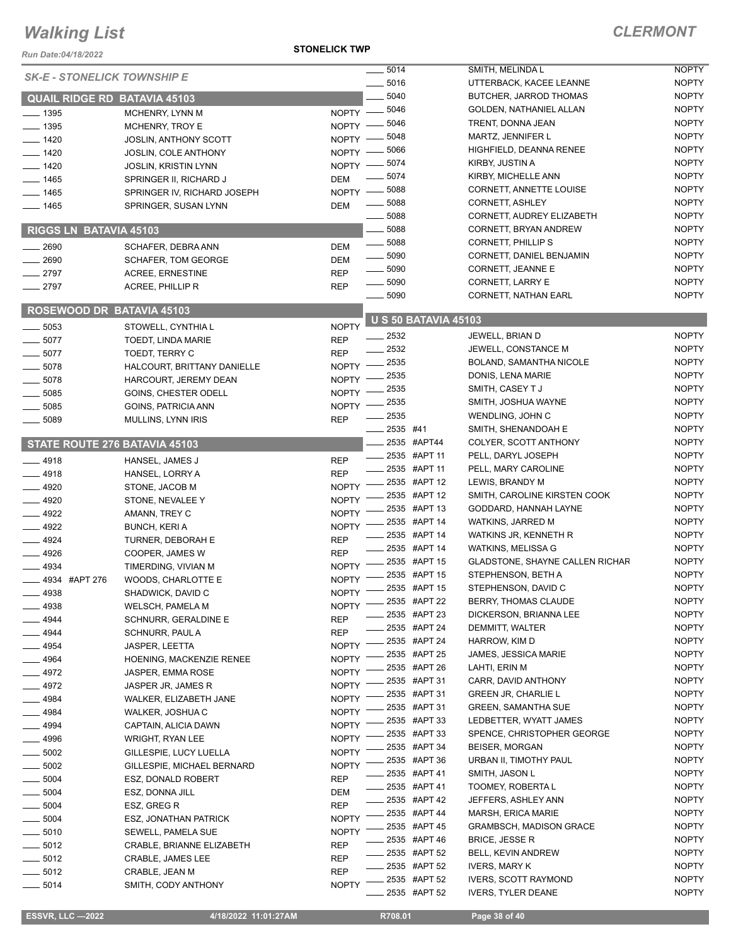#### *Run Date:04/18/2022*

#### **STONELICK TWP**

|               |                                     |              | $-5014$                     | SMITH, MELINDA L                | <b>NOPTY</b> |
|---------------|-------------------------------------|--------------|-----------------------------|---------------------------------|--------------|
|               | <b>SK-E - STONELICK TOWNSHIP E</b>  |              | 5016                        | UTTERBACK, KACEE LEANNE         | <b>NOPTY</b> |
|               | <b>QUAIL RIDGE RD BATAVIA 45103</b> |              | 5040                        | BUTCHER, JARROD THOMAS          | <b>NOPTY</b> |
| $-1395$       | MCHENRY, LYNN M                     | $NOPTY$ –    | 5046                        | GOLDEN, NATHANIEL ALLAN         | <b>NOPTY</b> |
| $- 1395$      | MCHENRY, TROY E                     | NOPTY -      | 5046                        | TRENT, DONNA JEAN               | <b>NOPTY</b> |
| $- 1420$      |                                     | NOPTY -      | 5048                        | MARTZ, JENNIFER L               | <b>NOPTY</b> |
|               | JOSLIN, ANTHONY SCOTT               |              | 5066                        | HIGHFIELD, DEANNA RENEE         | <b>NOPTY</b> |
| $- 1420$      | <b>JOSLIN, COLE ANTHONY</b>         | NOPTY -      | 5074                        | KIRBY, JUSTIN A                 | <b>NOPTY</b> |
| $-1420$       | <b>JOSLIN, KRISTIN LYNN</b>         | NOPTY -      | 5074                        | KIRBY, MICHELLE ANN             | <b>NOPTY</b> |
| $-1465$       | SPRINGER II, RICHARD J              | <b>DEM</b>   | 5088                        | CORNETT, ANNETTE LOUISE         | <b>NOPTY</b> |
| $-1465$       | SPRINGER IV, RICHARD JOSEPH         | NOPTY -      | 5088                        | CORNETT, ASHLEY                 | <b>NOPTY</b> |
| $-1465$       | SPRINGER, SUSAN LYNN                | <b>DEM</b>   |                             |                                 |              |
|               |                                     |              | 5088                        | CORNETT, AUDREY ELIZABETH       | <b>NOPTY</b> |
|               | RIGGS LN BATAVIA 45103              |              | 5088                        | CORNETT, BRYAN ANDREW           | <b>NOPTY</b> |
| 2690          | SCHAFER, DEBRA ANN                  | <b>DEM</b>   | $\frac{1}{2}$ 5088          | <b>CORNETT, PHILLIP S</b>       | <b>NOPTY</b> |
| 2690          | <b>SCHAFER, TOM GEORGE</b>          | <b>DEM</b>   | $\frac{1}{2}$ 5090          | CORNETT, DANIEL BENJAMIN        | <b>NOPTY</b> |
| 2797          | <b>ACREE, ERNESTINE</b>             | <b>REP</b>   | $\frac{1}{2}$ 5090          | <b>CORNETT, JEANNE E</b>        | <b>NOPTY</b> |
| 2797          | ACREE, PHILLIP R                    | <b>REP</b>   | $\frac{1}{2}$ 5090          | CORNETT, LARRY E                | <b>NOPTY</b> |
|               |                                     |              | $\frac{1}{2}$ 5090          | <b>CORNETT, NATHAN EARL</b>     | <b>NOPTY</b> |
|               | <b>ROSEWOOD DR BATAVIA 45103</b>    |              |                             |                                 |              |
| 5053          | STOWELL, CYNTHIA L                  | <b>NOPTY</b> | <b>U S 50 BATAVIA 45103</b> |                                 |              |
| $-5077$       | TOEDT, LINDA MARIE                  | <b>REP</b>   | 2532                        | JEWELL, BRIAN D                 | <b>NOPTY</b> |
| $-5077$       | TOEDT, TERRY C                      | <b>REP</b>   | - 2532                      | JEWELL, CONSTANCE M             | <b>NOPTY</b> |
| $-5078$       | HALCOURT, BRITTANY DANIELLE         | <b>NOPTY</b> | 2535                        | BOLAND, SAMANTHA NICOLE         | <b>NOPTY</b> |
| 5078          | HARCOURT, JEREMY DEAN               | <b>NOPTY</b> | 2535                        | DONIS, LENA MARIE               | <b>NOPTY</b> |
| 5085          | GOINS, CHESTER ODELL                | <b>NOPTY</b> | 2535                        | SMITH, CASEY T J                | <b>NOPTY</b> |
|               |                                     | <b>NOPTY</b> | 2535                        | SMITH, JOSHUA WAYNE             | <b>NOPTY</b> |
| 5085          | GOINS, PATRICIA ANN                 |              | 2535                        | WENDLING, JOHN C                | <b>NOPTY</b> |
| 5089          | MULLINS, LYNN IRIS                  | <b>REP</b>   | 2535 #41                    | SMITH, SHENANDOAH E             | <b>NOPTY</b> |
|               |                                     |              | 2535 #APT44                 | COLYER, SCOTT ANTHONY           | <b>NOPTY</b> |
|               | STATE ROUTE 276 BATAVIA 45103       |              | ____ 2535 #APT 11           | PELL, DARYL JOSEPH              | <b>NOPTY</b> |
| $-4918$       | HANSEL, JAMES J                     | <b>REP</b>   | 2535 #APT 11                | PELL, MARY CAROLINE             | <b>NOPTY</b> |
| 4918          | HANSEL, LORRY A                     | <b>REP</b>   | 2535 #APT 12                | LEWIS, BRANDY M                 | <b>NOPTY</b> |
| $-4920$       | STONE, JACOB M                      | <b>NOPTY</b> |                             |                                 |              |
| $-4920$       | STONE, NEVALEE Y                    | <b>NOPTY</b> | 2535 #APT 12                | SMITH, CAROLINE KIRSTEN COOK    | <b>NOPTY</b> |
| $-4922$       | AMANN, TREY C                       | <b>NOPTY</b> | 2535 #APT 13                | GODDARD, HANNAH LAYNE           | <b>NOPTY</b> |
| $-4922$       | <b>BUNCH, KERI A</b>                | <b>NOPTY</b> | 2535 #APT 14                | WATKINS, JARRED M               | <b>NOPTY</b> |
| $-4924$       | TURNER, DEBORAH E                   | <b>REP</b>   | 2535 #APT 14                | WATKINS JR, KENNETH R           | <b>NOPTY</b> |
| $-4926$       | COOPER, JAMES W                     | <b>REP</b>   | 2535 #APT 14                | WATKINS, MELISSA G              | <b>NOPTY</b> |
| 4934          | TIMERDING, VIVIAN M                 | <b>NOPTY</b> | 2535 #APT 15                | GLADSTONE, SHAYNE CALLEN RICHAR | <b>NOPTY</b> |
| 4934 #APT 276 | WOODS, CHARLOTTE E                  | <b>NOPTY</b> | 2535 #APT 15                | STEPHENSON, BETH A              | <b>NOPTY</b> |
| $-4938$       | SHADWICK, DAVID C                   | <b>NOPTY</b> | 2535 #APT 15                | STEPHENSON, DAVID C             | <b>NOPTY</b> |
| _ 4938        | WELSCH, PAMELA M                    | <b>NOPTY</b> | 2535 #APT 22                | BERRY, THOMAS CLAUDE            | <b>NOPTY</b> |
| - 4944        | SCHNURR, GERALDINE E                | <b>REP</b>   | 2535 #APT 23                | DICKERSON, BRIANNA LEE          | <b>NOPTY</b> |
| 4944          | SCHNURR, PAUL A                     | <b>REP</b>   | 2535 #APT 24                | DEMMITT, WALTER                 | <b>NOPTY</b> |
| 4954          | <b>JASPER, LEETTA</b>               | <b>NOPTY</b> | 2535 #APT 24                | HARROW, KIM D                   | <b>NOPTY</b> |
|               |                                     | <b>NOPTY</b> | 2535 #APT 25                | <b>JAMES, JESSICA MARIE</b>     | <b>NOPTY</b> |
| 4964          | HOENING, MACKENZIE RENEE            |              | 2535 #APT 26                | LAHTI, ERIN M                   | <b>NOPTY</b> |
| 4972          | JASPER, EMMA ROSE                   | <b>NOPTY</b> | 2535 #APT 31                | CARR, DAVID ANTHONY             | <b>NOPTY</b> |
| _ 4972        | JASPER JR, JAMES R                  | <b>NOPTY</b> | 2535 #APT 31                | <b>GREEN JR, CHARLIE L</b>      | <b>NOPTY</b> |
| 4984          | WALKER, ELIZABETH JANE              | <b>NOPTY</b> | 2535 #APT 31                | <b>GREEN, SAMANTHA SUE</b>      | <b>NOPTY</b> |
| _ 4984        | WALKER, JOSHUA C                    | <b>NOPTY</b> | 2535 #APT 33                | LEDBETTER, WYATT JAMES          | <b>NOPTY</b> |
| $-4994$       | CAPTAIN, ALICIA DAWN                | <b>NOPTY</b> | 2535 #APT 33                | SPENCE, CHRISTOPHER GEORGE      | <b>NOPTY</b> |
| 4996          | WRIGHT, RYAN LEE                    | <b>NOPTY</b> | 2535 #APT 34                | <b>BEISER, MORGAN</b>           | <b>NOPTY</b> |
| $-5002$       | GILLESPIE, LUCY LUELLA              | <b>NOPTY</b> |                             |                                 |              |
| $-5002$       | GILLESPIE, MICHAEL BERNARD          | <b>NOPTY</b> | 2535 #APT 36                | URBAN II, TIMOTHY PAUL          | <b>NOPTY</b> |
| $=$ 5004 $\,$ | ESZ, DONALD ROBERT                  | <b>REP</b>   | 2535 #APT 41                | SMITH, JASON L                  | <b>NOPTY</b> |
| $-5004$       | ESZ, DONNA JILL                     | <b>DEM</b>   | 2535 #APT 41                | TOOMEY, ROBERTA L               | <b>NOPTY</b> |
| 5004          | ESZ, GREG R                         | <b>REP</b>   | 2535 #APT 42                | JEFFERS, ASHLEY ANN             | <b>NOPTY</b> |
| 5004          | <b>ESZ, JONATHAN PATRICK</b>        | <b>NOPTY</b> | 2535 #APT 44                | MARSH, ERICA MARIE              | <b>NOPTY</b> |
| 5010          | SEWELL, PAMELA SUE                  | <b>NOPTY</b> | 2535 #APT 45                | <b>GRAMBSCH, MADISON GRACE</b>  | <b>NOPTY</b> |
| $-5012$       | CRABLE, BRIANNE ELIZABETH           | <b>REP</b>   | 2535 #APT 46                | <b>BRICE, JESSE R</b>           | <b>NOPTY</b> |
| $-5012$       | <b>CRABLE, JAMES LEE</b>            | <b>REP</b>   | 2535 #APT 52                | BELL, KEVIN ANDREW              | <b>NOPTY</b> |
| .5012         | CRABLE, JEAN M                      | <b>REP</b>   | 2535 #APT 52                | <b>IVERS, MARY K</b>            | <b>NOPTY</b> |
| $-5014$       | SMITH, CODY ANTHONY                 | <b>NOPTY</b> | 2535 #APT 52                | <b>IVERS, SCOTT RAYMOND</b>     | <b>NOPTY</b> |
|               |                                     |              | 2535 #APT 52                | <b>IVERS, TYLER DEANE</b>       | <b>NOPTY</b> |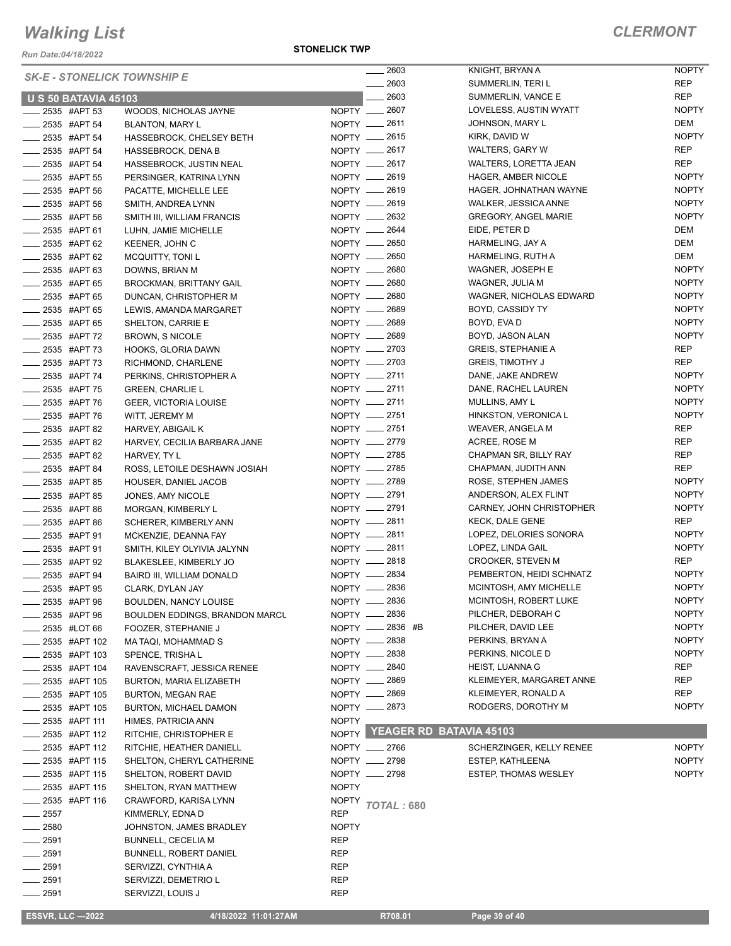*Run Date:04/18/2022*

#### **STONELICK TWP**

|                                | <b>SK-E - STONELICK TOWNSHIP E</b>                 |              | $-2603$                       | KNIGHT, BRYAN A             | <b>NOPTY</b> |
|--------------------------------|----------------------------------------------------|--------------|-------------------------------|-----------------------------|--------------|
|                                |                                                    |              | 2603                          | SUMMERLIN, TERI L           | <b>REP</b>   |
| <b>U S 50 BATAVIA 45103</b>    |                                                    |              | $-2603$                       | SUMMERLIN, VANCE E          | <b>REP</b>   |
| 2535 #APT 53                   | WOODS, NICHOLAS JAYNE                              |              | NOPTY __ 2607                 | LOVELESS, AUSTIN WYATT      | <b>NOPTY</b> |
| ____ 2535 #APT 54              | BLANTON, MARY L                                    |              | NOPTY -8611                   | JOHNSON, MARY L             | DEM          |
| __ 2535 #APT 54                | HASSEBROCK, CHELSEY BETH                           |              | NOPTY __ 2615                 | KIRK, DAVID W               | <b>NOPTY</b> |
| $\frac{1}{2}$ 2535 #APT 54     | <b>HASSEBROCK, DENA B</b>                          |              | NOPTY __ 2617                 | WALTERS, GARY W             | <b>REP</b>   |
| _____ 2535 #APT 54             | HASSEBROCK, JUSTIN NEAL                            |              | NOPTY __ 2617                 | WALTERS, LORETTA JEAN       | <b>REP</b>   |
| $-2535$ #APT 55                | PERSINGER, KATRINA LYNN                            |              | NOPTY __ 2619                 | <b>HAGER, AMBER NICOLE</b>  | <b>NOPTY</b> |
| <b>2535 #APT 56</b>            | PACATTE, MICHELLE LEE                              |              | NOPTY __ 2619                 | HAGER, JOHNATHAN WAYNE      | <b>NOPTY</b> |
| $-2535$ #APT 56                | SMITH, ANDREA LYNN                                 |              | NOPTY - 2619                  | WALKER, JESSICA ANNE        | <b>NOPTY</b> |
| ____ 2535 #APT 56              | SMITH III, WILLIAM FRANCIS                         |              | NOPTY __ 2632                 | <b>GREGORY, ANGEL MARIE</b> | <b>NOPTY</b> |
| __ 2535 #APT 61                | LUHN, JAMIE MICHELLE                               |              | NOPTY <u>_</u> 2644           | EIDE, PETER D               | DEM          |
| $\frac{1}{2535}$ #APT 62       | KEENER, JOHN C                                     |              | NOPTY __ 2650                 | HARMELING, JAY A            | DEM          |
| ____ 2535 #APT 62              | <b>MCQUITTY, TONI L</b>                            |              | NOPTY __ 2650                 | HARMELING, RUTH A           | DEM          |
| _ 2535 #APT 63                 | DOWNS, BRIAN M                                     |              | NOPTY - 2680                  | WAGNER, JOSEPH E            | <b>NOPTY</b> |
| 2535 #APT 65                   | <b>BROCKMAN, BRITTANY GAIL</b>                     |              | NOPTY __ 2680                 | WAGNER, JULIA M             | <b>NOPTY</b> |
| 2535 #APT 65                   |                                                    |              | NOPTY - 2680                  | WAGNER, NICHOLAS EDWARD     | <b>NOPTY</b> |
| ____ 2535 #APT 65              | DUNCAN, CHRISTOPHER M                              |              | NOPTY __ 2689                 | BOYD, CASSIDY TY            | <b>NOPTY</b> |
|                                | LEWIS, AMANDA MARGARET                             |              |                               |                             |              |
| $\frac{1}{2535}$ #APT 65       | SHELTON, CARRIE E                                  |              | NOPTY - 2689                  | BOYD, EVA D                 | <b>NOPTY</b> |
| $-2535$ #APT 72                | <b>BROWN, S NICOLE</b>                             |              | NOPTY __ 2689                 | BOYD, JASON ALAN            | <b>NOPTY</b> |
| ____ 2535 #APT 73              | <b>HOOKS, GLORIA DAWN</b>                          |              | NOPTY -2703                   | <b>GREIS, STEPHANIE A</b>   | <b>REP</b>   |
| 2535 #APT 73                   | RICHMOND, CHARLENE                                 |              | NOPTY -2703                   | <b>GREIS, TIMOTHY J</b>     | <b>REP</b>   |
| _____ 2535 #APT 74             | PERKINS, CHRISTOPHER A                             |              | NOPTY __ 2711                 | DANE, JAKE ANDREW           | <b>NOPTY</b> |
| <b>2535 #APT 75</b>            | <b>GREEN, CHARLIE L</b>                            |              | NOPTY -2711                   | DANE, RACHEL LAUREN         | <b>NOPTY</b> |
| __ 2535 #APT 76                | <b>GEER, VICTORIA LOUISE</b>                       |              | NOPTY -2711                   | MULLINS, AMY L              | <b>NOPTY</b> |
| ____ 2535 #APT 76              | WITT, JEREMY M                                     |              | NOPTY __ 2751                 | HINKSTON, VERONICA L        | <b>NOPTY</b> |
| 2535 #APT 82                   | HARVEY, ABIGAIL K                                  |              | NOPTY -2751                   | WEAVER, ANGELA M            | <b>REP</b>   |
| _ 2535 #APT 82                 | HARVEY, CECILIA BARBARA JANE                       |              | NOPTY __ 2779                 | ACREE, ROSE M               | <b>REP</b>   |
| 2535 #APT 82                   | HARVEY, TY L                                       |              | NOPTY -2785                   | CHAPMAN SR, BILLY RAY       | <b>REP</b>   |
| _ 2535 #APT 84                 | ROSS, LETOILE DESHAWN JOSIAH                       |              | NOPTY __ 2785                 | CHAPMAN, JUDITH ANN         | <b>REP</b>   |
| ____ 2535 #APT 85              | HOUSER, DANIEL JACOB                               |              | NOPTY __ 2789                 | ROSE, STEPHEN JAMES         | <b>NOPTY</b> |
| <b>2535 #APT 85</b>            | JONES, AMY NICOLE                                  |              | NOPTY -2791                   | ANDERSON, ALEX FLINT        | <b>NOPTY</b> |
| ____ 2535 #APT 86              | MORGAN, KIMBERLY L                                 |              | NOPTY __ 2791                 | CARNEY, JOHN CHRISTOPHER    | <b>NOPTY</b> |
| <b>2535 #APT 86</b>            | SCHERER, KIMBERLY ANN                              |              | NOPTY -2811                   | <b>KECK, DALE GENE</b>      | <b>REP</b>   |
| <sub>_</sub> _ 2535 #APT 91    | MCKENZIE, DEANNA FAY                               |              | NOPTY -2811                   | LOPEZ, DELORIES SONORA      | <b>NOPTY</b> |
| ____ 2535 #APT 91              | SMITH, KILEY OLYIVIA JALYNN                        |              | NOPTY -2811                   | LOPEZ, LINDA GAIL           | <b>NOPTY</b> |
| ____ 2535 #APT 92              | BLAKESLEE, KIMBERLY JO                             |              | NOPTY __ 2818                 | CROOKER, STEVEN M           | <b>REP</b>   |
| ____ 2535 #APT 94              | BAIRD III, WILLIAM DONALD                          |              | NOPTY __ 2834                 | PEMBERTON, HEIDI SCHNATZ    | <b>NOPTY</b> |
| -2535 #APT 95                  | CLARK, DYLAN JAY                                   |              | NOPTY __ 2836                 | MCINTOSH, AMY MICHELLE      | <b>NOPTY</b> |
| <sub>–</sub> 2535 #APT 96      | <b>BOULDEN, NANCY LOUISE</b>                       |              | NOPTY - 2836                  | MCINTOSH, ROBERT LUKE       | <b>NOPTY</b> |
| 2535 #APT 96                   | BOULDEN EDDINGS, BRANDON MARCL                     |              | NOPTY __ 2836                 | PILCHER, DEBORAH C          | <b>NOPTY</b> |
| 2535 #LOT 66                   | FOOZER, STEPHANIE J                                |              | NOPTY __ 2836 #B              | PILCHER, DAVID LEE          | <b>NOPTY</b> |
| 2535 #APT 102                  | MA TAQI, MOHAMMAD S                                |              | NOPTY __ 2838                 | PERKINS, BRYAN A            | <b>NOPTY</b> |
| 2535 #APT 103                  | SPENCE, TRISHAL                                    |              | NOPTY __ 2838                 | PERKINS, NICOLE D           | <b>NOPTY</b> |
| 2535 #APT 104                  | RAVENSCRAFT, JESSICA RENEE                         |              | NOPTY - 2840                  | <b>HEIST, LUANNA G</b>      | REP          |
| 2535 #APT 105                  | BURTON, MARIA ELIZABETH                            |              | NOPTY __ 2869                 | KLEIMEYER, MARGARET ANNE    | REP          |
| 2535 #APT 105                  | <b>BURTON, MEGAN RAE</b>                           |              | NOPTY __ 2869                 | KLEIMEYER, RONALD A         | REP          |
| 2535 #APT 105                  | BURTON, MICHAEL DAMON                              |              | NOPTY __ 2873                 | RODGERS, DOROTHY M          | <b>NOPTY</b> |
| _ 2535 #APT 111                | HIMES, PATRICIA ANN                                | <b>NOPTY</b> |                               |                             |              |
|                                |                                                    |              | NOPTY YEAGER RD BATAVIA 45103 |                             |              |
| 2535 #APT 112<br>2535 #APT 112 | RITCHIE, CHRISTOPHER E<br>RITCHIE, HEATHER DANIELL |              | NOPTY __ 2766                 |                             | <b>NOPTY</b> |
|                                |                                                    |              |                               | SCHERZINGER, KELLY RENEE    |              |
| 2535 #APT 115                  | SHELTON, CHERYL CATHERINE                          |              | NOPTY __ 2798                 | ESTEP, KATHLEENA            | <b>NOPTY</b> |
| 2535 #APT 115                  | SHELTON, ROBERT DAVID                              |              | NOPTY __ 2798                 | <b>ESTEP, THOMAS WESLEY</b> | <b>NOPTY</b> |
| 2535 #APT 115                  | SHELTON, RYAN MATTHEW                              | <b>NOPTY</b> |                               |                             |              |
| <sub>–</sub> 2535 #APT 116     | CRAWFORD, KARISA LYNN                              | NOPTY        | <b>TOTAL: 680</b>             |                             |              |
| $-2557$                        | KIMMERLY, EDNA D                                   | <b>REP</b>   |                               |                             |              |
| 2580                           | JOHNSTON, JAMES BRADLEY                            | <b>NOPTY</b> |                               |                             |              |
| $=2591$                        | <b>BUNNELL, CECELIA M</b>                          | REP          |                               |                             |              |
| 2591                           | <b>BUNNELL, ROBERT DANIEL</b>                      | <b>REP</b>   |                               |                             |              |
| 2591                           | SERVIZZI, CYNTHIA A                                | REP          |                               |                             |              |
| 2591                           | SERVIZZI, DEMETRIO L                               | <b>REP</b>   |                               |                             |              |
| 2591                           | SERVIZZI, LOUIS J                                  | REP          |                               |                             |              |